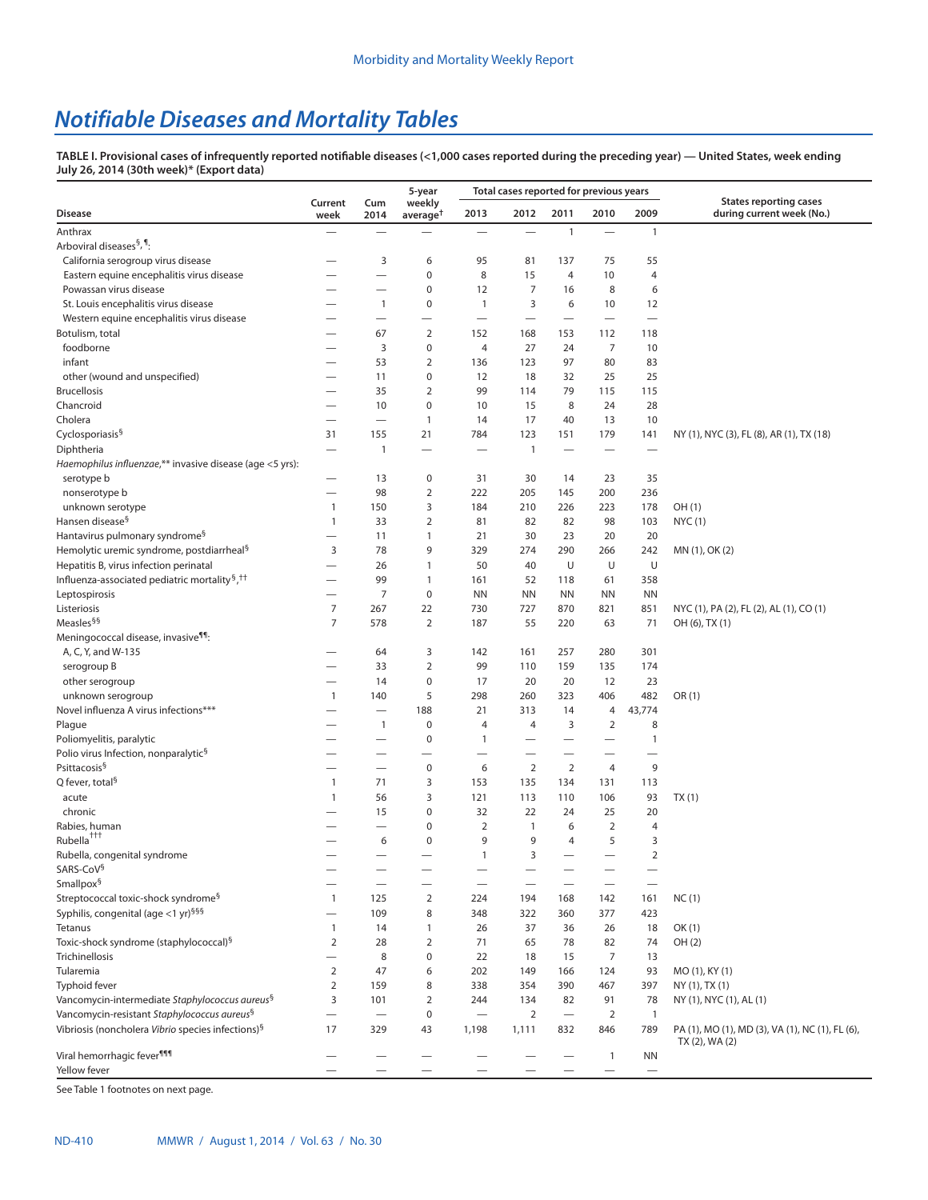# *Notifiable Diseases and Mortality Tables*

**TABLE I. Provisional cases of infrequently reported notifiable diseases (<1,000 cases reported during the preceding year) — United States, week ending July 26, 2014 (30th week)\* ([Export data](https://data.cdc.gov/NNDSS/NNDSS-Table-I-infrequently-reported-notifiable-dis/wcwi-x3uk))**

|                                                                       |                          |                          | 5-year                         |                          | Total cases reported for previous years |                          |                          |                          |                                                                   |
|-----------------------------------------------------------------------|--------------------------|--------------------------|--------------------------------|--------------------------|-----------------------------------------|--------------------------|--------------------------|--------------------------|-------------------------------------------------------------------|
| <b>Disease</b>                                                        | Current<br>week          | Cum<br>2014              | weekly<br>average <sup>†</sup> | 2013                     | 2012                                    | 2011                     | 2010                     | 2009                     | <b>States reporting cases</b><br>during current week (No.)        |
| Anthrax                                                               |                          |                          |                                |                          |                                         | $\mathbf{1}$             |                          | $\mathbf{1}$             |                                                                   |
| Arboviral diseases <sup>§, ¶</sup> :                                  |                          |                          |                                |                          |                                         |                          |                          |                          |                                                                   |
| California serogroup virus disease                                    |                          | 3                        | 6                              | 95                       | 81                                      | 137                      | 75                       | 55                       |                                                                   |
| Eastern equine encephalitis virus disease                             |                          |                          | 0                              | 8                        | 15                                      | 4                        | 10                       | 4                        |                                                                   |
| Powassan virus disease                                                |                          | —                        | 0                              | 12                       | $\overline{7}$                          | 16                       | 8                        | 6                        |                                                                   |
| St. Louis encephalitis virus disease                                  |                          | $\mathbf{1}$             | 0                              | $\mathbf{1}$             | 3                                       | 6                        | 10                       | 12                       |                                                                   |
| Western equine encephalitis virus disease                             |                          | $\overline{\phantom{0}}$ | $\overline{\phantom{0}}$       | $\overline{\phantom{0}}$ |                                         | $\overline{\phantom{0}}$ |                          |                          |                                                                   |
| Botulism, total                                                       |                          | 67                       | $\overline{2}$                 | 152                      | 168                                     | 153                      | 112                      | 118                      |                                                                   |
| foodborne                                                             |                          | 3                        | 0                              | 4                        | 27                                      | 24                       | 7                        | 10                       |                                                                   |
| infant                                                                |                          | 53                       | $\overline{2}$                 | 136                      | 123                                     | 97                       | 80                       | 83                       |                                                                   |
| other (wound and unspecified)                                         |                          | 11                       | 0                              | 12                       | 18                                      | 32                       | 25                       | 25                       |                                                                   |
| <b>Brucellosis</b>                                                    |                          | 35                       | $\overline{2}$                 | 99                       | 114                                     | 79                       | 115                      | 115                      |                                                                   |
| Chancroid                                                             |                          | 10                       | $\mathbf 0$                    | 10                       | 15                                      | 8                        | 24                       | 28                       |                                                                   |
| Cholera                                                               |                          |                          | $\mathbf{1}$                   | 14                       | 17                                      | 40                       | 13                       | 10                       |                                                                   |
| Cyclosporiasis <sup>§</sup>                                           | 31                       | 155                      | 21                             | 784                      | 123                                     | 151                      | 179                      | 141                      | NY (1), NYC (3), FL (8), AR (1), TX (18)                          |
| Diphtheria                                                            | $\overline{\phantom{0}}$ | $\mathbf{1}$             | $\overline{\phantom{0}}$       |                          | $\mathbf{1}$                            |                          |                          |                          |                                                                   |
| Haemophilus influenzae,** invasive disease (age <5 yrs):              |                          |                          |                                |                          |                                         |                          |                          |                          |                                                                   |
| serotype b                                                            |                          | 13                       | $\pmb{0}$                      | 31                       | 30                                      | 14                       | 23                       | 35                       |                                                                   |
| nonserotype b                                                         |                          | 98                       | 2                              | 222                      | 205                                     | 145                      | 200                      | 236                      |                                                                   |
| unknown serotype                                                      | $\mathbf{1}$             | 150                      | 3                              | 184                      | 210                                     | 226                      | 223                      | 178                      | OH(1)                                                             |
| Hansen disease <sup>§</sup>                                           | $\mathbf{1}$             | 33                       | $\overline{2}$                 | 81                       | 82                                      | 82                       | 98                       | 103                      | NYC(1)                                                            |
| Hantavirus pulmonary syndrome <sup>§</sup>                            |                          | 11                       | 1                              | 21                       | 30                                      | 23                       | 20                       | 20                       |                                                                   |
| Hemolytic uremic syndrome, postdiarrheal <sup>§</sup>                 | 3                        | 78                       | 9                              | 329                      | 274                                     | 290                      | 266                      | 242                      | MN (1), OK (2)                                                    |
| Hepatitis B, virus infection perinatal                                | $\overline{\phantom{0}}$ | 26                       | 1                              | 50                       | 40                                      | U                        | U                        | U                        |                                                                   |
| Influenza-associated pediatric mortality <sup>§</sup> , <sup>††</sup> |                          | 99                       | 1                              | 161                      | 52                                      | 118                      | 61                       | 358                      |                                                                   |
| Leptospirosis                                                         |                          | $\overline{7}$           | 0                              | <b>NN</b>                | ΝN                                      | <b>NN</b>                | <b>NN</b>                | <b>NN</b>                |                                                                   |
| Listeriosis                                                           | 7                        | 267                      | 22                             | 730                      | 727                                     | 870                      | 821                      | 851                      | NYC (1), PA (2), FL (2), AL (1), CO (1)                           |
| Measles <sup>§§</sup>                                                 | $\overline{7}$           | 578                      | 2                              | 187                      | 55                                      | 220                      | 63                       | 71                       | OH (6), TX (1)                                                    |
| Meningococcal disease, invasive <sup>11</sup> :                       |                          |                          |                                |                          |                                         |                          |                          |                          |                                                                   |
| A, C, Y, and W-135                                                    |                          | 64                       | 3                              | 142                      | 161                                     | 257                      | 280                      | 301                      |                                                                   |
| serogroup B                                                           |                          | 33                       | $\overline{2}$                 | 99                       | 110                                     | 159                      | 135                      | 174                      |                                                                   |
| other serogroup                                                       |                          | 14                       | 0                              | 17                       | 20                                      | 20                       | 12                       | 23                       |                                                                   |
| unknown serogroup                                                     | $\mathbf{1}$             | 140                      | 5                              | 298                      | 260                                     | 323                      | 406                      | 482                      | OR (1)                                                            |
| Novel influenza A virus infections***                                 |                          | $\overline{\phantom{0}}$ | 188                            | 21                       | 313                                     | 14                       | 4                        | 43,774                   |                                                                   |
| Plague                                                                |                          | $\mathbf{1}$             | $\mathbf 0$                    | 4                        | $\overline{4}$                          | 3                        | 2                        | 8                        |                                                                   |
| Poliomyelitis, paralytic                                              |                          | $\overline{\phantom{0}}$ | $\mathbf 0$                    | $\mathbf{1}$             | $\overline{\phantom{0}}$                | $\overline{\phantom{0}}$ | -                        | $\mathbf{1}$             |                                                                   |
| Polio virus Infection, nonparalytic <sup>§</sup>                      |                          |                          |                                |                          |                                         |                          |                          |                          |                                                                   |
| Psittacosis <sup>§</sup>                                              |                          | $\overline{\phantom{0}}$ | 0                              | 6                        | $\overline{2}$                          | $\overline{2}$           | $\overline{4}$           | 9                        |                                                                   |
| Q fever, total <sup>§</sup>                                           | $\mathbf{1}$             | 71                       | 3                              | 153                      | 135                                     | 134                      | 131                      | 113                      |                                                                   |
| acute                                                                 | $\mathbf{1}$             | 56                       | 3                              | 121                      | 113                                     | 110                      | 106                      | 93                       | TX(1)                                                             |
| chronic                                                               |                          | 15                       | $\pmb{0}$                      | 32                       | 22                                      | 24                       | 25                       | 20                       |                                                                   |
| Rabies, human                                                         |                          |                          | 0                              | $\overline{2}$           | $\mathbf{1}$                            | 6                        | $\overline{2}$           | $\overline{4}$           |                                                                   |
| Rubella <sup>†††</sup>                                                |                          | 6                        | $\mathbf 0$                    | 9                        | 9                                       | $\overline{4}$           | 5                        | 3                        |                                                                   |
| Rubella, congenital syndrome                                          |                          |                          |                                | $\mathbf{1}$             | 3                                       |                          | $\overline{\phantom{0}}$ | $\overline{2}$           |                                                                   |
| SARS-CoV <sup>§</sup>                                                 |                          |                          |                                |                          |                                         |                          |                          |                          |                                                                   |
| Smallpox <sup>§</sup>                                                 |                          |                          |                                |                          |                                         |                          |                          |                          |                                                                   |
| Streptococcal toxic-shock syndrome <sup>§</sup>                       | $\mathbf{1}$             | 125                      | $\overline{2}$                 | 224                      | 194                                     | 168                      | 142                      | 161                      | NC(1)                                                             |
| Syphilis, congenital (age <1 yr) <sup>§§§</sup>                       |                          | 109                      | 8                              | 348                      | 322                                     | 360                      | 377                      | 423                      |                                                                   |
| Tetanus                                                               | $\mathbf{1}$             | 14                       | 1                              | 26                       | 37                                      | 36                       | 26                       | 18                       | OK (1)                                                            |
| Toxic-shock syndrome (staphylococcal) <sup>§</sup>                    | $\overline{2}$           | 28                       | $\overline{2}$                 | 71                       | 65                                      | 78                       | 82                       | 74                       | OH (2)                                                            |
| Trichinellosis                                                        | —                        | 8                        | 0                              | 22                       | 18                                      | 15                       | $\overline{7}$           | 13                       |                                                                   |
| Tularemia                                                             | $\overline{2}$           | 47                       | 6                              | 202                      | 149                                     | 166                      | 124                      | 93                       | MO (1), KY (1)                                                    |
| Typhoid fever                                                         | $\overline{2}$           | 159                      | 8                              | 338                      | 354                                     | 390                      | 467                      | 397                      | NY (1), TX (1)                                                    |
| Vancomycin-intermediate Staphylococcus aureus <sup>§</sup>            | 3                        | 101                      | 2                              | 244                      | 134                                     | 82                       | 91                       | 78                       | NY (1), NYC (1), AL (1)                                           |
| Vancomycin-resistant Staphylococcus aureus <sup>§</sup>               | $\overline{\phantom{0}}$ | $\overline{\phantom{0}}$ | 0                              | $\overline{\phantom{0}}$ | $\overline{2}$                          |                          | $\overline{2}$           | $\mathbf{1}$             |                                                                   |
| Vibriosis (noncholera Vibrio species infections) <sup>§</sup>         | 17                       | 329                      | 43                             | 1,198                    | 1,111                                   | 832                      | 846                      | 789                      | PA (1), MO (1), MD (3), VA (1), NC (1), FL (6),<br>TX (2), WA (2) |
| Viral hemorrhagic fever <sup>111</sup>                                |                          |                          |                                |                          |                                         |                          | $\mathbf{1}$             | NN                       |                                                                   |
| Yellow fever                                                          |                          |                          |                                |                          |                                         |                          |                          | $\overline{\phantom{0}}$ |                                                                   |

See Table 1 footnotes on next page.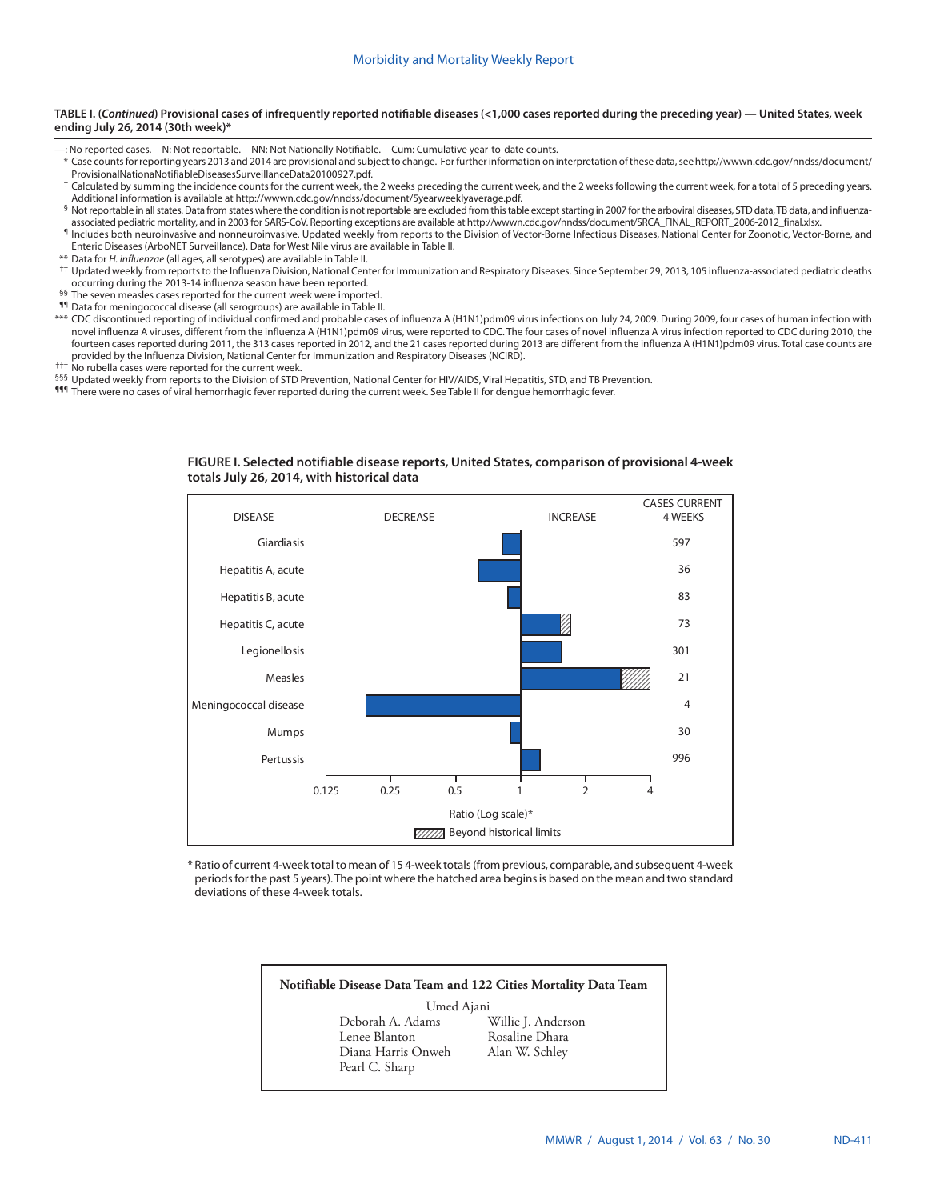#### **TABLE I. (***Continued***) Provisional cases of infrequently reported notifiable diseases (<1,000 cases reported during the preceding year) — United States, week ending July 26, 2014 (30th week)\***

- —: No reported cases. N: Not reportable. NN: Not Nationally Notifiable. Cum: Cumulative year-to-date counts.
- \* Case counts for reporting years 2013 and 2014 are provisional and subject to change. For further information on interpretation of these data, see [http://wwwn.cdc.gov/nndss/document/](http://wwwn.cdc.gov/nndss/document/ProvisionalNationaNotifiableDiseasesSurveillanceData20100927.pdf)
- [ProvisionalNationaNotifiableDiseasesSurveillanceData20100927.pdf.](http://wwwn.cdc.gov/nndss/document/ProvisionalNationaNotifiableDiseasesSurveillanceData20100927.pdf)<br><sup>†</sup> Calculated by summing the incidence counts for the current week, the 2 weeks preceding the current week, and the 2 weeks following the current week, for
- Additional information is available at <http://wwwn.cdc.gov/nndss/document/5yearweeklyaverage.pdf>.<br><sup>§</sup> Not reportable in all states. Data from states where the condition is not reportable are excluded from this table except
- Il ncludes both neuroinvasive and nonneuroinvasive. Updated weekly from reports to the Division of Vector-Borne Infectious Diseases, National Center for Zoonotic, Vector-Borne, and Enteric Diseases (ArboNET Surveillance). Data for West Nile virus are available in Table II.
- \*\* Data for *H. influenzae* (all ages, all serotypes) are available in Table II.
- †† Updated weekly from reports to the Influenza Division, National Center for Immunization and Respiratory Diseases. Since September 29, 2013, 105 influenza-associated pediatric deaths
- <sup>§§</sup> The seven measles cases reported for the current week were imported.
- ¶¶ Data for meningococcal disease (all serogroups) are available in Table II.
- \*\*\* CDC discontinued reporting of individual confirmed and probable cases of influenza A (H1N1)pdm09 virus infections on July 24, 2009. During 2009, four cases of human infection with novel influenza A viruses, different from the influenza A (H1N1)pdm09 virus, were reported to CDC. The four cases of novel influenza A virus infection reported to CDC during 2010, the fourteen cases reported during 2011, the 313 cases reported in 2012, and the 21 cases reported during 2013 are different from the influenza A (H1N1)pdm09 virus. Total case counts are provided by the Influenza Division, National Center for Immunization and Respiratory Diseases (NCIRD).<br>
<sup>†††</sup> No rubella cases were reported for the current week.
- 
- §§§ Updated weekly from reports to the Division of STD Prevention, National Center for HIV/AIDS, Viral Hepatitis, STD, and TB Prevention.
- ¶¶¶ There were no cases of viral hemorrhagic fever reported during the current week. See Table II for dengue hemorrhagic fever.



#### **FIGURE I. Selected notifiable disease reports, United States, comparison of provisional 4-week totals July 26, 2014, with historical data**

\* Ratio of current 4-week total to mean of 15 4-week totals (from previous, comparable, and subsequent 4-week periods for the past 5 years). The point where the hatched area begins is based on the mean and two standard deviations of these 4-week totals.

# **Notifiable Disease Data Team and 122 Cities Mortality Data Team**

Umed Ajani<br>I Deborah A. Adams Deborah A. Adams Willie J. Anderson Diana Harris Onweh Pearl C. Sharp

Rosaline Dhara<br>Alan W. Schley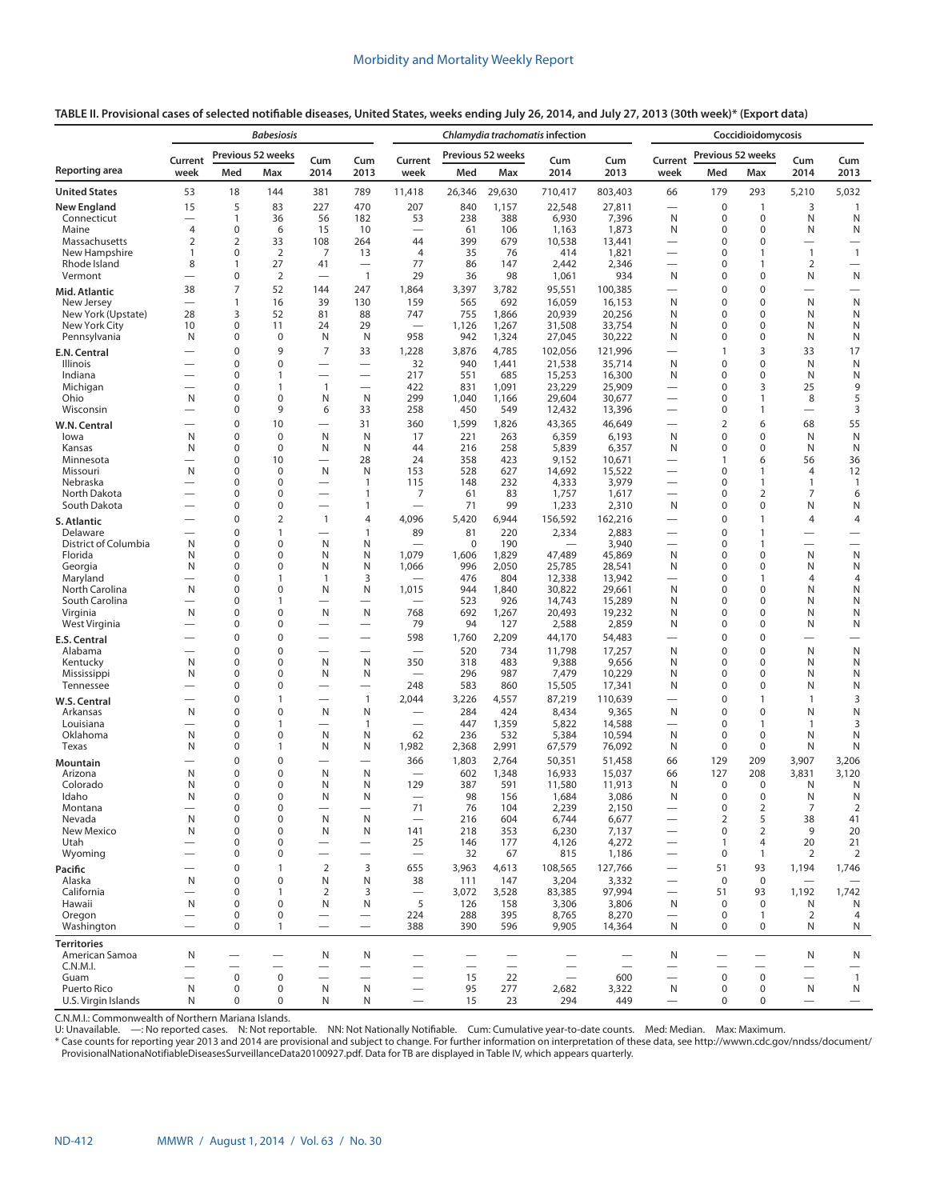**TABLE II. Provisional cases of selected notifiable diseases, United States, weeks ending July 26, 2014, and July 27, 2013 (30th week)\* ([Export data\)](https://data.cdc.gov/NNDSS/NNDSS-Table-II-Babesiosis-to-Coccidioidomycosis/qz8t-eu2e)**

|                                     |                               |                             | <b>Babesiosis</b>                |                                          |                                                      |                                         |              |                          | Chlamydia trachomatis infection |                          |                                                               |                            | Coccidioidomycosis              |                                            |                          |
|-------------------------------------|-------------------------------|-----------------------------|----------------------------------|------------------------------------------|------------------------------------------------------|-----------------------------------------|--------------|--------------------------|---------------------------------|--------------------------|---------------------------------------------------------------|----------------------------|---------------------------------|--------------------------------------------|--------------------------|
| <b>Reporting area</b>               | Current<br>week               | Med                         | Previous 52 weeks<br>Max         | Cum<br>2014                              | Cum<br>2013                                          | Current<br>week                         | Med          | Previous 52 weeks<br>Max | Cum<br>2014                     | Cum<br>2013              | Current<br>week                                               | Previous 52 weeks<br>Med   | Max                             | Cum<br>2014                                | Cum<br>2013              |
| <b>United States</b>                | 53                            | 18                          | 144                              | 381                                      | 789                                                  | 11,418                                  | 26,346       | 29,630                   | 710,417                         | 803,403                  | 66                                                            | 179                        | 293                             | 5,210                                      | 5,032                    |
| <b>New England</b>                  | 15                            | 5                           | 83                               | 227                                      | 470                                                  | 207                                     | 840          | 1,157                    | 22,548                          | 27,811                   |                                                               | $\mathbf 0$                | $\mathbf{1}$                    | 3                                          | $\mathbf{1}$             |
| Connecticut                         | $\overline{4}$                | $\mathbf{1}$<br>$\mathbf 0$ | 36                               | 56<br>15                                 | 182                                                  | 53<br>$\overline{\phantom{0}}$          | 238          | 388                      | 6,930                           | 7,396<br>1,873           | N<br>N                                                        | 0<br>0                     | 0<br>$\mathbf 0$                | N                                          | N<br>N                   |
| Maine<br>Massachusetts              | $\overline{2}$                | 2                           | 6<br>33                          | 108                                      | 10<br>264                                            | 44                                      | 61<br>399    | 106<br>679               | 1,163<br>10,538                 | 13,441                   |                                                               | 0                          | 0                               | N                                          | $\overline{\phantom{0}}$ |
| New Hampshire                       | $\mathbf{1}$                  | 0                           | $\overline{2}$                   | 7                                        | 13                                                   | $\overline{4}$                          | 35           | 76                       | 414                             | 1,821                    |                                                               | 0                          | $\mathbf{1}$                    | $\mathbf{1}$                               | $\mathbf{1}$             |
| Rhode Island<br>Vermont             | 8                             | $\mathbf{1}$<br>0           | 27<br>$\overline{2}$             | 41<br>$\overline{\phantom{0}}$           | $\overline{1}$                                       | 77<br>29                                | 86<br>36     | 147<br>98                | 2,442<br>1,061                  | 2,346<br>934             | N                                                             | 0<br>0                     | $\mathbf{1}$<br>0               | $\overline{2}$<br>N                        | N                        |
| Mid. Atlantic                       | 38                            | 7                           | 52                               | 144                                      | 247                                                  | 1,864                                   | 3,397        | 3,782                    | 95,551                          | 100,385                  | $\overline{\phantom{0}}$                                      | 0                          | $\mathbf 0$                     |                                            | $\overline{\phantom{0}}$ |
| New Jersey                          |                               | $\overline{1}$              | 16                               | 39                                       | 130                                                  | 159                                     | 565          | 692                      | 16,059                          | 16,153                   | N                                                             | 0                          | $\mathbf 0$                     | N                                          | N                        |
| New York (Upstate)<br>New York City | 28<br>10                      | 3<br>$\mathbf 0$            | 52<br>11                         | 81<br>24                                 | 88<br>29                                             | 747<br>$\overline{\phantom{0}}$         | 755<br>1,126 | 1,866<br>1,267           | 20,939<br>31,508                | 20,256<br>33,754         | N<br>N                                                        | 0<br>0                     | 0<br>0                          | N<br>N                                     | N<br>N                   |
| Pennsylvania                        | N                             | 0                           | 0                                | N                                        | N                                                    | 958                                     | 942          | 1,324                    | 27,045                          | 30,222                   | N                                                             | 0                          | 0                               | N                                          | N                        |
| E.N. Central                        |                               | $\mathbf 0$                 | 9                                | $\overline{7}$                           | 33                                                   | 1,228                                   | 3,876        | 4,785                    | 102,056                         | 121,996                  |                                                               | 1                          | 3                               | 33                                         | 17                       |
| Illinois                            |                               | $\bf 0$                     | 0                                |                                          | $\overline{\phantom{0}}$                             | 32                                      | 940          | 1,441                    | 21,538                          | 35,714                   | N                                                             | 0                          | 0                               | N                                          | N                        |
| Indiana<br>Michigan                 |                               | $\mathbf 0$<br>0            | $\mathbf{1}$<br>$\overline{1}$   | $\overline{\phantom{0}}$<br>$\mathbf{1}$ | $\overline{\phantom{0}}$<br>$\overline{\phantom{0}}$ | 217<br>422                              | 551<br>831   | 685<br>1,091             | 15,253<br>23,229                | 16,300<br>25,909         | N<br>$\overline{\phantom{0}}$                                 | 0<br>0                     | $\mathbf 0$<br>3                | N<br>25                                    | N<br>9                   |
| Ohio                                | Ν                             | 0                           | $\mathbf 0$                      | N                                        | N                                                    | 299                                     | 1,040        | 1,166                    | 29,604                          | 30,677                   | -                                                             | 0                          | $\mathbf{1}$                    | 8                                          | 5                        |
| Wisconsin                           |                               | 0                           | 9                                | 6                                        | 33                                                   | 258                                     | 450          | 549                      | 12,432                          | 13,396                   | $\overline{\phantom{0}}$                                      | 0                          | 1                               | $\overline{\phantom{0}}$                   | 3                        |
| W.N. Central<br>lowa                | N                             | 0<br>$\bf 0$                | 10<br>$\bf 0$                    | $\overline{\phantom{0}}$<br>N            | 31<br>N                                              | 360<br>17                               | 1,599<br>221 | 1,826<br>263             | 43,365<br>6,359                 | 46,649<br>6,193          | $\overline{\phantom{0}}$<br>N                                 | 2<br>0                     | 6<br>0                          | 68<br>N                                    | 55<br>N                  |
| Kansas                              | N                             | $\mathbf 0$                 | $\mathbf 0$                      | N                                        | N                                                    | 44                                      | 216          | 258                      | 5,839                           | 6,357                    | N                                                             | 0                          | 0                               | N                                          | N                        |
| Minnesota                           |                               | 0                           | 10                               |                                          | 28                                                   | 24                                      | 358          | 423                      | 9,152                           | 10,671                   | $\overline{\phantom{0}}$                                      | 1                          | 6                               | 56                                         | 36                       |
| Missouri<br>Nebraska                | N                             | $\mathbf 0$<br>$\mathbf 0$  | $\mathbf 0$<br>$\mathbf 0$       | N                                        | N<br>$\mathbf{1}$                                    | 153<br>115                              | 528<br>148   | 627<br>232               | 14,692<br>4,333                 | 15,522<br>3,979          |                                                               | 0<br>0                     | $\mathbf{1}$<br>1               | $\overline{4}$<br>1                        | 12<br>$\mathbf{1}$       |
| North Dakota                        |                               | 0                           | 0                                |                                          | $\mathbf{1}$                                         | 7                                       | 61           | 83                       | 1,757                           | 1,617                    | $\overline{\phantom{0}}$                                      | 0                          | $\overline{2}$                  | $\overline{7}$                             | 6                        |
| South Dakota                        |                               | 0                           | $\mathbf 0$                      |                                          | $\mathbf{1}$                                         | $\overline{\phantom{0}}$                | 71           | 99                       | 1,233                           | 2,310                    | N                                                             | 0                          | $\mathbf 0$                     | N                                          | N                        |
| S. Atlantic<br>Delaware             |                               | 0<br>0                      | $\overline{2}$<br>$\overline{1}$ | $\mathbf{1}$                             | 4<br>$\mathbf{1}$                                    | 4,096<br>89                             | 5,420<br>81  | 6,944<br>220             | 156,592<br>2,334                | 162,216<br>2,883         | $\overline{\phantom{0}}$                                      | 0<br>0                     | 1<br>1                          | $\overline{4}$<br>$\overline{\phantom{0}}$ | $\overline{4}$           |
| District of Columbia                | N                             | 0                           | $\mathbf 0$                      | N                                        | Ν                                                    |                                         | $\mathbf 0$  | 190                      |                                 | 3,940                    |                                                               | 0                          | $\mathbf{1}$                    |                                            | $\overline{\phantom{0}}$ |
| Florida                             | N                             | 0                           | $\mathbf 0$                      | N                                        | Ν                                                    | 1,079                                   | 1,606        | 1,829                    | 47,489                          | 45,869                   | N                                                             | 0                          | $\mathbf 0$                     | N                                          | N                        |
| Georgia<br>Maryland                 | N                             | $\mathbf 0$<br>$\mathbf 0$  | $\mathbf 0$<br>$\mathbf{1}$      | N<br>$\mathbf{1}$                        | Ν<br>3                                               | 1,066                                   | 996<br>476   | 2,050<br>804             | 25,785<br>12,338                | 28,541<br>13,942         | N                                                             | 0<br>0                     | $\mathbf 0$<br>1                | N<br>4                                     | N<br>4                   |
| North Carolina                      | N                             | 0                           | $\mathbf 0$                      | N                                        | Ν                                                    | 1,015                                   | 944          | 1,840                    | 30,822                          | 29,661                   | N                                                             | 0                          | $\mathbf 0$                     | N                                          | N                        |
| South Carolina<br>Virginia          | $\overline{\phantom{0}}$<br>N | 0<br>0                      | 1<br>$\mathbf 0$                 | $\overline{\phantom{0}}$<br>N            | $\overline{\phantom{0}}$<br>N                        | 768                                     | 523<br>692   | 926<br>1,267             | 14,743<br>20,493                | 15,289<br>19,232         | N<br>N                                                        | 0<br>0                     | $\mathbf 0$<br>$\mathbf 0$      | N<br>N                                     | N<br>N                   |
| West Virginia                       |                               | 0                           | $\mathbf 0$                      |                                          | —                                                    | 79                                      | 94           | 127                      | 2,588                           | 2,859                    | N                                                             | 0                          | $\mathbf 0$                     | N                                          | N                        |
| E.S. Central                        |                               | 0                           | $\mathbf 0$                      |                                          | $\overline{\phantom{0}}$                             | 598                                     | 1,760        | 2,209                    | 44,170                          | 54,483                   |                                                               | 0                          | $\mathbf 0$                     |                                            | $\overline{\phantom{0}}$ |
| Alabama                             |                               | 0                           | 0                                |                                          | -                                                    |                                         | 520          | 734                      | 11,798                          | 17,257                   | N                                                             | 0                          | $\mathbf 0$                     | N                                          | N                        |
| Kentucky<br>Mississippi             | N<br>N                        | 0<br>$\mathbf 0$            | $\mathbf 0$<br>$\mathbf 0$       | N<br>N                                   | N<br>N                                               | 350                                     | 318<br>296   | 483<br>987               | 9,388<br>7,479                  | 9,656<br>10,229          | N<br>N                                                        | 0<br>0                     | $\mathbf 0$<br>$\mathbf 0$      | N<br>N                                     | N<br>N                   |
| Tennessee                           |                               | 0                           | $\mathbf 0$                      |                                          | $\overline{\phantom{0}}$                             | 248                                     | 583          | 860                      | 15,505                          | 17,341                   | N                                                             | 0                          | $\mathbf 0$                     | N                                          | N                        |
| W.S. Central                        |                               | $\mathbf 0$                 | $\mathbf{1}$                     |                                          | $\mathbf{1}$                                         | 2,044                                   | 3,226        | 4,557                    | 87,219                          | 110,639                  |                                                               | 0                          | 1                               | $\mathbf{1}$                               | 3                        |
| Arkansas<br>Louisiana               | N                             | 0<br>0                      | $\mathbf 0$<br>$\mathbf{1}$      | N                                        | Ν<br>$\overline{1}$                                  |                                         | 284<br>447   | 424<br>1,359             | 8,434<br>5,822                  | 9,365<br>14,588          | N<br>$\overline{\phantom{0}}$                                 | 0<br>0                     | $\mathbf 0$<br>1                | N<br>$\mathbf{1}$                          | N<br>3                   |
| Oklahoma                            | N                             | 0                           | $\mathbf 0$                      | N                                        | Ν                                                    | 62                                      | 236          | 532                      | 5,384                           | 10,594                   | N                                                             | 0                          | $\mathbf 0$                     | N                                          | N                        |
| Texas                               | N                             | $\mathbf 0$                 | $\mathbf{1}$                     | N                                        | N                                                    | 1,982                                   | 2,368        | 2,991                    | 67,579                          | 76,092                   | N                                                             | $\mathbf 0$                | $\mathbf 0$                     | N                                          | N                        |
| Mountain                            | N                             | $\mathbf 0$<br>$\mathbf 0$  | $\mathbf 0$<br>$\mathbf 0$       | N                                        | N                                                    | 366<br>$\overbrace{\phantom{12322111}}$ | 1,803<br>602 | 2,764<br>1,348           | 50,351<br>16,933                | 51,458<br>15,037         | 66                                                            | 129<br>127                 | 209<br>208                      | 3,907<br>3,831                             | 3,206<br>3,120           |
| Arizona<br>Colorado                 | N                             | 0                           | 0                                | N                                        | Ν                                                    | 129                                     | 387          | 591                      | 11,580                          | 11,913                   | 66<br>N                                                       | $\mathbf 0$                | $\mathbf 0$                     | N                                          | N                        |
| Idaho                               | Ν                             | 0                           | $\mathbf 0$                      | N                                        | Ν                                                    |                                         | 98           | 156                      | 1,684                           | 3,086                    | N                                                             | $\mathbf 0$                | 0                               | N                                          | N                        |
| Montana<br>Nevada                   | N                             | 0<br>$\mathbf 0$            | 0<br>$\mathbf 0$                 | N                                        | N                                                    | 71<br>$\overline{\phantom{0}}$          | 76<br>216    | 104<br>604               | 2,239<br>6,744                  | 2,150<br>6,677           |                                                               | 0<br>$\overline{2}$        | 2<br>5                          | 7<br>38                                    | 2<br>41                  |
| New Mexico                          | N                             | $\mathbf 0$                 | $\mathbf 0$                      | N                                        | N                                                    | 141                                     | 218          | 353                      | 6,230                           | 7,137                    |                                                               | $\mathbf 0$                | $\overline{2}$                  | 9                                          | 20                       |
| Utah                                |                               | $\mathbf 0$<br>$\mathbf 0$  | $\mathbf 0$                      |                                          |                                                      | 25                                      | 146          | 177                      | 4,126                           | 4,272                    |                                                               | 1<br>$\mathbf 0$           | $\overline{4}$                  | 20                                         | 21                       |
| Wyoming<br>Pacific                  | $\overline{\phantom{0}}$      | $\mathbf 0$                 | $\mathbf 0$<br>$\mathbf{1}$      | —<br>$\overline{2}$                      | 3                                                    | $\overline{\phantom{0}}$<br>655         | 32<br>3,963  | 67<br>4,613              | 815<br>108,565                  | 1,186<br>127,766         | $\overbrace{\phantom{123221111}}$<br>$\overline{\phantom{0}}$ | 51                         | $\mathbf{1}$<br>93              | 2<br>1,194                                 | 2<br>1,746               |
| Alaska                              | N                             | $\mathbf 0$                 | $\mathbf 0$                      | N                                        | N                                                    | 38                                      | 111          | 147                      | 3,204                           | 3,332                    | $\overline{\phantom{0}}$                                      | $\mathbf 0$                | $\mathbf 0$                     |                                            |                          |
| California                          | $\overline{\phantom{0}}$      | $\mathbf 0$                 | $\mathbf{1}$                     | $\overline{2}$                           | 3                                                    | $\overline{\phantom{m}}$                | 3,072        | 3,528                    | 83,385                          | 97,994                   | $\overline{\phantom{0}}$                                      | 51                         | 93                              | 1,192                                      | 1,742                    |
| Hawaii<br>Oregon                    | N                             | $\mathbf 0$<br>$\mathbf 0$  | $\mathbf 0$<br>$\mathbf 0$       | N                                        | N                                                    | 5<br>224                                | 126<br>288   | 158<br>395               | 3,306<br>8,765                  | 3,806<br>8,270           | N                                                             | $\mathbf 0$<br>$\mathbf 0$ | $\mathbf 0$<br>$\mathbf{1}$     | N<br>2                                     | N<br>$\overline{4}$      |
| Washington                          | $\overline{\phantom{0}}$      | $\mathbf 0$                 | $\mathbf{1}$                     | $\overline{\phantom{0}}$                 |                                                      | 388                                     | 390          | 596                      | 9,905                           | 14,364                   | N                                                             | 0                          | 0                               | N                                          | N                        |
| <b>Territories</b>                  |                               |                             |                                  |                                          |                                                      |                                         |              |                          |                                 |                          |                                                               |                            |                                 |                                            |                          |
| American Samoa<br>C.N.M.I.          | N<br>$\overline{\phantom{0}}$ | $\overline{\phantom{0}}$    | $\overline{\phantom{0}}$         | N                                        | N<br>$\overline{\phantom{0}}$                        | $\overline{\phantom{0}}$                |              | $\overline{\phantom{0}}$ |                                 | $\overline{\phantom{0}}$ | N<br>$\overline{\phantom{0}}$                                 |                            |                                 | N<br>$\overline{\phantom{0}}$              | N                        |
| Guam                                |                               | $\mathbf 0$                 | $\mathbf 0$                      | $\overline{\phantom{0}}$                 | $\overline{\phantom{0}}$                             | $\overline{\phantom{0}}$                | 15           | 22                       | $\overline{\phantom{0}}$        | 600                      | $\overline{\phantom{0}}$                                      | $\mathbf 0$                | $\boldsymbol{0}$                |                                            | $\mathbf{1}$             |
| Puerto Rico<br>U.S. Virgin Islands  | N<br>N                        | $\mathbf 0$<br>0            | $\bf 0$<br>$\mathbf 0$           | N<br>N                                   | N<br>N                                               | $\overbrace{\phantom{1232211}}$         | 95<br>15     | 277<br>23                | 2,682<br>294                    | 3,322<br>449             | N                                                             | 0<br>0                     | $\boldsymbol{0}$<br>$\mathbf 0$ | N                                          | N                        |
|                                     |                               |                             |                                  |                                          |                                                      |                                         |              |                          |                                 |                          |                                                               |                            |                                 |                                            | $\qquad \qquad -$        |

C.N.M.I.: Commonwealth of Northern Mariana Islands.<br>U: Unavailable. —: No reported cases. N: Not reportable. NN: Not Nationally Notifiable. Cum: Cumulative year-to-date counts. Med: Median. Max: Maximum.

\* Case counts for reporting year 2013 and 2014 are provisional and subject to change. For further information on interpretation of these data, see [http://wwwn.cdc.gov/nndss/document/](http://wwwn.cdc.gov/nndss/document/ProvisionalNationaNotifiableDiseasesSurveillanceData20100927.pdf) [ProvisionalNationaNotifiableDiseasesSurveillanceData20100927.pdf](http://wwwn.cdc.gov/nndss/document/ProvisionalNationaNotifiableDiseasesSurveillanceData20100927.pdf). Data for TB are displayed in Table IV, which appears quarterly.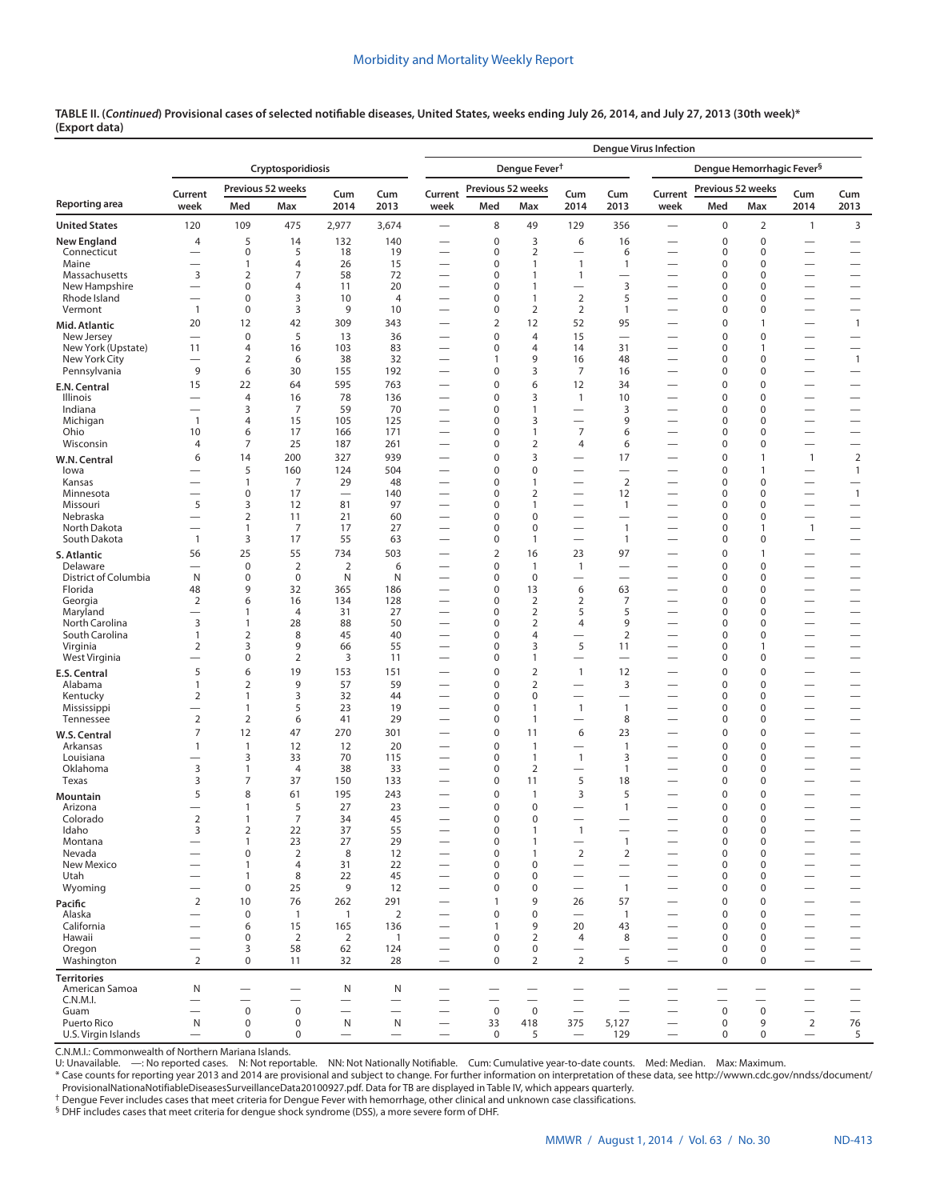**TABLE II. (***Continued***) Provisional cases of selected notifiable diseases, United States, weeks ending July 26, 2014, and July 27, 2013 (30th week)\* ([Export data](https://data.cdc.gov/NNDSS/NNDSS-Table-II-Cryptosporidiosis-to-Dengue-Hemorrh/b36e-ru3r))**

|                                     |                                                                                                                                                                                                                                                                                                                                                                                                                                                                                                                                                                                                                                                                                                                                                                                                                                                                                                                                                                                                                                                                                                                                                                                                                                                                                                                                                                                                                                                                                                                                                                                                                                                                                                                                                                                                                                                                                                                                                                                                                                                                                                                                                                                                                                                                                                                                                                                                                                                                                                                                                                                                                                                                                                                                                                                                                                                                                                                                                                                                                                                                                                                                                                                                                                                                                                                                                                                                                                                                                                                                                                                                                                                                                                                                                                       |                                                      |                          |                          |                                    |                                                      |                   |                                  |                                            |                                                      | <b>Denque Virus Infection</b>                        |                          |                                       |                                                             |                                                      |
|-------------------------------------|-----------------------------------------------------------------------------------------------------------------------------------------------------------------------------------------------------------------------------------------------------------------------------------------------------------------------------------------------------------------------------------------------------------------------------------------------------------------------------------------------------------------------------------------------------------------------------------------------------------------------------------------------------------------------------------------------------------------------------------------------------------------------------------------------------------------------------------------------------------------------------------------------------------------------------------------------------------------------------------------------------------------------------------------------------------------------------------------------------------------------------------------------------------------------------------------------------------------------------------------------------------------------------------------------------------------------------------------------------------------------------------------------------------------------------------------------------------------------------------------------------------------------------------------------------------------------------------------------------------------------------------------------------------------------------------------------------------------------------------------------------------------------------------------------------------------------------------------------------------------------------------------------------------------------------------------------------------------------------------------------------------------------------------------------------------------------------------------------------------------------------------------------------------------------------------------------------------------------------------------------------------------------------------------------------------------------------------------------------------------------------------------------------------------------------------------------------------------------------------------------------------------------------------------------------------------------------------------------------------------------------------------------------------------------------------------------------------------------------------------------------------------------------------------------------------------------------------------------------------------------------------------------------------------------------------------------------------------------------------------------------------------------------------------------------------------------------------------------------------------------------------------------------------------------------------------------------------------------------------------------------------------------------------------------------------------------------------------------------------------------------------------------------------------------------------------------------------------------------------------------------------------------------------------------------------------------------------------------------------------------------------------------------------------------------------------------------------------------------------------------------------------------|------------------------------------------------------|--------------------------|--------------------------|------------------------------------|------------------------------------------------------|-------------------|----------------------------------|--------------------------------------------|------------------------------------------------------|------------------------------------------------------|--------------------------|---------------------------------------|-------------------------------------------------------------|------------------------------------------------------|
|                                     | Cryptosporidiosis<br>Previous 52 weeks<br>Current<br>Current<br>Cum<br>Cum<br>Med<br>Max<br>2014<br>2013<br>week<br>week<br>120<br>109<br>475<br>2,977<br>3,674<br>$\overline{\phantom{0}}$<br>5<br>4<br>132<br>140<br>14<br>$\mathbf 0$<br>5<br>18<br>0<br>19<br>$\qquad \qquad$<br>$\mathbf{1}$<br>26<br>15<br>4<br>$\overline{\phantom{0}}$<br>3<br>$\overline{2}$<br>7<br>58<br>72<br>$\overline{\phantom{0}}$<br>$\mathbf 0$<br>20<br>0<br>4<br>11<br>$\overline{\phantom{0}}$<br>$\overline{\phantom{0}}$<br>$\mathbf 0$<br>0<br>3<br>10<br>$\overline{4}$<br>$\overline{\phantom{0}}$<br>$\mathbf 0$<br>$\mathbf{1}$<br>3<br>9<br>10<br>$\overline{\phantom{0}}$<br>12<br>20<br>42<br>309<br>343<br>$\mathsf 0$<br>5<br>36<br>13<br>$\overline{\phantom{0}}$<br>$\overline{\phantom{0}}$<br>0<br>11<br>$\overline{4}$<br>16<br>103<br>83<br>$\overline{2}$<br>6<br>38<br>32<br>1<br>$\overline{\phantom{0}}$<br>$\overline{\phantom{0}}$<br>9<br>6<br>30<br>155<br>192<br>15<br>22<br>64<br>595<br>763<br>$\overline{\phantom{0}}$<br>$\overline{4}$<br>78<br>136<br>16<br>$\overline{\phantom{0}}$<br>3<br>7<br>59<br>70<br>0<br>$\overline{\phantom{0}}$<br>$\overline{\phantom{0}}$<br>$\overline{4}$<br>105<br>$\mathbf{1}$<br>15<br>125<br>10<br>6<br>17<br>166<br>171<br>$\overline{\phantom{0}}$<br>7<br>4<br>25<br>187<br>261<br>14<br>200<br>327<br>939<br>0<br>6<br>5<br>160<br>504<br>0<br>124<br>$\overline{\phantom{0}}$<br>48<br>$\mathbf{1}$<br>7<br>29<br>$\overline{\phantom{0}}$<br>$\pmb{0}$<br>17<br>140<br>$\overbrace{\phantom{12322111}}$<br>5<br>3<br>81<br>97<br>12<br>$\overline{\phantom{0}}$<br>$\sqrt{2}$<br>$\mathbf 0$<br>11<br>21<br>60<br>$\overline{\phantom{0}}$<br>7<br>$\mathbf{1}$<br>17<br>27<br>3<br>17<br>55<br>63<br>$\mathbf{1}$<br>$\overline{\phantom{0}}$<br>25<br>55<br>734<br>503<br>56<br>$\mathbf 0$<br>$\overline{2}$<br>$\mathbf 2$<br>$\mathbf 0$<br>6<br>N<br>$\mathbf 0$<br>N<br>0<br>$\mathbf 0$<br>Ν<br>$\overline{\phantom{0}}$<br>9<br>48<br>32<br>365<br>186<br>$\overline{2}$<br>6<br>16<br>134<br>128<br>$\overline{\phantom{0}}$<br>$\overline{4}$<br>31<br>27<br>$\mathbf{1}$<br>$\overline{\phantom{0}}$<br>3<br>28<br>88<br>50<br>$\pmb{0}$<br>$\mathbf{1}$<br>$\qquad \qquad$<br>$\overline{2}$<br>8<br>45<br>40<br>1<br>$\overline{2}$<br>3<br>9<br>66<br>55<br>$\overline{\phantom{0}}$<br>$\mathbf 0$<br>$\overline{2}$<br>3<br>0<br>11<br>$\overline{\phantom{0}}$<br>19<br>5<br>6<br>153<br>151<br>0<br>$\overline{2}$<br>9<br>57<br>59<br>0<br>$\mathbf{1}$<br>$\overline{2}$<br>32<br>$\mathbf{1}$<br>3<br>44<br>$\overbrace{\phantom{13333}}$<br>23<br>19<br>$\mathbf{1}$<br>5<br>$\overline{2}$<br>2<br>41<br>29<br>0<br>6<br>$\overline{\phantom{0}}$<br>12<br>$\bf 0$<br>7<br>47<br>270<br>301<br>$\bf 0$<br>$\mathbf{1}$<br>12<br>12<br>20<br>1<br>3<br>33<br>70<br>115<br>$\overline{\phantom{0}}$<br>3<br>38<br>$\mathbf{1}$<br>$\overline{4}$<br>33<br>$\overline{\phantom{0}}$<br>3<br>7<br>37<br>150<br>0<br>133<br>$\overline{\phantom{0}}$<br>8<br>195<br>5<br>61<br>243<br>0<br>$\overline{\phantom{0}}$<br>5<br>27<br>23<br>$\mathbf{1}$<br>$\overline{2}$<br>$\mathbf{1}$<br>7<br>34<br>45<br>3<br>$\overline{2}$<br>22<br>37<br>55<br>23<br>27<br>29<br>0<br>$\mathbf{1}$<br>$\qquad \qquad$<br>$\overline{2}$<br>$\mathbf 0$<br>8<br>12<br>$\overline{\phantom{0}}$<br>31<br>22<br>$\mathbf{1}$<br>4<br>$\overline{\phantom{0}}$<br>8<br>22<br>45<br>0<br>$\mathbf{1}$<br>$\mathbf 0$<br>25<br>9<br>12<br>0<br>$\overline{\phantom{0}}$<br>$\overline{2}$<br>291<br>10<br>76<br>262<br>$\mathbf 0$<br>$\overline{1}$<br>$\mathbf{1}$<br>$\overline{2}$<br>$\overline{\phantom{0}}$<br>$\overline{\phantom{0}}$<br>6<br>15<br>165<br>136<br>$\overline{\phantom{0}}$ |                                                      |                          |                          |                                    |                                                      |                   | Dengue Fever <sup>†</sup>        |                                            |                                                      |                                                      |                          | Dengue Hemorrhagic Fever <sup>§</sup> |                                                             |                                                      |
|                                     |                                                                                                                                                                                                                                                                                                                                                                                                                                                                                                                                                                                                                                                                                                                                                                                                                                                                                                                                                                                                                                                                                                                                                                                                                                                                                                                                                                                                                                                                                                                                                                                                                                                                                                                                                                                                                                                                                                                                                                                                                                                                                                                                                                                                                                                                                                                                                                                                                                                                                                                                                                                                                                                                                                                                                                                                                                                                                                                                                                                                                                                                                                                                                                                                                                                                                                                                                                                                                                                                                                                                                                                                                                                                                                                                                                       |                                                      |                          |                          |                                    |                                                      | Previous 52 weeks |                                  | Cum                                        | Cum                                                  | Current                                              | Previous 52 weeks        |                                       | Cum                                                         | Cum                                                  |
| Reporting area                      |                                                                                                                                                                                                                                                                                                                                                                                                                                                                                                                                                                                                                                                                                                                                                                                                                                                                                                                                                                                                                                                                                                                                                                                                                                                                                                                                                                                                                                                                                                                                                                                                                                                                                                                                                                                                                                                                                                                                                                                                                                                                                                                                                                                                                                                                                                                                                                                                                                                                                                                                                                                                                                                                                                                                                                                                                                                                                                                                                                                                                                                                                                                                                                                                                                                                                                                                                                                                                                                                                                                                                                                                                                                                                                                                                                       |                                                      |                          |                          |                                    |                                                      | Med               | Max                              | 2014                                       | 2013                                                 | week                                                 | Med                      | Max                                   | 2014                                                        | 2013                                                 |
| <b>United States</b>                |                                                                                                                                                                                                                                                                                                                                                                                                                                                                                                                                                                                                                                                                                                                                                                                                                                                                                                                                                                                                                                                                                                                                                                                                                                                                                                                                                                                                                                                                                                                                                                                                                                                                                                                                                                                                                                                                                                                                                                                                                                                                                                                                                                                                                                                                                                                                                                                                                                                                                                                                                                                                                                                                                                                                                                                                                                                                                                                                                                                                                                                                                                                                                                                                                                                                                                                                                                                                                                                                                                                                                                                                                                                                                                                                                                       |                                                      |                          |                          |                                    |                                                      | 8                 | 49                               | 129                                        | 356                                                  | $\overline{\phantom{0}}$                             | 0                        | $\overline{2}$                        | $\mathbf{1}$                                                | $\mathsf 3$                                          |
| <b>New England</b><br>Connecticut   |                                                                                                                                                                                                                                                                                                                                                                                                                                                                                                                                                                                                                                                                                                                                                                                                                                                                                                                                                                                                                                                                                                                                                                                                                                                                                                                                                                                                                                                                                                                                                                                                                                                                                                                                                                                                                                                                                                                                                                                                                                                                                                                                                                                                                                                                                                                                                                                                                                                                                                                                                                                                                                                                                                                                                                                                                                                                                                                                                                                                                                                                                                                                                                                                                                                                                                                                                                                                                                                                                                                                                                                                                                                                                                                                                                       |                                                      |                          |                          |                                    |                                                      | $\mathbf 0$       | 3<br>$\overline{2}$              | 6<br>$\qquad \qquad$                       | 16<br>6                                              |                                                      | 0<br>0                   | 0<br>$\mathbf 0$                      | $\overline{\phantom{0}}$<br>$\overline{\phantom{0}}$        | $\overline{\phantom{0}}$                             |
| Maine                               |                                                                                                                                                                                                                                                                                                                                                                                                                                                                                                                                                                                                                                                                                                                                                                                                                                                                                                                                                                                                                                                                                                                                                                                                                                                                                                                                                                                                                                                                                                                                                                                                                                                                                                                                                                                                                                                                                                                                                                                                                                                                                                                                                                                                                                                                                                                                                                                                                                                                                                                                                                                                                                                                                                                                                                                                                                                                                                                                                                                                                                                                                                                                                                                                                                                                                                                                                                                                                                                                                                                                                                                                                                                                                                                                                                       |                                                      |                          |                          |                                    |                                                      | $\pmb{0}$         | 1                                | $\mathbf{1}$                               | $\mathbf{1}$                                         | $\overline{\phantom{0}}$                             | 0                        | 0                                     | $\overline{\phantom{0}}$                                    |                                                      |
| Massachusetts                       |                                                                                                                                                                                                                                                                                                                                                                                                                                                                                                                                                                                                                                                                                                                                                                                                                                                                                                                                                                                                                                                                                                                                                                                                                                                                                                                                                                                                                                                                                                                                                                                                                                                                                                                                                                                                                                                                                                                                                                                                                                                                                                                                                                                                                                                                                                                                                                                                                                                                                                                                                                                                                                                                                                                                                                                                                                                                                                                                                                                                                                                                                                                                                                                                                                                                                                                                                                                                                                                                                                                                                                                                                                                                                                                                                                       |                                                      |                          |                          |                                    |                                                      | 0                 | 1                                | 1                                          |                                                      |                                                      | 0                        | $\mathbf 0$                           | $\overline{\phantom{0}}$                                    | $\overline{\phantom{0}}$                             |
| New Hampshire<br>Rhode Island       |                                                                                                                                                                                                                                                                                                                                                                                                                                                                                                                                                                                                                                                                                                                                                                                                                                                                                                                                                                                                                                                                                                                                                                                                                                                                                                                                                                                                                                                                                                                                                                                                                                                                                                                                                                                                                                                                                                                                                                                                                                                                                                                                                                                                                                                                                                                                                                                                                                                                                                                                                                                                                                                                                                                                                                                                                                                                                                                                                                                                                                                                                                                                                                                                                                                                                                                                                                                                                                                                                                                                                                                                                                                                                                                                                                       |                                                      |                          |                          |                                    |                                                      |                   | $\mathbf{1}$<br>$\mathbf{1}$     | $\overline{\phantom{0}}$<br>$\overline{2}$ | 3<br>5                                               | $\overline{\phantom{0}}$                             | 0<br>0                   | $\pmb{0}$<br>$\mathbf 0$              | $\overbrace{\phantom{1232211}}$                             |                                                      |
| Vermont                             |                                                                                                                                                                                                                                                                                                                                                                                                                                                                                                                                                                                                                                                                                                                                                                                                                                                                                                                                                                                                                                                                                                                                                                                                                                                                                                                                                                                                                                                                                                                                                                                                                                                                                                                                                                                                                                                                                                                                                                                                                                                                                                                                                                                                                                                                                                                                                                                                                                                                                                                                                                                                                                                                                                                                                                                                                                                                                                                                                                                                                                                                                                                                                                                                                                                                                                                                                                                                                                                                                                                                                                                                                                                                                                                                                                       |                                                      |                          |                          |                                    |                                                      | 0                 | $\overline{2}$                   | 2                                          | $\mathbf{1}$                                         | $\overline{\phantom{0}}$                             | 0                        | $\pmb{0}$                             | $\overline{\phantom{0}}$                                    | $\overline{\phantom{0}}$                             |
| Mid. Atlantic                       |                                                                                                                                                                                                                                                                                                                                                                                                                                                                                                                                                                                                                                                                                                                                                                                                                                                                                                                                                                                                                                                                                                                                                                                                                                                                                                                                                                                                                                                                                                                                                                                                                                                                                                                                                                                                                                                                                                                                                                                                                                                                                                                                                                                                                                                                                                                                                                                                                                                                                                                                                                                                                                                                                                                                                                                                                                                                                                                                                                                                                                                                                                                                                                                                                                                                                                                                                                                                                                                                                                                                                                                                                                                                                                                                                                       |                                                      |                          |                          |                                    |                                                      | $\mathbf 2$       | 12                               | 52                                         | 95                                                   | $\overline{\phantom{0}}$                             | 0                        | $\mathbf{1}$                          |                                                             | $\overline{1}$                                       |
| New Jersey                          |                                                                                                                                                                                                                                                                                                                                                                                                                                                                                                                                                                                                                                                                                                                                                                                                                                                                                                                                                                                                                                                                                                                                                                                                                                                                                                                                                                                                                                                                                                                                                                                                                                                                                                                                                                                                                                                                                                                                                                                                                                                                                                                                                                                                                                                                                                                                                                                                                                                                                                                                                                                                                                                                                                                                                                                                                                                                                                                                                                                                                                                                                                                                                                                                                                                                                                                                                                                                                                                                                                                                                                                                                                                                                                                                                                       |                                                      |                          |                          |                                    |                                                      | $\mathbf 0$       | 4                                | 15                                         | $\overline{\phantom{0}}$                             | $\overline{\phantom{0}}$                             | $\mathbf 0$              | $\pmb{0}$                             | $\overline{\phantom{0}}$                                    |                                                      |
| New York (Upstate)<br>New York City |                                                                                                                                                                                                                                                                                                                                                                                                                                                                                                                                                                                                                                                                                                                                                                                                                                                                                                                                                                                                                                                                                                                                                                                                                                                                                                                                                                                                                                                                                                                                                                                                                                                                                                                                                                                                                                                                                                                                                                                                                                                                                                                                                                                                                                                                                                                                                                                                                                                                                                                                                                                                                                                                                                                                                                                                                                                                                                                                                                                                                                                                                                                                                                                                                                                                                                                                                                                                                                                                                                                                                                                                                                                                                                                                                                       |                                                      |                          |                          |                                    |                                                      |                   | $\overline{4}$<br>9              | 14<br>16                                   | 31<br>48                                             | $\overline{\phantom{0}}$                             | 0<br>0                   | 1<br>$\pmb{0}$                        | $\overline{\phantom{0}}$<br>$\overbrace{\phantom{1232211}}$ | $\overline{\phantom{0}}$<br>$\overline{1}$           |
| Pennsylvania                        |                                                                                                                                                                                                                                                                                                                                                                                                                                                                                                                                                                                                                                                                                                                                                                                                                                                                                                                                                                                                                                                                                                                                                                                                                                                                                                                                                                                                                                                                                                                                                                                                                                                                                                                                                                                                                                                                                                                                                                                                                                                                                                                                                                                                                                                                                                                                                                                                                                                                                                                                                                                                                                                                                                                                                                                                                                                                                                                                                                                                                                                                                                                                                                                                                                                                                                                                                                                                                                                                                                                                                                                                                                                                                                                                                                       |                                                      |                          |                          |                                    |                                                      | 0                 | 3                                | 7                                          | 16                                                   | $\overline{\phantom{0}}$                             | 0                        | 0                                     |                                                             |                                                      |
| E.N. Central                        |                                                                                                                                                                                                                                                                                                                                                                                                                                                                                                                                                                                                                                                                                                                                                                                                                                                                                                                                                                                                                                                                                                                                                                                                                                                                                                                                                                                                                                                                                                                                                                                                                                                                                                                                                                                                                                                                                                                                                                                                                                                                                                                                                                                                                                                                                                                                                                                                                                                                                                                                                                                                                                                                                                                                                                                                                                                                                                                                                                                                                                                                                                                                                                                                                                                                                                                                                                                                                                                                                                                                                                                                                                                                                                                                                                       |                                                      |                          |                          |                                    |                                                      | 0                 | 6                                | 12                                         | 34                                                   | $\overline{\phantom{0}}$                             | 0                        | 0                                     |                                                             | $\overline{\phantom{0}}$                             |
| Illinois                            |                                                                                                                                                                                                                                                                                                                                                                                                                                                                                                                                                                                                                                                                                                                                                                                                                                                                                                                                                                                                                                                                                                                                                                                                                                                                                                                                                                                                                                                                                                                                                                                                                                                                                                                                                                                                                                                                                                                                                                                                                                                                                                                                                                                                                                                                                                                                                                                                                                                                                                                                                                                                                                                                                                                                                                                                                                                                                                                                                                                                                                                                                                                                                                                                                                                                                                                                                                                                                                                                                                                                                                                                                                                                                                                                                                       |                                                      |                          |                          |                                    |                                                      | 0                 | 3                                | $\mathbf{1}$                               | 10                                                   | $\overline{\phantom{0}}$                             | 0                        | $\mathbf 0$                           |                                                             | $\overline{\phantom{0}}$                             |
| Indiana<br>Michigan                 |                                                                                                                                                                                                                                                                                                                                                                                                                                                                                                                                                                                                                                                                                                                                                                                                                                                                                                                                                                                                                                                                                                                                                                                                                                                                                                                                                                                                                                                                                                                                                                                                                                                                                                                                                                                                                                                                                                                                                                                                                                                                                                                                                                                                                                                                                                                                                                                                                                                                                                                                                                                                                                                                                                                                                                                                                                                                                                                                                                                                                                                                                                                                                                                                                                                                                                                                                                                                                                                                                                                                                                                                                                                                                                                                                                       |                                                      |                          |                          |                                    |                                                      | $\mathbf 0$       | $\mathbf{1}$<br>3                | $\overline{\phantom{0}}$                   | 3<br>9                                               | $\overline{\phantom{0}}$                             | 0<br>0                   | 0<br>$\mathbf 0$                      | $\overline{\phantom{0}}$<br>$\overline{\phantom{0}}$        | $\overline{\phantom{0}}$                             |
| Ohio                                |                                                                                                                                                                                                                                                                                                                                                                                                                                                                                                                                                                                                                                                                                                                                                                                                                                                                                                                                                                                                                                                                                                                                                                                                                                                                                                                                                                                                                                                                                                                                                                                                                                                                                                                                                                                                                                                                                                                                                                                                                                                                                                                                                                                                                                                                                                                                                                                                                                                                                                                                                                                                                                                                                                                                                                                                                                                                                                                                                                                                                                                                                                                                                                                                                                                                                                                                                                                                                                                                                                                                                                                                                                                                                                                                                                       |                                                      |                          |                          |                                    |                                                      | 0                 | 1                                | $\overline{7}$                             | 6                                                    | $\overline{\phantom{0}}$                             | 0                        | 0                                     | $\overbrace{\phantom{1232211}}$                             | $\overline{\phantom{0}}$                             |
| Wisconsin                           |                                                                                                                                                                                                                                                                                                                                                                                                                                                                                                                                                                                                                                                                                                                                                                                                                                                                                                                                                                                                                                                                                                                                                                                                                                                                                                                                                                                                                                                                                                                                                                                                                                                                                                                                                                                                                                                                                                                                                                                                                                                                                                                                                                                                                                                                                                                                                                                                                                                                                                                                                                                                                                                                                                                                                                                                                                                                                                                                                                                                                                                                                                                                                                                                                                                                                                                                                                                                                                                                                                                                                                                                                                                                                                                                                                       |                                                      |                          |                          |                                    |                                                      | 0                 | $\overline{2}$                   | 4                                          | 6                                                    |                                                      | 0                        | 0                                     |                                                             |                                                      |
| W.N. Central                        |                                                                                                                                                                                                                                                                                                                                                                                                                                                                                                                                                                                                                                                                                                                                                                                                                                                                                                                                                                                                                                                                                                                                                                                                                                                                                                                                                                                                                                                                                                                                                                                                                                                                                                                                                                                                                                                                                                                                                                                                                                                                                                                                                                                                                                                                                                                                                                                                                                                                                                                                                                                                                                                                                                                                                                                                                                                                                                                                                                                                                                                                                                                                                                                                                                                                                                                                                                                                                                                                                                                                                                                                                                                                                                                                                                       |                                                      |                          |                          |                                    |                                                      |                   | 3                                | $\overline{\phantom{0}}$                   | 17                                                   | $\overline{\phantom{0}}$                             | 0                        | 1                                     | $\mathbf{1}$                                                | $\overline{2}$                                       |
| lowa<br>Kansas                      |                                                                                                                                                                                                                                                                                                                                                                                                                                                                                                                                                                                                                                                                                                                                                                                                                                                                                                                                                                                                                                                                                                                                                                                                                                                                                                                                                                                                                                                                                                                                                                                                                                                                                                                                                                                                                                                                                                                                                                                                                                                                                                                                                                                                                                                                                                                                                                                                                                                                                                                                                                                                                                                                                                                                                                                                                                                                                                                                                                                                                                                                                                                                                                                                                                                                                                                                                                                                                                                                                                                                                                                                                                                                                                                                                                       |                                                      |                          |                          |                                    |                                                      | 0                 | $\mathbf 0$<br>1                 | $\overline{\phantom{0}}$                   | $\overline{\phantom{0}}$<br>$\sqrt{2}$               | $\overline{\phantom{0}}$                             | 0<br>0                   | 1<br>0                                | $\overline{\phantom{0}}$<br>$\overline{\phantom{0}}$        | $\mathbf{1}$                                         |
| Minnesota                           |                                                                                                                                                                                                                                                                                                                                                                                                                                                                                                                                                                                                                                                                                                                                                                                                                                                                                                                                                                                                                                                                                                                                                                                                                                                                                                                                                                                                                                                                                                                                                                                                                                                                                                                                                                                                                                                                                                                                                                                                                                                                                                                                                                                                                                                                                                                                                                                                                                                                                                                                                                                                                                                                                                                                                                                                                                                                                                                                                                                                                                                                                                                                                                                                                                                                                                                                                                                                                                                                                                                                                                                                                                                                                                                                                                       |                                                      |                          |                          |                                    |                                                      | 0                 | $\overline{2}$                   | $\overline{\phantom{0}}$                   | 12                                                   |                                                      | 0                        | 0                                     | $\overline{\phantom{0}}$                                    | $\mathbf{1}$                                         |
| Missouri                            |                                                                                                                                                                                                                                                                                                                                                                                                                                                                                                                                                                                                                                                                                                                                                                                                                                                                                                                                                                                                                                                                                                                                                                                                                                                                                                                                                                                                                                                                                                                                                                                                                                                                                                                                                                                                                                                                                                                                                                                                                                                                                                                                                                                                                                                                                                                                                                                                                                                                                                                                                                                                                                                                                                                                                                                                                                                                                                                                                                                                                                                                                                                                                                                                                                                                                                                                                                                                                                                                                                                                                                                                                                                                                                                                                                       |                                                      |                          |                          |                                    |                                                      | 0                 | $\mathbf{1}$                     |                                            | $\mathbf{1}$                                         | $\overline{\phantom{0}}$                             | 0                        | 0                                     | $\overbrace{\phantom{12322111}}$                            | $\overbrace{\phantom{123221111}}$                    |
| Nebraska<br>North Dakota            |                                                                                                                                                                                                                                                                                                                                                                                                                                                                                                                                                                                                                                                                                                                                                                                                                                                                                                                                                                                                                                                                                                                                                                                                                                                                                                                                                                                                                                                                                                                                                                                                                                                                                                                                                                                                                                                                                                                                                                                                                                                                                                                                                                                                                                                                                                                                                                                                                                                                                                                                                                                                                                                                                                                                                                                                                                                                                                                                                                                                                                                                                                                                                                                                                                                                                                                                                                                                                                                                                                                                                                                                                                                                                                                                                                       |                                                      |                          |                          |                                    |                                                      | 0                 | $\mathbf 0$<br>0                 | $\overline{\phantom{0}}$                   | $\overline{\phantom{0}}$<br>$\mathbf{1}$             | $\overline{\phantom{0}}$<br>$\overline{\phantom{0}}$ | 0<br>0                   | 0<br>1                                | $\overline{\phantom{0}}$<br>$\mathbf{1}$                    | $\overline{\phantom{0}}$                             |
| South Dakota                        |                                                                                                                                                                                                                                                                                                                                                                                                                                                                                                                                                                                                                                                                                                                                                                                                                                                                                                                                                                                                                                                                                                                                                                                                                                                                                                                                                                                                                                                                                                                                                                                                                                                                                                                                                                                                                                                                                                                                                                                                                                                                                                                                                                                                                                                                                                                                                                                                                                                                                                                                                                                                                                                                                                                                                                                                                                                                                                                                                                                                                                                                                                                                                                                                                                                                                                                                                                                                                                                                                                                                                                                                                                                                                                                                                                       |                                                      |                          |                          |                                    |                                                      | 0                 | 1                                | $\overline{\phantom{0}}$                   | $\mathbf{1}$                                         | $\overline{\phantom{0}}$                             | 0                        | 0                                     |                                                             |                                                      |
| S. Atlantic                         |                                                                                                                                                                                                                                                                                                                                                                                                                                                                                                                                                                                                                                                                                                                                                                                                                                                                                                                                                                                                                                                                                                                                                                                                                                                                                                                                                                                                                                                                                                                                                                                                                                                                                                                                                                                                                                                                                                                                                                                                                                                                                                                                                                                                                                                                                                                                                                                                                                                                                                                                                                                                                                                                                                                                                                                                                                                                                                                                                                                                                                                                                                                                                                                                                                                                                                                                                                                                                                                                                                                                                                                                                                                                                                                                                                       |                                                      |                          |                          |                                    |                                                      | $\overline{2}$    | 16                               | 23                                         | 97                                                   | $\overline{\phantom{0}}$                             | 0                        | $\mathbf{1}$                          |                                                             | $\overline{\phantom{0}}$                             |
| Delaware<br>District of Columbia    |                                                                                                                                                                                                                                                                                                                                                                                                                                                                                                                                                                                                                                                                                                                                                                                                                                                                                                                                                                                                                                                                                                                                                                                                                                                                                                                                                                                                                                                                                                                                                                                                                                                                                                                                                                                                                                                                                                                                                                                                                                                                                                                                                                                                                                                                                                                                                                                                                                                                                                                                                                                                                                                                                                                                                                                                                                                                                                                                                                                                                                                                                                                                                                                                                                                                                                                                                                                                                                                                                                                                                                                                                                                                                                                                                                       |                                                      |                          |                          |                                    |                                                      |                   | 1<br>0                           | $\mathbf{1}$<br>$\overline{\phantom{0}}$   | $\overline{\phantom{0}}$<br>$\overline{\phantom{0}}$ | $\overline{\phantom{0}}$                             | 0<br>0                   | $\mathbf 0$<br>0                      | $\overline{\phantom{0}}$                                    | $\overline{\phantom{0}}$                             |
| Florida                             |                                                                                                                                                                                                                                                                                                                                                                                                                                                                                                                                                                                                                                                                                                                                                                                                                                                                                                                                                                                                                                                                                                                                                                                                                                                                                                                                                                                                                                                                                                                                                                                                                                                                                                                                                                                                                                                                                                                                                                                                                                                                                                                                                                                                                                                                                                                                                                                                                                                                                                                                                                                                                                                                                                                                                                                                                                                                                                                                                                                                                                                                                                                                                                                                                                                                                                                                                                                                                                                                                                                                                                                                                                                                                                                                                                       |                                                      |                          |                          |                                    |                                                      | 0                 | 13                               | 6                                          | 63                                                   |                                                      | 0                        | 0                                     |                                                             |                                                      |
| Georgia                             |                                                                                                                                                                                                                                                                                                                                                                                                                                                                                                                                                                                                                                                                                                                                                                                                                                                                                                                                                                                                                                                                                                                                                                                                                                                                                                                                                                                                                                                                                                                                                                                                                                                                                                                                                                                                                                                                                                                                                                                                                                                                                                                                                                                                                                                                                                                                                                                                                                                                                                                                                                                                                                                                                                                                                                                                                                                                                                                                                                                                                                                                                                                                                                                                                                                                                                                                                                                                                                                                                                                                                                                                                                                                                                                                                                       |                                                      |                          |                          |                                    |                                                      | 0                 | 2                                | 2                                          | 7                                                    |                                                      | 0                        | 0                                     |                                                             | $\overline{\phantom{0}}$                             |
| Maryland<br>North Carolina          |                                                                                                                                                                                                                                                                                                                                                                                                                                                                                                                                                                                                                                                                                                                                                                                                                                                                                                                                                                                                                                                                                                                                                                                                                                                                                                                                                                                                                                                                                                                                                                                                                                                                                                                                                                                                                                                                                                                                                                                                                                                                                                                                                                                                                                                                                                                                                                                                                                                                                                                                                                                                                                                                                                                                                                                                                                                                                                                                                                                                                                                                                                                                                                                                                                                                                                                                                                                                                                                                                                                                                                                                                                                                                                                                                                       |                                                      |                          |                          |                                    |                                                      | 0                 | $\overline{2}$<br>$\overline{2}$ | 5<br>4                                     | 5<br>9                                               | $\overline{\phantom{0}}$                             | 0<br>0                   | $\mathbf 0$<br>0                      |                                                             |                                                      |
| South Carolina                      |                                                                                                                                                                                                                                                                                                                                                                                                                                                                                                                                                                                                                                                                                                                                                                                                                                                                                                                                                                                                                                                                                                                                                                                                                                                                                                                                                                                                                                                                                                                                                                                                                                                                                                                                                                                                                                                                                                                                                                                                                                                                                                                                                                                                                                                                                                                                                                                                                                                                                                                                                                                                                                                                                                                                                                                                                                                                                                                                                                                                                                                                                                                                                                                                                                                                                                                                                                                                                                                                                                                                                                                                                                                                                                                                                                       |                                                      |                          |                          |                                    |                                                      | $\pmb{0}$         | 4                                |                                            | $\overline{2}$                                       |                                                      | 0                        | $\mathbf 0$                           |                                                             | $\qquad \qquad -$<br>$\overline{\phantom{0}}$        |
| Virginia                            |                                                                                                                                                                                                                                                                                                                                                                                                                                                                                                                                                                                                                                                                                                                                                                                                                                                                                                                                                                                                                                                                                                                                                                                                                                                                                                                                                                                                                                                                                                                                                                                                                                                                                                                                                                                                                                                                                                                                                                                                                                                                                                                                                                                                                                                                                                                                                                                                                                                                                                                                                                                                                                                                                                                                                                                                                                                                                                                                                                                                                                                                                                                                                                                                                                                                                                                                                                                                                                                                                                                                                                                                                                                                                                                                                                       |                                                      |                          |                          |                                    |                                                      | 0                 | 3                                | 5                                          | 11                                                   | $\overline{\phantom{0}}$                             | 0                        | $\mathbf{1}$                          |                                                             | $\overline{\phantom{0}}$                             |
| West Virginia                       |                                                                                                                                                                                                                                                                                                                                                                                                                                                                                                                                                                                                                                                                                                                                                                                                                                                                                                                                                                                                                                                                                                                                                                                                                                                                                                                                                                                                                                                                                                                                                                                                                                                                                                                                                                                                                                                                                                                                                                                                                                                                                                                                                                                                                                                                                                                                                                                                                                                                                                                                                                                                                                                                                                                                                                                                                                                                                                                                                                                                                                                                                                                                                                                                                                                                                                                                                                                                                                                                                                                                                                                                                                                                                                                                                                       |                                                      |                          |                          |                                    |                                                      |                   | 1                                |                                            | $\overline{\phantom{0}}$                             | $\overline{\phantom{0}}$                             | 0                        | 0                                     |                                                             |                                                      |
| E.S. Central<br>Alabama             |                                                                                                                                                                                                                                                                                                                                                                                                                                                                                                                                                                                                                                                                                                                                                                                                                                                                                                                                                                                                                                                                                                                                                                                                                                                                                                                                                                                                                                                                                                                                                                                                                                                                                                                                                                                                                                                                                                                                                                                                                                                                                                                                                                                                                                                                                                                                                                                                                                                                                                                                                                                                                                                                                                                                                                                                                                                                                                                                                                                                                                                                                                                                                                                                                                                                                                                                                                                                                                                                                                                                                                                                                                                                                                                                                                       |                                                      |                          |                          |                                    |                                                      |                   | $\overline{2}$<br>$\overline{2}$ | $\overline{1}$<br>$\overline{\phantom{0}}$ | 12<br>3                                              | $\overline{\phantom{0}}$                             | 0<br>0                   | $\pmb{0}$<br>$\mathbf 0$              |                                                             | $\overline{\phantom{0}}$<br>$\overline{\phantom{0}}$ |
| Kentucky                            |                                                                                                                                                                                                                                                                                                                                                                                                                                                                                                                                                                                                                                                                                                                                                                                                                                                                                                                                                                                                                                                                                                                                                                                                                                                                                                                                                                                                                                                                                                                                                                                                                                                                                                                                                                                                                                                                                                                                                                                                                                                                                                                                                                                                                                                                                                                                                                                                                                                                                                                                                                                                                                                                                                                                                                                                                                                                                                                                                                                                                                                                                                                                                                                                                                                                                                                                                                                                                                                                                                                                                                                                                                                                                                                                                                       |                                                      |                          |                          |                                    |                                                      | 0                 | 0                                |                                            | $\overline{\phantom{0}}$                             |                                                      | 0                        | 0                                     |                                                             | $\qquad \qquad$                                      |
| Mississippi                         |                                                                                                                                                                                                                                                                                                                                                                                                                                                                                                                                                                                                                                                                                                                                                                                                                                                                                                                                                                                                                                                                                                                                                                                                                                                                                                                                                                                                                                                                                                                                                                                                                                                                                                                                                                                                                                                                                                                                                                                                                                                                                                                                                                                                                                                                                                                                                                                                                                                                                                                                                                                                                                                                                                                                                                                                                                                                                                                                                                                                                                                                                                                                                                                                                                                                                                                                                                                                                                                                                                                                                                                                                                                                                                                                                                       |                                                      |                          |                          |                                    |                                                      | 0                 | $\mathbf{1}$                     | $\mathbf{1}$                               | $\mathbf{1}$                                         |                                                      | 0                        | 0                                     |                                                             | $\overline{\phantom{0}}$                             |
| Tennessee                           |                                                                                                                                                                                                                                                                                                                                                                                                                                                                                                                                                                                                                                                                                                                                                                                                                                                                                                                                                                                                                                                                                                                                                                                                                                                                                                                                                                                                                                                                                                                                                                                                                                                                                                                                                                                                                                                                                                                                                                                                                                                                                                                                                                                                                                                                                                                                                                                                                                                                                                                                                                                                                                                                                                                                                                                                                                                                                                                                                                                                                                                                                                                                                                                                                                                                                                                                                                                                                                                                                                                                                                                                                                                                                                                                                                       |                                                      |                          |                          |                                    |                                                      |                   | 1                                |                                            | 8                                                    | $\overline{\phantom{0}}$                             | 0                        | 0<br>$\mathbf 0$                      |                                                             | $\overline{\phantom{0}}$                             |
| W.S. Central<br>Arkansas            |                                                                                                                                                                                                                                                                                                                                                                                                                                                                                                                                                                                                                                                                                                                                                                                                                                                                                                                                                                                                                                                                                                                                                                                                                                                                                                                                                                                                                                                                                                                                                                                                                                                                                                                                                                                                                                                                                                                                                                                                                                                                                                                                                                                                                                                                                                                                                                                                                                                                                                                                                                                                                                                                                                                                                                                                                                                                                                                                                                                                                                                                                                                                                                                                                                                                                                                                                                                                                                                                                                                                                                                                                                                                                                                                                                       |                                                      |                          |                          |                                    |                                                      |                   | 11<br>1                          | 6                                          | 23<br>$\mathbf{1}$                                   | $\overline{\phantom{0}}$<br>$\overline{\phantom{0}}$ | 0<br>0                   | 0                                     |                                                             |                                                      |
| Louisiana                           |                                                                                                                                                                                                                                                                                                                                                                                                                                                                                                                                                                                                                                                                                                                                                                                                                                                                                                                                                                                                                                                                                                                                                                                                                                                                                                                                                                                                                                                                                                                                                                                                                                                                                                                                                                                                                                                                                                                                                                                                                                                                                                                                                                                                                                                                                                                                                                                                                                                                                                                                                                                                                                                                                                                                                                                                                                                                                                                                                                                                                                                                                                                                                                                                                                                                                                                                                                                                                                                                                                                                                                                                                                                                                                                                                                       |                                                      |                          |                          |                                    |                                                      | 0                 | 1                                | $\mathbf{1}$                               | 3                                                    | $\overline{\phantom{0}}$                             | 0                        | $\mathbf 0$                           |                                                             | $\overline{\phantom{0}}$                             |
| Oklahoma                            |                                                                                                                                                                                                                                                                                                                                                                                                                                                                                                                                                                                                                                                                                                                                                                                                                                                                                                                                                                                                                                                                                                                                                                                                                                                                                                                                                                                                                                                                                                                                                                                                                                                                                                                                                                                                                                                                                                                                                                                                                                                                                                                                                                                                                                                                                                                                                                                                                                                                                                                                                                                                                                                                                                                                                                                                                                                                                                                                                                                                                                                                                                                                                                                                                                                                                                                                                                                                                                                                                                                                                                                                                                                                                                                                                                       |                                                      |                          |                          |                                    |                                                      | 0                 | $\overline{2}$                   |                                            | $\mathbf{1}$                                         | $\overline{\phantom{0}}$                             | 0                        | 0                                     |                                                             |                                                      |
| Texas                               |                                                                                                                                                                                                                                                                                                                                                                                                                                                                                                                                                                                                                                                                                                                                                                                                                                                                                                                                                                                                                                                                                                                                                                                                                                                                                                                                                                                                                                                                                                                                                                                                                                                                                                                                                                                                                                                                                                                                                                                                                                                                                                                                                                                                                                                                                                                                                                                                                                                                                                                                                                                                                                                                                                                                                                                                                                                                                                                                                                                                                                                                                                                                                                                                                                                                                                                                                                                                                                                                                                                                                                                                                                                                                                                                                                       |                                                      |                          |                          |                                    |                                                      |                   | 11<br>$\mathbf{1}$               | 5<br>3                                     | 18<br>5                                              | $\overline{\phantom{0}}$                             | 0<br>0                   | 0<br>$\pmb{0}$                        | $\overline{\phantom{0}}$                                    | $\overline{\phantom{0}}$<br>$\overline{\phantom{0}}$ |
| <b>Mountain</b><br>Arizona          |                                                                                                                                                                                                                                                                                                                                                                                                                                                                                                                                                                                                                                                                                                                                                                                                                                                                                                                                                                                                                                                                                                                                                                                                                                                                                                                                                                                                                                                                                                                                                                                                                                                                                                                                                                                                                                                                                                                                                                                                                                                                                                                                                                                                                                                                                                                                                                                                                                                                                                                                                                                                                                                                                                                                                                                                                                                                                                                                                                                                                                                                                                                                                                                                                                                                                                                                                                                                                                                                                                                                                                                                                                                                                                                                                                       |                                                      |                          |                          |                                    |                                                      | 0                 | $\mathbf 0$                      |                                            | $\mathbf{1}$                                         | $\overline{\phantom{0}}$                             | 0                        | 0                                     |                                                             | $\overline{\phantom{0}}$                             |
| Colorado                            |                                                                                                                                                                                                                                                                                                                                                                                                                                                                                                                                                                                                                                                                                                                                                                                                                                                                                                                                                                                                                                                                                                                                                                                                                                                                                                                                                                                                                                                                                                                                                                                                                                                                                                                                                                                                                                                                                                                                                                                                                                                                                                                                                                                                                                                                                                                                                                                                                                                                                                                                                                                                                                                                                                                                                                                                                                                                                                                                                                                                                                                                                                                                                                                                                                                                                                                                                                                                                                                                                                                                                                                                                                                                                                                                                                       |                                                      |                          |                          |                                    |                                                      | 0                 | 0                                |                                            |                                                      |                                                      | 0                        | 0                                     |                                                             |                                                      |
| Idaho<br>Montana                    |                                                                                                                                                                                                                                                                                                                                                                                                                                                                                                                                                                                                                                                                                                                                                                                                                                                                                                                                                                                                                                                                                                                                                                                                                                                                                                                                                                                                                                                                                                                                                                                                                                                                                                                                                                                                                                                                                                                                                                                                                                                                                                                                                                                                                                                                                                                                                                                                                                                                                                                                                                                                                                                                                                                                                                                                                                                                                                                                                                                                                                                                                                                                                                                                                                                                                                                                                                                                                                                                                                                                                                                                                                                                                                                                                                       |                                                      |                          |                          |                                    |                                                      | 0                 | $\mathbf{1}$<br>1                | $\mathbf{1}$                               | $\overline{\phantom{0}}$<br>$\mathbf{1}$             |                                                      | 0<br>0                   | 0<br>0                                |                                                             |                                                      |
| Nevada                              |                                                                                                                                                                                                                                                                                                                                                                                                                                                                                                                                                                                                                                                                                                                                                                                                                                                                                                                                                                                                                                                                                                                                                                                                                                                                                                                                                                                                                                                                                                                                                                                                                                                                                                                                                                                                                                                                                                                                                                                                                                                                                                                                                                                                                                                                                                                                                                                                                                                                                                                                                                                                                                                                                                                                                                                                                                                                                                                                                                                                                                                                                                                                                                                                                                                                                                                                                                                                                                                                                                                                                                                                                                                                                                                                                                       |                                                      |                          |                          |                                    |                                                      | 0                 | $\mathbf{1}$                     | $\qquad \qquad -$<br>$\overline{2}$        | $\overline{2}$                                       | $\overline{\phantom{0}}$                             | 0                        | $\mathbf 0$                           |                                                             | $\qquad \qquad$<br>$\overline{\phantom{0}}$          |
| New Mexico                          |                                                                                                                                                                                                                                                                                                                                                                                                                                                                                                                                                                                                                                                                                                                                                                                                                                                                                                                                                                                                                                                                                                                                                                                                                                                                                                                                                                                                                                                                                                                                                                                                                                                                                                                                                                                                                                                                                                                                                                                                                                                                                                                                                                                                                                                                                                                                                                                                                                                                                                                                                                                                                                                                                                                                                                                                                                                                                                                                                                                                                                                                                                                                                                                                                                                                                                                                                                                                                                                                                                                                                                                                                                                                                                                                                                       |                                                      |                          |                          |                                    |                                                      | $\mathbf 0$       | 0                                | $\overline{\phantom{0}}$                   | $\overline{\phantom{0}}$                             | $\overline{\phantom{0}}$                             | 0                        | 0                                     | $\overline{\phantom{0}}$                                    | $\overline{\phantom{0}}$                             |
| Utah<br>Wyoming                     |                                                                                                                                                                                                                                                                                                                                                                                                                                                                                                                                                                                                                                                                                                                                                                                                                                                                                                                                                                                                                                                                                                                                                                                                                                                                                                                                                                                                                                                                                                                                                                                                                                                                                                                                                                                                                                                                                                                                                                                                                                                                                                                                                                                                                                                                                                                                                                                                                                                                                                                                                                                                                                                                                                                                                                                                                                                                                                                                                                                                                                                                                                                                                                                                                                                                                                                                                                                                                                                                                                                                                                                                                                                                                                                                                                       |                                                      |                          |                          |                                    |                                                      |                   | $\mathbf 0$<br>$\mathbf 0$       |                                            | $\overline{\phantom{0}}$<br>$\mathbf{1}$             | $\overline{\phantom{0}}$<br>$\overline{\phantom{0}}$ | 0<br>0                   | $\mathbf 0$<br>$\mathbf 0$            |                                                             | $\qquad \qquad -$                                    |
| Pacific                             |                                                                                                                                                                                                                                                                                                                                                                                                                                                                                                                                                                                                                                                                                                                                                                                                                                                                                                                                                                                                                                                                                                                                                                                                                                                                                                                                                                                                                                                                                                                                                                                                                                                                                                                                                                                                                                                                                                                                                                                                                                                                                                                                                                                                                                                                                                                                                                                                                                                                                                                                                                                                                                                                                                                                                                                                                                                                                                                                                                                                                                                                                                                                                                                                                                                                                                                                                                                                                                                                                                                                                                                                                                                                                                                                                                       |                                                      |                          |                          |                                    |                                                      | $\mathbf{1}$      | 9                                | 26                                         | 57                                                   |                                                      | 0                        | 0                                     |                                                             |                                                      |
| Alaska                              |                                                                                                                                                                                                                                                                                                                                                                                                                                                                                                                                                                                                                                                                                                                                                                                                                                                                                                                                                                                                                                                                                                                                                                                                                                                                                                                                                                                                                                                                                                                                                                                                                                                                                                                                                                                                                                                                                                                                                                                                                                                                                                                                                                                                                                                                                                                                                                                                                                                                                                                                                                                                                                                                                                                                                                                                                                                                                                                                                                                                                                                                                                                                                                                                                                                                                                                                                                                                                                                                                                                                                                                                                                                                                                                                                                       |                                                      |                          |                          |                                    |                                                      | 0                 | $\bf 0$                          |                                            | $\overline{1}$                                       | $\overline{\phantom{0}}$                             | 0                        | $\mathbf 0$                           |                                                             |                                                      |
| California                          |                                                                                                                                                                                                                                                                                                                                                                                                                                                                                                                                                                                                                                                                                                                                                                                                                                                                                                                                                                                                                                                                                                                                                                                                                                                                                                                                                                                                                                                                                                                                                                                                                                                                                                                                                                                                                                                                                                                                                                                                                                                                                                                                                                                                                                                                                                                                                                                                                                                                                                                                                                                                                                                                                                                                                                                                                                                                                                                                                                                                                                                                                                                                                                                                                                                                                                                                                                                                                                                                                                                                                                                                                                                                                                                                                                       |                                                      |                          |                          |                                    |                                                      | $\mathbf{1}$      | 9                                | 20                                         | 43                                                   | $\overline{\phantom{0}}$                             | 0                        | $\mathbf 0$                           |                                                             | $\overline{\phantom{0}}$                             |
| Hawaii<br>Oregon                    | $\overline{\phantom{0}}$<br>$\overline{\phantom{0}}$                                                                                                                                                                                                                                                                                                                                                                                                                                                                                                                                                                                                                                                                                                                                                                                                                                                                                                                                                                                                                                                                                                                                                                                                                                                                                                                                                                                                                                                                                                                                                                                                                                                                                                                                                                                                                                                                                                                                                                                                                                                                                                                                                                                                                                                                                                                                                                                                                                                                                                                                                                                                                                                                                                                                                                                                                                                                                                                                                                                                                                                                                                                                                                                                                                                                                                                                                                                                                                                                                                                                                                                                                                                                                                                  | $\mathbf 0$<br>3                                     | $\overline{2}$<br>58     | $\overline{2}$<br>62     | $\mathbf{1}$<br>124                | $\overline{\phantom{0}}$<br>$\overline{\phantom{0}}$ | 0<br>$\pmb{0}$    | $\overline{2}$<br>$\pmb{0}$      | 4                                          | 8<br>$\overline{\phantom{0}}$                        | $\overline{\phantom{0}}$                             | 0<br>0                   | $\mathbf 0$<br>$\mathbf 0$            |                                                             | $\overline{\phantom{0}}$<br>$\overline{\phantom{0}}$ |
| Washington                          | $\overline{2}$                                                                                                                                                                                                                                                                                                                                                                                                                                                                                                                                                                                                                                                                                                                                                                                                                                                                                                                                                                                                                                                                                                                                                                                                                                                                                                                                                                                                                                                                                                                                                                                                                                                                                                                                                                                                                                                                                                                                                                                                                                                                                                                                                                                                                                                                                                                                                                                                                                                                                                                                                                                                                                                                                                                                                                                                                                                                                                                                                                                                                                                                                                                                                                                                                                                                                                                                                                                                                                                                                                                                                                                                                                                                                                                                                        | $\mathbf 0$                                          | 11                       | 32                       | 28                                 |                                                      | 0                 | $\overline{2}$                   | $\overline{2}$                             | 5                                                    |                                                      | 0                        | $\mathbf 0$                           |                                                             | $\qquad \qquad -$                                    |
| <b>Territories</b>                  |                                                                                                                                                                                                                                                                                                                                                                                                                                                                                                                                                                                                                                                                                                                                                                                                                                                                                                                                                                                                                                                                                                                                                                                                                                                                                                                                                                                                                                                                                                                                                                                                                                                                                                                                                                                                                                                                                                                                                                                                                                                                                                                                                                                                                                                                                                                                                                                                                                                                                                                                                                                                                                                                                                                                                                                                                                                                                                                                                                                                                                                                                                                                                                                                                                                                                                                                                                                                                                                                                                                                                                                                                                                                                                                                                                       |                                                      |                          |                          |                                    |                                                      |                   |                                  |                                            |                                                      |                                                      |                          |                                       |                                                             |                                                      |
| American Samoa<br>C.N.M.I.          | N                                                                                                                                                                                                                                                                                                                                                                                                                                                                                                                                                                                                                                                                                                                                                                                                                                                                                                                                                                                                                                                                                                                                                                                                                                                                                                                                                                                                                                                                                                                                                                                                                                                                                                                                                                                                                                                                                                                                                                                                                                                                                                                                                                                                                                                                                                                                                                                                                                                                                                                                                                                                                                                                                                                                                                                                                                                                                                                                                                                                                                                                                                                                                                                                                                                                                                                                                                                                                                                                                                                                                                                                                                                                                                                                                                     | $\overline{\phantom{0}}$<br>$\overline{\phantom{0}}$ | $\overline{\phantom{0}}$ | N                        | N                                  | $\overline{\phantom{0}}$                             |                   | $\overline{\phantom{0}}$         |                                            |                                                      |                                                      | $\overline{\phantom{0}}$ |                                       | $\overline{\phantom{0}}$                                    | $\overline{\phantom{0}}$                             |
| Guam                                |                                                                                                                                                                                                                                                                                                                                                                                                                                                                                                                                                                                                                                                                                                                                                                                                                                                                                                                                                                                                                                                                                                                                                                                                                                                                                                                                                                                                                                                                                                                                                                                                                                                                                                                                                                                                                                                                                                                                                                                                                                                                                                                                                                                                                                                                                                                                                                                                                                                                                                                                                                                                                                                                                                                                                                                                                                                                                                                                                                                                                                                                                                                                                                                                                                                                                                                                                                                                                                                                                                                                                                                                                                                                                                                                                                       | $\mathbf 0$                                          | $\mathbf 0$              | $\overline{\phantom{0}}$ | $\overline{\phantom{0}}$           |                                                      | $\mathbf 0$       | $\mathbf 0$                      |                                            |                                                      | $\overline{\phantom{0}}$                             | $\mathbf 0$              | $\mathsf 0$                           | $\overline{\phantom{m}}$                                    |                                                      |
| Puerto Rico<br>U.S. Virgin Islands  | ${\sf N}$                                                                                                                                                                                                                                                                                                                                                                                                                                                                                                                                                                                                                                                                                                                                                                                                                                                                                                                                                                                                                                                                                                                                                                                                                                                                                                                                                                                                                                                                                                                                                                                                                                                                                                                                                                                                                                                                                                                                                                                                                                                                                                                                                                                                                                                                                                                                                                                                                                                                                                                                                                                                                                                                                                                                                                                                                                                                                                                                                                                                                                                                                                                                                                                                                                                                                                                                                                                                                                                                                                                                                                                                                                                                                                                                                             | $\pmb{0}$<br>$\mathbf 0$                             | $\pmb{0}$<br>$\mathbf 0$ | N                        | N<br>$\overbrace{\phantom{13333}}$ | $\equiv$<br>$\qquad \qquad$                          | 33<br>$\mathsf 0$ | 418<br>5                         | 375                                        | 5,127<br>129                                         | $\qquad \qquad$                                      | $\mathbf 0$<br>0         | 9<br>0                                | $\overline{2}$                                              | $76\,$<br>5 <sub>5</sub>                             |
|                                     |                                                                                                                                                                                                                                                                                                                                                                                                                                                                                                                                                                                                                                                                                                                                                                                                                                                                                                                                                                                                                                                                                                                                                                                                                                                                                                                                                                                                                                                                                                                                                                                                                                                                                                                                                                                                                                                                                                                                                                                                                                                                                                                                                                                                                                                                                                                                                                                                                                                                                                                                                                                                                                                                                                                                                                                                                                                                                                                                                                                                                                                                                                                                                                                                                                                                                                                                                                                                                                                                                                                                                                                                                                                                                                                                                                       |                                                      |                          |                          |                                    |                                                      |                   |                                  |                                            |                                                      |                                                      |                          |                                       |                                                             |                                                      |

C.N.M.I.: Commonwealth of Northern Mariana Islands.

U: Unavailable. —: No reported cases. N: Not reportable. NN: Not Nationally Notifiable. Cum: Cumulative year-to-date counts. Med: Median. Max: Maximum.

\* Case counts for reporting year 2013 and 2014 are provisional and subject to change. For further information on interpretation of these data, see [http://wwwn.cdc.gov/nndss/document/](http://wwwn.cdc.gov/nndss/document/ProvisionalNationaNotifiableDiseasesSurveillanceData20100927.pdf) [ProvisionalNationaNotifiableDiseasesSurveillanceData20100927.pdf](http://wwwn.cdc.gov/nndss/document/ProvisionalNationaNotifiableDiseasesSurveillanceData20100927.pdf). Data for TB are displayed in Table IV, which appears quarterly.

† Dengue Fever includes cases that meet criteria for Dengue Fever with hemorrhage, other clinical and unknown case classifications.

§ DHF includes cases that meet criteria for dengue shock syndrome (DSS), a more severe form of DHF.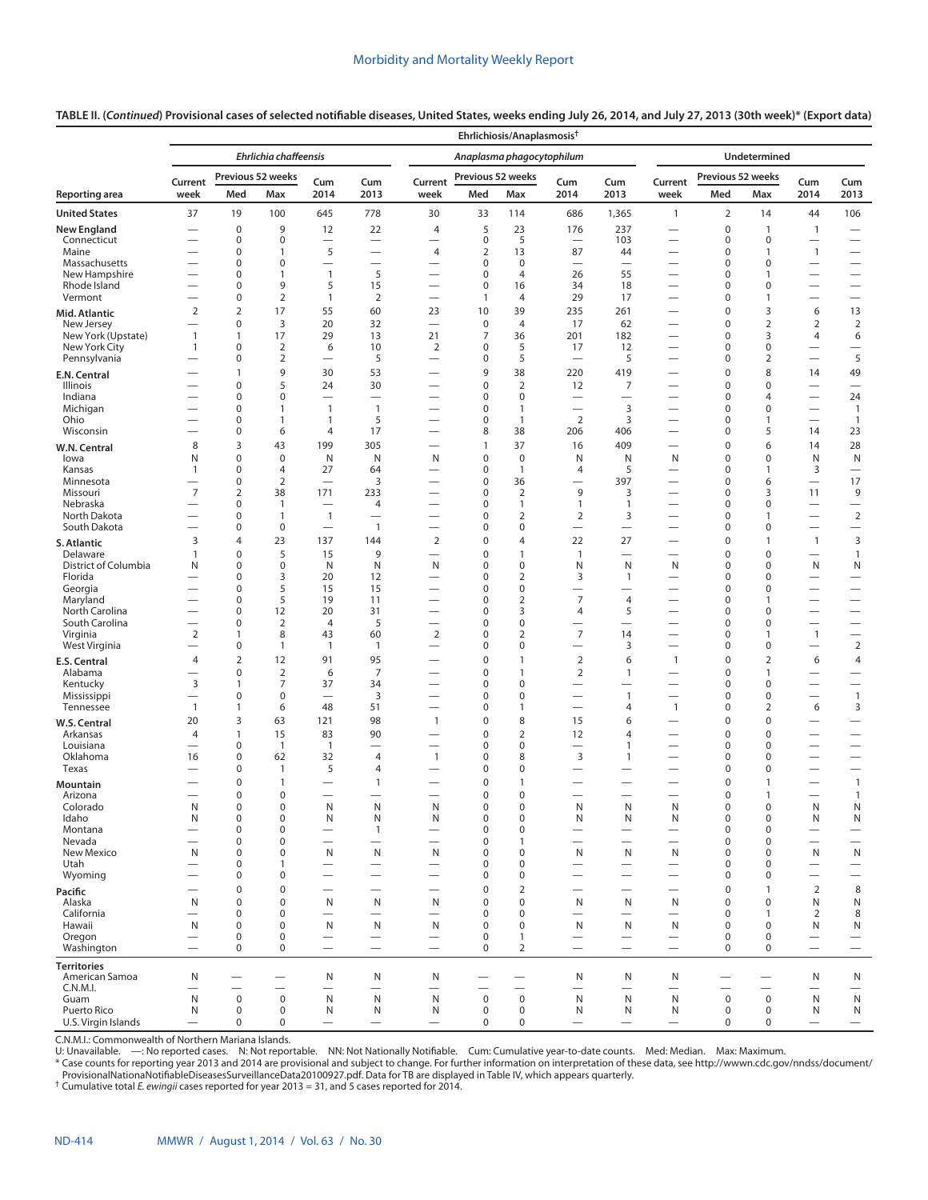**TABLE II. (***Continued***) Provisional cases of selected notifiable diseases, United States, weeks ending July 26, 2014, and July 27, 2013 (30th week)\* ([Export data\)](https://data.cdc.gov/NNDSS/NNDSS-Table-II-Ehrlichiosis-Anaplasmosis/edtz-vibe)**

|                                  |                                       |                               |                                         |                                                      |                                        |                                                      |                          | Ehrlichiosis/Anaplasmosis <sup>†</sup>        |                                                               |                                          |                               |                                         |                                                      |                                          |                                                                       |
|----------------------------------|---------------------------------------|-------------------------------|-----------------------------------------|------------------------------------------------------|----------------------------------------|------------------------------------------------------|--------------------------|-----------------------------------------------|---------------------------------------------------------------|------------------------------------------|-------------------------------|-----------------------------------------|------------------------------------------------------|------------------------------------------|-----------------------------------------------------------------------|
|                                  |                                       |                               | <b>Ehrlichia chaffeensis</b>            |                                                      |                                        |                                                      |                          | Anaplasma phagocytophilum                     |                                                               |                                          |                               |                                         | <b>Undetermined</b>                                  |                                          |                                                                       |
|                                  | Current                               |                               | Previous 52 weeks                       | Cum                                                  | Cum                                    | Current                                              | Previous 52 weeks        |                                               | Cum                                                           | Cum                                      | Current                       | Previous 52 weeks                       |                                                      | Cum                                      | Cum                                                                   |
| Reporting area                   | week                                  | Med                           | Max                                     | 2014                                                 | 2013                                   | week                                                 | Med                      | Max                                           | 2014                                                          | 2013                                     | week                          | Med                                     | Max                                                  | 2014                                     | 2013                                                                  |
| <b>United States</b>             | 37                                    | 19                            | 100                                     | 645                                                  | 778                                    | 30                                                   | 33                       | 114                                           | 686                                                           | 1,365                                    | $\mathbf{1}$                  | $\overline{2}$                          | 14                                                   | 44                                       | 106                                                                   |
| New England<br>Connecticut       |                                       | $\pmb{0}$<br>0                | 9<br>0                                  | 12<br>$\overline{\phantom{0}}$                       | 22<br>$\overline{\phantom{0}}$         | $\overline{4}$                                       | 5<br>$\pmb{0}$           | 23<br>5                                       | 176                                                           | 237<br>103                               | $\overline{\phantom{0}}$      | $\mathbf 0$<br>$\pmb{0}$                | $\mathbf{1}$<br>$\boldsymbol{0}$                     | $\mathbf{1}$<br>$\overline{\phantom{0}}$ | $\overline{\phantom{0}}$<br>$\overline{\phantom{0}}$                  |
| Maine                            | $\overline{\phantom{0}}$              | 0                             | $\mathbf{1}$                            | 5                                                    | $\overline{\phantom{0}}$               | 4                                                    | 2                        | 13                                            | 87                                                            | 44                                       |                               | 0                                       | 1                                                    | $\mathbf{1}$                             | $\overline{\phantom{m}}$                                              |
| Massachusetts                    | $\overline{\phantom{0}}$              | 0                             | $\mathbf 0$                             | $\overline{\phantom{0}}$                             |                                        | $\overline{\phantom{0}}$                             | 0                        | $\mathbf 0$                                   |                                                               |                                          | $\overline{\phantom{0}}$      | 0                                       | 0                                                    |                                          | $\overline{\phantom{0}}$                                              |
| New Hampshire<br>Rhode Island    | -                                     | $\mathbf 0$<br>0              | $\mathbf{1}$<br>9                       | $\mathbf{1}$<br>5                                    | 5<br>15                                | $\overline{\phantom{0}}$                             | 0<br>$\pmb{0}$           | 4<br>16                                       | 26<br>34                                                      | 55<br>18                                 | —                             | 0<br>$\mathbf 0$                        | 1<br>0                                               | -                                        | $\overline{\phantom{0}}$                                              |
| Vermont                          |                                       | 0                             | $\overline{2}$                          | $\mathbf{1}$                                         | $\overline{2}$                         | $\overline{\phantom{0}}$                             | $\mathbf{1}$             | 4                                             | 29                                                            | 17                                       | $\overline{\phantom{0}}$      | 0                                       | 1                                                    |                                          | $\overline{\phantom{0}}$                                              |
| Mid. Atlantic                    | $\overline{2}$                        | $\overline{2}$                | 17                                      | 55                                                   | 60                                     | 23                                                   | 10                       | 39                                            | 235                                                           | 261                                      |                               | $\pmb{0}$                               | 3                                                    | 6                                        | 13                                                                    |
| New Jersey<br>New York (Upstate) | $\overline{1}$                        | 0<br>1                        | 3<br>17                                 | 20<br>29                                             | 32<br>13                               | 21                                                   | $\pmb{0}$<br>7           | $\overline{4}$<br>36                          | 17<br>201                                                     | 62<br>182                                | —<br>$\overline{\phantom{0}}$ | $\mathbf 0$<br>0                        | 2<br>3                                               | $\overline{2}$<br>$\overline{4}$         | $\overline{2}$<br>6                                                   |
| New York City                    | $\overline{1}$                        | $\mathbf 0$                   | $\overline{2}$                          | 6                                                    | 10                                     | $\overline{2}$                                       | $\pmb{0}$                | 5                                             | 17                                                            | 12                                       | $\overline{\phantom{0}}$      | $\mathbf 0$                             | $\boldsymbol{0}$                                     | —                                        | $\overline{\phantom{0}}$                                              |
| Pennsylvania                     |                                       | 0                             | $\overline{2}$                          |                                                      | 5                                      | —                                                    | 0                        | 5                                             | $\overline{\phantom{m}}$                                      | 5                                        |                               | $\boldsymbol{0}$                        | $\overline{2}$                                       |                                          | 5                                                                     |
| <b>E.N. Central</b>              |                                       | $\mathbf{1}$                  | 9                                       | 30                                                   | 53                                     |                                                      | 9                        | 38                                            | 220                                                           | 419                                      |                               | $\mathbf 0$                             | 8                                                    | 14                                       | 49                                                                    |
| Illinois<br>Indiana              | $\overline{\phantom{0}}$              | $\mathbf 0$<br>0              | 5<br>0                                  | 24<br>$\overline{\phantom{0}}$                       | 30                                     | -                                                    | 0<br>0                   | $\overline{2}$<br>$\mathbf 0$                 | 12<br>$\overline{\phantom{0}}$                                | 7                                        | $\overline{\phantom{0}}$<br>— | $\boldsymbol{0}$<br>0                   | 0<br>4                                               | $\overline{\phantom{0}}$                 | $\overline{\phantom{m}}$<br>24                                        |
| Michigan                         |                                       | 0                             | $\mathbf{1}$                            | $\mathbf{1}$                                         | $\mathbf{1}$                           |                                                      | 0                        | $\mathbf{1}$                                  | $\overline{\phantom{0}}$                                      | 3                                        |                               | $\mathbf 0$                             | 0                                                    | $\overline{\phantom{0}}$                 | $\overline{1}$                                                        |
| Ohio                             |                                       | $\mathbf 0$                   | $\mathbf{1}$                            | $\mathbf{1}$                                         | 5                                      |                                                      | $\pmb{0}$                | $\mathbf{1}$                                  | $\overline{2}$                                                | 3                                        |                               | $\mathbf 0$                             | $\mathbf{1}$                                         | $\overline{\phantom{0}}$                 | $\mathbf{1}$                                                          |
| Wisconsin                        |                                       | 0                             | 6                                       | $\overline{4}$                                       | 17                                     |                                                      | 8                        | 38                                            | 206                                                           | 406                                      | —                             | $\pmb{0}$                               | 5                                                    | 14                                       | 23                                                                    |
| W.N. Central<br>lowa             | 8<br>N                                | 3<br>0                        | 43<br>0                                 | 199<br>N                                             | 305<br>N                               | -<br>N                                               | $\mathbf{1}$<br>0        | 37<br>$\mathbf 0$                             | 16<br>N                                                       | 409<br>N                                 | N                             | $\pmb{0}$<br>$\pmb{0}$                  | 6<br>0                                               | 14<br>N                                  | 28<br>N                                                               |
| Kansas                           | 1                                     | 0                             | $\overline{4}$                          | 27                                                   | 64                                     |                                                      | 0                        | $\mathbf{1}$                                  | $\overline{4}$                                                | 5                                        |                               | $\mathbf 0$                             | 1                                                    | 3                                        | $\overline{\phantom{m}}$                                              |
| Minnesota                        | $\overline{\phantom{0}}$              | 0                             | $\overline{2}$                          |                                                      | 3                                      |                                                      | 0                        | 36                                            |                                                               | 397                                      |                               | $\mathbf 0$                             | 6                                                    | $\overbrace{\phantom{12322111}}$         | 17                                                                    |
| Missouri<br>Nebraska             | $\overline{7}$                        | $\overline{2}$<br>0           | 38<br>$\mathbf{1}$                      | 171<br>$\overline{\phantom{0}}$                      | 233<br>4                               |                                                      | 0<br>0                   | $\overline{2}$<br>$\mathbf{1}$                | 9<br>$\mathbf{1}$                                             | 3<br>$\mathbf{1}$                        |                               | $\mathbf 0$<br>$\mathbf 0$              | 3<br>0                                               | 11                                       | 9<br>$\qquad \qquad$                                                  |
| North Dakota                     |                                       | 0                             | $\mathbf{1}$                            | $\overline{1}$                                       | $\overline{\phantom{0}}$               |                                                      | 0                        | $\overline{2}$                                | $\overline{2}$                                                | 3                                        |                               | 0                                       | 1                                                    |                                          | $\overline{2}$                                                        |
| South Dakota                     |                                       | 0                             | $\boldsymbol{0}$                        | $\overline{\phantom{0}}$                             | $\mathbf{1}$                           |                                                      | 0                        | 0                                             | $\overline{\phantom{0}}$                                      | $\overline{\phantom{0}}$                 | -                             | $\mathbf 0$                             | $\boldsymbol{0}$                                     | $\overline{\phantom{0}}$                 | $\overline{\phantom{m}}$                                              |
| S. Atlantic                      | 3                                     | 4                             | 23                                      | 137                                                  | 144                                    | $\overline{2}$                                       | 0                        | 4                                             | 22                                                            | 27                                       | $\overline{\phantom{0}}$      | $\mathbf 0$                             | $\mathbf{1}$                                         | $\mathbf{1}$                             | $\mathbf{3}$                                                          |
| Delaware<br>District of Columbia | $\mathbf{1}$<br>N                     | 0<br>0                        | 5<br>$\boldsymbol{0}$                   | 15<br>N                                              | 9<br>N                                 | $\overbrace{\phantom{1232211}}$<br>N                 | 0<br>0                   | $\mathbf{1}$<br>0                             | $\mathbf{1}$<br>N                                             | N                                        | $\overline{\phantom{0}}$<br>N | $\mathbf 0$<br>$\boldsymbol{0}$         | $\mathbf 0$<br>$\mathbf 0$                           | $\overline{\phantom{0}}$<br>N            | $\mathbf{1}$<br>N                                                     |
| Florida                          |                                       | 0                             | 3                                       | 20                                                   | 12                                     |                                                      | 0                        | $\overline{2}$                                | 3                                                             | $\mathbf{1}$                             | —                             | $\mathbf 0$                             | 0                                                    | —                                        | $\overbrace{\phantom{123221111}}$                                     |
| Georgia                          |                                       | 0                             | 5                                       | 15                                                   | 15                                     |                                                      | 0                        | 0                                             |                                                               |                                          |                               | 0                                       | 0                                                    |                                          | $\overbrace{\phantom{12322111}}$                                      |
| Maryland<br>North Carolina       | $\overline{\phantom{0}}$              | 0<br>0                        | 5<br>12                                 | 19<br>20                                             | 11<br>31                               |                                                      | $\mathbf 0$<br>0         | $\overline{2}$<br>3                           | $\overline{7}$<br>4                                           | $\overline{4}$<br>5                      |                               | $\mathbf 0$<br>$\mathbf 0$              | $\mathbf{1}$<br>0                                    | $\overline{\phantom{0}}$                 | $\overbrace{\phantom{12322111}}$<br>$\overbrace{\phantom{123221111}}$ |
| South Carolina                   | $\overline{\phantom{0}}$              | 0                             | $\overline{2}$                          | $\overline{4}$                                       | 5                                      | $\overline{\phantom{0}}$                             | 0                        | $\mathbf 0$                                   | $\overline{\phantom{0}}$                                      | $\overline{\phantom{0}}$                 | $\overline{\phantom{0}}$      | $\mathbf 0$                             | $\mathbf 0$                                          |                                          | $\overline{\phantom{0}}$                                              |
| Virginia                         | 2                                     | 1                             | 8                                       | 43                                                   | 60                                     | $\mathbf 2$                                          | 0                        | $\overline{2}$                                | $\overline{7}$                                                | 14                                       | $\overline{\phantom{0}}$      | 0                                       | $\mathbf{1}$                                         | $\mathbf{1}$                             |                                                                       |
| West Virginia                    | 4                                     | $\mathbf 0$<br>$\overline{2}$ | $\mathbf{1}$<br>12                      | $\overline{1}$<br>91                                 | $\overline{1}$<br>95                   | $\overline{\phantom{0}}$<br>$\overline{\phantom{0}}$ | 0<br>0                   | 0<br>$\mathbf{1}$                             | $\overbrace{\phantom{123221111}}$<br>2                        | 3<br>6                                   | $\mathbf{1}$                  | $\mathbf 0$<br>$\mathbf 0$              | 0<br>$\overline{2}$                                  | $\overline{\phantom{m}}$<br>6            | $\overline{2}$<br>$\overline{4}$                                      |
| E.S. Central<br>Alabama          |                                       | $\mathbf 0$                   | $\overline{2}$                          | 6                                                    | $\overline{7}$                         |                                                      | 0                        | $\mathbf{1}$                                  | $\overline{2}$                                                | $\mathbf{1}$                             |                               | $\mathbf 0$                             | $\mathbf{1}$                                         | $\overline{\phantom{0}}$                 | $\overline{\phantom{0}}$                                              |
| Kentucky                         | 3                                     | 1                             | $\overline{7}$                          | 37                                                   | 34                                     | —<br>—                                               | 0                        | 0                                             |                                                               |                                          | —                             | $\mathbf 0$                             | $\mathbf 0$                                          | $\overline{\phantom{0}}$                 |                                                                       |
| Mississippi                      | $\overline{\phantom{0}}$              | 0                             | $\mathbf 0$                             | $\overline{\phantom{0}}$                             | 3                                      | $\overline{\phantom{0}}$                             | 0                        | 0                                             |                                                               | $\mathbf{1}$                             | $\overline{\phantom{0}}$      | 0                                       | 0                                                    | $\overline{\phantom{0}}$                 | $\mathbf{1}$                                                          |
| Tennessee                        | $\overline{1}$<br>20                  | $\mathbf{1}$<br>3             | 6<br>63                                 | 48<br>121                                            | 51<br>98                               | $\mathbf{1}$                                         | 0<br>0                   | 1<br>8                                        | 15                                                            | 4<br>6                                   | $\mathbf{1}$                  | $\mathbf 0$<br>$\mathbf 0$              | $\overline{2}$<br>$\mathbf 0$                        | 6<br>—                                   | 3                                                                     |
| W.S. Central<br>Arkansas         | $\overline{4}$                        | $\mathbf{1}$                  | 15                                      | 83                                                   | 90                                     | $\overline{\phantom{0}}$                             | 0                        | $\overline{2}$                                | 12                                                            | $\overline{4}$                           | $\overline{\phantom{0}}$      | $\mathbf 0$                             | 0                                                    | —                                        | $\overline{\phantom{0}}$                                              |
| Louisiana                        |                                       | 0                             | $\mathbf{1}$                            | $\overline{1}$                                       | $\overline{\phantom{0}}$               |                                                      | 0                        | 0                                             | $\overline{\phantom{0}}$                                      | 1                                        | $\overline{\phantom{0}}$      | $\mathbf 0$                             | 0                                                    | $\overline{\phantom{0}}$                 | $\overbrace{\phantom{123221111}}$                                     |
| Oklahoma                         | 16                                    | 0                             | 62                                      | 32                                                   | 4                                      | $\mathbf{1}$                                         | 0                        | 8                                             | 3                                                             | 1                                        | —                             | $\mathbf 0$                             | $\mathbf 0$                                          | —                                        |                                                                       |
| Texas                            |                                       | 0<br>$\mathbf 0$              | $\mathbf{1}$<br>$\mathbf{1}$            | 5<br>$\overline{\phantom{0}}$                        | 4<br>1                                 |                                                      | 0<br>0                   | 0<br>$\mathbf{1}$                             | $\overline{\phantom{0}}$                                      |                                          |                               | 0<br>$\mathbf 0$                        | 0<br>1                                               |                                          | $\overline{\phantom{0}}$<br>$\mathbf{1}$                              |
| Mountain<br>Arizona              |                                       | 0                             | $\mathbf 0$                             | $\overline{\phantom{0}}$                             |                                        |                                                      | 0                        | 0                                             | $\overline{\phantom{0}}$                                      | $\overline{\phantom{0}}$                 | —                             | $\mathbf 0$                             | $\mathbf{1}$                                         | —                                        | $\mathbf{1}$                                                          |
| Colorado                         | N                                     | $\Omega$                      | $\Omega$                                | N                                                    | N                                      | N                                                    | 0                        | $\Omega$                                      | N                                                             | N                                        | N                             | $\Omega$                                | $\mathbf 0$                                          | N                                        | N                                                                     |
| Idaho<br>Montana                 | N                                     | $\mathbf 0$<br>$\mathbf 0$    | $\pmb{0}$<br>$\mathbf 0$                | N                                                    | N<br>1                                 | N                                                    | $\mathbf 0$<br>$\pmb{0}$ | $\pmb{0}$<br>$\mathbf 0$                      | N                                                             | N                                        | N<br>—                        | $\pmb{0}$<br>$\mathbf 0$                | $\boldsymbol{0}$<br>$\mathbf 0$                      | N                                        | N                                                                     |
| Nevada                           | $\overline{\phantom{0}}$              | 0                             | $\mathbf 0$                             | $\overline{\phantom{0}}$<br>$\overline{\phantom{0}}$ | $\overline{\phantom{0}}$               | —<br>$\overline{\phantom{0}}$                        | 0                        | $\mathbf{1}$                                  | $\overbrace{\phantom{123221111}}$<br>$\overline{\phantom{0}}$ | $\overline{\phantom{0}}$                 | $\overline{\phantom{0}}$      | $\mathbf 0$                             | $\mathbf 0$                                          | $\overline{\phantom{0}}$                 | $\overline{\phantom{0}}$                                              |
| New Mexico                       | N                                     | $\mathbf 0$                   | $\mathbf 0$                             | N                                                    | N                                      | N                                                    | 0                        | $\mathbf 0$                                   | ${\sf N}$                                                     | N                                        | N                             | $\mathbf 0$                             | $\mathbf 0$                                          | $\mathsf{N}$                             | $\mathsf{N}$                                                          |
| Utah<br>Wyoming                  | —<br>-                                | $\mathbf 0$<br>$\mathbf 0$    | $\mathbf{1}$<br>$\mathbf 0$             |                                                      | $\overline{\phantom{0}}$               | —                                                    | 0<br>0                   | 0<br>0                                        | $\overbrace{\phantom{123221111}}$                             | $\overbrace{\phantom{123221111}}$        | $\overline{\phantom{0}}$      | $\mathbf 0$<br>$\mathbf 0$              | $\mathbf 0$<br>0                                     | $\overline{\phantom{0}}$                 | $\overline{\phantom{m}}$                                              |
| Pacific                          |                                       | $\mathbf 0$                   | $\mathbf 0$                             | $\overline{\phantom{0}}$                             | $\overline{\phantom{0}}$               | $\overline{\phantom{0}}$                             | 0                        | $\mathbf 2$                                   |                                                               | $\overline{\phantom{0}}$                 | $\overline{\phantom{0}}$      | $\mathbf 0$                             | 1                                                    | $\overline{2}$                           | $\,8\,$                                                               |
| Alaska                           | N                                     | $\mathbf 0$                   | $\mathbf 0$                             | N                                                    | N                                      | N                                                    | 0                        | $\mathbf 0$                                   | N                                                             | N                                        | N                             | $\mathbf 0$                             | $\mathbf 0$                                          | N                                        | ${\sf N}$                                                             |
| California                       | $\overline{\phantom{0}}$              | $\mathbf 0$                   | $\mathbf 0$                             | $\overline{\phantom{0}}$                             | $\overline{\phantom{0}}$               | $\overline{\phantom{0}}$                             | 0                        | 0                                             | $\overline{\phantom{0}}$                                      | $\overline{\phantom{0}}$                 | $\overline{\phantom{0}}$      | $\mathbf 0$                             | $\mathbf{1}$                                         | 2                                        | 8                                                                     |
| Hawaii<br>Oregon                 | $\mathsf{N}$                          | $\mathbf 0$<br>$\mathbf 0$    | $\mathbf 0$<br>$\mathbf 0$              | N                                                    | N<br>$\overbrace{\phantom{123221111}}$ | N<br>$\overline{\phantom{m}}$                        | 0<br>$\mathbf 0$         | $\mathbf 0$<br>$\mathbf{1}$                   | ${\sf N}$<br>$\overbrace{\phantom{123221111}}$                | $\mathsf{N}$<br>$\overline{\phantom{m}}$ | N<br>$\qquad \qquad$          | $\mathbf 0$<br>$\mathbf 0$              | $\mathbf 0$<br>$\mathbf 0$                           | N                                        | N<br>$\overline{\phantom{m}}$                                         |
| Washington                       | $\overline{\phantom{0}}$              | $\mathbf 0$                   | $\mathbf 0$                             | $\overline{\phantom{0}}$                             | $\qquad \qquad$                        | $\overline{\phantom{0}}$                             | $\mathbf 0$              | $\overline{2}$                                | $\overline{\phantom{m}}$                                      | $\overline{\phantom{0}}$                 |                               | $\mathbf 0$                             | $\mathbf 0$                                          |                                          | $\qquad \qquad -$                                                     |
| <b>Territories</b>               |                                       |                               |                                         |                                                      |                                        |                                                      |                          |                                               |                                                               |                                          |                               |                                         |                                                      |                                          |                                                                       |
| American Samoa                   | N                                     |                               |                                         | N                                                    | N                                      | N                                                    |                          | $\overline{\phantom{0}}$                      | N                                                             | N                                        | N                             | $\overline{\phantom{0}}$                | $\overline{\phantom{0}}$                             | N                                        | N                                                                     |
| C.N.M.I.<br>Guam                 | $\overline{\phantom{0}}$<br>${\sf N}$ | $\mathbf 0$                   | $\overline{\phantom{0}}$<br>$\mathsf 0$ | N                                                    | N                                      | $\overline{\phantom{0}}$<br>N                        | $\mathbf 0$              | $\overbrace{\phantom{12322111}}$<br>$\pmb{0}$ | $\overline{\phantom{0}}$<br>N                                 | $\overbrace{\phantom{123221111}}$<br>N   | $\overline{\phantom{0}}$<br>N | $\overline{\phantom{0}}$<br>$\mathsf 0$ | $\overbrace{\phantom{12322111}}$<br>$\boldsymbol{0}$ | N                                        | $\overline{\phantom{m}}$<br>N                                         |
| Puerto Rico                      | N                                     | $\pmb{0}$                     | $\boldsymbol{0}$                        | N                                                    | N                                      | N                                                    | $\mathbf 0$              | 0                                             | N                                                             | N                                        | N                             | $\mathbf 0$                             | $\boldsymbol{0}$                                     | N                                        | N                                                                     |
| U.S. Virgin Islands              | $\overline{\phantom{0}}$              | 0                             | 0                                       | $\overline{\phantom{m}}$                             | $\overbrace{\phantom{123221111}}$      | $\overline{\phantom{m}}$                             | $\mathbf 0$              | 0                                             | $\overline{\phantom{m}}$                                      | $\overline{\phantom{m}}$                 |                               | $\pmb{0}$                               | $\mathbf 0$                                          | $\overline{\phantom{m}}$                 | $\overline{\phantom{m}}$                                              |

C.N.M.I.: Commonwealth of Northern Mariana Islands.

U: Unavailable. —: No reported cases. N: Not reportable. NN: Not Nationally Notifiable. Cum: Cumulative year-to-date counts. Med: Median. Max: Maximum.

\* Case counts for reporting year 2013 and 2014 are provisional and subject to change. For further information on interpretation of these data, see [http://wwwn.cdc.gov/nndss/document/](http://wwwn.cdc.gov/nndss/document/ProvisionalNationaNotifiableDiseasesSurveillanceData20100927.pdf) [ProvisionalNationaNotifiableDiseasesSurveillanceData20100927.pdf](http://wwwn.cdc.gov/nndss/document/ProvisionalNationaNotifiableDiseasesSurveillanceData20100927.pdf). Data for TB are displayed in Table IV, which appears quarterly.<br><sup>†</sup> Cumulative total *E. ewingii* cases reported for year 2013 = 31, and 5 cases reported f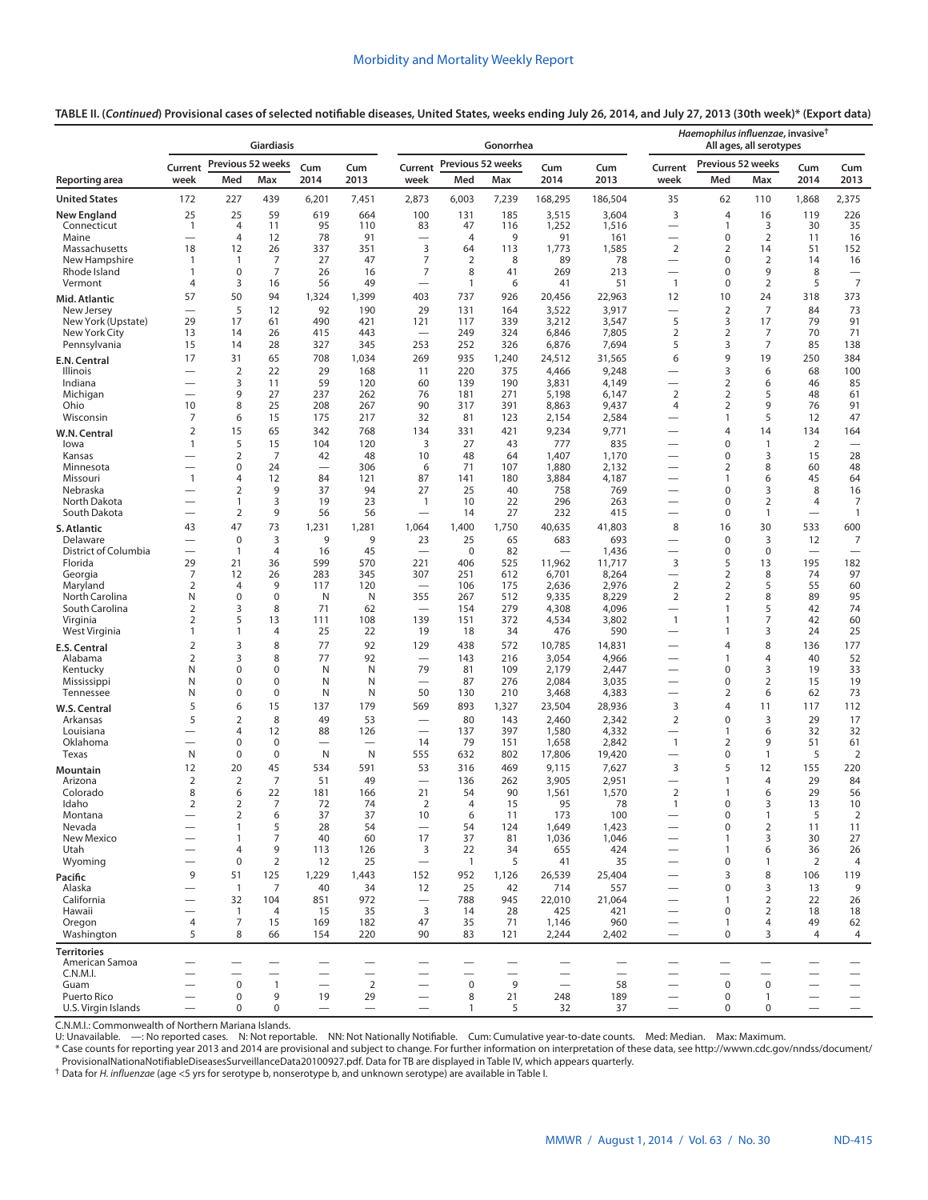**TABLE II. (***Continued***) Provisional cases of selected notifiable diseases, United States, weeks ending July 26, 2014, and July 27, 2013 (30th week)\* [\(Export data\)](https://data.cdc.gov/NNDSS/NNDSS-Table-II-Giardiasis-to-Haemophilus-influenza/9ix3-ryt6)**

|                                    |                          |                               | <b>Giardiasis</b> |                                        |                                        |                                                      |                      | Gonorrhea                |                                  |                          |                                                      | Haemophilus influenzae, invasive <sup>t</sup> | All ages, all serotypes        |                          |                                            |
|------------------------------------|--------------------------|-------------------------------|-------------------|----------------------------------------|----------------------------------------|------------------------------------------------------|----------------------|--------------------------|----------------------------------|--------------------------|------------------------------------------------------|-----------------------------------------------|--------------------------------|--------------------------|--------------------------------------------|
|                                    | Current                  | Previous 52 weeks             |                   | Cum                                    | Cum                                    | Current                                              | Previous 52 weeks    |                          | Cum                              | Cum                      | Current                                              | Previous 52 weeks                             |                                | Cum                      | Cum                                        |
| Reporting area                     | week                     | Med                           | Max               | 2014                                   | 2013                                   | week                                                 | Med                  | Max                      | 2014                             | 2013                     | week                                                 | Med                                           | Max                            | 2014                     | 2013                                       |
| <b>United States</b>               | 172                      | 227                           | 439               | 6,201                                  | 7,451                                  | 2,873                                                | 6,003                | 7,239                    | 168,295                          | 186,504                  | 35                                                   | 62                                            | 110                            | 1,868                    | 2,375                                      |
| <b>New England</b>                 | 25                       | 25                            | 59                | 619                                    | 664                                    | 100                                                  | 131                  | 185                      | 3,515                            | 3,604                    | 3                                                    | 4                                             | 16                             | 119                      | 226                                        |
| Connecticut<br>Maine               | $\mathbf{1}$             | $\overline{4}$<br>4           | 11<br>12          | 95<br>78                               | 110<br>91                              | 83                                                   | 47<br>$\overline{4}$ | 116<br>9                 | 1,252<br>91                      | 1,516<br>161             | —<br>$\overline{\phantom{0}}$                        | $\mathbf{1}$<br>0                             | 3<br>$\overline{2}$            | 30<br>11                 | 35<br>16                                   |
| Massachusetts                      | 18                       | 12                            | 26                | 337                                    | 351                                    | 3                                                    | 64                   | 113                      | 1,773                            | 1,585                    | $\overline{2}$                                       | 2                                             | 14                             | 51                       | 152                                        |
| New Hampshire                      | 1                        | $\mathbf{1}$                  | 7                 | 27                                     | 47                                     | 7                                                    | 2                    | 8                        | 89                               | 78                       | $\overline{\phantom{0}}$                             | 0                                             | 2                              | 14                       | 16                                         |
| Rhode Island<br>Vermont            | $\mathbf{1}$<br>4        | $\mathbf 0$<br>3              | 7<br>16           | 26<br>56                               | 16<br>49                               | 7                                                    | 8<br>$\mathbf{1}$    | 41<br>6                  | 269<br>41                        | 213<br>51                | $\overline{\phantom{0}}$<br>$\overline{1}$           | $\mathbf 0$<br>0                              | 9<br>2                         | 8<br>5                   | $\overline{\phantom{0}}$<br>$\overline{7}$ |
| Mid. Atlantic                      | 57                       | 50                            | 94                | 1,324                                  | 1,399                                  | 403                                                  | 737                  | 926                      | 20,456                           | 22,963                   | 12                                                   | 10                                            | 24                             | 318                      | 373                                        |
| New Jersey                         |                          | 5                             | 12                | 92                                     | 190                                    | 29                                                   | 131                  | 164                      | 3,522                            | 3,917                    | $\overline{\phantom{0}}$                             | $\overline{2}$                                | 7                              | 84                       | 73                                         |
| New York (Upstate)                 | 29                       | 17                            | 61                | 490                                    | 421                                    | 121                                                  | 117                  | 339                      | 3,212                            | 3,547                    | 5                                                    | 3                                             | 17                             | 79                       | 91                                         |
| New York City<br>Pennsylvania      | 13<br>15                 | 14<br>14                      | 26<br>28          | 415<br>327                             | 443<br>345                             | $\overline{\phantom{0}}$<br>253                      | 249<br>252           | 324<br>326               | 6,846<br>6,876                   | 7,805<br>7,694           | $\overline{2}$<br>5                                  | 2<br>3                                        | 7<br>7                         | 70<br>85                 | 71<br>138                                  |
| E.N. Central                       | 17                       | 31                            | 65                | 708                                    | 1,034                                  | 269                                                  | 935                  | 1,240                    | 24,512                           | 31,565                   | 6                                                    | 9                                             | 19                             | 250                      | 384                                        |
| Illinois                           |                          | $\overline{2}$                | 22                | 29                                     | 168                                    | 11                                                   | 220                  | 375                      | 4,466                            | 9,248                    |                                                      | 3                                             | 6                              | 68                       | 100                                        |
| Indiana                            |                          | 3                             | 11                | 59                                     | 120                                    | 60                                                   | 139                  | 190                      | 3,831                            | 4,149                    | —                                                    | 2                                             | 6                              | 46                       | 85                                         |
| Michigan<br>Ohio                   | 10                       | 9<br>8                        | 27<br>25          | 237<br>208                             | 262<br>267                             | 76<br>90                                             | 181<br>317           | 271<br>391               | 5,198<br>8,863                   | 6,147<br>9,437           | 2<br>4                                               | 2<br>$\overline{2}$                           | 5<br>9                         | 48<br>76                 | 61<br>91                                   |
| Wisconsin                          | 7                        | 6                             | 15                | 175                                    | 217                                    | 32                                                   | 81                   | 123                      | 2,154                            | 2,584                    | —                                                    | 1                                             | 5                              | 12                       | 47                                         |
| W.N. Central                       | $\overline{2}$           | 15                            | 65                | 342                                    | 768                                    | 134                                                  | 331                  | 421                      | 9,234                            | 9,771                    | —                                                    | $\overline{4}$                                | 14                             | 134                      | 164                                        |
| lowa                               | 1                        | 5                             | 15                | 104                                    | 120                                    | 3                                                    | 27                   | 43                       | 777                              | 835                      |                                                      | $\mathbf 0$                                   | $\mathbf{1}$                   | $\overline{2}$           |                                            |
| Kansas<br>Minnesota                |                          | 2<br>$\mathbf 0$              | 7<br>24           | 42                                     | 48<br>306                              | 10<br>6                                              | 48<br>71             | 64<br>107                | 1,407<br>1,880                   | 1,170<br>2,132           | —<br>—                                               | 0<br>2                                        | 3<br>8                         | 15<br>60                 | 28<br>48                                   |
| Missouri                           | $\mathbf{1}$             | 4                             | 12                | 84                                     | 121                                    | 87                                                   | 141                  | 180                      | 3,884                            | 4,187                    | $\overline{\phantom{0}}$                             | $\mathbf{1}$                                  | 6                              | 45                       | 64                                         |
| Nebraska                           |                          | $\overline{2}$                | 9                 | 37                                     | 94                                     | 27                                                   | 25                   | 40                       | 758                              | 769                      | $\overline{\phantom{0}}$                             | $\mathbf 0$                                   | 3                              | 8                        | 16                                         |
| North Dakota<br>South Dakota       | $\overline{\phantom{0}}$ | 1<br>2                        | 3<br>9            | 19<br>56                               | 23<br>56                               | $\mathbf{1}$<br>$\overline{\phantom{0}}$             | 10<br>14             | 22<br>27                 | 296<br>232                       | 263<br>415               | $\overline{\phantom{0}}$<br>$\overline{\phantom{0}}$ | 0<br>$\mathbf 0$                              | $\overline{2}$<br>$\mathbf{1}$ | 4                        | 7<br>$\mathbf{1}$                          |
| S. Atlantic                        | 43                       | 47                            | 73                | 1,231                                  | 1,281                                  | 1,064                                                | 1,400                | 1,750                    | 40,635                           | 41,803                   | 8                                                    | 16                                            | 30                             | 533                      | 600                                        |
| Delaware                           |                          | $\mathbf 0$                   | 3                 | 9                                      | 9                                      | 23                                                   | 25                   | 65                       | 683                              | 693                      | $\overline{\phantom{0}}$                             | $\mathbf 0$                                   | 3                              | 12                       | $\overline{7}$                             |
| District of Columbia               |                          | $\mathbf{1}$                  | 4                 | 16                                     | 45                                     | $\overline{\phantom{0}}$                             | $\mathbf 0$          | 82                       |                                  | 1,436                    | $\overline{\phantom{0}}$                             | $\mathbf 0$                                   | 0                              |                          |                                            |
| Florida<br>Georgia                 | 29<br>7                  | 21<br>12                      | 36<br>26          | 599<br>283                             | 570<br>345                             | 221<br>307                                           | 406<br>251           | 525<br>612               | 11,962<br>6,701                  | 11,717<br>8,264          | 3<br>—                                               | 5<br>2                                        | 13<br>8                        | 195<br>74                | 182<br>97                                  |
| Maryland                           | 2                        | $\overline{4}$                | 9                 | 117                                    | 120                                    |                                                      | 106                  | 175                      | 2,636                            | 2,976                    | $\overline{2}$                                       | $\overline{2}$                                | 5                              | 55                       | 60                                         |
| North Carolina                     | N                        | 0                             | $\mathbf 0$       | N                                      | N                                      | 355                                                  | 267                  | 512                      | 9,335                            | 8,229                    | $\overline{2}$                                       | $\overline{2}$                                | 8                              | 89                       | 95                                         |
| South Carolina<br>Virginia         | 2<br>$\overline{2}$      | 3<br>5                        | 8<br>13           | 71<br>111                              | 62<br>108                              | $\overline{\phantom{0}}$<br>139                      | 154<br>151           | 279<br>372               | 4,308<br>4,534                   | 4,096<br>3,802           | $\overline{\phantom{0}}$<br>$\mathbf{1}$             | $\mathbf{1}$<br>$\mathbf{1}$                  | 5<br>7                         | 42<br>42                 | 74<br>60                                   |
| West Virginia                      | 1                        | $\mathbf{1}$                  | 4                 | 25                                     | 22                                     | 19                                                   | 18                   | 34                       | 476                              | 590                      | $\overline{\phantom{0}}$                             | $\mathbf{1}$                                  | 3                              | 24                       | 25                                         |
| E.S. Central                       | $\overline{2}$           | 3                             | 8                 | 77                                     | 92                                     | 129                                                  | 438                  | 572                      | 10,785                           | 14,831                   | $\overline{\phantom{0}}$                             | $\overline{4}$                                | 8                              | 136                      | 177                                        |
| Alabama                            | $\overline{2}$           | 3                             | 8                 | 77                                     | 92                                     | $\overline{\phantom{0}}$                             | 143                  | 216                      | 3,054                            | 4,966                    | $\overline{\phantom{0}}$                             | $\mathbf{1}$                                  | 4                              | 40                       | 52                                         |
| Kentucky<br>Mississippi            | Ν<br>Ν                   | $\mathbf 0$<br>$\mathbf 0$    | 0<br>$\mathbf 0$  | N<br>N                                 | N<br>N                                 | 79<br>$\overline{\phantom{0}}$                       | 81<br>87             | 109<br>276               | 2,179<br>2,084                   | 2,447<br>3,035           | $\overline{\phantom{0}}$<br>—                        | 0<br>$\mathbf 0$                              | 3<br>$\overline{2}$            | 19<br>15                 | 33<br>19                                   |
| Tennessee                          | Ν                        | $\mathbf 0$                   | $\mathbf 0$       | N                                      | N                                      | 50                                                   | 130                  | 210                      | 3,468                            | 4,383                    | $\overline{\phantom{0}}$                             | $\overline{2}$                                | 6                              | 62                       | 73                                         |
| W.S. Central                       | 5                        | 6                             | 15                | 137                                    | 179                                    | 569                                                  | 893                  | 1,327                    | 23,504                           | 28,936                   | 3                                                    | 4                                             | 11                             | 117                      | 112                                        |
| Arkansas                           | 5                        | $\overline{2}$                | 8                 | 49                                     | 53                                     |                                                      | 80                   | 143                      | 2,460                            | 2,342                    | 2                                                    | 0                                             | 3                              | 29                       | 17                                         |
| Louisiana<br>Oklahoma              |                          | $\overline{4}$<br>$\mathbf 0$ | 12<br>$\mathbf 0$ | 88                                     | 126                                    | $\overline{\phantom{0}}$<br>14                       | 137<br>79            | 397<br>151               | 1,580<br>1,658                   | 4,332<br>2,842           | $\overline{\phantom{0}}$<br>$\mathbf{1}$             | $\overline{1}$<br>$\overline{2}$              | 6<br>9                         | 32<br>51                 | 32<br>61                                   |
| Texas                              | N                        | $\mathbf 0$                   | $\pmb{0}$         | N                                      | N                                      | 555                                                  | 632                  | 802                      | 17,806                           | 19,420                   | —                                                    | $\pmb{0}$                                     | $\mathbf{1}$                   | 5                        | $\overline{2}$                             |
| Mountain                           | 12                       | 20                            | 45                | 534                                    | 591                                    | 53                                                   | 316                  | 469                      | 9,115                            | 7,627                    | 3                                                    | 5                                             | 12                             | 155                      | 220                                        |
| Arizona                            | 2                        | $\overline{2}$                | 7                 | 51                                     | 49                                     |                                                      | 136                  | 262                      | 3,905                            | 2,951                    | $\overline{\phantom{0}}$                             | $\mathbf{1}$                                  | 4                              | 29                       | 84                                         |
| Colorado<br>Idaho                  | 8<br>$\mathcal{D}$       | 6<br>$\overline{2}$           | 22<br>7           | 181<br>72                              | 166<br>74                              | 21<br>$\overline{2}$                                 | 54<br>$\Delta$       | 90<br>15                 | 1,561<br>95                      | 1,570<br>78              | $\overline{2}$<br>1                                  | $\mathbf{1}$<br>$\mathbf 0$                   | 6<br>3                         | 29<br>13                 | 56<br>10                                   |
| Montana                            |                          | $\overline{2}$                | 6                 | 37                                     | 37                                     | 10                                                   | 6                    | 11                       | 173                              | 100                      |                                                      | $\mathbf 0$                                   | $\mathbf{1}$                   | 5                        | $\overline{2}$                             |
| Nevada                             |                          | $\mathbf{1}$<br>$\mathbf{1}$  | 5<br>7            | 28                                     | 54                                     | $\overline{\phantom{0}}$                             | 54                   | 124                      | 1,649                            | 1,423                    | $\overline{\phantom{0}}$                             | $\mathbf 0$                                   | 2                              | 11                       | 11                                         |
| New Mexico<br>Utah                 |                          | $\overline{4}$                | 9                 | 40<br>113                              | 60<br>126                              | 17<br>3                                              | 37<br>22             | 81<br>34                 | 1,036<br>655                     | 1,046<br>424             |                                                      | 1<br>$\overline{1}$                           | 3<br>6                         | 30<br>36                 | 27<br>26                                   |
| Wyoming                            |                          | $\bf 0$                       | 2                 | 12                                     | 25                                     |                                                      | $\overline{1}$       | 5                        | 41                               | 35                       |                                                      | $\mathbf 0$                                   | 1                              | 2                        | $\overline{4}$                             |
| Pacific                            | 9                        | 51                            | 125               | 1,229                                  | 1,443                                  | 152                                                  | 952                  | 1,126                    | 26,539                           | 25,404                   |                                                      | 3                                             | 8                              | 106                      | 119                                        |
| Alaska                             |                          | $\overline{1}$                | 7                 | 40                                     | 34                                     | 12                                                   | 25                   | 42                       | 714                              | 557                      |                                                      | $\mathbf 0$                                   | 3                              | 13                       | 9                                          |
| California<br>Hawaii               |                          | 32<br>$\mathbf{1}$            | 104<br>4          | 851<br>15                              | 972<br>35                              | $\overline{3}$                                       | 788<br>14            | 945<br>28                | 22,010<br>425                    | 21,064<br>421            |                                                      | $\overline{1}$<br>$\mathbf 0$                 | 2<br>$\overline{2}$            | 22<br>18                 | 26<br>18                                   |
| Oregon                             | $\overline{4}$           | $\overline{7}$                | 15                | 169                                    | 182                                    | 47                                                   | 35                   | 71                       | 1,146                            | 960                      | $\overline{\phantom{0}}$                             | $\overline{1}$                                | $\overline{4}$                 | 49                       | 62                                         |
| Washington                         | 5                        | 8                             | 66                | 154                                    | 220                                    | 90                                                   | 83                   | 121                      | 2,244                            | 2,402                    |                                                      | $\mathbf 0$                                   | 3                              | 4                        | 4                                          |
| <b>Territories</b>                 |                          |                               |                   |                                        |                                        |                                                      |                      |                          |                                  |                          |                                                      |                                               |                                |                          |                                            |
| American Samoa<br>C.N.M.I.         |                          |                               |                   |                                        | $\overline{\phantom{0}}$               | $\overline{\phantom{0}}$                             |                      | $\overline{\phantom{0}}$ | $\overline{\phantom{0}}$         | $\overline{\phantom{0}}$ | $\overline{\phantom{0}}$                             |                                               |                                | $\overline{\phantom{0}}$ | $\overbrace{\phantom{1232211}}$            |
| Guam                               |                          | $\mathbf 0$                   | $\mathbf{1}$      | $\overline{\phantom{0}}$               | $\sqrt{2}$                             |                                                      | $\mathsf{O}\xspace$  | 9                        | $\overbrace{\phantom{12322111}}$ | 58                       |                                                      | $\mathbf 0$                                   | $\pmb{0}$                      |                          | $\overline{\phantom{m}}$                   |
| Puerto Rico<br>U.S. Virgin Islands | $\overline{\phantom{0}}$ | 0<br>0                        | 9<br>0            | 19<br>$\overbrace{\phantom{12322111}}$ | 29<br>$\overbrace{\phantom{12322111}}$ | $\overline{\phantom{0}}$<br>$\overline{\phantom{0}}$ | 8<br>$\mathbf{1}$    | 21<br>5                  | 248<br>32                        | 189<br>37                | $\overline{\phantom{0}}$                             | $\mathbf 0$<br>$\mathbf 0$                    | $\mathbf{1}$<br>$\mathbf 0$    |                          | $\qquad \qquad -$                          |
|                                    |                          |                               |                   |                                        |                                        |                                                      |                      |                          |                                  |                          |                                                      |                                               |                                |                          |                                            |

C.N.M.I.: Commonwealth of Northern Mariana Islands.<br>U: Unavailable. —: No reported cases. N: Not reportable. NN: Not Nationally Notifiable. Cum: Cumulative year-to-date counts. Med: Median. Max: Maximum.

\* Case counts for reporting year 2013 and 2014 are provisional and subject to change. For further information on interpretation of these data, see [http://wwwn.cdc.gov/nndss/document/](http://wwwn.cdc.gov/nndss/document/ProvisionalNationaNotifiableDiseasesSurveillanceData20100927.pdf) [ProvisionalNationaNotifiableDiseasesSurveillanceData20100927.pdf](http://wwwn.cdc.gov/nndss/document/ProvisionalNationaNotifiableDiseasesSurveillanceData20100927.pdf). Data for TB are displayed in Table IV, which appears quarterly.

† Data for *H. influenzae* (age <5 yrs for serotype b, nonserotype b, and unknown serotype) are available in Table I.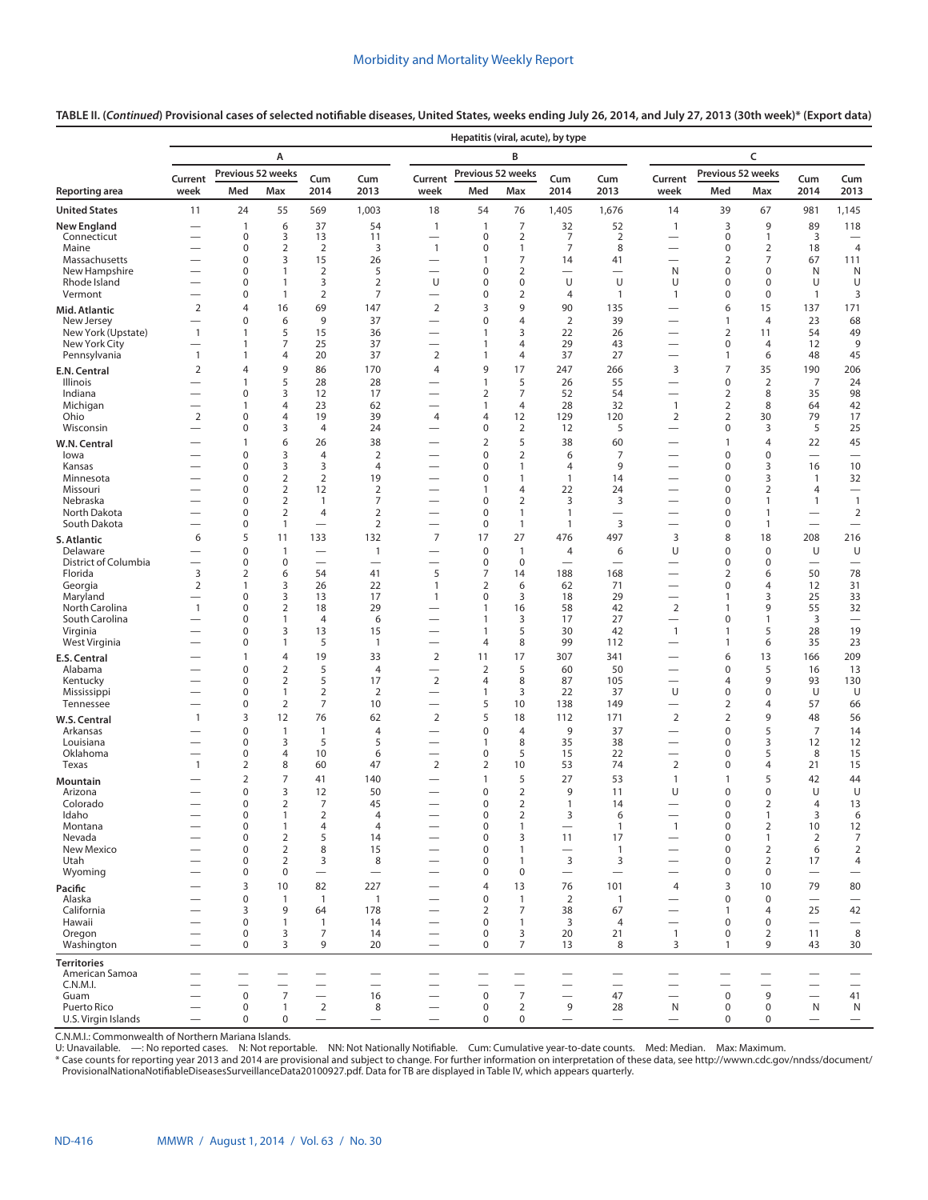| TABLE II. ( <i>Continued</i> ) Provisional cases of selected notifiable diseases, United States, weeks ending July 26, 2014, and July 27, 2013 (30th week)* (Export data) |  |  |  |
|---------------------------------------------------------------------------------------------------------------------------------------------------------------------------|--|--|--|

| C<br>Α<br>B<br>Previous 52 weeks<br>Previous 52 weeks<br>Previous 52 weeks<br>Cum<br>Cum<br>Current<br>Cum<br>Current<br>Cum<br>Cum<br>Current<br>Cum<br>Med<br>Max<br>2014<br>2013<br>Med<br>Max<br>2014<br>2013<br>Med<br>Max<br>2014<br>2013<br>week<br>week<br>week<br>11<br>24<br>55<br>569<br>1,003<br>18<br>54<br>76<br>1,405<br>1,676<br>14<br>39<br>67<br>981<br>1,145<br>6<br>37<br>7<br>3<br>9<br>118<br>54<br>32<br>52<br>89<br>1<br>$\mathbf{1}$<br>$\mathbf{1}$<br>$\mathbf{1}$<br>3<br>13<br>$\pmb{0}$<br>$\overline{2}$<br>7<br>$\overline{2}$<br>$\mathbf 0$<br>$\mathbf{1}$<br>3<br>Connecticut<br>0<br>11<br>$\overline{2}$<br>$\overline{7}$<br>$\pmb{0}$<br>$\overline{2}$<br>3<br>0<br>$\mathbf{1}$<br>8<br>$\mathbf 0$<br>$\overline{2}$<br>18<br>$\overline{4}$<br>Maine<br>$\mathbf{1}$<br>3<br>15<br>7<br>Massachusetts<br>$\mathbf 0$<br>26<br>$\overline{2}$<br>7<br>67<br>111<br>14<br>41<br>1<br>—<br>—<br>$\overline{2}$<br>5<br>$\overline{2}$<br>$\mathbf 0$<br>New Hampshire<br>$\mathbf 0$<br>$\mathbf{1}$<br>0<br>$\mathbf 0$<br>N<br>N<br>N<br>$\overline{\phantom{0}}$<br>$\overline{\phantom{0}}$<br>$\overline{\phantom{0}}$<br>—<br>$\overline{2}$<br>U<br>U<br>U<br>Rhode Island<br>3<br>0<br>0<br>$\mathbf 0$<br>$\mathbf 0$<br>U<br>U<br>0<br>1<br>U<br>$\overline{2}$<br>$\overline{2}$<br>$\overline{7}$<br>0<br>$\overline{4}$<br>$\pmb{0}$<br>$\mathbf 0$<br>3<br>Vermont<br>0<br>1<br>$\mathbf{1}$<br>$\mathbf{1}$<br>$\mathbf{1}$<br>$\overline{\phantom{0}}$<br>$\overline{\phantom{0}}$<br>69<br>$\overline{2}$<br>3<br>9<br>15<br>$\overline{2}$<br>16<br>147<br>90<br>135<br>6<br>137<br>171<br>4<br>9<br>$\overline{2}$<br>39<br>6<br>37<br>0<br>4<br>$\mathbf{1}$<br>$\overline{4}$<br>23<br>68<br>New Jersey<br>0<br>$\overline{\phantom{0}}$<br>-<br>5<br>New York (Upstate)<br>$\mathbf{1}$<br>15<br>36<br>3<br>22<br>26<br>$\overline{2}$<br>54<br>49<br>11<br>$\mathbf{1}$<br>1<br>7<br>9<br>25<br>37<br>29<br>43<br>$\pmb{0}$<br>12<br>New York City<br>4<br>4<br>$\mathbf{1}$<br>1<br>$\overline{\phantom{0}}$<br>$\overline{\phantom{0}}$<br>$\overline{\phantom{0}}$<br>$\mathbf 2$<br>37<br>27<br>$\mathbf{1}$<br>20<br>37<br>48<br>45<br>Pennsylvania<br>4<br>4<br>6<br>$\mathbf{1}$<br>1<br>1<br>$\overline{\phantom{0}}$<br>9<br>86<br>9<br>247<br>3<br>$\overline{7}$<br>35<br>190<br>$\overline{2}$<br>170<br>$\overline{4}$<br>17<br>266<br>206<br>4<br>5<br>5<br>$\overline{2}$<br>$\overline{7}$<br>28<br>28<br>$\mathbf{1}$<br>26<br>55<br>$\pmb{0}$<br>24<br>Illinois<br>$\mathbf{1}$<br>3<br>54<br>8<br>98<br>Indiana<br>12<br>17<br>$\overline{2}$<br>7<br>52<br>$\overline{2}$<br>35<br>0<br>$\overline{\phantom{0}}$<br>$\overline{\phantom{0}}$<br>Michigan<br>$\overline{4}$<br>23<br>62<br>28<br>32<br>$\mathbf{1}$<br>$\overline{2}$<br>8<br>42<br>$\overline{4}$<br>64<br>1<br>1<br>$\overline{\phantom{0}}$<br>-<br>$\mathbf 2$<br>19<br>39<br>$\overline{2}$<br>79<br>Ohio<br>$\overline{4}$<br>12<br>129<br>120<br>$\overline{2}$<br>30<br>17<br>0<br>4<br>4<br>3<br>$\overline{2}$<br>5<br>25<br>24<br>0<br>12<br>5<br>$\mathbf 0$<br>3<br>Wisconsin<br>0<br>4<br>$\overline{\phantom{0}}$<br>—<br>5<br>6<br>$\overline{2}$<br>45<br>26<br>38<br>38<br>60<br>22<br>1<br>$\mathbf{1}$<br>4<br>W.N. Central<br>—<br>3<br>$\overline{2}$<br>0<br>$\overline{2}$<br>$\overline{7}$<br>$\mathbf 0$<br>$\mathbf 0$<br>$\overline{4}$<br>6<br>$\mathbf 0$<br>lowa<br>3<br>3<br>10<br>$\overline{4}$<br>0<br>9<br>$\mathbf 0$<br>3<br>16<br>0<br>1<br>$\overline{4}$<br>Kansas<br>$\overline{\phantom{0}}$<br>—<br>$\overline{2}$<br>$\overline{2}$<br>19<br>0<br>3<br>32<br>Minnesota<br>0<br>$\mathbf{1}$<br>$\mathbf{1}$<br>14<br>$\mathbf 0$<br>$\mathbf{1}$<br>—<br>—<br>$\overline{2}$<br>$\overline{2}$<br>$\overline{2}$<br>12<br>22<br>$\mathbf 0$<br>0<br>4<br>24<br>$\overline{4}$<br>Missouri<br>1<br>$\overline{\phantom{0}}$<br>$\qquad \qquad$<br>-<br>$\overline{2}$<br>$\overline{2}$<br>$\overline{3}$<br>$\mathbf{1}$<br>7<br>0<br>3<br>$\mathbf 0$<br>Nebraska<br>0<br>$\mathbf{1}$<br>1<br>1<br>$\overline{2}$<br>$\overline{2}$<br>North Dakota<br>0<br>$\mathbf 0$<br>$\overline{2}$<br>0<br>4<br>1<br>$\mathbf{1}$<br>1<br>$\overline{\phantom{0}}$<br>3<br>South Dakota<br>$\mathbf 0$<br>$\overline{2}$<br>$\mathbf 0$<br>1<br>$\mathbf{1}$<br>$\mathbf 0$<br>$\mathbf{1}$<br>$\mathbf{1}$<br>$\qquad \qquad$<br>$\overline{\phantom{0}}$<br>$\overline{\phantom{0}}$<br>—<br>—<br>5<br>$\overline{7}$<br>3<br>8<br>11<br>133<br>132<br>17<br>27<br>476<br>497<br>18<br>208<br>216<br>6<br>S. Atlantic<br>U<br>$\mathbf 0$<br>$\mathbf{1}$<br>$\mathbf 0$<br>$\mathbf{1}$<br>$\overline{4}$<br>6<br>U<br>$\mathbf 0$<br>$\mathbf 0$<br>U<br>Delaware<br>1<br>—<br>$\mathbf 0$<br>District of Columbia<br>$\mathbf 0$<br>$\pmb{0}$<br>$\mathbf 0$<br>$\mathbf 0$<br>$\mathbf 0$<br>$\overline{\phantom{0}}$<br>$\overline{\phantom{0}}$<br>$\overline{\phantom{0}}$<br>$\overline{\phantom{0}}$<br>$\overline{\phantom{0}}$<br>$\overline{\phantom{0}}$<br>$\overline{\phantom{0}}$<br>$\overline{\phantom{0}}$<br>$\overline{3}$<br>5<br>7<br>Florida<br>$\overline{2}$<br>6<br>54<br>188<br>$\overline{2}$<br>50<br>78<br>41<br>14<br>168<br>6<br>3<br>Georgia<br>$\overline{2}$<br>26<br>22<br>2<br>6<br>$\mathbf 0$<br>31<br>$\mathbf{1}$<br>62<br>71<br>4<br>12<br>1<br>3<br>Maryland<br>17<br>0<br>3<br>29<br>3<br>25<br>33<br>0<br>13<br>$\mathbf{1}$<br>18<br>$\mathbf{1}$<br>$\overline{\phantom{0}}$<br>—<br>$\overline{2}$<br>$\overline{2}$<br>North Carolina<br>$\mathbf{1}$<br>29<br>9<br>55<br>32<br>0<br>18<br>16<br>58<br>42<br>$\mathbf{1}$<br>1<br>6<br>17<br>27<br>3<br>South Carolina<br>0<br>1<br>$\overline{4}$<br>3<br>$\mathbf 0$<br>1<br>1<br>$\overline{\phantom{0}}$<br>—<br>19<br>3<br>13<br>15<br>5<br>5<br>28<br>Virginia<br>0<br>30<br>42<br>$\mathbf{1}$<br>$\mathbf{1}$<br>1<br>-<br>5<br>99<br>23<br>West Virginia<br>0<br>1<br>$\mathbf{1}$<br>4<br>8<br>112<br>6<br>35<br>$\mathbf{1}$<br>$\overline{\phantom{0}}$<br>19<br>$\overline{4}$<br>33<br>$\overline{2}$<br>17<br>307<br>341<br>6<br>13<br>166<br>209<br>$\mathbf{1}$<br>11<br>$\overline{\phantom{0}}$<br>$\overline{2}$<br>5<br>5<br>5<br>Alabama<br>$\mathbf 0$<br>$\overline{4}$<br>$\overline{2}$<br>60<br>50<br>$\pmb{0}$<br>13<br>16<br>$\overline{\phantom{0}}$<br>—<br>5<br>$\mathbf 2$<br>$\overline{2}$<br>8<br>9<br>Kentucky<br>0<br>17<br>4<br>87<br>105<br>4<br>93<br>130<br>$\overline{2}$<br>U<br>U<br>37<br>U<br>Mississippi<br>0<br>1<br>2<br>3<br>22<br>0<br>0<br>1<br>-<br>$\overline{2}$<br>7<br>5<br>10<br>57<br>66<br>Tennessee<br>0<br>10<br>138<br>149<br>2<br>4<br>$\overline{\phantom{0}}$<br>$\overline{\phantom{0}}$<br>5<br>$\overline{2}$<br>3<br>12<br>76<br>62<br>$\overline{2}$<br>18<br>112<br>171<br>$\overline{2}$<br>9<br>48<br>56<br>$\mathbf{1}$<br>W.S. Central<br>9<br>5<br>0<br>37<br>$\mathbf 0$<br>$\overline{7}$<br>14<br>Arkansas<br>0<br>1<br>1<br>4<br>4<br>—<br>—<br>5<br>3<br>5<br>8<br>35<br>38<br>3<br>12<br>Louisiana<br>0<br>$\mathbf 0$<br>12<br>1<br>—<br>Oklahoma<br>15<br>5<br>0<br>4<br>10<br>6<br>0<br>5<br>22<br>0<br>8<br>15<br>$\overline{2}$<br>$\overline{2}$<br>8<br>53<br>15<br>Texas<br>$\mathbf{1}$<br>2<br>60<br>47<br>2<br>10<br>74<br>$\mathbf 0$<br>4<br>21<br>7<br>$\overline{2}$<br>41<br>140<br>5<br>27<br>53<br>5<br>42<br>44<br>$\mathbf{1}$<br>$\mathbf{1}$<br>$\overline{1}$<br>Mountain<br>$\overline{2}$<br>U<br>$\mathbf 0$<br>3<br>50<br>0<br>9<br>U<br>$\mathbf 0$<br>0<br>U<br>Arizona<br>12<br>11<br>$\overline{2}$<br>13<br>Colorado<br>$\Omega$<br>7<br>45<br>0<br>2<br>$\mathbf{1}$<br>14<br>$\Omega$<br>2<br>$\overline{4}$<br>-<br>-<br>$\mathbf 2$<br>Idaho<br>3<br>6<br>0<br>1<br>2<br>4<br>0<br>3<br>6<br>0<br>$\mathbf{1}$<br>12<br>0<br>4<br>$\overline{4}$<br>$\pmb{0}$<br>$\mathbf{1}$<br>$\mathbf 0$<br>$\overline{2}$<br>10<br>Montana<br>1<br>$\mathbf{1}$<br>$\mathbf{1}$<br>$\overline{\phantom{0}}$<br>$\overbrace{\phantom{12322111}}$<br>$\overline{7}$<br>$\overline{2}$<br>5<br>Nevada<br>$\pmb{0}$<br>3<br>11<br>$\mathbf 0$<br>$\overline{2}$<br>0<br>14<br>17<br>$\mathbf{1}$<br>$\overline{\phantom{0}}$<br>$\overline{2}$<br>$\overline{2}$<br>8<br>New Mexico<br>15<br>$\overline{2}$<br>6<br>0<br>0<br>1<br>0<br>$\mathbf{1}$<br>$\overline{\phantom{0}}$<br>$\overline{\phantom{0}}$<br>$\overline{\phantom{0}}$<br>$\overline{3}$<br>$\overline{2}$<br>3<br>8<br>$\mathbf 0$<br>$\overline{2}$<br>$\overline{4}$<br>Utah<br>0<br>0<br>1<br>3<br>17<br>$\overline{\phantom{0}}$<br>$\overline{\phantom{0}}$<br>Wyoming<br>$\pmb{0}$<br>$\pmb{0}$<br>$\mathbf 0$<br>$\mathbf 0$<br>$\mathbf 0$<br>0<br>$\overline{\phantom{0}}$<br>$\overline{\phantom{0}}$<br>$\overline{\phantom{0}}$<br>$\overline{\phantom{0}}$<br>$\qquad \qquad$<br>$\overline{\phantom{0}}$<br>—<br>3<br>10<br>82<br>227<br>$\overline{4}$<br>13<br>76<br>101<br>4<br>3<br>10<br>79<br>80<br>$\overline{\phantom{0}}$<br>$\overline{\phantom{0}}$<br>$\pmb{0}$<br>$\overline{2}$<br>$\pmb{0}$<br>$\mathbf{1}$<br>$\mathbf{1}$<br>$\pmb{0}$<br>$\overline{1}$<br>$\mathbf 0$<br>Alaska<br>$\mathbf{1}$<br>$\mathbf{1}$<br>$\equiv$<br>$\overline{\phantom{0}}$<br>$\overline{\phantom{0}}$<br>$\overline{7}$<br>California<br>9<br>$\overline{2}$<br>38<br>25<br>42<br>3<br>64<br>178<br>67<br>$\mathbf{1}$<br>$\overline{4}$<br>—<br>—<br>$\pmb{0}$<br>3<br>$\mathbf 0$<br>$\boldsymbol{0}$<br>Hawaii<br>0<br>1<br>$\mathbf{1}$<br>14<br>$\mathbf{1}$<br>$\overline{4}$<br>$\overbrace{\phantom{12322111}}$<br>$\overbrace{\phantom{1232211}}$<br>$\overline{\phantom{0}}$<br>$\overline{\phantom{0}}$<br>$\overline{\phantom{0}}$<br>8<br>$\overline{7}$<br>Oregon<br>3<br>14<br>0<br>3<br>20<br>21<br>$\mathbf{1}$<br>$\mathbf 0$<br>$\overline{2}$<br>11<br>0<br>$\overline{\phantom{0}}$<br>3<br>9<br>$\overline{7}$<br>Washington<br>$\mathbf 0$<br>20<br>$\mathbf 0$<br>13<br>8<br>3<br>$\mathbf{1}$<br>9<br>43<br>30<br>$\overline{\phantom{0}}$<br>American Samoa<br>$\overline{\phantom{0}}$<br>—<br>$\hspace{0.1mm}-\hspace{0.1mm}$<br>C.N.M.I.<br>$\overline{\phantom{0}}$<br>$\overline{\phantom{0}}$<br>$\overline{\phantom{0}}$<br>$\overline{\phantom{0}}$<br>$\qquad \qquad -$<br>$\overline{\phantom{0}}$<br>$\overline{7}$<br>$\pmb{0}$<br>$\overline{7}$<br>47<br>$\pmb{0}$<br>9<br>Guam<br>$\mathbf 0$<br>16<br>41<br>$\equiv$<br>$\equiv$<br>$\equiv$<br>$\overline{\phantom{0}}$<br>Puerto Rico<br>$\overline{2}$<br>$\,8\,$<br>$\overline{2}$<br>9<br>$\pmb{0}$<br>$\mathbf 0$<br>0<br>$\mathbf{1}$<br>0<br>28<br>N<br>N<br>N<br>U.S. Virgin Islands<br>$\mathbf 0$<br>0<br>$\mathbf 0$<br>$\mathbf 0$<br>$\mathbf 0$<br>0<br>$\overline{\phantom{0}}$<br>$\overline{\phantom{m}}$<br>$\overline{\phantom{m}}$<br>$\overbrace{\phantom{123221111}}$<br>$\overline{\phantom{m}}$<br>$\qquad \qquad -$<br>$\overline{\phantom{m}}$<br>$\overline{\phantom{m}}$ |                      |  |  |  | Hepatitis (viral, acute), by type |  |  |  |  |
|------------------------------------------------------------------------------------------------------------------------------------------------------------------------------------------------------------------------------------------------------------------------------------------------------------------------------------------------------------------------------------------------------------------------------------------------------------------------------------------------------------------------------------------------------------------------------------------------------------------------------------------------------------------------------------------------------------------------------------------------------------------------------------------------------------------------------------------------------------------------------------------------------------------------------------------------------------------------------------------------------------------------------------------------------------------------------------------------------------------------------------------------------------------------------------------------------------------------------------------------------------------------------------------------------------------------------------------------------------------------------------------------------------------------------------------------------------------------------------------------------------------------------------------------------------------------------------------------------------------------------------------------------------------------------------------------------------------------------------------------------------------------------------------------------------------------------------------------------------------------------------------------------------------------------------------------------------------------------------------------------------------------------------------------------------------------------------------------------------------------------------------------------------------------------------------------------------------------------------------------------------------------------------------------------------------------------------------------------------------------------------------------------------------------------------------------------------------------------------------------------------------------------------------------------------------------------------------------------------------------------------------------------------------------------------------------------------------------------------------------------------------------------------------------------------------------------------------------------------------------------------------------------------------------------------------------------------------------------------------------------------------------------------------------------------------------------------------------------------------------------------------------------------------------------------------------------------------------------------------------------------------------------------------------------------------------------------------------------------------------------------------------------------------------------------------------------------------------------------------------------------------------------------------------------------------------------------------------------------------------------------------------------------------------------------------------------------------------------------------------------------------------------------------------------------------------------------------------------------------------------------------------------------------------------------------------------------------------------------------------------------------------------------------------------------------------------------------------------------------------------------------------------------------------------------------------------------------------------------------------------------------------------------------------------------------------------------------------------------------------------------------------------------------------------------------------------------------------------------------------------------------------------------------------------------------------------------------------------------------------------------------------------------------------------------------------------------------------------------------------------------------------------------------------------------------------------------------------------------------------------------------------------------------------------------------------------------------------------------------------------------------------------------------------------------------------------------------------------------------------------------------------------------------------------------------------------------------------------------------------------------------------------------------------------------------------------------------------------------------------------------------------------------------------------------------------------------------------------------------------------------------------------------------------------------------------------------------------------------------------------------------------------------------------------------------------------------------------------------------------------------------------------------------------------------------------------------------------------------------------------------------------------------------------------------------------------------------------------------------------------------------------------------------------------------------------------------------------------------------------------------------------------------------------------------------------------------------------------------------------------------------------------------------------------------------------------------------------------------------------------------------------------------------------------------------------------------------------------------------------------------------------------------------------------------------------------------------------------------------------------------------------------------------------------------------------------------------------------------------------------------------------------------------------------------------------------------------------------------------------------------------------------------------------------------------------------------------------------------------------------------------------------------------------------------------------------------------------------------------------------------------------------------------------------------------------------------------------------------------------------------------------------------------------------------------------------------------------------------------------------------------------------------------------------------------------------------------------------------------------------------------------------------------------------------------------------------------------------------------------------------------------------------------------------------------------------------------------------------------------------------------------------------------------------------------------------------------------------------------------------------------------------------------------------------------------------------------------------------------------------------------------------------------------------------------------------------------------------------------------------------------------------------------------------------------------------------------------------------------------------------------------------------------------------------------------------------------------------------------------------------------------------------------------------------------------------------------------------------------------------------------------------------------------------------------------------------------------------------------------------------------------------------------------------------------------------------------------------------------------------------------------------------------------------------------------------------------------------------------------------------------------------------------------------------------------------------------------------------------------------------------------------------------------------------------------------------------------------------------------------------------------------------------------------------------------------------------------------------------------------------------------------------------------------------------------------------------------------------------------------------------------------------------------------------------------------------------------------------------------------------------------------------------------------------------------------------------------------------------------------------------------------------------------------------------------------------------------------------------------------------------------------------------------------------------------------------------------------------------------------------------------------------------------------------------------------------------------------------------------------------------------------------------------------------------------------------------------------------------------------------------------------------------------------------------------------------------------------------------------------------------------------------------------------------------------------------------------------------------------------------------------------------------------------------------------------------------------------------------------------------------------------------------------------------------------------------------------------------------------------------------------------------------------------------------------------------------------------------------------------------------------------------------------------------------------------------------------------------------------------------------------------------------------------------------------------------------------------------------|----------------------|--|--|--|-----------------------------------|--|--|--|--|
|                                                                                                                                                                                                                                                                                                                                                                                                                                                                                                                                                                                                                                                                                                                                                                                                                                                                                                                                                                                                                                                                                                                                                                                                                                                                                                                                                                                                                                                                                                                                                                                                                                                                                                                                                                                                                                                                                                                                                                                                                                                                                                                                                                                                                                                                                                                                                                                                                                                                                                                                                                                                                                                                                                                                                                                                                                                                                                                                                                                                                                                                                                                                                                                                                                                                                                                                                                                                                                                                                                                                                                                                                                                                                                                                                                                                                                                                                                                                                                                                                                                                                                                                                                                                                                                                                                                                                                                                                                                                                                                                                                                                                                                                                                                                                                                                                                                                                                                                                                                                                                                                                                                                                                                                                                                                                                                                                                                                                                                                                                                                                                                                                                                                                                                                                                                                                                                                                                                                                                                                                                                                                                                                                                                                                                                                                                                                                                                                                                                                                                                                                                                                                                                                                                                                                                                                                                                                                                                                                                                                                                                                                                                                                                                                                                                                                                                                                                                                                                                                                                                                                                                                                                                                                                                                                                                                                                                                                                                                                                                                                                                                                                                                                                                                                                                                                                                                                                                                                                                                                                                                                                                                                                                                                                                                                                                                                                                                                                                                                                                                                                                                                                                                                                                                                                                                                                                                                                                                                                                                                                                                                                                                                                                                                                                                                                                                                                                                                                                                                                                                                                                                                                                                                                                                                                                                                                                                                                                                                                                                                                                                                                                                                                                                                                                                                                                                                                                                                                                                                                                          |                      |  |  |  |                                   |  |  |  |  |
|                                                                                                                                                                                                                                                                                                                                                                                                                                                                                                                                                                                                                                                                                                                                                                                                                                                                                                                                                                                                                                                                                                                                                                                                                                                                                                                                                                                                                                                                                                                                                                                                                                                                                                                                                                                                                                                                                                                                                                                                                                                                                                                                                                                                                                                                                                                                                                                                                                                                                                                                                                                                                                                                                                                                                                                                                                                                                                                                                                                                                                                                                                                                                                                                                                                                                                                                                                                                                                                                                                                                                                                                                                                                                                                                                                                                                                                                                                                                                                                                                                                                                                                                                                                                                                                                                                                                                                                                                                                                                                                                                                                                                                                                                                                                                                                                                                                                                                                                                                                                                                                                                                                                                                                                                                                                                                                                                                                                                                                                                                                                                                                                                                                                                                                                                                                                                                                                                                                                                                                                                                                                                                                                                                                                                                                                                                                                                                                                                                                                                                                                                                                                                                                                                                                                                                                                                                                                                                                                                                                                                                                                                                                                                                                                                                                                                                                                                                                                                                                                                                                                                                                                                                                                                                                                                                                                                                                                                                                                                                                                                                                                                                                                                                                                                                                                                                                                                                                                                                                                                                                                                                                                                                                                                                                                                                                                                                                                                                                                                                                                                                                                                                                                                                                                                                                                                                                                                                                                                                                                                                                                                                                                                                                                                                                                                                                                                                                                                                                                                                                                                                                                                                                                                                                                                                                                                                                                                                                                                                                                                                                                                                                                                                                                                                                                                                                                                                                                                                                                                                                          |                      |  |  |  |                                   |  |  |  |  |
|                                                                                                                                                                                                                                                                                                                                                                                                                                                                                                                                                                                                                                                                                                                                                                                                                                                                                                                                                                                                                                                                                                                                                                                                                                                                                                                                                                                                                                                                                                                                                                                                                                                                                                                                                                                                                                                                                                                                                                                                                                                                                                                                                                                                                                                                                                                                                                                                                                                                                                                                                                                                                                                                                                                                                                                                                                                                                                                                                                                                                                                                                                                                                                                                                                                                                                                                                                                                                                                                                                                                                                                                                                                                                                                                                                                                                                                                                                                                                                                                                                                                                                                                                                                                                                                                                                                                                                                                                                                                                                                                                                                                                                                                                                                                                                                                                                                                                                                                                                                                                                                                                                                                                                                                                                                                                                                                                                                                                                                                                                                                                                                                                                                                                                                                                                                                                                                                                                                                                                                                                                                                                                                                                                                                                                                                                                                                                                                                                                                                                                                                                                                                                                                                                                                                                                                                                                                                                                                                                                                                                                                                                                                                                                                                                                                                                                                                                                                                                                                                                                                                                                                                                                                                                                                                                                                                                                                                                                                                                                                                                                                                                                                                                                                                                                                                                                                                                                                                                                                                                                                                                                                                                                                                                                                                                                                                                                                                                                                                                                                                                                                                                                                                                                                                                                                                                                                                                                                                                                                                                                                                                                                                                                                                                                                                                                                                                                                                                                                                                                                                                                                                                                                                                                                                                                                                                                                                                                                                                                                                                                                                                                                                                                                                                                                                                                                                                                                                                                                                                                                          | Reporting area       |  |  |  |                                   |  |  |  |  |
|                                                                                                                                                                                                                                                                                                                                                                                                                                                                                                                                                                                                                                                                                                                                                                                                                                                                                                                                                                                                                                                                                                                                                                                                                                                                                                                                                                                                                                                                                                                                                                                                                                                                                                                                                                                                                                                                                                                                                                                                                                                                                                                                                                                                                                                                                                                                                                                                                                                                                                                                                                                                                                                                                                                                                                                                                                                                                                                                                                                                                                                                                                                                                                                                                                                                                                                                                                                                                                                                                                                                                                                                                                                                                                                                                                                                                                                                                                                                                                                                                                                                                                                                                                                                                                                                                                                                                                                                                                                                                                                                                                                                                                                                                                                                                                                                                                                                                                                                                                                                                                                                                                                                                                                                                                                                                                                                                                                                                                                                                                                                                                                                                                                                                                                                                                                                                                                                                                                                                                                                                                                                                                                                                                                                                                                                                                                                                                                                                                                                                                                                                                                                                                                                                                                                                                                                                                                                                                                                                                                                                                                                                                                                                                                                                                                                                                                                                                                                                                                                                                                                                                                                                                                                                                                                                                                                                                                                                                                                                                                                                                                                                                                                                                                                                                                                                                                                                                                                                                                                                                                                                                                                                                                                                                                                                                                                                                                                                                                                                                                                                                                                                                                                                                                                                                                                                                                                                                                                                                                                                                                                                                                                                                                                                                                                                                                                                                                                                                                                                                                                                                                                                                                                                                                                                                                                                                                                                                                                                                                                                                                                                                                                                                                                                                                                                                                                                                                                                                                                                                                          | <b>United States</b> |  |  |  |                                   |  |  |  |  |
|                                                                                                                                                                                                                                                                                                                                                                                                                                                                                                                                                                                                                                                                                                                                                                                                                                                                                                                                                                                                                                                                                                                                                                                                                                                                                                                                                                                                                                                                                                                                                                                                                                                                                                                                                                                                                                                                                                                                                                                                                                                                                                                                                                                                                                                                                                                                                                                                                                                                                                                                                                                                                                                                                                                                                                                                                                                                                                                                                                                                                                                                                                                                                                                                                                                                                                                                                                                                                                                                                                                                                                                                                                                                                                                                                                                                                                                                                                                                                                                                                                                                                                                                                                                                                                                                                                                                                                                                                                                                                                                                                                                                                                                                                                                                                                                                                                                                                                                                                                                                                                                                                                                                                                                                                                                                                                                                                                                                                                                                                                                                                                                                                                                                                                                                                                                                                                                                                                                                                                                                                                                                                                                                                                                                                                                                                                                                                                                                                                                                                                                                                                                                                                                                                                                                                                                                                                                                                                                                                                                                                                                                                                                                                                                                                                                                                                                                                                                                                                                                                                                                                                                                                                                                                                                                                                                                                                                                                                                                                                                                                                                                                                                                                                                                                                                                                                                                                                                                                                                                                                                                                                                                                                                                                                                                                                                                                                                                                                                                                                                                                                                                                                                                                                                                                                                                                                                                                                                                                                                                                                                                                                                                                                                                                                                                                                                                                                                                                                                                                                                                                                                                                                                                                                                                                                                                                                                                                                                                                                                                                                                                                                                                                                                                                                                                                                                                                                                                                                                                                                                          | New England          |  |  |  |                                   |  |  |  |  |
|                                                                                                                                                                                                                                                                                                                                                                                                                                                                                                                                                                                                                                                                                                                                                                                                                                                                                                                                                                                                                                                                                                                                                                                                                                                                                                                                                                                                                                                                                                                                                                                                                                                                                                                                                                                                                                                                                                                                                                                                                                                                                                                                                                                                                                                                                                                                                                                                                                                                                                                                                                                                                                                                                                                                                                                                                                                                                                                                                                                                                                                                                                                                                                                                                                                                                                                                                                                                                                                                                                                                                                                                                                                                                                                                                                                                                                                                                                                                                                                                                                                                                                                                                                                                                                                                                                                                                                                                                                                                                                                                                                                                                                                                                                                                                                                                                                                                                                                                                                                                                                                                                                                                                                                                                                                                                                                                                                                                                                                                                                                                                                                                                                                                                                                                                                                                                                                                                                                                                                                                                                                                                                                                                                                                                                                                                                                                                                                                                                                                                                                                                                                                                                                                                                                                                                                                                                                                                                                                                                                                                                                                                                                                                                                                                                                                                                                                                                                                                                                                                                                                                                                                                                                                                                                                                                                                                                                                                                                                                                                                                                                                                                                                                                                                                                                                                                                                                                                                                                                                                                                                                                                                                                                                                                                                                                                                                                                                                                                                                                                                                                                                                                                                                                                                                                                                                                                                                                                                                                                                                                                                                                                                                                                                                                                                                                                                                                                                                                                                                                                                                                                                                                                                                                                                                                                                                                                                                                                                                                                                                                                                                                                                                                                                                                                                                                                                                                                                                                                                                                                          |                      |  |  |  |                                   |  |  |  |  |
|                                                                                                                                                                                                                                                                                                                                                                                                                                                                                                                                                                                                                                                                                                                                                                                                                                                                                                                                                                                                                                                                                                                                                                                                                                                                                                                                                                                                                                                                                                                                                                                                                                                                                                                                                                                                                                                                                                                                                                                                                                                                                                                                                                                                                                                                                                                                                                                                                                                                                                                                                                                                                                                                                                                                                                                                                                                                                                                                                                                                                                                                                                                                                                                                                                                                                                                                                                                                                                                                                                                                                                                                                                                                                                                                                                                                                                                                                                                                                                                                                                                                                                                                                                                                                                                                                                                                                                                                                                                                                                                                                                                                                                                                                                                                                                                                                                                                                                                                                                                                                                                                                                                                                                                                                                                                                                                                                                                                                                                                                                                                                                                                                                                                                                                                                                                                                                                                                                                                                                                                                                                                                                                                                                                                                                                                                                                                                                                                                                                                                                                                                                                                                                                                                                                                                                                                                                                                                                                                                                                                                                                                                                                                                                                                                                                                                                                                                                                                                                                                                                                                                                                                                                                                                                                                                                                                                                                                                                                                                                                                                                                                                                                                                                                                                                                                                                                                                                                                                                                                                                                                                                                                                                                                                                                                                                                                                                                                                                                                                                                                                                                                                                                                                                                                                                                                                                                                                                                                                                                                                                                                                                                                                                                                                                                                                                                                                                                                                                                                                                                                                                                                                                                                                                                                                                                                                                                                                                                                                                                                                                                                                                                                                                                                                                                                                                                                                                                                                                                                                                                          |                      |  |  |  |                                   |  |  |  |  |
|                                                                                                                                                                                                                                                                                                                                                                                                                                                                                                                                                                                                                                                                                                                                                                                                                                                                                                                                                                                                                                                                                                                                                                                                                                                                                                                                                                                                                                                                                                                                                                                                                                                                                                                                                                                                                                                                                                                                                                                                                                                                                                                                                                                                                                                                                                                                                                                                                                                                                                                                                                                                                                                                                                                                                                                                                                                                                                                                                                                                                                                                                                                                                                                                                                                                                                                                                                                                                                                                                                                                                                                                                                                                                                                                                                                                                                                                                                                                                                                                                                                                                                                                                                                                                                                                                                                                                                                                                                                                                                                                                                                                                                                                                                                                                                                                                                                                                                                                                                                                                                                                                                                                                                                                                                                                                                                                                                                                                                                                                                                                                                                                                                                                                                                                                                                                                                                                                                                                                                                                                                                                                                                                                                                                                                                                                                                                                                                                                                                                                                                                                                                                                                                                                                                                                                                                                                                                                                                                                                                                                                                                                                                                                                                                                                                                                                                                                                                                                                                                                                                                                                                                                                                                                                                                                                                                                                                                                                                                                                                                                                                                                                                                                                                                                                                                                                                                                                                                                                                                                                                                                                                                                                                                                                                                                                                                                                                                                                                                                                                                                                                                                                                                                                                                                                                                                                                                                                                                                                                                                                                                                                                                                                                                                                                                                                                                                                                                                                                                                                                                                                                                                                                                                                                                                                                                                                                                                                                                                                                                                                                                                                                                                                                                                                                                                                                                                                                                                                                                                                                          |                      |  |  |  |                                   |  |  |  |  |
|                                                                                                                                                                                                                                                                                                                                                                                                                                                                                                                                                                                                                                                                                                                                                                                                                                                                                                                                                                                                                                                                                                                                                                                                                                                                                                                                                                                                                                                                                                                                                                                                                                                                                                                                                                                                                                                                                                                                                                                                                                                                                                                                                                                                                                                                                                                                                                                                                                                                                                                                                                                                                                                                                                                                                                                                                                                                                                                                                                                                                                                                                                                                                                                                                                                                                                                                                                                                                                                                                                                                                                                                                                                                                                                                                                                                                                                                                                                                                                                                                                                                                                                                                                                                                                                                                                                                                                                                                                                                                                                                                                                                                                                                                                                                                                                                                                                                                                                                                                                                                                                                                                                                                                                                                                                                                                                                                                                                                                                                                                                                                                                                                                                                                                                                                                                                                                                                                                                                                                                                                                                                                                                                                                                                                                                                                                                                                                                                                                                                                                                                                                                                                                                                                                                                                                                                                                                                                                                                                                                                                                                                                                                                                                                                                                                                                                                                                                                                                                                                                                                                                                                                                                                                                                                                                                                                                                                                                                                                                                                                                                                                                                                                                                                                                                                                                                                                                                                                                                                                                                                                                                                                                                                                                                                                                                                                                                                                                                                                                                                                                                                                                                                                                                                                                                                                                                                                                                                                                                                                                                                                                                                                                                                                                                                                                                                                                                                                                                                                                                                                                                                                                                                                                                                                                                                                                                                                                                                                                                                                                                                                                                                                                                                                                                                                                                                                                                                                                                                                                                                          |                      |  |  |  |                                   |  |  |  |  |
|                                                                                                                                                                                                                                                                                                                                                                                                                                                                                                                                                                                                                                                                                                                                                                                                                                                                                                                                                                                                                                                                                                                                                                                                                                                                                                                                                                                                                                                                                                                                                                                                                                                                                                                                                                                                                                                                                                                                                                                                                                                                                                                                                                                                                                                                                                                                                                                                                                                                                                                                                                                                                                                                                                                                                                                                                                                                                                                                                                                                                                                                                                                                                                                                                                                                                                                                                                                                                                                                                                                                                                                                                                                                                                                                                                                                                                                                                                                                                                                                                                                                                                                                                                                                                                                                                                                                                                                                                                                                                                                                                                                                                                                                                                                                                                                                                                                                                                                                                                                                                                                                                                                                                                                                                                                                                                                                                                                                                                                                                                                                                                                                                                                                                                                                                                                                                                                                                                                                                                                                                                                                                                                                                                                                                                                                                                                                                                                                                                                                                                                                                                                                                                                                                                                                                                                                                                                                                                                                                                                                                                                                                                                                                                                                                                                                                                                                                                                                                                                                                                                                                                                                                                                                                                                                                                                                                                                                                                                                                                                                                                                                                                                                                                                                                                                                                                                                                                                                                                                                                                                                                                                                                                                                                                                                                                                                                                                                                                                                                                                                                                                                                                                                                                                                                                                                                                                                                                                                                                                                                                                                                                                                                                                                                                                                                                                                                                                                                                                                                                                                                                                                                                                                                                                                                                                                                                                                                                                                                                                                                                                                                                                                                                                                                                                                                                                                                                                                                                                                                                                          | Mid. Atlantic        |  |  |  |                                   |  |  |  |  |
|                                                                                                                                                                                                                                                                                                                                                                                                                                                                                                                                                                                                                                                                                                                                                                                                                                                                                                                                                                                                                                                                                                                                                                                                                                                                                                                                                                                                                                                                                                                                                                                                                                                                                                                                                                                                                                                                                                                                                                                                                                                                                                                                                                                                                                                                                                                                                                                                                                                                                                                                                                                                                                                                                                                                                                                                                                                                                                                                                                                                                                                                                                                                                                                                                                                                                                                                                                                                                                                                                                                                                                                                                                                                                                                                                                                                                                                                                                                                                                                                                                                                                                                                                                                                                                                                                                                                                                                                                                                                                                                                                                                                                                                                                                                                                                                                                                                                                                                                                                                                                                                                                                                                                                                                                                                                                                                                                                                                                                                                                                                                                                                                                                                                                                                                                                                                                                                                                                                                                                                                                                                                                                                                                                                                                                                                                                                                                                                                                                                                                                                                                                                                                                                                                                                                                                                                                                                                                                                                                                                                                                                                                                                                                                                                                                                                                                                                                                                                                                                                                                                                                                                                                                                                                                                                                                                                                                                                                                                                                                                                                                                                                                                                                                                                                                                                                                                                                                                                                                                                                                                                                                                                                                                                                                                                                                                                                                                                                                                                                                                                                                                                                                                                                                                                                                                                                                                                                                                                                                                                                                                                                                                                                                                                                                                                                                                                                                                                                                                                                                                                                                                                                                                                                                                                                                                                                                                                                                                                                                                                                                                                                                                                                                                                                                                                                                                                                                                                                                                                                                                          |                      |  |  |  |                                   |  |  |  |  |
|                                                                                                                                                                                                                                                                                                                                                                                                                                                                                                                                                                                                                                                                                                                                                                                                                                                                                                                                                                                                                                                                                                                                                                                                                                                                                                                                                                                                                                                                                                                                                                                                                                                                                                                                                                                                                                                                                                                                                                                                                                                                                                                                                                                                                                                                                                                                                                                                                                                                                                                                                                                                                                                                                                                                                                                                                                                                                                                                                                                                                                                                                                                                                                                                                                                                                                                                                                                                                                                                                                                                                                                                                                                                                                                                                                                                                                                                                                                                                                                                                                                                                                                                                                                                                                                                                                                                                                                                                                                                                                                                                                                                                                                                                                                                                                                                                                                                                                                                                                                                                                                                                                                                                                                                                                                                                                                                                                                                                                                                                                                                                                                                                                                                                                                                                                                                                                                                                                                                                                                                                                                                                                                                                                                                                                                                                                                                                                                                                                                                                                                                                                                                                                                                                                                                                                                                                                                                                                                                                                                                                                                                                                                                                                                                                                                                                                                                                                                                                                                                                                                                                                                                                                                                                                                                                                                                                                                                                                                                                                                                                                                                                                                                                                                                                                                                                                                                                                                                                                                                                                                                                                                                                                                                                                                                                                                                                                                                                                                                                                                                                                                                                                                                                                                                                                                                                                                                                                                                                                                                                                                                                                                                                                                                                                                                                                                                                                                                                                                                                                                                                                                                                                                                                                                                                                                                                                                                                                                                                                                                                                                                                                                                                                                                                                                                                                                                                                                                                                                                                                                          |                      |  |  |  |                                   |  |  |  |  |
|                                                                                                                                                                                                                                                                                                                                                                                                                                                                                                                                                                                                                                                                                                                                                                                                                                                                                                                                                                                                                                                                                                                                                                                                                                                                                                                                                                                                                                                                                                                                                                                                                                                                                                                                                                                                                                                                                                                                                                                                                                                                                                                                                                                                                                                                                                                                                                                                                                                                                                                                                                                                                                                                                                                                                                                                                                                                                                                                                                                                                                                                                                                                                                                                                                                                                                                                                                                                                                                                                                                                                                                                                                                                                                                                                                                                                                                                                                                                                                                                                                                                                                                                                                                                                                                                                                                                                                                                                                                                                                                                                                                                                                                                                                                                                                                                                                                                                                                                                                                                                                                                                                                                                                                                                                                                                                                                                                                                                                                                                                                                                                                                                                                                                                                                                                                                                                                                                                                                                                                                                                                                                                                                                                                                                                                                                                                                                                                                                                                                                                                                                                                                                                                                                                                                                                                                                                                                                                                                                                                                                                                                                                                                                                                                                                                                                                                                                                                                                                                                                                                                                                                                                                                                                                                                                                                                                                                                                                                                                                                                                                                                                                                                                                                                                                                                                                                                                                                                                                                                                                                                                                                                                                                                                                                                                                                                                                                                                                                                                                                                                                                                                                                                                                                                                                                                                                                                                                                                                                                                                                                                                                                                                                                                                                                                                                                                                                                                                                                                                                                                                                                                                                                                                                                                                                                                                                                                                                                                                                                                                                                                                                                                                                                                                                                                                                                                                                                                                                                                                                                          |                      |  |  |  |                                   |  |  |  |  |
|                                                                                                                                                                                                                                                                                                                                                                                                                                                                                                                                                                                                                                                                                                                                                                                                                                                                                                                                                                                                                                                                                                                                                                                                                                                                                                                                                                                                                                                                                                                                                                                                                                                                                                                                                                                                                                                                                                                                                                                                                                                                                                                                                                                                                                                                                                                                                                                                                                                                                                                                                                                                                                                                                                                                                                                                                                                                                                                                                                                                                                                                                                                                                                                                                                                                                                                                                                                                                                                                                                                                                                                                                                                                                                                                                                                                                                                                                                                                                                                                                                                                                                                                                                                                                                                                                                                                                                                                                                                                                                                                                                                                                                                                                                                                                                                                                                                                                                                                                                                                                                                                                                                                                                                                                                                                                                                                                                                                                                                                                                                                                                                                                                                                                                                                                                                                                                                                                                                                                                                                                                                                                                                                                                                                                                                                                                                                                                                                                                                                                                                                                                                                                                                                                                                                                                                                                                                                                                                                                                                                                                                                                                                                                                                                                                                                                                                                                                                                                                                                                                                                                                                                                                                                                                                                                                                                                                                                                                                                                                                                                                                                                                                                                                                                                                                                                                                                                                                                                                                                                                                                                                                                                                                                                                                                                                                                                                                                                                                                                                                                                                                                                                                                                                                                                                                                                                                                                                                                                                                                                                                                                                                                                                                                                                                                                                                                                                                                                                                                                                                                                                                                                                                                                                                                                                                                                                                                                                                                                                                                                                                                                                                                                                                                                                                                                                                                                                                                                                                                                                                          | E.N. Central         |  |  |  |                                   |  |  |  |  |
|                                                                                                                                                                                                                                                                                                                                                                                                                                                                                                                                                                                                                                                                                                                                                                                                                                                                                                                                                                                                                                                                                                                                                                                                                                                                                                                                                                                                                                                                                                                                                                                                                                                                                                                                                                                                                                                                                                                                                                                                                                                                                                                                                                                                                                                                                                                                                                                                                                                                                                                                                                                                                                                                                                                                                                                                                                                                                                                                                                                                                                                                                                                                                                                                                                                                                                                                                                                                                                                                                                                                                                                                                                                                                                                                                                                                                                                                                                                                                                                                                                                                                                                                                                                                                                                                                                                                                                                                                                                                                                                                                                                                                                                                                                                                                                                                                                                                                                                                                                                                                                                                                                                                                                                                                                                                                                                                                                                                                                                                                                                                                                                                                                                                                                                                                                                                                                                                                                                                                                                                                                                                                                                                                                                                                                                                                                                                                                                                                                                                                                                                                                                                                                                                                                                                                                                                                                                                                                                                                                                                                                                                                                                                                                                                                                                                                                                                                                                                                                                                                                                                                                                                                                                                                                                                                                                                                                                                                                                                                                                                                                                                                                                                                                                                                                                                                                                                                                                                                                                                                                                                                                                                                                                                                                                                                                                                                                                                                                                                                                                                                                                                                                                                                                                                                                                                                                                                                                                                                                                                                                                                                                                                                                                                                                                                                                                                                                                                                                                                                                                                                                                                                                                                                                                                                                                                                                                                                                                                                                                                                                                                                                                                                                                                                                                                                                                                                                                                                                                                                                                          |                      |  |  |  |                                   |  |  |  |  |
|                                                                                                                                                                                                                                                                                                                                                                                                                                                                                                                                                                                                                                                                                                                                                                                                                                                                                                                                                                                                                                                                                                                                                                                                                                                                                                                                                                                                                                                                                                                                                                                                                                                                                                                                                                                                                                                                                                                                                                                                                                                                                                                                                                                                                                                                                                                                                                                                                                                                                                                                                                                                                                                                                                                                                                                                                                                                                                                                                                                                                                                                                                                                                                                                                                                                                                                                                                                                                                                                                                                                                                                                                                                                                                                                                                                                                                                                                                                                                                                                                                                                                                                                                                                                                                                                                                                                                                                                                                                                                                                                                                                                                                                                                                                                                                                                                                                                                                                                                                                                                                                                                                                                                                                                                                                                                                                                                                                                                                                                                                                                                                                                                                                                                                                                                                                                                                                                                                                                                                                                                                                                                                                                                                                                                                                                                                                                                                                                                                                                                                                                                                                                                                                                                                                                                                                                                                                                                                                                                                                                                                                                                                                                                                                                                                                                                                                                                                                                                                                                                                                                                                                                                                                                                                                                                                                                                                                                                                                                                                                                                                                                                                                                                                                                                                                                                                                                                                                                                                                                                                                                                                                                                                                                                                                                                                                                                                                                                                                                                                                                                                                                                                                                                                                                                                                                                                                                                                                                                                                                                                                                                                                                                                                                                                                                                                                                                                                                                                                                                                                                                                                                                                                                                                                                                                                                                                                                                                                                                                                                                                                                                                                                                                                                                                                                                                                                                                                                                                                                                                                          |                      |  |  |  |                                   |  |  |  |  |
|                                                                                                                                                                                                                                                                                                                                                                                                                                                                                                                                                                                                                                                                                                                                                                                                                                                                                                                                                                                                                                                                                                                                                                                                                                                                                                                                                                                                                                                                                                                                                                                                                                                                                                                                                                                                                                                                                                                                                                                                                                                                                                                                                                                                                                                                                                                                                                                                                                                                                                                                                                                                                                                                                                                                                                                                                                                                                                                                                                                                                                                                                                                                                                                                                                                                                                                                                                                                                                                                                                                                                                                                                                                                                                                                                                                                                                                                                                                                                                                                                                                                                                                                                                                                                                                                                                                                                                                                                                                                                                                                                                                                                                                                                                                                                                                                                                                                                                                                                                                                                                                                                                                                                                                                                                                                                                                                                                                                                                                                                                                                                                                                                                                                                                                                                                                                                                                                                                                                                                                                                                                                                                                                                                                                                                                                                                                                                                                                                                                                                                                                                                                                                                                                                                                                                                                                                                                                                                                                                                                                                                                                                                                                                                                                                                                                                                                                                                                                                                                                                                                                                                                                                                                                                                                                                                                                                                                                                                                                                                                                                                                                                                                                                                                                                                                                                                                                                                                                                                                                                                                                                                                                                                                                                                                                                                                                                                                                                                                                                                                                                                                                                                                                                                                                                                                                                                                                                                                                                                                                                                                                                                                                                                                                                                                                                                                                                                                                                                                                                                                                                                                                                                                                                                                                                                                                                                                                                                                                                                                                                                                                                                                                                                                                                                                                                                                                                                                                                                                                                                                          |                      |  |  |  |                                   |  |  |  |  |
|                                                                                                                                                                                                                                                                                                                                                                                                                                                                                                                                                                                                                                                                                                                                                                                                                                                                                                                                                                                                                                                                                                                                                                                                                                                                                                                                                                                                                                                                                                                                                                                                                                                                                                                                                                                                                                                                                                                                                                                                                                                                                                                                                                                                                                                                                                                                                                                                                                                                                                                                                                                                                                                                                                                                                                                                                                                                                                                                                                                                                                                                                                                                                                                                                                                                                                                                                                                                                                                                                                                                                                                                                                                                                                                                                                                                                                                                                                                                                                                                                                                                                                                                                                                                                                                                                                                                                                                                                                                                                                                                                                                                                                                                                                                                                                                                                                                                                                                                                                                                                                                                                                                                                                                                                                                                                                                                                                                                                                                                                                                                                                                                                                                                                                                                                                                                                                                                                                                                                                                                                                                                                                                                                                                                                                                                                                                                                                                                                                                                                                                                                                                                                                                                                                                                                                                                                                                                                                                                                                                                                                                                                                                                                                                                                                                                                                                                                                                                                                                                                                                                                                                                                                                                                                                                                                                                                                                                                                                                                                                                                                                                                                                                                                                                                                                                                                                                                                                                                                                                                                                                                                                                                                                                                                                                                                                                                                                                                                                                                                                                                                                                                                                                                                                                                                                                                                                                                                                                                                                                                                                                                                                                                                                                                                                                                                                                                                                                                                                                                                                                                                                                                                                                                                                                                                                                                                                                                                                                                                                                                                                                                                                                                                                                                                                                                                                                                                                                                                                                                                                          |                      |  |  |  |                                   |  |  |  |  |
|                                                                                                                                                                                                                                                                                                                                                                                                                                                                                                                                                                                                                                                                                                                                                                                                                                                                                                                                                                                                                                                                                                                                                                                                                                                                                                                                                                                                                                                                                                                                                                                                                                                                                                                                                                                                                                                                                                                                                                                                                                                                                                                                                                                                                                                                                                                                                                                                                                                                                                                                                                                                                                                                                                                                                                                                                                                                                                                                                                                                                                                                                                                                                                                                                                                                                                                                                                                                                                                                                                                                                                                                                                                                                                                                                                                                                                                                                                                                                                                                                                                                                                                                                                                                                                                                                                                                                                                                                                                                                                                                                                                                                                                                                                                                                                                                                                                                                                                                                                                                                                                                                                                                                                                                                                                                                                                                                                                                                                                                                                                                                                                                                                                                                                                                                                                                                                                                                                                                                                                                                                                                                                                                                                                                                                                                                                                                                                                                                                                                                                                                                                                                                                                                                                                                                                                                                                                                                                                                                                                                                                                                                                                                                                                                                                                                                                                                                                                                                                                                                                                                                                                                                                                                                                                                                                                                                                                                                                                                                                                                                                                                                                                                                                                                                                                                                                                                                                                                                                                                                                                                                                                                                                                                                                                                                                                                                                                                                                                                                                                                                                                                                                                                                                                                                                                                                                                                                                                                                                                                                                                                                                                                                                                                                                                                                                                                                                                                                                                                                                                                                                                                                                                                                                                                                                                                                                                                                                                                                                                                                                                                                                                                                                                                                                                                                                                                                                                                                                                                                                                          |                      |  |  |  |                                   |  |  |  |  |
|                                                                                                                                                                                                                                                                                                                                                                                                                                                                                                                                                                                                                                                                                                                                                                                                                                                                                                                                                                                                                                                                                                                                                                                                                                                                                                                                                                                                                                                                                                                                                                                                                                                                                                                                                                                                                                                                                                                                                                                                                                                                                                                                                                                                                                                                                                                                                                                                                                                                                                                                                                                                                                                                                                                                                                                                                                                                                                                                                                                                                                                                                                                                                                                                                                                                                                                                                                                                                                                                                                                                                                                                                                                                                                                                                                                                                                                                                                                                                                                                                                                                                                                                                                                                                                                                                                                                                                                                                                                                                                                                                                                                                                                                                                                                                                                                                                                                                                                                                                                                                                                                                                                                                                                                                                                                                                                                                                                                                                                                                                                                                                                                                                                                                                                                                                                                                                                                                                                                                                                                                                                                                                                                                                                                                                                                                                                                                                                                                                                                                                                                                                                                                                                                                                                                                                                                                                                                                                                                                                                                                                                                                                                                                                                                                                                                                                                                                                                                                                                                                                                                                                                                                                                                                                                                                                                                                                                                                                                                                                                                                                                                                                                                                                                                                                                                                                                                                                                                                                                                                                                                                                                                                                                                                                                                                                                                                                                                                                                                                                                                                                                                                                                                                                                                                                                                                                                                                                                                                                                                                                                                                                                                                                                                                                                                                                                                                                                                                                                                                                                                                                                                                                                                                                                                                                                                                                                                                                                                                                                                                                                                                                                                                                                                                                                                                                                                                                                                                                                                                                                          |                      |  |  |  |                                   |  |  |  |  |
|                                                                                                                                                                                                                                                                                                                                                                                                                                                                                                                                                                                                                                                                                                                                                                                                                                                                                                                                                                                                                                                                                                                                                                                                                                                                                                                                                                                                                                                                                                                                                                                                                                                                                                                                                                                                                                                                                                                                                                                                                                                                                                                                                                                                                                                                                                                                                                                                                                                                                                                                                                                                                                                                                                                                                                                                                                                                                                                                                                                                                                                                                                                                                                                                                                                                                                                                                                                                                                                                                                                                                                                                                                                                                                                                                                                                                                                                                                                                                                                                                                                                                                                                                                                                                                                                                                                                                                                                                                                                                                                                                                                                                                                                                                                                                                                                                                                                                                                                                                                                                                                                                                                                                                                                                                                                                                                                                                                                                                                                                                                                                                                                                                                                                                                                                                                                                                                                                                                                                                                                                                                                                                                                                                                                                                                                                                                                                                                                                                                                                                                                                                                                                                                                                                                                                                                                                                                                                                                                                                                                                                                                                                                                                                                                                                                                                                                                                                                                                                                                                                                                                                                                                                                                                                                                                                                                                                                                                                                                                                                                                                                                                                                                                                                                                                                                                                                                                                                                                                                                                                                                                                                                                                                                                                                                                                                                                                                                                                                                                                                                                                                                                                                                                                                                                                                                                                                                                                                                                                                                                                                                                                                                                                                                                                                                                                                                                                                                                                                                                                                                                                                                                                                                                                                                                                                                                                                                                                                                                                                                                                                                                                                                                                                                                                                                                                                                                                                                                                                                                                                          |                      |  |  |  |                                   |  |  |  |  |
|                                                                                                                                                                                                                                                                                                                                                                                                                                                                                                                                                                                                                                                                                                                                                                                                                                                                                                                                                                                                                                                                                                                                                                                                                                                                                                                                                                                                                                                                                                                                                                                                                                                                                                                                                                                                                                                                                                                                                                                                                                                                                                                                                                                                                                                                                                                                                                                                                                                                                                                                                                                                                                                                                                                                                                                                                                                                                                                                                                                                                                                                                                                                                                                                                                                                                                                                                                                                                                                                                                                                                                                                                                                                                                                                                                                                                                                                                                                                                                                                                                                                                                                                                                                                                                                                                                                                                                                                                                                                                                                                                                                                                                                                                                                                                                                                                                                                                                                                                                                                                                                                                                                                                                                                                                                                                                                                                                                                                                                                                                                                                                                                                                                                                                                                                                                                                                                                                                                                                                                                                                                                                                                                                                                                                                                                                                                                                                                                                                                                                                                                                                                                                                                                                                                                                                                                                                                                                                                                                                                                                                                                                                                                                                                                                                                                                                                                                                                                                                                                                                                                                                                                                                                                                                                                                                                                                                                                                                                                                                                                                                                                                                                                                                                                                                                                                                                                                                                                                                                                                                                                                                                                                                                                                                                                                                                                                                                                                                                                                                                                                                                                                                                                                                                                                                                                                                                                                                                                                                                                                                                                                                                                                                                                                                                                                                                                                                                                                                                                                                                                                                                                                                                                                                                                                                                                                                                                                                                                                                                                                                                                                                                                                                                                                                                                                                                                                                                                                                                                                                                          |                      |  |  |  |                                   |  |  |  |  |
|                                                                                                                                                                                                                                                                                                                                                                                                                                                                                                                                                                                                                                                                                                                                                                                                                                                                                                                                                                                                                                                                                                                                                                                                                                                                                                                                                                                                                                                                                                                                                                                                                                                                                                                                                                                                                                                                                                                                                                                                                                                                                                                                                                                                                                                                                                                                                                                                                                                                                                                                                                                                                                                                                                                                                                                                                                                                                                                                                                                                                                                                                                                                                                                                                                                                                                                                                                                                                                                                                                                                                                                                                                                                                                                                                                                                                                                                                                                                                                                                                                                                                                                                                                                                                                                                                                                                                                                                                                                                                                                                                                                                                                                                                                                                                                                                                                                                                                                                                                                                                                                                                                                                                                                                                                                                                                                                                                                                                                                                                                                                                                                                                                                                                                                                                                                                                                                                                                                                                                                                                                                                                                                                                                                                                                                                                                                                                                                                                                                                                                                                                                                                                                                                                                                                                                                                                                                                                                                                                                                                                                                                                                                                                                                                                                                                                                                                                                                                                                                                                                                                                                                                                                                                                                                                                                                                                                                                                                                                                                                                                                                                                                                                                                                                                                                                                                                                                                                                                                                                                                                                                                                                                                                                                                                                                                                                                                                                                                                                                                                                                                                                                                                                                                                                                                                                                                                                                                                                                                                                                                                                                                                                                                                                                                                                                                                                                                                                                                                                                                                                                                                                                                                                                                                                                                                                                                                                                                                                                                                                                                                                                                                                                                                                                                                                                                                                                                                                                                                                                                                          |                      |  |  |  |                                   |  |  |  |  |
|                                                                                                                                                                                                                                                                                                                                                                                                                                                                                                                                                                                                                                                                                                                                                                                                                                                                                                                                                                                                                                                                                                                                                                                                                                                                                                                                                                                                                                                                                                                                                                                                                                                                                                                                                                                                                                                                                                                                                                                                                                                                                                                                                                                                                                                                                                                                                                                                                                                                                                                                                                                                                                                                                                                                                                                                                                                                                                                                                                                                                                                                                                                                                                                                                                                                                                                                                                                                                                                                                                                                                                                                                                                                                                                                                                                                                                                                                                                                                                                                                                                                                                                                                                                                                                                                                                                                                                                                                                                                                                                                                                                                                                                                                                                                                                                                                                                                                                                                                                                                                                                                                                                                                                                                                                                                                                                                                                                                                                                                                                                                                                                                                                                                                                                                                                                                                                                                                                                                                                                                                                                                                                                                                                                                                                                                                                                                                                                                                                                                                                                                                                                                                                                                                                                                                                                                                                                                                                                                                                                                                                                                                                                                                                                                                                                                                                                                                                                                                                                                                                                                                                                                                                                                                                                                                                                                                                                                                                                                                                                                                                                                                                                                                                                                                                                                                                                                                                                                                                                                                                                                                                                                                                                                                                                                                                                                                                                                                                                                                                                                                                                                                                                                                                                                                                                                                                                                                                                                                                                                                                                                                                                                                                                                                                                                                                                                                                                                                                                                                                                                                                                                                                                                                                                                                                                                                                                                                                                                                                                                                                                                                                                                                                                                                                                                                                                                                                                                                                                                                                                          |                      |  |  |  |                                   |  |  |  |  |
|                                                                                                                                                                                                                                                                                                                                                                                                                                                                                                                                                                                                                                                                                                                                                                                                                                                                                                                                                                                                                                                                                                                                                                                                                                                                                                                                                                                                                                                                                                                                                                                                                                                                                                                                                                                                                                                                                                                                                                                                                                                                                                                                                                                                                                                                                                                                                                                                                                                                                                                                                                                                                                                                                                                                                                                                                                                                                                                                                                                                                                                                                                                                                                                                                                                                                                                                                                                                                                                                                                                                                                                                                                                                                                                                                                                                                                                                                                                                                                                                                                                                                                                                                                                                                                                                                                                                                                                                                                                                                                                                                                                                                                                                                                                                                                                                                                                                                                                                                                                                                                                                                                                                                                                                                                                                                                                                                                                                                                                                                                                                                                                                                                                                                                                                                                                                                                                                                                                                                                                                                                                                                                                                                                                                                                                                                                                                                                                                                                                                                                                                                                                                                                                                                                                                                                                                                                                                                                                                                                                                                                                                                                                                                                                                                                                                                                                                                                                                                                                                                                                                                                                                                                                                                                                                                                                                                                                                                                                                                                                                                                                                                                                                                                                                                                                                                                                                                                                                                                                                                                                                                                                                                                                                                                                                                                                                                                                                                                                                                                                                                                                                                                                                                                                                                                                                                                                                                                                                                                                                                                                                                                                                                                                                                                                                                                                                                                                                                                                                                                                                                                                                                                                                                                                                                                                                                                                                                                                                                                                                                                                                                                                                                                                                                                                                                                                                                                                                                                                                                                                          |                      |  |  |  |                                   |  |  |  |  |
|                                                                                                                                                                                                                                                                                                                                                                                                                                                                                                                                                                                                                                                                                                                                                                                                                                                                                                                                                                                                                                                                                                                                                                                                                                                                                                                                                                                                                                                                                                                                                                                                                                                                                                                                                                                                                                                                                                                                                                                                                                                                                                                                                                                                                                                                                                                                                                                                                                                                                                                                                                                                                                                                                                                                                                                                                                                                                                                                                                                                                                                                                                                                                                                                                                                                                                                                                                                                                                                                                                                                                                                                                                                                                                                                                                                                                                                                                                                                                                                                                                                                                                                                                                                                                                                                                                                                                                                                                                                                                                                                                                                                                                                                                                                                                                                                                                                                                                                                                                                                                                                                                                                                                                                                                                                                                                                                                                                                                                                                                                                                                                                                                                                                                                                                                                                                                                                                                                                                                                                                                                                                                                                                                                                                                                                                                                                                                                                                                                                                                                                                                                                                                                                                                                                                                                                                                                                                                                                                                                                                                                                                                                                                                                                                                                                                                                                                                                                                                                                                                                                                                                                                                                                                                                                                                                                                                                                                                                                                                                                                                                                                                                                                                                                                                                                                                                                                                                                                                                                                                                                                                                                                                                                                                                                                                                                                                                                                                                                                                                                                                                                                                                                                                                                                                                                                                                                                                                                                                                                                                                                                                                                                                                                                                                                                                                                                                                                                                                                                                                                                                                                                                                                                                                                                                                                                                                                                                                                                                                                                                                                                                                                                                                                                                                                                                                                                                                                                                                                                                                                          |                      |  |  |  |                                   |  |  |  |  |
|                                                                                                                                                                                                                                                                                                                                                                                                                                                                                                                                                                                                                                                                                                                                                                                                                                                                                                                                                                                                                                                                                                                                                                                                                                                                                                                                                                                                                                                                                                                                                                                                                                                                                                                                                                                                                                                                                                                                                                                                                                                                                                                                                                                                                                                                                                                                                                                                                                                                                                                                                                                                                                                                                                                                                                                                                                                                                                                                                                                                                                                                                                                                                                                                                                                                                                                                                                                                                                                                                                                                                                                                                                                                                                                                                                                                                                                                                                                                                                                                                                                                                                                                                                                                                                                                                                                                                                                                                                                                                                                                                                                                                                                                                                                                                                                                                                                                                                                                                                                                                                                                                                                                                                                                                                                                                                                                                                                                                                                                                                                                                                                                                                                                                                                                                                                                                                                                                                                                                                                                                                                                                                                                                                                                                                                                                                                                                                                                                                                                                                                                                                                                                                                                                                                                                                                                                                                                                                                                                                                                                                                                                                                                                                                                                                                                                                                                                                                                                                                                                                                                                                                                                                                                                                                                                                                                                                                                                                                                                                                                                                                                                                                                                                                                                                                                                                                                                                                                                                                                                                                                                                                                                                                                                                                                                                                                                                                                                                                                                                                                                                                                                                                                                                                                                                                                                                                                                                                                                                                                                                                                                                                                                                                                                                                                                                                                                                                                                                                                                                                                                                                                                                                                                                                                                                                                                                                                                                                                                                                                                                                                                                                                                                                                                                                                                                                                                                                                                                                                                                                          |                      |  |  |  |                                   |  |  |  |  |
|                                                                                                                                                                                                                                                                                                                                                                                                                                                                                                                                                                                                                                                                                                                                                                                                                                                                                                                                                                                                                                                                                                                                                                                                                                                                                                                                                                                                                                                                                                                                                                                                                                                                                                                                                                                                                                                                                                                                                                                                                                                                                                                                                                                                                                                                                                                                                                                                                                                                                                                                                                                                                                                                                                                                                                                                                                                                                                                                                                                                                                                                                                                                                                                                                                                                                                                                                                                                                                                                                                                                                                                                                                                                                                                                                                                                                                                                                                                                                                                                                                                                                                                                                                                                                                                                                                                                                                                                                                                                                                                                                                                                                                                                                                                                                                                                                                                                                                                                                                                                                                                                                                                                                                                                                                                                                                                                                                                                                                                                                                                                                                                                                                                                                                                                                                                                                                                                                                                                                                                                                                                                                                                                                                                                                                                                                                                                                                                                                                                                                                                                                                                                                                                                                                                                                                                                                                                                                                                                                                                                                                                                                                                                                                                                                                                                                                                                                                                                                                                                                                                                                                                                                                                                                                                                                                                                                                                                                                                                                                                                                                                                                                                                                                                                                                                                                                                                                                                                                                                                                                                                                                                                                                                                                                                                                                                                                                                                                                                                                                                                                                                                                                                                                                                                                                                                                                                                                                                                                                                                                                                                                                                                                                                                                                                                                                                                                                                                                                                                                                                                                                                                                                                                                                                                                                                                                                                                                                                                                                                                                                                                                                                                                                                                                                                                                                                                                                                                                                                                                                                          |                      |  |  |  |                                   |  |  |  |  |
|                                                                                                                                                                                                                                                                                                                                                                                                                                                                                                                                                                                                                                                                                                                                                                                                                                                                                                                                                                                                                                                                                                                                                                                                                                                                                                                                                                                                                                                                                                                                                                                                                                                                                                                                                                                                                                                                                                                                                                                                                                                                                                                                                                                                                                                                                                                                                                                                                                                                                                                                                                                                                                                                                                                                                                                                                                                                                                                                                                                                                                                                                                                                                                                                                                                                                                                                                                                                                                                                                                                                                                                                                                                                                                                                                                                                                                                                                                                                                                                                                                                                                                                                                                                                                                                                                                                                                                                                                                                                                                                                                                                                                                                                                                                                                                                                                                                                                                                                                                                                                                                                                                                                                                                                                                                                                                                                                                                                                                                                                                                                                                                                                                                                                                                                                                                                                                                                                                                                                                                                                                                                                                                                                                                                                                                                                                                                                                                                                                                                                                                                                                                                                                                                                                                                                                                                                                                                                                                                                                                                                                                                                                                                                                                                                                                                                                                                                                                                                                                                                                                                                                                                                                                                                                                                                                                                                                                                                                                                                                                                                                                                                                                                                                                                                                                                                                                                                                                                                                                                                                                                                                                                                                                                                                                                                                                                                                                                                                                                                                                                                                                                                                                                                                                                                                                                                                                                                                                                                                                                                                                                                                                                                                                                                                                                                                                                                                                                                                                                                                                                                                                                                                                                                                                                                                                                                                                                                                                                                                                                                                                                                                                                                                                                                                                                                                                                                                                                                                                                                                                          |                      |  |  |  |                                   |  |  |  |  |
|                                                                                                                                                                                                                                                                                                                                                                                                                                                                                                                                                                                                                                                                                                                                                                                                                                                                                                                                                                                                                                                                                                                                                                                                                                                                                                                                                                                                                                                                                                                                                                                                                                                                                                                                                                                                                                                                                                                                                                                                                                                                                                                                                                                                                                                                                                                                                                                                                                                                                                                                                                                                                                                                                                                                                                                                                                                                                                                                                                                                                                                                                                                                                                                                                                                                                                                                                                                                                                                                                                                                                                                                                                                                                                                                                                                                                                                                                                                                                                                                                                                                                                                                                                                                                                                                                                                                                                                                                                                                                                                                                                                                                                                                                                                                                                                                                                                                                                                                                                                                                                                                                                                                                                                                                                                                                                                                                                                                                                                                                                                                                                                                                                                                                                                                                                                                                                                                                                                                                                                                                                                                                                                                                                                                                                                                                                                                                                                                                                                                                                                                                                                                                                                                                                                                                                                                                                                                                                                                                                                                                                                                                                                                                                                                                                                                                                                                                                                                                                                                                                                                                                                                                                                                                                                                                                                                                                                                                                                                                                                                                                                                                                                                                                                                                                                                                                                                                                                                                                                                                                                                                                                                                                                                                                                                                                                                                                                                                                                                                                                                                                                                                                                                                                                                                                                                                                                                                                                                                                                                                                                                                                                                                                                                                                                                                                                                                                                                                                                                                                                                                                                                                                                                                                                                                                                                                                                                                                                                                                                                                                                                                                                                                                                                                                                                                                                                                                                                                                                                                                                          |                      |  |  |  |                                   |  |  |  |  |
|                                                                                                                                                                                                                                                                                                                                                                                                                                                                                                                                                                                                                                                                                                                                                                                                                                                                                                                                                                                                                                                                                                                                                                                                                                                                                                                                                                                                                                                                                                                                                                                                                                                                                                                                                                                                                                                                                                                                                                                                                                                                                                                                                                                                                                                                                                                                                                                                                                                                                                                                                                                                                                                                                                                                                                                                                                                                                                                                                                                                                                                                                                                                                                                                                                                                                                                                                                                                                                                                                                                                                                                                                                                                                                                                                                                                                                                                                                                                                                                                                                                                                                                                                                                                                                                                                                                                                                                                                                                                                                                                                                                                                                                                                                                                                                                                                                                                                                                                                                                                                                                                                                                                                                                                                                                                                                                                                                                                                                                                                                                                                                                                                                                                                                                                                                                                                                                                                                                                                                                                                                                                                                                                                                                                                                                                                                                                                                                                                                                                                                                                                                                                                                                                                                                                                                                                                                                                                                                                                                                                                                                                                                                                                                                                                                                                                                                                                                                                                                                                                                                                                                                                                                                                                                                                                                                                                                                                                                                                                                                                                                                                                                                                                                                                                                                                                                                                                                                                                                                                                                                                                                                                                                                                                                                                                                                                                                                                                                                                                                                                                                                                                                                                                                                                                                                                                                                                                                                                                                                                                                                                                                                                                                                                                                                                                                                                                                                                                                                                                                                                                                                                                                                                                                                                                                                                                                                                                                                                                                                                                                                                                                                                                                                                                                                                                                                                                                                                                                                                                                                          |                      |  |  |  |                                   |  |  |  |  |
|                                                                                                                                                                                                                                                                                                                                                                                                                                                                                                                                                                                                                                                                                                                                                                                                                                                                                                                                                                                                                                                                                                                                                                                                                                                                                                                                                                                                                                                                                                                                                                                                                                                                                                                                                                                                                                                                                                                                                                                                                                                                                                                                                                                                                                                                                                                                                                                                                                                                                                                                                                                                                                                                                                                                                                                                                                                                                                                                                                                                                                                                                                                                                                                                                                                                                                                                                                                                                                                                                                                                                                                                                                                                                                                                                                                                                                                                                                                                                                                                                                                                                                                                                                                                                                                                                                                                                                                                                                                                                                                                                                                                                                                                                                                                                                                                                                                                                                                                                                                                                                                                                                                                                                                                                                                                                                                                                                                                                                                                                                                                                                                                                                                                                                                                                                                                                                                                                                                                                                                                                                                                                                                                                                                                                                                                                                                                                                                                                                                                                                                                                                                                                                                                                                                                                                                                                                                                                                                                                                                                                                                                                                                                                                                                                                                                                                                                                                                                                                                                                                                                                                                                                                                                                                                                                                                                                                                                                                                                                                                                                                                                                                                                                                                                                                                                                                                                                                                                                                                                                                                                                                                                                                                                                                                                                                                                                                                                                                                                                                                                                                                                                                                                                                                                                                                                                                                                                                                                                                                                                                                                                                                                                                                                                                                                                                                                                                                                                                                                                                                                                                                                                                                                                                                                                                                                                                                                                                                                                                                                                                                                                                                                                                                                                                                                                                                                                                                                                                                                                                                          | E.S. Central         |  |  |  |                                   |  |  |  |  |
|                                                                                                                                                                                                                                                                                                                                                                                                                                                                                                                                                                                                                                                                                                                                                                                                                                                                                                                                                                                                                                                                                                                                                                                                                                                                                                                                                                                                                                                                                                                                                                                                                                                                                                                                                                                                                                                                                                                                                                                                                                                                                                                                                                                                                                                                                                                                                                                                                                                                                                                                                                                                                                                                                                                                                                                                                                                                                                                                                                                                                                                                                                                                                                                                                                                                                                                                                                                                                                                                                                                                                                                                                                                                                                                                                                                                                                                                                                                                                                                                                                                                                                                                                                                                                                                                                                                                                                                                                                                                                                                                                                                                                                                                                                                                                                                                                                                                                                                                                                                                                                                                                                                                                                                                                                                                                                                                                                                                                                                                                                                                                                                                                                                                                                                                                                                                                                                                                                                                                                                                                                                                                                                                                                                                                                                                                                                                                                                                                                                                                                                                                                                                                                                                                                                                                                                                                                                                                                                                                                                                                                                                                                                                                                                                                                                                                                                                                                                                                                                                                                                                                                                                                                                                                                                                                                                                                                                                                                                                                                                                                                                                                                                                                                                                                                                                                                                                                                                                                                                                                                                                                                                                                                                                                                                                                                                                                                                                                                                                                                                                                                                                                                                                                                                                                                                                                                                                                                                                                                                                                                                                                                                                                                                                                                                                                                                                                                                                                                                                                                                                                                                                                                                                                                                                                                                                                                                                                                                                                                                                                                                                                                                                                                                                                                                                                                                                                                                                                                                                                                                          |                      |  |  |  |                                   |  |  |  |  |
|                                                                                                                                                                                                                                                                                                                                                                                                                                                                                                                                                                                                                                                                                                                                                                                                                                                                                                                                                                                                                                                                                                                                                                                                                                                                                                                                                                                                                                                                                                                                                                                                                                                                                                                                                                                                                                                                                                                                                                                                                                                                                                                                                                                                                                                                                                                                                                                                                                                                                                                                                                                                                                                                                                                                                                                                                                                                                                                                                                                                                                                                                                                                                                                                                                                                                                                                                                                                                                                                                                                                                                                                                                                                                                                                                                                                                                                                                                                                                                                                                                                                                                                                                                                                                                                                                                                                                                                                                                                                                                                                                                                                                                                                                                                                                                                                                                                                                                                                                                                                                                                                                                                                                                                                                                                                                                                                                                                                                                                                                                                                                                                                                                                                                                                                                                                                                                                                                                                                                                                                                                                                                                                                                                                                                                                                                                                                                                                                                                                                                                                                                                                                                                                                                                                                                                                                                                                                                                                                                                                                                                                                                                                                                                                                                                                                                                                                                                                                                                                                                                                                                                                                                                                                                                                                                                                                                                                                                                                                                                                                                                                                                                                                                                                                                                                                                                                                                                                                                                                                                                                                                                                                                                                                                                                                                                                                                                                                                                                                                                                                                                                                                                                                                                                                                                                                                                                                                                                                                                                                                                                                                                                                                                                                                                                                                                                                                                                                                                                                                                                                                                                                                                                                                                                                                                                                                                                                                                                                                                                                                                                                                                                                                                                                                                                                                                                                                                                                                                                                                                                          |                      |  |  |  |                                   |  |  |  |  |
|                                                                                                                                                                                                                                                                                                                                                                                                                                                                                                                                                                                                                                                                                                                                                                                                                                                                                                                                                                                                                                                                                                                                                                                                                                                                                                                                                                                                                                                                                                                                                                                                                                                                                                                                                                                                                                                                                                                                                                                                                                                                                                                                                                                                                                                                                                                                                                                                                                                                                                                                                                                                                                                                                                                                                                                                                                                                                                                                                                                                                                                                                                                                                                                                                                                                                                                                                                                                                                                                                                                                                                                                                                                                                                                                                                                                                                                                                                                                                                                                                                                                                                                                                                                                                                                                                                                                                                                                                                                                                                                                                                                                                                                                                                                                                                                                                                                                                                                                                                                                                                                                                                                                                                                                                                                                                                                                                                                                                                                                                                                                                                                                                                                                                                                                                                                                                                                                                                                                                                                                                                                                                                                                                                                                                                                                                                                                                                                                                                                                                                                                                                                                                                                                                                                                                                                                                                                                                                                                                                                                                                                                                                                                                                                                                                                                                                                                                                                                                                                                                                                                                                                                                                                                                                                                                                                                                                                                                                                                                                                                                                                                                                                                                                                                                                                                                                                                                                                                                                                                                                                                                                                                                                                                                                                                                                                                                                                                                                                                                                                                                                                                                                                                                                                                                                                                                                                                                                                                                                                                                                                                                                                                                                                                                                                                                                                                                                                                                                                                                                                                                                                                                                                                                                                                                                                                                                                                                                                                                                                                                                                                                                                                                                                                                                                                                                                                                                                                                                                                                                                          |                      |  |  |  |                                   |  |  |  |  |
|                                                                                                                                                                                                                                                                                                                                                                                                                                                                                                                                                                                                                                                                                                                                                                                                                                                                                                                                                                                                                                                                                                                                                                                                                                                                                                                                                                                                                                                                                                                                                                                                                                                                                                                                                                                                                                                                                                                                                                                                                                                                                                                                                                                                                                                                                                                                                                                                                                                                                                                                                                                                                                                                                                                                                                                                                                                                                                                                                                                                                                                                                                                                                                                                                                                                                                                                                                                                                                                                                                                                                                                                                                                                                                                                                                                                                                                                                                                                                                                                                                                                                                                                                                                                                                                                                                                                                                                                                                                                                                                                                                                                                                                                                                                                                                                                                                                                                                                                                                                                                                                                                                                                                                                                                                                                                                                                                                                                                                                                                                                                                                                                                                                                                                                                                                                                                                                                                                                                                                                                                                                                                                                                                                                                                                                                                                                                                                                                                                                                                                                                                                                                                                                                                                                                                                                                                                                                                                                                                                                                                                                                                                                                                                                                                                                                                                                                                                                                                                                                                                                                                                                                                                                                                                                                                                                                                                                                                                                                                                                                                                                                                                                                                                                                                                                                                                                                                                                                                                                                                                                                                                                                                                                                                                                                                                                                                                                                                                                                                                                                                                                                                                                                                                                                                                                                                                                                                                                                                                                                                                                                                                                                                                                                                                                                                                                                                                                                                                                                                                                                                                                                                                                                                                                                                                                                                                                                                                                                                                                                                                                                                                                                                                                                                                                                                                                                                                                                                                                                                                                          |                      |  |  |  |                                   |  |  |  |  |
|                                                                                                                                                                                                                                                                                                                                                                                                                                                                                                                                                                                                                                                                                                                                                                                                                                                                                                                                                                                                                                                                                                                                                                                                                                                                                                                                                                                                                                                                                                                                                                                                                                                                                                                                                                                                                                                                                                                                                                                                                                                                                                                                                                                                                                                                                                                                                                                                                                                                                                                                                                                                                                                                                                                                                                                                                                                                                                                                                                                                                                                                                                                                                                                                                                                                                                                                                                                                                                                                                                                                                                                                                                                                                                                                                                                                                                                                                                                                                                                                                                                                                                                                                                                                                                                                                                                                                                                                                                                                                                                                                                                                                                                                                                                                                                                                                                                                                                                                                                                                                                                                                                                                                                                                                                                                                                                                                                                                                                                                                                                                                                                                                                                                                                                                                                                                                                                                                                                                                                                                                                                                                                                                                                                                                                                                                                                                                                                                                                                                                                                                                                                                                                                                                                                                                                                                                                                                                                                                                                                                                                                                                                                                                                                                                                                                                                                                                                                                                                                                                                                                                                                                                                                                                                                                                                                                                                                                                                                                                                                                                                                                                                                                                                                                                                                                                                                                                                                                                                                                                                                                                                                                                                                                                                                                                                                                                                                                                                                                                                                                                                                                                                                                                                                                                                                                                                                                                                                                                                                                                                                                                                                                                                                                                                                                                                                                                                                                                                                                                                                                                                                                                                                                                                                                                                                                                                                                                                                                                                                                                                                                                                                                                                                                                                                                                                                                                                                                                                                                                                                          |                      |  |  |  |                                   |  |  |  |  |
|                                                                                                                                                                                                                                                                                                                                                                                                                                                                                                                                                                                                                                                                                                                                                                                                                                                                                                                                                                                                                                                                                                                                                                                                                                                                                                                                                                                                                                                                                                                                                                                                                                                                                                                                                                                                                                                                                                                                                                                                                                                                                                                                                                                                                                                                                                                                                                                                                                                                                                                                                                                                                                                                                                                                                                                                                                                                                                                                                                                                                                                                                                                                                                                                                                                                                                                                                                                                                                                                                                                                                                                                                                                                                                                                                                                                                                                                                                                                                                                                                                                                                                                                                                                                                                                                                                                                                                                                                                                                                                                                                                                                                                                                                                                                                                                                                                                                                                                                                                                                                                                                                                                                                                                                                                                                                                                                                                                                                                                                                                                                                                                                                                                                                                                                                                                                                                                                                                                                                                                                                                                                                                                                                                                                                                                                                                                                                                                                                                                                                                                                                                                                                                                                                                                                                                                                                                                                                                                                                                                                                                                                                                                                                                                                                                                                                                                                                                                                                                                                                                                                                                                                                                                                                                                                                                                                                                                                                                                                                                                                                                                                                                                                                                                                                                                                                                                                                                                                                                                                                                                                                                                                                                                                                                                                                                                                                                                                                                                                                                                                                                                                                                                                                                                                                                                                                                                                                                                                                                                                                                                                                                                                                                                                                                                                                                                                                                                                                                                                                                                                                                                                                                                                                                                                                                                                                                                                                                                                                                                                                                                                                                                                                                                                                                                                                                                                                                                                                                                                                                                          |                      |  |  |  |                                   |  |  |  |  |
|                                                                                                                                                                                                                                                                                                                                                                                                                                                                                                                                                                                                                                                                                                                                                                                                                                                                                                                                                                                                                                                                                                                                                                                                                                                                                                                                                                                                                                                                                                                                                                                                                                                                                                                                                                                                                                                                                                                                                                                                                                                                                                                                                                                                                                                                                                                                                                                                                                                                                                                                                                                                                                                                                                                                                                                                                                                                                                                                                                                                                                                                                                                                                                                                                                                                                                                                                                                                                                                                                                                                                                                                                                                                                                                                                                                                                                                                                                                                                                                                                                                                                                                                                                                                                                                                                                                                                                                                                                                                                                                                                                                                                                                                                                                                                                                                                                                                                                                                                                                                                                                                                                                                                                                                                                                                                                                                                                                                                                                                                                                                                                                                                                                                                                                                                                                                                                                                                                                                                                                                                                                                                                                                                                                                                                                                                                                                                                                                                                                                                                                                                                                                                                                                                                                                                                                                                                                                                                                                                                                                                                                                                                                                                                                                                                                                                                                                                                                                                                                                                                                                                                                                                                                                                                                                                                                                                                                                                                                                                                                                                                                                                                                                                                                                                                                                                                                                                                                                                                                                                                                                                                                                                                                                                                                                                                                                                                                                                                                                                                                                                                                                                                                                                                                                                                                                                                                                                                                                                                                                                                                                                                                                                                                                                                                                                                                                                                                                                                                                                                                                                                                                                                                                                                                                                                                                                                                                                                                                                                                                                                                                                                                                                                                                                                                                                                                                                                                                                                                                                                                          |                      |  |  |  |                                   |  |  |  |  |
|                                                                                                                                                                                                                                                                                                                                                                                                                                                                                                                                                                                                                                                                                                                                                                                                                                                                                                                                                                                                                                                                                                                                                                                                                                                                                                                                                                                                                                                                                                                                                                                                                                                                                                                                                                                                                                                                                                                                                                                                                                                                                                                                                                                                                                                                                                                                                                                                                                                                                                                                                                                                                                                                                                                                                                                                                                                                                                                                                                                                                                                                                                                                                                                                                                                                                                                                                                                                                                                                                                                                                                                                                                                                                                                                                                                                                                                                                                                                                                                                                                                                                                                                                                                                                                                                                                                                                                                                                                                                                                                                                                                                                                                                                                                                                                                                                                                                                                                                                                                                                                                                                                                                                                                                                                                                                                                                                                                                                                                                                                                                                                                                                                                                                                                                                                                                                                                                                                                                                                                                                                                                                                                                                                                                                                                                                                                                                                                                                                                                                                                                                                                                                                                                                                                                                                                                                                                                                                                                                                                                                                                                                                                                                                                                                                                                                                                                                                                                                                                                                                                                                                                                                                                                                                                                                                                                                                                                                                                                                                                                                                                                                                                                                                                                                                                                                                                                                                                                                                                                                                                                                                                                                                                                                                                                                                                                                                                                                                                                                                                                                                                                                                                                                                                                                                                                                                                                                                                                                                                                                                                                                                                                                                                                                                                                                                                                                                                                                                                                                                                                                                                                                                                                                                                                                                                                                                                                                                                                                                                                                                                                                                                                                                                                                                                                                                                                                                                                                                                                                                                          |                      |  |  |  |                                   |  |  |  |  |
|                                                                                                                                                                                                                                                                                                                                                                                                                                                                                                                                                                                                                                                                                                                                                                                                                                                                                                                                                                                                                                                                                                                                                                                                                                                                                                                                                                                                                                                                                                                                                                                                                                                                                                                                                                                                                                                                                                                                                                                                                                                                                                                                                                                                                                                                                                                                                                                                                                                                                                                                                                                                                                                                                                                                                                                                                                                                                                                                                                                                                                                                                                                                                                                                                                                                                                                                                                                                                                                                                                                                                                                                                                                                                                                                                                                                                                                                                                                                                                                                                                                                                                                                                                                                                                                                                                                                                                                                                                                                                                                                                                                                                                                                                                                                                                                                                                                                                                                                                                                                                                                                                                                                                                                                                                                                                                                                                                                                                                                                                                                                                                                                                                                                                                                                                                                                                                                                                                                                                                                                                                                                                                                                                                                                                                                                                                                                                                                                                                                                                                                                                                                                                                                                                                                                                                                                                                                                                                                                                                                                                                                                                                                                                                                                                                                                                                                                                                                                                                                                                                                                                                                                                                                                                                                                                                                                                                                                                                                                                                                                                                                                                                                                                                                                                                                                                                                                                                                                                                                                                                                                                                                                                                                                                                                                                                                                                                                                                                                                                                                                                                                                                                                                                                                                                                                                                                                                                                                                                                                                                                                                                                                                                                                                                                                                                                                                                                                                                                                                                                                                                                                                                                                                                                                                                                                                                                                                                                                                                                                                                                                                                                                                                                                                                                                                                                                                                                                                                                                                                                                          |                      |  |  |  |                                   |  |  |  |  |
|                                                                                                                                                                                                                                                                                                                                                                                                                                                                                                                                                                                                                                                                                                                                                                                                                                                                                                                                                                                                                                                                                                                                                                                                                                                                                                                                                                                                                                                                                                                                                                                                                                                                                                                                                                                                                                                                                                                                                                                                                                                                                                                                                                                                                                                                                                                                                                                                                                                                                                                                                                                                                                                                                                                                                                                                                                                                                                                                                                                                                                                                                                                                                                                                                                                                                                                                                                                                                                                                                                                                                                                                                                                                                                                                                                                                                                                                                                                                                                                                                                                                                                                                                                                                                                                                                                                                                                                                                                                                                                                                                                                                                                                                                                                                                                                                                                                                                                                                                                                                                                                                                                                                                                                                                                                                                                                                                                                                                                                                                                                                                                                                                                                                                                                                                                                                                                                                                                                                                                                                                                                                                                                                                                                                                                                                                                                                                                                                                                                                                                                                                                                                                                                                                                                                                                                                                                                                                                                                                                                                                                                                                                                                                                                                                                                                                                                                                                                                                                                                                                                                                                                                                                                                                                                                                                                                                                                                                                                                                                                                                                                                                                                                                                                                                                                                                                                                                                                                                                                                                                                                                                                                                                                                                                                                                                                                                                                                                                                                                                                                                                                                                                                                                                                                                                                                                                                                                                                                                                                                                                                                                                                                                                                                                                                                                                                                                                                                                                                                                                                                                                                                                                                                                                                                                                                                                                                                                                                                                                                                                                                                                                                                                                                                                                                                                                                                                                                                                                                                                                                          |                      |  |  |  |                                   |  |  |  |  |
|                                                                                                                                                                                                                                                                                                                                                                                                                                                                                                                                                                                                                                                                                                                                                                                                                                                                                                                                                                                                                                                                                                                                                                                                                                                                                                                                                                                                                                                                                                                                                                                                                                                                                                                                                                                                                                                                                                                                                                                                                                                                                                                                                                                                                                                                                                                                                                                                                                                                                                                                                                                                                                                                                                                                                                                                                                                                                                                                                                                                                                                                                                                                                                                                                                                                                                                                                                                                                                                                                                                                                                                                                                                                                                                                                                                                                                                                                                                                                                                                                                                                                                                                                                                                                                                                                                                                                                                                                                                                                                                                                                                                                                                                                                                                                                                                                                                                                                                                                                                                                                                                                                                                                                                                                                                                                                                                                                                                                                                                                                                                                                                                                                                                                                                                                                                                                                                                                                                                                                                                                                                                                                                                                                                                                                                                                                                                                                                                                                                                                                                                                                                                                                                                                                                                                                                                                                                                                                                                                                                                                                                                                                                                                                                                                                                                                                                                                                                                                                                                                                                                                                                                                                                                                                                                                                                                                                                                                                                                                                                                                                                                                                                                                                                                                                                                                                                                                                                                                                                                                                                                                                                                                                                                                                                                                                                                                                                                                                                                                                                                                                                                                                                                                                                                                                                                                                                                                                                                                                                                                                                                                                                                                                                                                                                                                                                                                                                                                                                                                                                                                                                                                                                                                                                                                                                                                                                                                                                                                                                                                                                                                                                                                                                                                                                                                                                                                                                                                                                                                                                          |                      |  |  |  |                                   |  |  |  |  |
|                                                                                                                                                                                                                                                                                                                                                                                                                                                                                                                                                                                                                                                                                                                                                                                                                                                                                                                                                                                                                                                                                                                                                                                                                                                                                                                                                                                                                                                                                                                                                                                                                                                                                                                                                                                                                                                                                                                                                                                                                                                                                                                                                                                                                                                                                                                                                                                                                                                                                                                                                                                                                                                                                                                                                                                                                                                                                                                                                                                                                                                                                                                                                                                                                                                                                                                                                                                                                                                                                                                                                                                                                                                                                                                                                                                                                                                                                                                                                                                                                                                                                                                                                                                                                                                                                                                                                                                                                                                                                                                                                                                                                                                                                                                                                                                                                                                                                                                                                                                                                                                                                                                                                                                                                                                                                                                                                                                                                                                                                                                                                                                                                                                                                                                                                                                                                                                                                                                                                                                                                                                                                                                                                                                                                                                                                                                                                                                                                                                                                                                                                                                                                                                                                                                                                                                                                                                                                                                                                                                                                                                                                                                                                                                                                                                                                                                                                                                                                                                                                                                                                                                                                                                                                                                                                                                                                                                                                                                                                                                                                                                                                                                                                                                                                                                                                                                                                                                                                                                                                                                                                                                                                                                                                                                                                                                                                                                                                                                                                                                                                                                                                                                                                                                                                                                                                                                                                                                                                                                                                                                                                                                                                                                                                                                                                                                                                                                                                                                                                                                                                                                                                                                                                                                                                                                                                                                                                                                                                                                                                                                                                                                                                                                                                                                                                                                                                                                                                                                                                                                          |                      |  |  |  |                                   |  |  |  |  |
|                                                                                                                                                                                                                                                                                                                                                                                                                                                                                                                                                                                                                                                                                                                                                                                                                                                                                                                                                                                                                                                                                                                                                                                                                                                                                                                                                                                                                                                                                                                                                                                                                                                                                                                                                                                                                                                                                                                                                                                                                                                                                                                                                                                                                                                                                                                                                                                                                                                                                                                                                                                                                                                                                                                                                                                                                                                                                                                                                                                                                                                                                                                                                                                                                                                                                                                                                                                                                                                                                                                                                                                                                                                                                                                                                                                                                                                                                                                                                                                                                                                                                                                                                                                                                                                                                                                                                                                                                                                                                                                                                                                                                                                                                                                                                                                                                                                                                                                                                                                                                                                                                                                                                                                                                                                                                                                                                                                                                                                                                                                                                                                                                                                                                                                                                                                                                                                                                                                                                                                                                                                                                                                                                                                                                                                                                                                                                                                                                                                                                                                                                                                                                                                                                                                                                                                                                                                                                                                                                                                                                                                                                                                                                                                                                                                                                                                                                                                                                                                                                                                                                                                                                                                                                                                                                                                                                                                                                                                                                                                                                                                                                                                                                                                                                                                                                                                                                                                                                                                                                                                                                                                                                                                                                                                                                                                                                                                                                                                                                                                                                                                                                                                                                                                                                                                                                                                                                                                                                                                                                                                                                                                                                                                                                                                                                                                                                                                                                                                                                                                                                                                                                                                                                                                                                                                                                                                                                                                                                                                                                                                                                                                                                                                                                                                                                                                                                                                                                                                                                                                          |                      |  |  |  |                                   |  |  |  |  |
|                                                                                                                                                                                                                                                                                                                                                                                                                                                                                                                                                                                                                                                                                                                                                                                                                                                                                                                                                                                                                                                                                                                                                                                                                                                                                                                                                                                                                                                                                                                                                                                                                                                                                                                                                                                                                                                                                                                                                                                                                                                                                                                                                                                                                                                                                                                                                                                                                                                                                                                                                                                                                                                                                                                                                                                                                                                                                                                                                                                                                                                                                                                                                                                                                                                                                                                                                                                                                                                                                                                                                                                                                                                                                                                                                                                                                                                                                                                                                                                                                                                                                                                                                                                                                                                                                                                                                                                                                                                                                                                                                                                                                                                                                                                                                                                                                                                                                                                                                                                                                                                                                                                                                                                                                                                                                                                                                                                                                                                                                                                                                                                                                                                                                                                                                                                                                                                                                                                                                                                                                                                                                                                                                                                                                                                                                                                                                                                                                                                                                                                                                                                                                                                                                                                                                                                                                                                                                                                                                                                                                                                                                                                                                                                                                                                                                                                                                                                                                                                                                                                                                                                                                                                                                                                                                                                                                                                                                                                                                                                                                                                                                                                                                                                                                                                                                                                                                                                                                                                                                                                                                                                                                                                                                                                                                                                                                                                                                                                                                                                                                                                                                                                                                                                                                                                                                                                                                                                                                                                                                                                                                                                                                                                                                                                                                                                                                                                                                                                                                                                                                                                                                                                                                                                                                                                                                                                                                                                                                                                                                                                                                                                                                                                                                                                                                                                                                                                                                                                                                                                          | Pacific              |  |  |  |                                   |  |  |  |  |
|                                                                                                                                                                                                                                                                                                                                                                                                                                                                                                                                                                                                                                                                                                                                                                                                                                                                                                                                                                                                                                                                                                                                                                                                                                                                                                                                                                                                                                                                                                                                                                                                                                                                                                                                                                                                                                                                                                                                                                                                                                                                                                                                                                                                                                                                                                                                                                                                                                                                                                                                                                                                                                                                                                                                                                                                                                                                                                                                                                                                                                                                                                                                                                                                                                                                                                                                                                                                                                                                                                                                                                                                                                                                                                                                                                                                                                                                                                                                                                                                                                                                                                                                                                                                                                                                                                                                                                                                                                                                                                                                                                                                                                                                                                                                                                                                                                                                                                                                                                                                                                                                                                                                                                                                                                                                                                                                                                                                                                                                                                                                                                                                                                                                                                                                                                                                                                                                                                                                                                                                                                                                                                                                                                                                                                                                                                                                                                                                                                                                                                                                                                                                                                                                                                                                                                                                                                                                                                                                                                                                                                                                                                                                                                                                                                                                                                                                                                                                                                                                                                                                                                                                                                                                                                                                                                                                                                                                                                                                                                                                                                                                                                                                                                                                                                                                                                                                                                                                                                                                                                                                                                                                                                                                                                                                                                                                                                                                                                                                                                                                                                                                                                                                                                                                                                                                                                                                                                                                                                                                                                                                                                                                                                                                                                                                                                                                                                                                                                                                                                                                                                                                                                                                                                                                                                                                                                                                                                                                                                                                                                                                                                                                                                                                                                                                                                                                                                                                                                                                                                                          |                      |  |  |  |                                   |  |  |  |  |
|                                                                                                                                                                                                                                                                                                                                                                                                                                                                                                                                                                                                                                                                                                                                                                                                                                                                                                                                                                                                                                                                                                                                                                                                                                                                                                                                                                                                                                                                                                                                                                                                                                                                                                                                                                                                                                                                                                                                                                                                                                                                                                                                                                                                                                                                                                                                                                                                                                                                                                                                                                                                                                                                                                                                                                                                                                                                                                                                                                                                                                                                                                                                                                                                                                                                                                                                                                                                                                                                                                                                                                                                                                                                                                                                                                                                                                                                                                                                                                                                                                                                                                                                                                                                                                                                                                                                                                                                                                                                                                                                                                                                                                                                                                                                                                                                                                                                                                                                                                                                                                                                                                                                                                                                                                                                                                                                                                                                                                                                                                                                                                                                                                                                                                                                                                                                                                                                                                                                                                                                                                                                                                                                                                                                                                                                                                                                                                                                                                                                                                                                                                                                                                                                                                                                                                                                                                                                                                                                                                                                                                                                                                                                                                                                                                                                                                                                                                                                                                                                                                                                                                                                                                                                                                                                                                                                                                                                                                                                                                                                                                                                                                                                                                                                                                                                                                                                                                                                                                                                                                                                                                                                                                                                                                                                                                                                                                                                                                                                                                                                                                                                                                                                                                                                                                                                                                                                                                                                                                                                                                                                                                                                                                                                                                                                                                                                                                                                                                                                                                                                                                                                                                                                                                                                                                                                                                                                                                                                                                                                                                                                                                                                                                                                                                                                                                                                                                                                                                                                                                                          |                      |  |  |  |                                   |  |  |  |  |
|                                                                                                                                                                                                                                                                                                                                                                                                                                                                                                                                                                                                                                                                                                                                                                                                                                                                                                                                                                                                                                                                                                                                                                                                                                                                                                                                                                                                                                                                                                                                                                                                                                                                                                                                                                                                                                                                                                                                                                                                                                                                                                                                                                                                                                                                                                                                                                                                                                                                                                                                                                                                                                                                                                                                                                                                                                                                                                                                                                                                                                                                                                                                                                                                                                                                                                                                                                                                                                                                                                                                                                                                                                                                                                                                                                                                                                                                                                                                                                                                                                                                                                                                                                                                                                                                                                                                                                                                                                                                                                                                                                                                                                                                                                                                                                                                                                                                                                                                                                                                                                                                                                                                                                                                                                                                                                                                                                                                                                                                                                                                                                                                                                                                                                                                                                                                                                                                                                                                                                                                                                                                                                                                                                                                                                                                                                                                                                                                                                                                                                                                                                                                                                                                                                                                                                                                                                                                                                                                                                                                                                                                                                                                                                                                                                                                                                                                                                                                                                                                                                                                                                                                                                                                                                                                                                                                                                                                                                                                                                                                                                                                                                                                                                                                                                                                                                                                                                                                                                                                                                                                                                                                                                                                                                                                                                                                                                                                                                                                                                                                                                                                                                                                                                                                                                                                                                                                                                                                                                                                                                                                                                                                                                                                                                                                                                                                                                                                                                                                                                                                                                                                                                                                                                                                                                                                                                                                                                                                                                                                                                                                                                                                                                                                                                                                                                                                                                                                                                                                                                                          |                      |  |  |  |                                   |  |  |  |  |
|                                                                                                                                                                                                                                                                                                                                                                                                                                                                                                                                                                                                                                                                                                                                                                                                                                                                                                                                                                                                                                                                                                                                                                                                                                                                                                                                                                                                                                                                                                                                                                                                                                                                                                                                                                                                                                                                                                                                                                                                                                                                                                                                                                                                                                                                                                                                                                                                                                                                                                                                                                                                                                                                                                                                                                                                                                                                                                                                                                                                                                                                                                                                                                                                                                                                                                                                                                                                                                                                                                                                                                                                                                                                                                                                                                                                                                                                                                                                                                                                                                                                                                                                                                                                                                                                                                                                                                                                                                                                                                                                                                                                                                                                                                                                                                                                                                                                                                                                                                                                                                                                                                                                                                                                                                                                                                                                                                                                                                                                                                                                                                                                                                                                                                                                                                                                                                                                                                                                                                                                                                                                                                                                                                                                                                                                                                                                                                                                                                                                                                                                                                                                                                                                                                                                                                                                                                                                                                                                                                                                                                                                                                                                                                                                                                                                                                                                                                                                                                                                                                                                                                                                                                                                                                                                                                                                                                                                                                                                                                                                                                                                                                                                                                                                                                                                                                                                                                                                                                                                                                                                                                                                                                                                                                                                                                                                                                                                                                                                                                                                                                                                                                                                                                                                                                                                                                                                                                                                                                                                                                                                                                                                                                                                                                                                                                                                                                                                                                                                                                                                                                                                                                                                                                                                                                                                                                                                                                                                                                                                                                                                                                                                                                                                                                                                                                                                                                                                                                                                                                                          |                      |  |  |  |                                   |  |  |  |  |
|                                                                                                                                                                                                                                                                                                                                                                                                                                                                                                                                                                                                                                                                                                                                                                                                                                                                                                                                                                                                                                                                                                                                                                                                                                                                                                                                                                                                                                                                                                                                                                                                                                                                                                                                                                                                                                                                                                                                                                                                                                                                                                                                                                                                                                                                                                                                                                                                                                                                                                                                                                                                                                                                                                                                                                                                                                                                                                                                                                                                                                                                                                                                                                                                                                                                                                                                                                                                                                                                                                                                                                                                                                                                                                                                                                                                                                                                                                                                                                                                                                                                                                                                                                                                                                                                                                                                                                                                                                                                                                                                                                                                                                                                                                                                                                                                                                                                                                                                                                                                                                                                                                                                                                                                                                                                                                                                                                                                                                                                                                                                                                                                                                                                                                                                                                                                                                                                                                                                                                                                                                                                                                                                                                                                                                                                                                                                                                                                                                                                                                                                                                                                                                                                                                                                                                                                                                                                                                                                                                                                                                                                                                                                                                                                                                                                                                                                                                                                                                                                                                                                                                                                                                                                                                                                                                                                                                                                                                                                                                                                                                                                                                                                                                                                                                                                                                                                                                                                                                                                                                                                                                                                                                                                                                                                                                                                                                                                                                                                                                                                                                                                                                                                                                                                                                                                                                                                                                                                                                                                                                                                                                                                                                                                                                                                                                                                                                                                                                                                                                                                                                                                                                                                                                                                                                                                                                                                                                                                                                                                                                                                                                                                                                                                                                                                                                                                                                                                                                                                                                                          | <b>Territories</b>   |  |  |  |                                   |  |  |  |  |
|                                                                                                                                                                                                                                                                                                                                                                                                                                                                                                                                                                                                                                                                                                                                                                                                                                                                                                                                                                                                                                                                                                                                                                                                                                                                                                                                                                                                                                                                                                                                                                                                                                                                                                                                                                                                                                                                                                                                                                                                                                                                                                                                                                                                                                                                                                                                                                                                                                                                                                                                                                                                                                                                                                                                                                                                                                                                                                                                                                                                                                                                                                                                                                                                                                                                                                                                                                                                                                                                                                                                                                                                                                                                                                                                                                                                                                                                                                                                                                                                                                                                                                                                                                                                                                                                                                                                                                                                                                                                                                                                                                                                                                                                                                                                                                                                                                                                                                                                                                                                                                                                                                                                                                                                                                                                                                                                                                                                                                                                                                                                                                                                                                                                                                                                                                                                                                                                                                                                                                                                                                                                                                                                                                                                                                                                                                                                                                                                                                                                                                                                                                                                                                                                                                                                                                                                                                                                                                                                                                                                                                                                                                                                                                                                                                                                                                                                                                                                                                                                                                                                                                                                                                                                                                                                                                                                                                                                                                                                                                                                                                                                                                                                                                                                                                                                                                                                                                                                                                                                                                                                                                                                                                                                                                                                                                                                                                                                                                                                                                                                                                                                                                                                                                                                                                                                                                                                                                                                                                                                                                                                                                                                                                                                                                                                                                                                                                                                                                                                                                                                                                                                                                                                                                                                                                                                                                                                                                                                                                                                                                                                                                                                                                                                                                                                                                                                                                                                                                                                                                                          |                      |  |  |  |                                   |  |  |  |  |
|                                                                                                                                                                                                                                                                                                                                                                                                                                                                                                                                                                                                                                                                                                                                                                                                                                                                                                                                                                                                                                                                                                                                                                                                                                                                                                                                                                                                                                                                                                                                                                                                                                                                                                                                                                                                                                                                                                                                                                                                                                                                                                                                                                                                                                                                                                                                                                                                                                                                                                                                                                                                                                                                                                                                                                                                                                                                                                                                                                                                                                                                                                                                                                                                                                                                                                                                                                                                                                                                                                                                                                                                                                                                                                                                                                                                                                                                                                                                                                                                                                                                                                                                                                                                                                                                                                                                                                                                                                                                                                                                                                                                                                                                                                                                                                                                                                                                                                                                                                                                                                                                                                                                                                                                                                                                                                                                                                                                                                                                                                                                                                                                                                                                                                                                                                                                                                                                                                                                                                                                                                                                                                                                                                                                                                                                                                                                                                                                                                                                                                                                                                                                                                                                                                                                                                                                                                                                                                                                                                                                                                                                                                                                                                                                                                                                                                                                                                                                                                                                                                                                                                                                                                                                                                                                                                                                                                                                                                                                                                                                                                                                                                                                                                                                                                                                                                                                                                                                                                                                                                                                                                                                                                                                                                                                                                                                                                                                                                                                                                                                                                                                                                                                                                                                                                                                                                                                                                                                                                                                                                                                                                                                                                                                                                                                                                                                                                                                                                                                                                                                                                                                                                                                                                                                                                                                                                                                                                                                                                                                                                                                                                                                                                                                                                                                                                                                                                                                                                                                                                                          |                      |  |  |  |                                   |  |  |  |  |
|                                                                                                                                                                                                                                                                                                                                                                                                                                                                                                                                                                                                                                                                                                                                                                                                                                                                                                                                                                                                                                                                                                                                                                                                                                                                                                                                                                                                                                                                                                                                                                                                                                                                                                                                                                                                                                                                                                                                                                                                                                                                                                                                                                                                                                                                                                                                                                                                                                                                                                                                                                                                                                                                                                                                                                                                                                                                                                                                                                                                                                                                                                                                                                                                                                                                                                                                                                                                                                                                                                                                                                                                                                                                                                                                                                                                                                                                                                                                                                                                                                                                                                                                                                                                                                                                                                                                                                                                                                                                                                                                                                                                                                                                                                                                                                                                                                                                                                                                                                                                                                                                                                                                                                                                                                                                                                                                                                                                                                                                                                                                                                                                                                                                                                                                                                                                                                                                                                                                                                                                                                                                                                                                                                                                                                                                                                                                                                                                                                                                                                                                                                                                                                                                                                                                                                                                                                                                                                                                                                                                                                                                                                                                                                                                                                                                                                                                                                                                                                                                                                                                                                                                                                                                                                                                                                                                                                                                                                                                                                                                                                                                                                                                                                                                                                                                                                                                                                                                                                                                                                                                                                                                                                                                                                                                                                                                                                                                                                                                                                                                                                                                                                                                                                                                                                                                                                                                                                                                                                                                                                                                                                                                                                                                                                                                                                                                                                                                                                                                                                                                                                                                                                                                                                                                                                                                                                                                                                                                                                                                                                                                                                                                                                                                                                                                                                                                                                                                                                                                                                                          |                      |  |  |  |                                   |  |  |  |  |

C.N.M.I.: Commonwealth of Northern Mariana Islands.

U: Unavailable. —: No reported cases. N: Not reportable. NN: Not Nationally Notifiable. Cum: Cumulative year-to-date counts. Med: Median. Max: Maximum.

\* Case counts for reporting year 2013 and 2014 are provisional and subject to change. For further information on interpretation of these data, see [http://wwwn.cdc.gov/nndss/document/](http://wwwn.cdc.gov/nndss/document/ProvisionalNationaNotifiableDiseasesSurveillanceData20100927.pdf)<br>ProvisionalNationaNotifiableDiseasesSur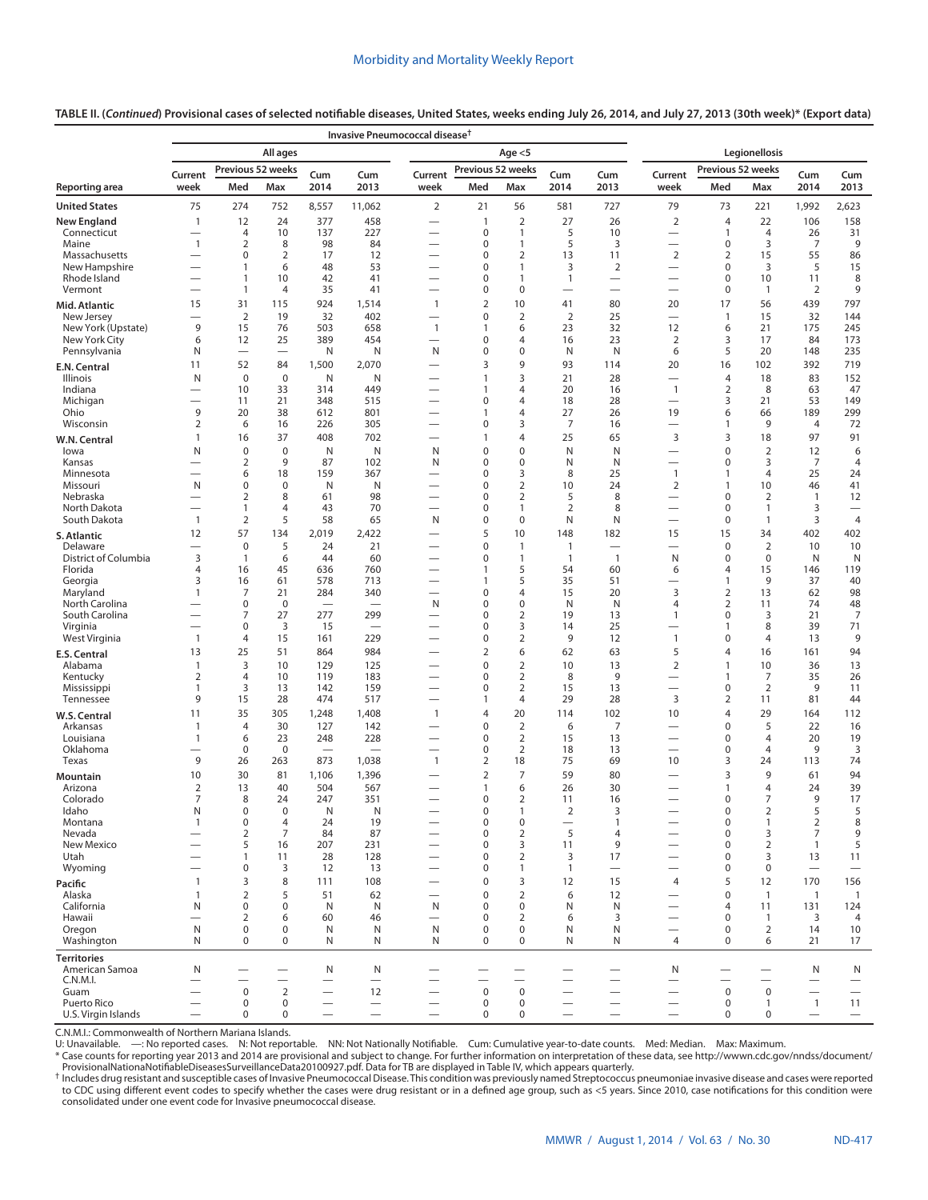**TABLE II. (***Continued***) Provisional cases of selected notifiable diseases, United States, weeks ending July 26, 2014, and July 27, 2013 (30th week)\* [\(Export data\)](https://data.cdc.gov/NNDSS/NNDSS-Table-II-Invasive-Pneumococcal-to-Legionello/23gt-ssfe)**

|                                     |                               |                          |                   |                                   | Invasive Pneumococcal disease <sup>†</sup> |                                          |                   |                                  |                                   |                                 |                                                      |                     |                      |                                |                                   |
|-------------------------------------|-------------------------------|--------------------------|-------------------|-----------------------------------|--------------------------------------------|------------------------------------------|-------------------|----------------------------------|-----------------------------------|---------------------------------|------------------------------------------------------|---------------------|----------------------|--------------------------------|-----------------------------------|
|                                     |                               |                          | All ages          |                                   |                                            |                                          |                   | Age $<$ 5                        |                                   |                                 |                                                      |                     | Legionellosis        |                                |                                   |
|                                     | Current                       | Previous 52 weeks        |                   | Cum                               | Cum                                        | Current                                  | Previous 52 weeks |                                  | Cum                               | Cum                             | Current                                              | Previous 52 weeks   |                      | Cum                            | Cum                               |
| Reporting area                      | week                          | Med                      | Max               | 2014                              | 2013                                       | week                                     | Med               | Max                              | 2014                              | 2013                            | week                                                 | Med                 | Max                  | 2014                           | 2013                              |
| <b>United States</b>                | 75                            | 274                      | 752               | 8,557                             | 11,062                                     | 2                                        | 21                | 56                               | 581                               | 727                             | 79                                                   | 73                  | 221                  | 1,992                          | 2,623                             |
| New England                         | $\mathbf{1}$                  | 12                       | 24                | 377                               | 458                                        |                                          | 1                 | $\overline{2}$                   | 27                                | 26<br>10                        | $\overline{2}$                                       | 4<br>$\mathbf{1}$   | 22                   | 106                            | 158                               |
| Connecticut<br>Maine                | $\mathbf{1}$                  | 4<br>2                   | 10<br>8           | 137<br>98                         | 227<br>84                                  | -                                        | 0<br>0            | $\mathbf{1}$<br>$\mathbf{1}$     | 5<br>5                            | 3                               | $\overline{\phantom{0}}$                             | $\mathbf 0$         | $\overline{4}$<br>3  | 26<br>$\overline{7}$           | 31<br>9                           |
| Massachusetts                       |                               | 0                        | $\overline{2}$    | 17                                | 12                                         | -                                        | 0                 | $\mathbf 2$                      | 13                                | 11                              | $\mathbf 2$                                          | $\overline{2}$      | 15                   | 55                             | 86                                |
| New Hampshire<br>Rhode Island       |                               | 1<br>1                   | 6<br>10           | 48<br>42                          | 53<br>41                                   | -                                        | 0<br>0            | $\mathbf{1}$<br>$\mathbf{1}$     | 3<br>1                            | $\overline{2}$                  | $\overline{\phantom{0}}$<br>$\overline{\phantom{0}}$ | 0<br>$\mathbf 0$    | 3<br>10              | 5<br>11                        | 15<br>8                           |
| Vermont                             |                               | $\mathbf{1}$             | 4                 | 35                                | 41                                         |                                          | 0                 | $\mathbf 0$                      | $\overline{\phantom{0}}$          |                                 | $\overline{\phantom{0}}$                             | 0                   | $\overline{1}$       | 2                              | 9                                 |
| Mid. Atlantic                       | 15                            | 31                       | 115               | 924                               | 1,514                                      | $\mathbf{1}$                             | $\overline{2}$    | 10                               | 41                                | 80                              | 20                                                   | 17                  | 56                   | 439                            | 797                               |
| New Jersey                          | $\overline{\phantom{0}}$      | $\overline{2}$           | 19                | 32                                | 402                                        | $\overline{\phantom{0}}$                 | $\mathbf 0$       | $\mathbf 2$                      | $\overline{2}$                    | 25                              | $\overline{\phantom{0}}$                             | 1                   | 15                   | 32                             | 144                               |
| New York (Upstate)<br>New York City | 9<br>6                        | 15<br>12                 | 76<br>25          | 503<br>389                        | 658<br>454                                 | $\mathbf{1}$<br>$\overline{\phantom{0}}$ | 1<br>0            | 6<br>4                           | 23<br>16                          | 32<br>23                        | 12<br>$\overline{2}$                                 | 6<br>3              | 21<br>17             | 175<br>84                      | 245<br>173                        |
| Pennsylvania                        | N                             | $\overline{\phantom{0}}$ |                   | N                                 | N                                          | N                                        | 0                 | $\mathbf 0$                      | N                                 | N                               | 6                                                    | 5                   | 20                   | 148                            | 235                               |
| E.N. Central                        | 11                            | 52                       | 84                | 1,500                             | 2,070                                      |                                          | 3                 | 9                                | 93                                | 114                             | 20                                                   | 16                  | 102                  | 392                            | 719                               |
| Illinois<br>Indiana                 | N<br>$\overline{\phantom{0}}$ | $\mathbf 0$<br>10        | $\mathbf 0$<br>33 | N<br>314                          | N<br>449                                   | -                                        | 1<br>1            | 3<br>4                           | 21<br>20                          | 28<br>16                        | $\overline{\phantom{0}}$<br>$\overline{1}$           | 4<br>$\overline{2}$ | 18<br>8              | 83<br>63                       | 152<br>47                         |
| Michigan                            |                               | 11                       | 21                | 348                               | 515                                        |                                          | 0                 | $\overline{4}$                   | 18                                | 28                              | $\overline{\phantom{0}}$                             | 3                   | 21                   | 53                             | 149                               |
| Ohio                                | 9                             | 20                       | 38                | 612                               | 801                                        | -                                        | 1                 | $\overline{4}$                   | 27                                | 26                              | 19                                                   | 6                   | 66                   | 189                            | 299                               |
| Wisconsin                           | 2                             | 6                        | 16                | 226                               | 305                                        | $\overline{\phantom{0}}$                 | $\Omega$          | 3<br>$\overline{4}$              | 7                                 | 16                              | $\overline{\phantom{0}}$                             | 1<br>3              | 9                    | $\overline{4}$<br>97           | 72<br>91                          |
| W.N. Central<br>lowa                | 1<br>N                        | 16<br>0                  | 37<br>$\mathbf 0$ | 408<br>N                          | 702<br>N                                   | N                                        | 1<br>$\mathbf 0$  | $\mathbf 0$                      | 25<br>N                           | 65<br>N                         | 3                                                    | $\mathbf 0$         | 18<br>$\overline{2}$ | 12                             | 6                                 |
| Kansas                              | $\overline{\phantom{0}}$      | 2                        | 9                 | 87                                | 102                                        | N                                        | 0                 | $\mathbf 0$                      | N                                 | N                               | $\overline{\phantom{0}}$                             | 0                   | 3                    | 7                              | 4                                 |
| Minnesota                           |                               | 6                        | 18                | 159                               | 367                                        |                                          | 0                 | 3                                | 8                                 | 25                              | $\mathbf{1}$                                         | 1                   | 4                    | 25                             | 24                                |
| Missouri<br>Nebraska                | N                             | 0<br>2                   | 0<br>8            | N<br>61                           | N<br>98                                    | -                                        | 0<br>$\Omega$     | $\overline{2}$<br>$\overline{2}$ | 10<br>5                           | 24<br>8                         | 2<br>—                                               | 1<br>$\mathbf 0$    | 10<br>2              | 46<br>$\mathbf{1}$             | 41<br>12                          |
| North Dakota                        |                               | 1                        | 4                 | 43                                | 70                                         |                                          | 0                 | $\mathbf{1}$                     | $\overline{2}$                    | 8                               |                                                      | 0                   | $\mathbf{1}$         | 3                              |                                   |
| South Dakota                        | $\mathbf{1}$                  | $\overline{2}$           | 5                 | 58                                | 65                                         | N                                        | 0                 | $\mathbf 0$                      | N                                 | N                               | —                                                    | 0                   | $\mathbf{1}$         | 3                              | 4                                 |
| S. Atlantic<br>Delaware             | 12                            | 57<br>$\mathbf 0$        | 134<br>5          | 2,019<br>24                       | 2,422<br>21                                |                                          | 5<br>$\Omega$     | 10<br>$\mathbf{1}$               | 148<br>$\mathbf{1}$               | 182<br>$\overline{\phantom{0}}$ | 15                                                   | 15<br>$\mathbf 0$   | 34<br>$\overline{2}$ | 402<br>10                      | 402<br>10                         |
| District of Columbia                | 3                             | $\mathbf{1}$             | 6                 | 44                                | 60                                         | -                                        | 0                 | $\mathbf{1}$                     | 1                                 | $\overline{1}$                  | N                                                    | 0                   | $\mathbf 0$          | N                              | N                                 |
| Florida                             | 4                             | 16                       | 45                | 636                               | 760                                        |                                          | 1                 | 5                                | 54                                | 60                              | 6                                                    | 4                   | 15                   | 146                            | 119                               |
| Georgia<br>Maryland                 | 3<br>1                        | 16<br>7                  | 61<br>21          | 578<br>284                        | 713<br>340                                 | -                                        | 1<br>0            | 5<br>$\overline{4}$              | 35<br>15                          | 51<br>20                        | $\overline{\phantom{0}}$<br>3                        | 1<br>2              | 9<br>13              | 37<br>62                       | 40<br>98                          |
| North Carolina                      |                               | 0                        | 0                 |                                   |                                            | N                                        | 0                 | $\mathbf 0$                      | N                                 | N                               | 4                                                    | 2                   | 11                   | 74                             | 48                                |
| South Carolina                      |                               | 7<br>0                   | 27                | 277<br>15                         | 299<br>$\overline{\phantom{0}}$            | $\overline{\phantom{0}}$                 | $\Omega$<br>0     | $\overline{2}$<br>3              | 19<br>14                          | 13<br>25                        | 1<br>$\overline{\phantom{0}}$                        | 0<br>1              | 3<br>8               | 21<br>39                       | 7<br>71                           |
| Virginia<br>West Virginia           | $\mathbf{1}$                  | 4                        | 3<br>15           | 161                               | 229                                        | $\overline{\phantom{0}}$                 | 0                 | $\overline{2}$                   | 9                                 | 12                              | 1                                                    | 0                   | 4                    | 13                             | 9                                 |
| E.S. Central                        | 13                            | 25                       | 51                | 864                               | 984                                        | $\overline{\phantom{0}}$                 | $\overline{2}$    | 6                                | 62                                | 63                              | 5                                                    | 4                   | 16                   | 161                            | 94                                |
| Alabama                             | $\mathbf{1}$                  | 3                        | 10                | 129                               | 125                                        |                                          | 0                 | $\overline{2}$                   | 10                                | 13                              | $\overline{2}$                                       | 1                   | 10                   | 36                             | 13                                |
| Kentucky<br>Mississippi             | 2<br>1                        | 4<br>3                   | 10<br>13          | 119<br>142                        | 183<br>159                                 | -<br>$\overline{\phantom{0}}$            | 0<br>0            | $\overline{2}$<br>$\overline{2}$ | 8<br>15                           | 9<br>13                         | —                                                    | 1<br>$\mathbf 0$    | 7<br>$\overline{2}$  | 35<br>9                        | 26<br>11                          |
| Tennessee                           | 9                             | 15                       | 28                | 474                               | 517                                        | $\overline{\phantom{0}}$                 | 1                 | $\overline{4}$                   | 29                                | 28                              | 3                                                    | 2                   | 11                   | 81                             | 44                                |
| W.S. Central                        | 11                            | 35                       | 305               | 1,248                             | 1,408                                      | $\mathbf{1}$                             | 4                 | 20                               | 114                               | 102                             | 10                                                   | 4                   | 29                   | 164                            | 112                               |
| Arkansas                            | 1<br>1                        | 4                        | 30                | 127                               | 142                                        |                                          | 0<br>0            | $\overline{2}$                   | 6                                 | $\overline{7}$                  |                                                      | $\Omega$<br>0       | 5<br>4               | 22                             | 16                                |
| Louisiana<br>Oklahoma               |                               | 6<br>0                   | 23<br>0           | 248<br>$\overline{\phantom{0}}$   | 228                                        | -                                        | 0                 | $\overline{2}$<br>$\overline{2}$ | 15<br>18                          | 13<br>13                        | -<br>—                                               | 0                   | 4                    | 20<br>9                        | 19<br>3                           |
| Texas                               | 9                             | 26                       | 263               | 873                               | 1,038                                      | $\overline{1}$                           | 2                 | 18                               | 75                                | 69                              | 10                                                   | 3                   | 24                   | 113                            | 74                                |
| Mountain                            | 10                            | 30                       | 81                | 1,106                             | 1,396                                      |                                          | $\overline{2}$    | 7                                | 59                                | 80                              | $\overline{\phantom{0}}$                             | 3                   | 9                    | 61                             | 94                                |
| Arizona<br>Colorado                 | 2<br>$\overline{7}$           | 13<br>8                  | 40<br>24          | 504<br>247                        | 567<br>351                                 | $\overline{\phantom{0}}$                 | 1<br>$\Omega$     | 6<br>2                           | 26<br>11                          | 30<br>16                        | $\overline{\phantom{0}}$                             | 1<br>0              | 4<br>7               | 24<br>9                        | 39<br>17                          |
| idano                               | N                             | 0                        | 0                 | N                                 | N                                          |                                          | 0                 |                                  | 2                                 | з                               |                                                      | 0                   | 2                    | 5                              | 5                                 |
| Montana                             | $\mathbf{1}$                  | 0                        | 4                 | 24                                | 19                                         |                                          | 0                 | $\pmb{0}$                        |                                   | 1                               | $\qquad \qquad$                                      | 0                   | $\mathbf{1}$         | $\overline{2}$                 | 8                                 |
| Nevada<br>New Mexico                |                               | $\overline{2}$<br>5      | 7<br>16           | 84<br>207                         | 87<br>231                                  |                                          | 0<br>0            | $\overline{2}$<br>3              | 5<br>11                           | 4<br>9                          |                                                      | 0<br>0              | 3<br>$\overline{2}$  | $\overline{7}$<br>$\mathbf{1}$ | 9<br>5                            |
| Utah                                |                               | 1                        | 11                | 28                                | 128                                        |                                          | 0                 | $\overline{2}$                   | 3                                 | 17                              |                                                      | $\mathbf 0$         | 3                    | 13                             | 11                                |
| Wyoming                             |                               | 0                        | 3                 | 12                                | 13                                         |                                          | 0                 | $\mathbf{1}$                     | $\mathbf{1}$                      | $\qquad \qquad -$               |                                                      | 0                   | 0                    |                                | $\overbrace{\phantom{123221111}}$ |
| Pacific<br>Alaska                   | $\mathbf{1}$<br>$\mathbf{1}$  | 3<br>$\overline{2}$      | 8<br>5            | 111<br>51                         | 108<br>62                                  |                                          | $\mathbf 0$<br>0  | 3<br>$\overline{2}$              | 12<br>6                           | 15<br>12                        | $\overline{4}$<br>$\overline{\phantom{0}}$           | 5<br>0              | 12<br>$\overline{1}$ | 170<br>$\overline{1}$          | 156<br>$\mathbf{1}$               |
| California                          | N                             | 0                        | 0                 | N                                 | N                                          | N                                        | 0                 | $\mathbf 0$                      | N                                 | N                               |                                                      | 4                   | 11                   | 131                            | 124                               |
| Hawaii                              |                               | 2                        | 6                 | 60                                | 46                                         | $\overline{\phantom{0}}$                 | 0                 | $\overline{2}$                   | 6                                 | 3                               | $\overline{\phantom{0}}$                             | 0                   | $\overline{1}$       | 3                              | 4                                 |
| Oregon<br>Washington                | N<br>N                        | 0<br>0                   | 0<br>0            | N<br>N                            | N<br>N                                     | N<br>N                                   | 0<br>0            | $\mathbf 0$<br>$\mathbf 0$       | N<br>N                            | N<br>N                          | $\overline{\phantom{0}}$<br>4                        | 0<br>0              | $\overline{2}$<br>6  | 14<br>21                       | 10<br>17                          |
| Territories                         |                               |                          |                   |                                   |                                            |                                          |                   |                                  |                                   |                                 |                                                      |                     |                      |                                |                                   |
| American Samoa                      | N                             |                          |                   | N                                 | N                                          |                                          |                   |                                  |                                   |                                 | N                                                    |                     |                      | N                              | N                                 |
| C.N.M.I.<br>Guam                    |                               | $\mathbf 0$              | $\overline{2}$    |                                   | 12                                         |                                          | $\pmb{0}$         | $\pmb{0}$                        |                                   | -<br>$\overline{\phantom{0}}$   |                                                      | $\mathbf 0$         | -<br>$\mathbf 0$     | $\overline{\phantom{0}}$       |                                   |
| Puerto Rico                         |                               | $\mathbf 0$              | $\pmb{0}$         |                                   | $\qquad \qquad -$                          |                                          | 0                 | $\mathbf 0$                      |                                   | $\qquad \qquad$                 |                                                      | $\mathbf 0$         | $\mathbf{1}$         | $\mathbf{1}$                   | 11                                |
| U.S. Virgin Islands                 | $\qquad \qquad -$             | 0                        | 0                 | $\overbrace{\phantom{123221111}}$ |                                            | $\qquad \qquad -$                        | 0                 | 0                                | $\overbrace{\phantom{123221111}}$ |                                 | $\qquad \qquad -$                                    | 0                   | 0                    | $\overline{\phantom{0}}$       | $\qquad \qquad -$                 |

C.N.M.I.: Commonwealth of Northern Mariana Islands.

U: Unavailable. —: No reported cases. N: Not reportable. NN: Not Nationally Notifiable. Cum: Cumulative year-to-date counts. Med: Median. Max: Maximum.

\* Case counts for reporting year 2013 and 2014 are provisional and subject to change. For further information on interpretation of these data, see [http://wwwn.cdc.gov/nndss/document/](http://wwwn.cdc.gov/nndss/document/ProvisionalNationaNotifiableDiseasesSurveillanceData20100927.pdf)<br>ProvisionalNationaNotifiableDiseasesSur

[ProvisionalNationaNotifiableDiseasesSurveillanceData20100927.pdf](http://wwwn.cdc.gov/nndss/document/ProvisionalNationaNotifiableDiseasesSurveillanceData20100927.pdf). Data for TB are displayed in Table IV, which appears quarterly.<br>Thcludes drug resistant and susceptible cases of Invasive Pneumococcal Disease. This conditi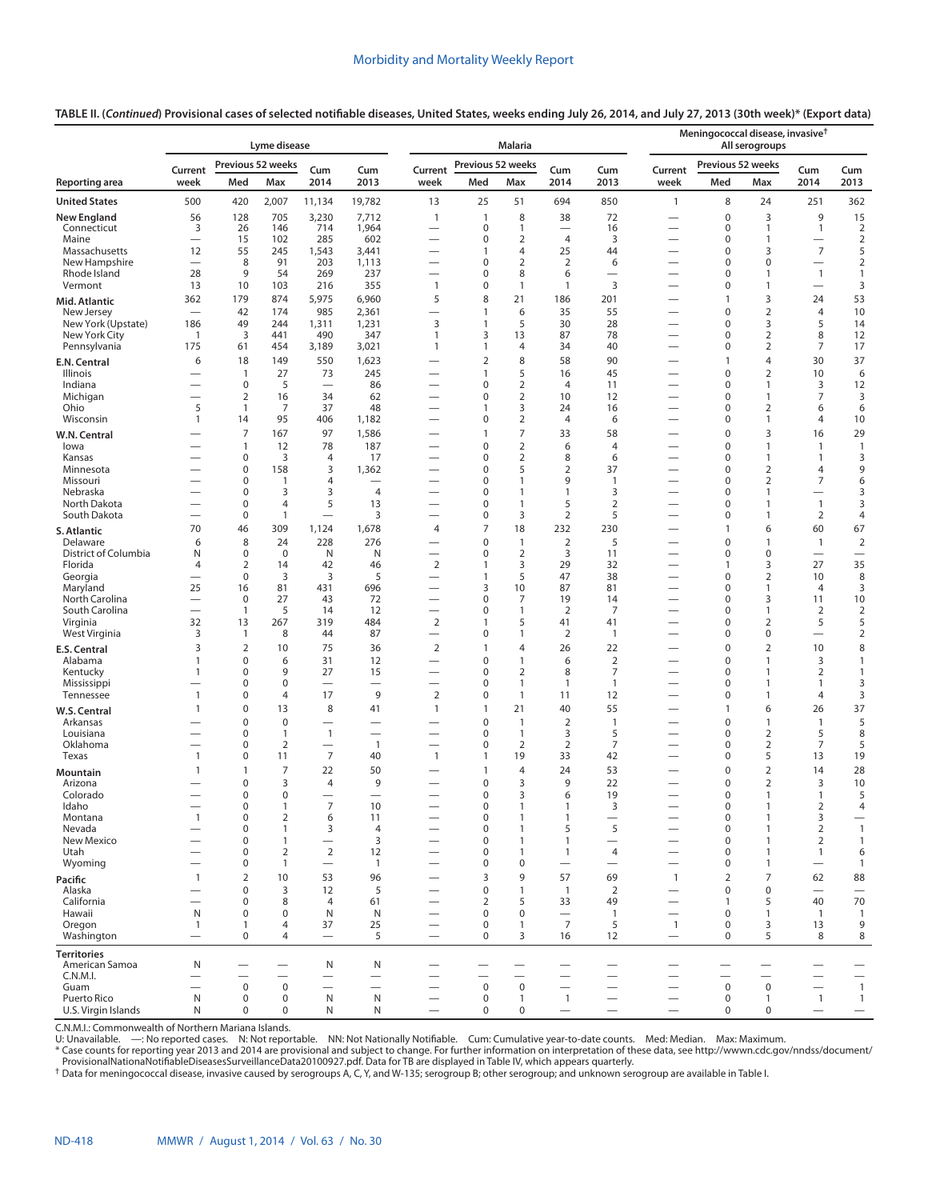**TABLE II. (***Continued***) Provisional cases of selected notifiable diseases, United States, weeks ending July 26, 2014, and July 27, 2013 (30th week)\* [\(Export data\)](https://data.cdc.gov/NNDSS/NNDSS-Table-II-Lyme-disease-to-Meningococcal/y6uv-t34t)**

|                                  |                                                      |                                | Lyme disease                   |                                                              |                                          |                                                      |                                | <b>Malaria</b>                   |                          |                                                      |                                                      | Meningococcal disease, invasive <sup>†</sup> | All serogroups                   |                                  |                                          |
|----------------------------------|------------------------------------------------------|--------------------------------|--------------------------------|--------------------------------------------------------------|------------------------------------------|------------------------------------------------------|--------------------------------|----------------------------------|--------------------------|------------------------------------------------------|------------------------------------------------------|----------------------------------------------|----------------------------------|----------------------------------|------------------------------------------|
|                                  | Current                                              | Previous 52 weeks              |                                | Cum                                                          | Cum                                      | Current                                              | Previous 52 weeks              |                                  | Cum                      | Cum                                                  | Current                                              | Previous 52 weeks                            |                                  | Cum                              | Cum                                      |
| Reporting area                   | week                                                 | Med                            | Max                            | 2014                                                         | 2013                                     | week                                                 | Med                            | Max                              | 2014                     | 2013                                                 | week                                                 | Med                                          | Max                              | 2014                             | 2013                                     |
| <b>United States</b>             | 500                                                  | 420                            | 2,007                          | 11,134                                                       | 19,782                                   | 13                                                   | 25                             | 51                               | 694                      | 850                                                  | $\mathbf{1}$                                         | 8                                            | 24                               | 251                              | 362                                      |
| <b>New England</b>               | 56                                                   | 128                            | 705                            | 3,230                                                        | 7,712                                    | $\mathbf{1}$                                         | 1                              | 8                                | 38                       | 72                                                   |                                                      | $\mathbf 0$                                  | 3                                | 9                                | 15                                       |
| Connecticut<br>Maine             | 3                                                    | 26<br>15                       | 146<br>102                     | 714<br>285                                                   | 1,964<br>602                             | $\overline{\phantom{0}}$<br>$\overline{\phantom{0}}$ | 0<br>0                         | $\mathbf{1}$<br>$\overline{2}$   | $\overline{4}$           | 16<br>3                                              | $\overline{\phantom{0}}$<br>$\overline{\phantom{0}}$ | 0<br>$\mathbf 0$                             | 1<br>$\mathbf{1}$                | $\mathbf{1}$                     | $\overline{2}$<br>$\overline{2}$         |
| Massachusetts                    | 12                                                   | 55                             | 245                            | 1,543                                                        | 3,441                                    | $\overline{\phantom{0}}$                             | 1                              | 4                                | 25                       | 44                                                   | -                                                    | 0                                            | 3                                | $\overline{7}$                   | 5                                        |
| New Hampshire<br>Rhode Island    | 28                                                   | 8<br>9                         | 91<br>54                       | 203<br>269                                                   | 1,113<br>237                             | $\overline{\phantom{0}}$<br>$\overline{\phantom{0}}$ | 0<br>0                         | $\overline{2}$<br>8              | $\overline{2}$<br>6      | 6                                                    | -<br>$\overline{\phantom{0}}$                        | $\mathbf 0$<br>0                             | 0<br>$\mathbf{1}$                | $\mathbf{1}$                     | $\overline{2}$<br>$\mathbf{1}$           |
| Vermont                          | 13                                                   | 10                             | 103                            | 216                                                          | 355                                      | 1                                                    | 0                              | $\overline{1}$                   | 1                        | $\overline{3}$                                       | $\overline{\phantom{0}}$                             | 0                                            | $\mathbf{1}$                     |                                  | 3                                        |
| Mid. Atlantic                    | 362                                                  | 179                            | 874                            | 5,975                                                        | 6,960                                    | 5                                                    | 8                              | 21                               | 186                      | 201                                                  |                                                      | $\mathbf{1}$                                 | 3                                | 24                               | 53                                       |
| New Jersey<br>New York (Upstate) | $\overline{\phantom{0}}$<br>186                      | 42<br>49                       | 174<br>244                     | 985<br>1,311                                                 | 2,361<br>1,231                           | —<br>3                                               | $\mathbf{1}$<br>$\mathbf{1}$   | 6<br>5                           | 35<br>30                 | 55<br>28                                             | $\overline{\phantom{0}}$                             | $\mathbf 0$<br>0                             | $\overline{2}$<br>3              | $\overline{4}$<br>5              | 10<br>14                                 |
| New York City                    | 1                                                    | 3                              | 441                            | 490                                                          | 347                                      | 1                                                    | 3                              | 13                               | 87                       | 78                                                   | $\overline{\phantom{0}}$                             | $\mathbf 0$                                  | $\overline{2}$                   | 8                                | 12                                       |
| Pennsylvania                     | 175                                                  | 61                             | 454                            | 3,189                                                        | 3,021                                    | 1                                                    | $\mathbf{1}$                   | $\overline{4}$                   | 34                       | 40                                                   | —                                                    | 0                                            | $\overline{2}$                   | 7                                | 17                                       |
| E.N. Central                     | 6                                                    | 18                             | 149<br>27                      | 550                                                          | 1,623<br>245                             |                                                      | $\overline{2}$<br>$\mathbf{1}$ | 8<br>5                           | 58                       | 90<br>45                                             |                                                      | $\mathbf{1}$<br>$\mathbf 0$                  | 4<br>$\overline{2}$              | 30<br>10                         | 37                                       |
| Illinois<br>Indiana              |                                                      | 1<br>$\pmb{0}$                 | 5                              | 73<br>$\overline{\phantom{0}}$                               | 86                                       | —<br>$\overline{\phantom{0}}$                        | $\mathbf 0$                    | $\overline{2}$                   | 16<br>$\overline{4}$     | 11                                                   | —<br>—                                               | $\mathbf 0$                                  | $\mathbf{1}$                     | 3                                | 6<br>12                                  |
| Michigan                         |                                                      | $\overline{2}$                 | 16                             | 34                                                           | 62                                       | $\overline{\phantom{0}}$                             | 0                              | $\overline{2}$                   | 10                       | 12                                                   | $\overline{\phantom{0}}$                             | 0                                            | 1                                | 7                                | 3                                        |
| Ohio<br>Wisconsin                | 5<br>$\mathbf{1}$                                    | $\mathbf{1}$<br>14             | 7<br>95                        | 37<br>406                                                    | 48<br>1,182                              | -                                                    | 1<br>$\mathbf 0$               | 3<br>$\overline{2}$              | 24<br>$\overline{4}$     | 16<br>6                                              | -                                                    | 0<br>$\mathbf 0$                             | $\overline{2}$<br>1              | 6<br>$\overline{4}$              | 6<br>10                                  |
| W.N. Central                     |                                                      | 7                              | 167                            | 97                                                           | 1,586                                    |                                                      | $\mathbf{1}$                   | $\overline{7}$                   | 33                       | 58                                                   |                                                      | $\mathbf 0$                                  | 3                                | 16                               | 29                                       |
| lowa                             |                                                      | 1                              | 12                             | 78                                                           | 187                                      | $\overline{\phantom{0}}$                             | 0                              | $\overline{2}$                   | 6                        | $\overline{4}$                                       |                                                      | $\mathbf 0$                                  | 1                                | 1                                | $\mathbf{1}$                             |
| Kansas<br>Minnesota              |                                                      | $\pmb{0}$<br>0                 | 3<br>158                       | 4<br>3                                                       | 17<br>1,362                              | $\overline{\phantom{0}}$<br>$\overline{\phantom{0}}$ | 0<br>0                         | $\mathbf 2$<br>5                 | 8<br>$\overline{2}$      | 6<br>37                                              | $\overline{\phantom{0}}$<br>$\overline{\phantom{0}}$ | 0<br>0                                       | $\mathbf{1}$<br>$\overline{2}$   | 1<br>4                           | 3<br>9                                   |
| Missouri                         |                                                      | $\pmb{0}$                      | $\mathbf{1}$                   | $\overline{4}$                                               | $\overline{\phantom{0}}$                 |                                                      | 0                              | $\overline{1}$                   | 9                        | $\mathbf{1}$                                         |                                                      | $\mathbf 0$                                  | $\overline{2}$                   | 7                                | 6                                        |
| Nebraska                         |                                                      | $\pmb{0}$                      | 3                              | 3                                                            | $\overline{4}$                           |                                                      | $\mathbf 0$                    | $\mathbf{1}$                     | 1                        | 3                                                    | $\overline{\phantom{0}}$                             | $\mathbf 0$                                  | 1                                | $\qquad \qquad$                  | 3                                        |
| North Dakota<br>South Dakota     |                                                      | $\mathbf 0$<br>$\pmb{0}$       | 4<br>$\mathbf{1}$              | 5                                                            | 13<br>3                                  |                                                      | $\mathbf 0$<br>0               | $\overline{1}$<br>3              | 5<br>2                   | $\overline{2}$<br>5                                  |                                                      | $\mathbf 0$<br>$\mathbf 0$                   | $\mathbf{1}$<br>1                | $\mathbf{1}$<br>$\overline{2}$   | 3<br>4                                   |
| S. Atlantic                      | 70                                                   | 46                             | 309                            | 1,124                                                        | 1,678                                    | 4                                                    | 7                              | 18                               | 232                      | 230                                                  |                                                      | $\mathbf{1}$                                 | 6                                | 60                               | 67                                       |
| Delaware                         | 6                                                    | 8                              | 24                             | 228                                                          | 276                                      |                                                      | $\pmb{0}$                      | $\overline{1}$                   | $\overline{2}$           | 5                                                    |                                                      | $\mathbf 0$                                  | $\mathbf{1}$                     | $\mathbf{1}$                     | $\overline{2}$                           |
| District of Columbia<br>Florida  | N<br>4                                               | 0<br>$\overline{2}$            | $\mathbf 0$<br>14              | Ν<br>42                                                      | N<br>46                                  | $\overline{\phantom{0}}$<br>$\overline{2}$           | $\pmb{0}$<br>$\mathbf{1}$      | $\overline{2}$<br>3              | 3<br>29                  | 11<br>32                                             |                                                      | $\mathbf 0$<br>1                             | $\mathbf 0$<br>3                 | $\overline{\phantom{0}}$<br>27   | $\overline{\phantom{0}}$<br>35           |
| Georgia                          |                                                      | $\mathbf 0$                    | 3                              | 3                                                            | 5                                        | $\overline{\phantom{0}}$                             | $\mathbf{1}$                   | 5                                | 47                       | 38                                                   |                                                      | $\mathbf 0$                                  | $\overline{2}$                   | 10                               | 8                                        |
| Maryland<br>North Carolina       | 25<br>$\overline{\phantom{0}}$                       | 16<br>$\pmb{0}$                | 81<br>27                       | 431<br>43                                                    | 696<br>72                                | $\overline{\phantom{0}}$                             | 3<br>0                         | 10<br>7                          | 87<br>19                 | 81<br>14                                             |                                                      | $\mathbf 0$<br>$\mathbf 0$                   | 1<br>3                           | $\overline{4}$<br>11             | 3<br>10                                  |
| South Carolina                   | $\overline{\phantom{0}}$                             | 1                              | 5                              | 14                                                           | 12                                       |                                                      | 0                              | $\overline{1}$                   | $\overline{2}$           | 7                                                    |                                                      | $\mathbf 0$                                  | 1                                | $\overline{2}$                   | $\overline{2}$                           |
| Virginia                         | 32                                                   | 13                             | 267                            | 319                                                          | 484                                      | $\overline{2}$                                       | 1                              | 5                                | 41                       | 41                                                   | -                                                    | $\mathbf 0$                                  | $\overline{2}$                   | 5                                | 5                                        |
| West Virginia                    | 3<br>3                                               | $\mathbf{1}$<br>$\overline{2}$ | 8<br>10                        | 44<br>75                                                     | 87<br>36                                 | $\overline{2}$                                       | $\mathbf 0$<br>$\mathbf{1}$    | 1<br>$\overline{4}$              | $\overline{2}$<br>26     | $\mathbf{1}$<br>22                                   | —                                                    | $\mathbf 0$<br>$\mathbf 0$                   | 0<br>$\overline{2}$              | $\qquad \qquad$<br>10            | $\overline{2}$<br>8                      |
| <b>E.S. Central</b><br>Alabama   | $\mathbf{1}$                                         | $\mathbf 0$                    | 6                              | 31                                                           | 12                                       |                                                      | $\mathbf 0$                    | $\mathbf{1}$                     | 6                        | $\overline{2}$                                       |                                                      | $\mathbf 0$                                  | 1                                | 3                                | $\mathbf{1}$                             |
| Kentucky                         | 1                                                    | 0                              | 9                              | 27                                                           | 15                                       | $\overline{\phantom{0}}$                             | 0                              | $\overline{2}$                   | 8                        | 7                                                    |                                                      | $\mathbf 0$                                  | $\mathbf{1}$                     | $\overline{2}$                   | $\mathbf{1}$                             |
| Mississippi<br>Tennessee         | 1                                                    | 0<br>$\mathbf 0$               | 0<br>4                         | 17                                                           | $\overline{\phantom{0}}$<br>9            | $\overline{\phantom{0}}$<br>$\overline{2}$           | 0<br>$\mathbf 0$               | $\overline{1}$<br>$\overline{1}$ | $\mathbf{1}$<br>11       | $\mathbf{1}$<br>12                                   | $\overline{\phantom{0}}$                             | $\mathbf 0$<br>$\mathbf 0$                   | $\mathbf{1}$<br>1                | $\mathbf{1}$<br>$\overline{4}$   | 3<br>3                                   |
| W.S. Central                     | $\mathbf{1}$                                         | $\mathbf 0$                    | 13                             | 8                                                            | 41                                       | $\mathbf{1}$                                         | $\mathbf{1}$                   | 21                               | 40                       | 55                                                   |                                                      | $\mathbf{1}$                                 | 6                                | 26                               | 37                                       |
| Arkansas                         |                                                      | $\mathbf 0$                    | 0                              | $\overline{\phantom{0}}$                                     |                                          |                                                      | $\mathbf 0$                    | $\overline{1}$                   | $\overline{2}$           | $\mathbf{1}$                                         |                                                      | $\mathbf 0$                                  | $\mathbf{1}$                     | $\mathbf{1}$                     | 5                                        |
| Louisiana<br>Oklahoma            |                                                      | 0<br>0                         | $\mathbf{1}$<br>$\overline{2}$ | $\mathbf{1}$<br>$\overline{\phantom{0}}$                     | $\overline{\phantom{0}}$<br>$\mathbf{1}$ | $\overline{\phantom{0}}$                             | $\pmb{0}$<br>$\pmb{0}$         | $\mathbf{1}$<br>$\overline{2}$   | 3<br>2                   | 5<br>7                                               |                                                      | $\mathbf 0$<br>$\mathbf 0$                   | $\overline{2}$<br>$\overline{2}$ | 5<br>$\overline{7}$              | 8<br>5                                   |
| Texas                            | $\mathbf{1}$                                         | $\mathbf 0$                    | 11                             | $\overline{7}$                                               | 40                                       | $\mathbf{1}$                                         | 1                              | 19                               | 33                       | 42                                                   | -                                                    | $\mathbf 0$                                  | 5                                | 13                               | 19                                       |
| <b>Mountain</b>                  | 1                                                    | 1                              | 7                              | 22                                                           | 50                                       |                                                      | $\mathbf{1}$                   | $\overline{4}$                   | 24                       | 53                                                   |                                                      | $\mathbf 0$                                  | $\overline{2}$                   | 14                               | 28                                       |
| Arizona                          |                                                      | 0<br>$\mathbf 0$               | 3<br>0                         | $\overline{4}$<br>$\overline{\phantom{0}}$                   | 9<br>$\overline{\phantom{0}}$            |                                                      | $\pmb{0}$<br>$\mathbf 0$       | 3<br>3                           | 9<br>6                   | 22<br>19                                             | $\overline{\phantom{0}}$                             | $\mathbf 0$<br>$\mathbf 0$                   | $\overline{2}$                   | 3<br>$\mathbf{1}$                | 10<br>5                                  |
| Colorado<br>Idaho                |                                                      | 0                              | 1                              | 7                                                            | 10                                       |                                                      | 0                              | 1                                | 1                        | 3                                                    |                                                      | 0                                            | $\mathbf{1}$<br>1                | $\overline{2}$                   | $\overline{4}$                           |
| Montana                          | $\mathbf{1}$                                         | $\pmb{0}$                      | $\overline{2}$                 | 6                                                            | 11                                       |                                                      | $\pmb{0}$                      | $\overline{1}$                   | $\mathbf{1}$             |                                                      |                                                      | $\mathbf 0$                                  | $\mathbf{1}$                     | 3                                |                                          |
| Nevada<br>New Mexico             |                                                      | $\mathbf 0$<br>$\mathbf 0$     | $\mathbf{1}$<br>$\mathbf{1}$   | 3                                                            | 4<br>3                                   |                                                      | $\mathbf 0$<br>0               | 1<br>$\overline{1}$              | 5<br>$\mathbf{1}$        | 5                                                    |                                                      | $\mathbf 0$<br>$\mathbf 0$                   | $\mathbf{1}$<br>$\mathbf{1}$     | $\overline{2}$<br>$\overline{2}$ | $\mathbf{1}$<br>$\mathbf{1}$             |
| Utah                             |                                                      | 0                              | $\overline{2}$                 | $\overline{2}$                                               | 12                                       |                                                      | 0                              | $\overline{1}$                   | 1                        | 4                                                    | $\overline{\phantom{0}}$                             | $\mathbf 0$                                  | 1                                | $\mathbf{1}$                     | 6                                        |
| Wyoming                          |                                                      | 0                              | $\mathbf{1}$                   | $\overline{\phantom{0}}$                                     | $\mathbf{1}$                             |                                                      | 0                              | $\mathbf 0$                      | $\overline{\phantom{0}}$ | $\overline{\phantom{0}}$                             | $\overline{\phantom{0}}$                             | $\mathbf 0$                                  | $\mathbf{1}$                     | $\overline{\phantom{0}}$         | $\mathbf{1}$                             |
| Pacific<br>Alaska                | $\mathbf{1}$                                         | $\overline{2}$<br>$\mathbf 0$  | 10<br>3                        | 53<br>12                                                     | 96<br>5                                  |                                                      | 3<br>$\mathbf 0$               | 9<br>$\mathbf{1}$                | 57<br>$\mathbf{1}$       | 69<br>$\overline{2}$                                 | $\overline{1}$                                       | $\overline{2}$<br>$\mathbf 0$                | $\overline{7}$<br>$\mathbf 0$    | 62<br>$\equiv$                   | 88<br>$\overline{\phantom{0}}$           |
| California                       | $\overline{\phantom{0}}$                             | 0                              | 8                              | $\overline{4}$                                               | 61                                       |                                                      | 2                              | 5                                | 33                       | 49                                                   |                                                      | 1                                            | 5                                | 40                               | 70                                       |
| Hawaii                           | N                                                    | 0                              | 0                              | N                                                            | N                                        | $\overline{\phantom{0}}$                             | $\mathbf 0$                    | $\mathbf 0$                      |                          | $\mathbf{1}$                                         | $\overline{\phantom{0}}$                             | $\mathbf 0$                                  | 1                                | $\overline{1}$                   | $\overline{1}$                           |
| Oregon<br>Washington             | 1<br>$\overline{\phantom{0}}$                        | 1<br>$\mathbf 0$               | 4<br>$\overline{4}$            | 37<br>$\overline{\phantom{0}}$                               | 25<br>5                                  |                                                      | 0<br>$\mathbf 0$               | $\mathbf{1}$<br>3                | $\overline{7}$<br>16     | 5<br>12                                              | $\mathbf{1}$                                         | $\mathbf 0$<br>$\mathbf 0$                   | 3<br>5                           | 13<br>8                          | 9<br>8                                   |
| <b>Territories</b>               |                                                      |                                |                                |                                                              |                                          |                                                      |                                |                                  |                          |                                                      |                                                      |                                              |                                  |                                  |                                          |
| American Samoa                   | N                                                    |                                |                                | N                                                            | Ν                                        |                                                      |                                |                                  |                          |                                                      |                                                      |                                              |                                  |                                  |                                          |
| C.N.M.I.<br>Guam                 | $\overline{\phantom{0}}$<br>$\overline{\phantom{0}}$ | $\mathbf 0$                    | $\mathbf 0$                    | $\overline{\phantom{0}}$<br>$\overbrace{\phantom{12322111}}$ | $\overline{\phantom{0}}$                 |                                                      | $\mathbf 0$                    | $\mathbf 0$                      |                          | $\overline{\phantom{0}}$<br>$\overline{\phantom{0}}$ |                                                      | $\mathbf 0$                                  | $\mathbf 0$                      | $\overline{\phantom{0}}$         | $\overline{\phantom{0}}$<br>$\mathbf{1}$ |
| Puerto Rico                      | N                                                    | 0                              | 0                              | N                                                            | Ν                                        | $\overline{\phantom{0}}$                             | 0                              | $\mathbf{1}$                     | $\mathbf{1}$             |                                                      |                                                      | 0                                            | $\mathbf{1}$                     | $\overline{1}$                   | $\mathbf{1}$                             |
| U.S. Virgin Islands              | N                                                    | 0                              | 0                              | Ν                                                            | N                                        | $\overline{\phantom{0}}$                             | 0                              | 0                                | $\overline{\phantom{0}}$ | $\overline{\phantom{0}}$                             | $\overline{\phantom{0}}$                             | 0                                            | 0                                | $\overline{\phantom{0}}$         | $\qquad \qquad -$                        |

C.N.M.I.: Commonwealth of Northern Mariana Islands.

U: Unavailable. —: No reported cases. N: Not reportable. NN: Not Nationally Notifiable. Cum: Cumulative year-to-date counts. Med: Median. Max: Maximum.

\* Case counts for reporting year 2013 and 2014 are provisional and subject to change. For further information on interpretation of these data, see [http://wwwn.cdc.gov/nndss/document/](http://wwwn.cdc.gov/nndss/document/ProvisionalNationaNotifiableDiseasesSurveillanceData20100927.pdf)<br>ProvisionalNationaNotifiableDiseasesSur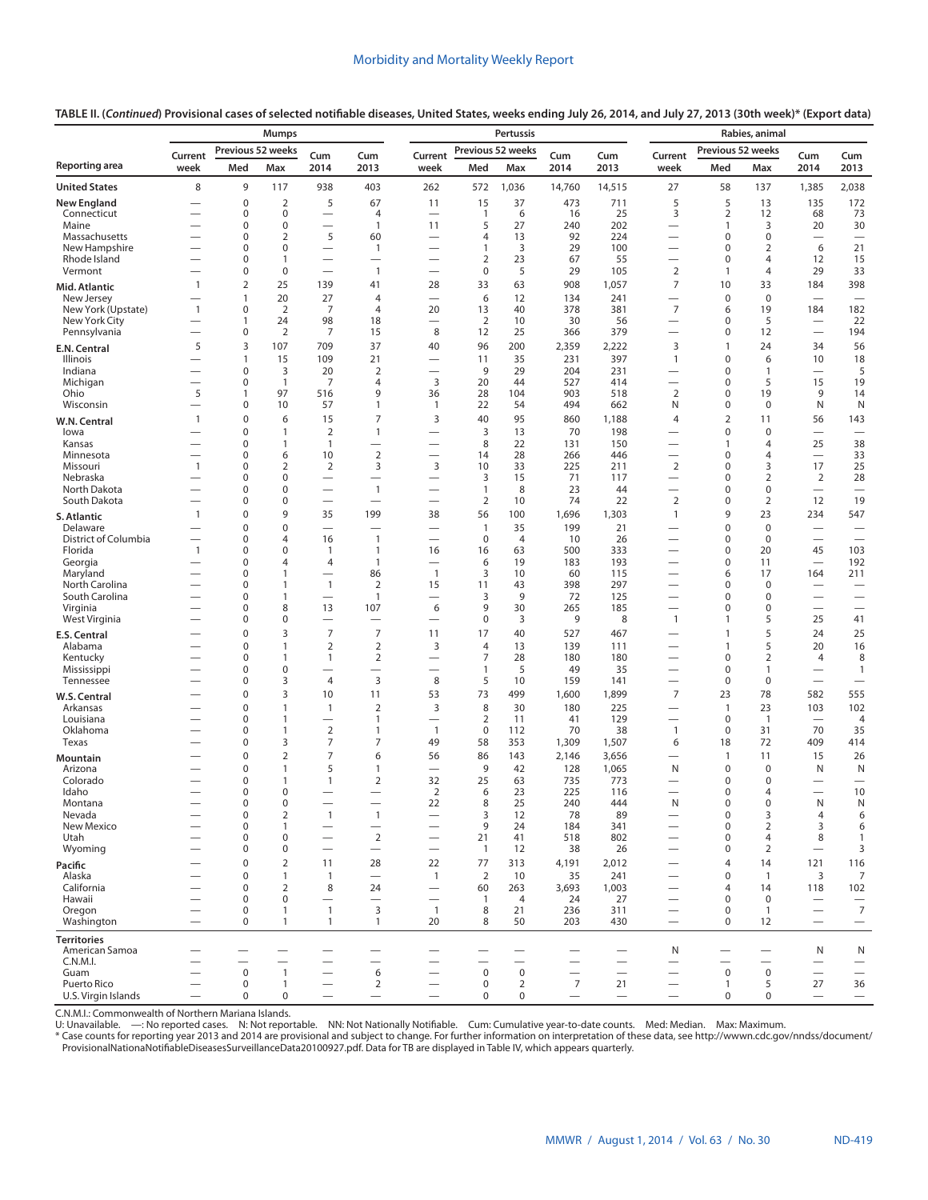**TABLE II. (***Continued***) Provisional cases of selected notifiable diseases, United States, weeks ending July 26, 2014, and July 27, 2013 (30th week)\* [\(Export data\)](https://data.cdc.gov/NNDSS/NNDSS-Table-II-Mumps-to-Rabies-animal/8rkx-vimh)**

| Previous 52 weeks<br>Previous 52 weeks<br>Previous 52 weeks<br>Current<br>Cum<br>Cum<br>Current<br>Cum<br>Cum<br>Current<br>Cum<br>Cum<br>week<br>Med<br>Max<br>2014<br>2013<br>Med<br>Max<br>2014<br>2013<br>week<br>Med<br>Max<br>2014<br>2013<br>week<br>8<br>2,038<br><b>United States</b><br>9<br>117<br>938<br>403<br>262<br>572<br>1,036<br>14,760<br>14,515<br>27<br>58<br>1,385<br>137<br>$\overline{\mathbf{c}}$<br>5<br>15<br>5<br>5<br>172<br><b>New England</b><br>0<br>67<br>11<br>37<br>473<br>711<br>13<br>135<br>$\mathbf 0$<br>3<br>0<br>$\overline{4}$<br>6<br>16<br>25<br>$\overline{2}$<br>12<br>68<br>73<br>Connecticut<br>$\overline{1}$<br>$\overline{\phantom{0}}$<br>$\overline{\phantom{0}}$<br>Maine<br>$\mathbf 0$<br>$\mathbf 0$<br>$\overline{\phantom{0}}$<br>5<br>27<br>240<br>202<br>3<br>30<br>$\mathbf{1}$<br>11<br>$\mathbf{1}$<br>20<br>$\overline{2}$<br>$\sqrt{5}$<br>$\mathbf 0$<br>0<br>13<br>92<br>224<br>$\mathbf 0$<br>Massachusetts<br>60<br>4<br>$\overline{\phantom{0}}$<br>$\overline{\phantom{0}}$<br>—<br>$\overline{\phantom{0}}$<br>$\overline{3}$<br>21<br>New Hampshire<br>0<br>$\mathbf 0$<br>29<br>100<br>$\mathbf 0$<br>2<br>6<br>1<br>$\overline{\phantom{0}}$<br>$\mathbf{1}$<br>$\overline{\phantom{0}}$<br>Rhode Island<br>$\mathbf 0$<br>$\overline{2}$<br>23<br>67<br>55<br>$\mathbf 0$<br>12<br>15<br>1<br>4<br>$\overline{\phantom{0}}$<br>$\overline{\phantom{0}}$<br>$\overline{\phantom{0}}$<br>$\overline{\phantom{0}}$<br>5<br>$\overline{2}$<br>Vermont<br>$\mathbf 0$<br>$\mathbf 0$<br>$\overline{1}$<br>0<br>29<br>105<br>29<br>33<br>4<br>$\overline{\phantom{0}}$<br>$\mathbf{1}$<br>$\overline{\phantom{0}}$<br>2<br>25<br>$\overline{7}$<br>398<br>41<br>33<br>63<br>908<br>1,057<br>10<br>33<br>184<br>$\mathbf{1}$<br>139<br>28<br>20<br>6<br>$\mathbf 0$<br>27<br>$\overline{4}$<br>12<br>134<br>241<br>$\mathbf 0$<br>New Jersey<br>1<br>$\overline{\phantom{0}}$<br>$\overline{\phantom{0}}$<br>$\overline{2}$<br>381<br>$\overline{7}$<br>182<br>New York (Upstate)<br>0<br>$\overline{7}$<br>$\overline{4}$<br>20<br>13<br>40<br>378<br>19<br>184<br>$\mathbf{1}$<br>6<br>5<br>24<br>98<br>2<br>10<br>30<br>56<br>22<br>New York City<br>18<br>$\mathbf 0$<br>1<br>$\overline{\phantom{0}}$<br>8<br>$\mathbf 0$<br>$\overline{2}$<br>$\overline{7}$<br>15<br>12<br>25<br>379<br>$\mathbf 0$<br>194<br>Pennsylvania<br>366<br>12<br>$\overline{\phantom{0}}$<br>$\overline{\phantom{0}}$<br>3<br>56<br>5<br>107<br>709<br>37<br>40<br>96<br>200<br>2,359<br>2,222<br>3<br>$\mathbf{1}$<br>24<br>34<br>397<br>$\mathbf 0$<br>18<br>15<br>109<br>21<br>11<br>35<br>231<br>6<br>10<br><b>Illinois</b><br>$\mathbf{1}$<br>$\mathbf{1}$<br>$\overline{\phantom{0}}$<br>$\overline{\phantom{0}}$<br>Indiana<br>$\mathbf 0$<br>3<br>20<br>$\overline{2}$<br>9<br>29<br>204<br>231<br>$\mathbf 0$<br>5<br>1<br>$\overline{\phantom{0}}$<br>$\overline{\phantom{0}}$<br>$\overline{7}$<br>3<br>5<br>15<br>19<br>Michigan<br>$\mathbf 0$<br>4<br>20<br>44<br>$\mathbf 0$<br>$\mathbf{1}$<br>527<br>414<br>$\overline{\phantom{0}}$<br>$\overline{\phantom{0}}$<br>5<br>97<br>$\overline{2}$<br>516<br>9<br>28<br>104<br>903<br>518<br>$\mathbf 0$<br>19<br>9<br>14<br>Ohio<br>36<br>$\mathbf{1}$<br>Wisconsin<br>$\mathbf 0$<br>10<br>57<br>22<br>54<br>494<br>N<br>$\mathbf 0$<br>$\mathbf 0$<br>N<br>N<br>1<br>$\mathbf{1}$<br>662<br>$\overline{\phantom{0}}$<br>7<br>3<br>0<br>6<br>15<br>40<br>95<br>860<br>1,188<br>$\overline{2}$<br>11<br>56<br>143<br>$\mathbf{1}$<br>$\overline{4}$<br>W.N. Central<br>$\mathbf 0$<br>$\overline{2}$<br>3<br>$\mathbf{1}$<br>$\mathbf{1}$<br>13<br>70<br>198<br>$\mathbf 0$<br>$\mathbf 0$<br>lowa<br>$\overline{\phantom{0}}$<br>$\overline{\phantom{0}}$<br>$\overline{\phantom{0}}$<br>$\overline{\phantom{0}}$<br>25<br>38<br>$\mathbf 0$<br>8<br>22<br>150<br>Kansas<br>1<br>$\mathbf{1}$<br>131<br>4<br>$\mathbf{1}$<br>$\overline{\phantom{0}}$<br>$\overline{\phantom{0}}$<br>$\overline{2}$<br>28<br>33<br>$\mathbf 0$<br>6<br>10<br>266<br>446<br>$\mathbf 0$<br>Minnesota<br>14<br>4<br>$\overline{\phantom{0}}$<br>$\overline{\phantom{0}}$<br>$\overline{\phantom{0}}$<br>$\overline{2}$<br>$\overline{2}$<br>3<br>$\overline{2}$<br>17<br>25<br>$\mathbf{1}$<br>$\mathbf 0$<br>3<br>10<br>33<br>225<br>211<br>3<br>Missouri<br>$\mathbf 0$<br>$\overline{2}$<br>$\mathbf 0$<br>3<br>15<br>71<br>$\mathbf 0$<br>$\overline{2}$<br>28<br>$\mathbf 0$<br>117<br>Nebraska<br>$\overline{\phantom{0}}$<br>$\mathbf 0$<br>$\mathbf{1}$<br>8<br>23<br>44<br>$\mathbf 0$<br>North Dakota<br>0<br>$\mathbf{1}$<br>$\mathbf 0$<br>$\overline{\phantom{0}}$<br>$\overline{\phantom{0}}$<br>$\overline{\phantom{0}}$<br>19<br>South Dakota<br>$\pmb{0}$<br>$\overline{2}$<br>22<br>$\overline{2}$<br>$\overline{2}$<br>12<br>0<br>10<br>74<br>0<br>$\overline{\phantom{0}}$<br>$\overline{\phantom{0}}$<br>$\overline{\phantom{0}}$<br>$\overline{\phantom{0}}$<br>9<br>23<br>$\mathbf 0$<br>35<br>199<br>56<br>100<br>1,696<br>$\mathbf{1}$<br>9<br>234<br>547<br>1<br>38<br>1,303<br>S. Atlantic<br>$\mathbf 0$<br>199<br>$\mathbf 0$<br>$\overline{1}$<br>35<br>21<br>$\mathbf 0$<br>$\mathbf 0$<br>Delaware<br>$\overline{\phantom{0}}$<br>$\overline{\phantom{0}}$<br>$\overline{\phantom{0}}$<br>$\overline{\phantom{0}}$<br>$\overline{\phantom{0}}$<br>District of Columbia<br>$\mathbf 0$<br>16<br>$\overline{1}$<br>$\mathbf 0$<br>$\mathbf 0$<br>4<br>$\overline{4}$<br>10<br>26<br>$\mathbf 0$<br>$\overbrace{\phantom{123221111}}$<br>$\overline{\phantom{m}}$<br>$\overline{\phantom{0}}$<br>$\overline{\phantom{0}}$<br>Florida<br>$\mathbf{1}$<br>$\mathbf 0$<br>0<br>16<br>500<br>333<br>$\pmb{0}$<br>20<br>45<br>103<br>$\overline{1}$<br>$\mathbf{1}$<br>16<br>63<br>183<br>193<br>192<br>Georgia<br>0<br>4<br>$\overline{4}$<br>$\mathbf{1}$<br>6<br>19<br>$\mathbf 0$<br>11<br>$\overline{\phantom{0}}$<br>$\overline{\phantom{0}}$<br>—<br>Maryland<br>3<br>10<br>17<br>211<br>0<br>1<br>86<br>$\overline{1}$<br>60<br>115<br>6<br>164<br>$\overline{\phantom{0}}$<br>—<br>$\mathbf{1}$<br>$\overline{2}$<br>398<br>North Carolina<br>0<br>1<br>15<br>11<br>43<br>297<br>$\mathbf 0$<br>$\mathbf 0$<br>$\overline{\phantom{0}}$<br>3<br>9<br>South Carolina<br>0<br>1<br>$\mathbf{1}$<br>72<br>125<br>0<br>$\mathbf 0$<br>$\overline{\phantom{0}}$<br>$\overline{\phantom{0}}$<br>$\overline{\phantom{0}}$<br>8<br>13<br>6<br>9<br>Virginia<br>0<br>107<br>30<br>265<br>185<br>0<br>0<br>—<br>0<br>0<br>5<br>25<br>41<br>West Virginia<br>0<br>3<br>9<br>8<br>$\overline{1}$<br>$\mathbf{1}$<br>$\overline{\phantom{0}}$<br>$\overline{\phantom{0}}$<br>$\overline{7}$<br>3<br>$\overline{7}$<br>5<br>0<br>17<br>40<br>527<br>467<br>$\mathbf{1}$<br>24<br>25<br>11<br>$\overline{\phantom{0}}$<br>$\overline{2}$<br>$\overline{2}$<br>5<br>0<br>1<br>3<br>13<br>139<br>20<br>16<br>Alabama<br>4<br>111<br>$\mathbf{1}$<br>—<br>7<br>2<br>180<br>2<br>Kentucky<br>0<br>1<br>$\mathbf{1}$<br>28<br>180<br>$\mathbf 0$<br>$\overline{4}$<br>8<br>$\overline{\phantom{0}}$<br>$\overline{\phantom{0}}$<br>$\pmb{0}$<br>Mississippi<br>0<br>1<br>5<br>49<br>35<br>0<br>$\mathbf{1}$<br>$\mathbf{1}$<br>$\overline{\phantom{0}}$<br>$\overline{\phantom{0}}$<br>$\overline{\phantom{0}}$<br>$\overline{\phantom{0}}$<br>$\overline{\phantom{0}}$<br>3<br>$\,8\,$<br>3<br>$\overline{4}$<br>5<br>141<br>Tennessee<br>0<br>10<br>159<br>0<br>$\mathbf 0$<br>$\overline{\phantom{0}}$<br>—<br>$\overline{\phantom{0}}$<br>3<br>$\overline{7}$<br>$\mathbf 0$<br>10<br>11<br>53<br>73<br>499<br>1,600<br>1,899<br>23<br>78<br>582<br>555<br>W.S. Central<br>$\overline{2}$<br>3<br>8<br>102<br>$\mathbf 0$<br>30<br>180<br>225<br>$\overline{1}$<br>23<br>103<br>Arkansas<br>1<br>$\mathbf{1}$<br>$\overline{2}$<br>Louisiana<br>0<br>1<br>1<br>11<br>41<br>129<br>$\mathbf 0$<br>$\overline{1}$<br>4<br>$\overline{\phantom{0}}$<br>$\overline{\phantom{0}}$<br>$\overline{\phantom{0}}$<br>$\mathbf 2$<br>$\mathbf{1}$<br>$\mathbf 0$<br>70<br>70<br>35<br>Oklahoma<br>0<br>1<br>1<br>112<br>38<br>$\mathbf{1}$<br>$\mathbf 0$<br>31<br>$\overline{7}$<br>3<br>7<br>Texas<br>0<br>49<br>58<br>353<br>1,309<br>1,507<br>6<br>18<br>72<br>409<br>414<br>$\overline{2}$<br>$\overline{7}$<br>$\pmb{0}$<br>6<br>86<br>143<br>2,146<br>3,656<br>26<br>56<br>$\mathbf{1}$<br>11<br>15<br>Mountain<br>—<br>5<br>9<br>$\mathbf 0$<br>1<br>128<br>1,065<br>$\pmb{0}$<br>N<br>N<br>Arizona<br>1<br>42<br>N<br>$\mathbf 0$<br>2<br>25<br>Colorado<br>0<br>1<br>$\mathbf{1}$<br>32<br>63<br>735<br>773<br>$\mathbf 0$<br>0<br>-<br>10<br>$\mathbf 0$<br>Idaho<br>0<br>2<br>6<br>23<br>225<br>116<br>$\mathbf 0$<br>4<br>$\overline{\phantom{0}}$<br>$\overline{\phantom{0}}$<br>$\overline{\phantom{0}}$<br>$\overline{\phantom{0}}$<br>Ν<br>$\Omega$<br>$\Omega$<br>22<br>8<br>25<br>240<br>444<br>N<br>$\Omega$<br>$\Omega$<br>N<br>Montana<br>—<br>—<br>$\mathsf 3$<br>Nevada<br>$\mathbf 0$<br>$\overline{2}$<br>3<br>12<br>78<br>89<br>$\mathbf 0$<br>6<br>$\mathbf{1}$<br>$\mathbf{1}$<br>4<br>9<br>$\overline{2}$<br>New Mexico<br>$\mathbf 0$<br>$\mathbf{1}$<br>24<br>184<br>341<br>$\mathbf 0$<br>3<br>6<br>$\overline{\phantom{0}}$<br>$\overline{\phantom{0}}$<br>$\overline{\phantom{0}}$<br>Utah<br>$\pmb{0}$<br>2<br>21<br>41<br>518<br>802<br>8<br>$\mathbf{1}$<br>0<br>0<br>4<br>$\overbrace{\phantom{1232211}}$<br>$\overline{\phantom{0}}$<br>$\overline{\phantom{0}}$<br>$\mathbf 0$<br>38<br>$\mathbf 0$<br>3<br>Wyoming<br>0<br>$\overline{1}$<br>12<br>26<br>2<br>$\overline{\phantom{m}}$<br>$\qquad \qquad$<br>$\overline{\phantom{0}}$<br>$\overline{\phantom{0}}$<br>$\overline{\phantom{0}}$<br>$\overline{2}$<br>0<br>28<br>22<br>77<br>313<br>4,191<br>2,012<br>$\overline{4}$<br>14<br>121<br>116<br>11<br>Pacific<br>$\overline{\phantom{0}}$<br>3<br>$\overline{7}$<br>Alaska<br>$\mathbf 0$<br>$\overline{2}$<br>35<br>241<br>$\mathbf 0$<br>$\mathbf{1}$<br>$\mathbf{1}$<br>$\mathbf{1}$<br>10<br>$\mathbf{1}$<br>$\overbrace{\phantom{1232211}}$<br>California<br>0<br>2<br>8<br>24<br>60<br>3,693<br>1,003<br>$\overline{4}$<br>102<br>263<br>14<br>118<br>$\overline{\phantom{0}}$<br>$\overline{\phantom{0}}$<br>Hawaii<br>$\mathbf 0$<br>24<br>27<br>$\mathbf 0$<br>0<br>$\mathbf{1}$<br>4<br>0<br>$\overline{\phantom{0}}$<br>$\overline{\phantom{0}}$<br>3<br>$\overline{7}$<br>$\mathbf{1}$<br>8<br>21<br>Oregon<br>0<br>$\mathbf{1}$<br>$\overline{1}$<br>236<br>311<br>0<br>$\mathbf{1}$<br>$\qquad \qquad -$<br>$\overline{\phantom{0}}$<br>$\mathbf 0$<br>20<br>8<br>50<br>203<br>430<br>$\mathbf 0$<br>Washington<br>$\mathbf{1}$<br>$\mathbf{1}$<br>$\mathbf{1}$<br>12<br>$\qquad \qquad$<br>$\overline{\phantom{0}}$<br><b>Territories</b><br>American Samoa<br>N<br>N<br>N<br>C.N.M.I.<br>$\overline{\phantom{0}}$<br>$\overline{\phantom{0}}$<br>$\overline{\phantom{0}}$<br>$\overline{\phantom{0}}$<br>$\mathsf 0$<br>$\pmb{0}$<br>Guam<br>$\mathbf 0$<br>$\mathbf{1}$<br>6<br>$\mathbf 0$<br>$\mathbf 0$<br>$\overline{\phantom{0}}$<br>$\overline{\phantom{0}}$<br>$\overline{\phantom{0}}$<br>$\overline{7}$<br>5<br>27<br>Puerto Rico<br>$\mathbf 0$<br>$\overline{2}$<br>$\mathbf 0$<br>$\overline{2}$<br>21<br>36<br>$\mathbf{1}$<br>$\mathbf{1}$<br>$\overline{\phantom{0}}$<br>$\overline{\phantom{0}}$<br>$\qquad \qquad -$<br>U.S. Virgin Islands<br>0<br>$\pmb{0}$<br>0<br>0<br>$\mathbf 0$<br>$\mathbf 0$<br>$\equiv$<br>$\overline{\phantom{0}}$<br>$\overline{\phantom{0}}$<br>$\overline{\phantom{0}}$<br>$\overline{\phantom{0}}$<br>$\overline{\phantom{m}}$<br>$\qquad \qquad$ |                | <b>Mumps</b> |  |  |  |  |  | Pertussis |  |  | Rabies, animal |  |
|----------------------------------------------------------------------------------------------------------------------------------------------------------------------------------------------------------------------------------------------------------------------------------------------------------------------------------------------------------------------------------------------------------------------------------------------------------------------------------------------------------------------------------------------------------------------------------------------------------------------------------------------------------------------------------------------------------------------------------------------------------------------------------------------------------------------------------------------------------------------------------------------------------------------------------------------------------------------------------------------------------------------------------------------------------------------------------------------------------------------------------------------------------------------------------------------------------------------------------------------------------------------------------------------------------------------------------------------------------------------------------------------------------------------------------------------------------------------------------------------------------------------------------------------------------------------------------------------------------------------------------------------------------------------------------------------------------------------------------------------------------------------------------------------------------------------------------------------------------------------------------------------------------------------------------------------------------------------------------------------------------------------------------------------------------------------------------------------------------------------------------------------------------------------------------------------------------------------------------------------------------------------------------------------------------------------------------------------------------------------------------------------------------------------------------------------------------------------------------------------------------------------------------------------------------------------------------------------------------------------------------------------------------------------------------------------------------------------------------------------------------------------------------------------------------------------------------------------------------------------------------------------------------------------------------------------------------------------------------------------------------------------------------------------------------------------------------------------------------------------------------------------------------------------------------------------------------------------------------------------------------------------------------------------------------------------------------------------------------------------------------------------------------------------------------------------------------------------------------------------------------------------------------------------------------------------------------------------------------------------------------------------------------------------------------------------------------------------------------------------------------------------------------------------------------------------------------------------------------------------------------------------------------------------------------------------------------------------------------------------------------------------------------------------------------------------------------------------------------------------------------------------------------------------------------------------------------------------------------------------------------------------------------------------------------------------------------------------------------------------------------------------------------------------------------------------------------------------------------------------------------------------------------------------------------------------------------------------------------------------------------------------------------------------------------------------------------------------------------------------------------------------------------------------------------------------------------------------------------------------------------------------------------------------------------------------------------------------------------------------------------------------------------------------------------------------------------------------------------------------------------------------------------------------------------------------------------------------------------------------------------------------------------------------------------------------------------------------------------------------------------------------------------------------------------------------------------------------------------------------------------------------------------------------------------------------------------------------------------------------------------------------------------------------------------------------------------------------------------------------------------------------------------------------------------------------------------------------------------------------------------------------------------------------------------------------------------------------------------------------------------------------------------------------------------------------------------------------------------------------------------------------------------------------------------------------------------------------------------------------------------------------------------------------------------------------------------------------------------------------------------------------------------------------------------------------------------------------------------------------------------------------------------------------------------------------------------------------------------------------------------------------------------------------------------------------------------------------------------------------------------------------------------------------------------------------------------------------------------------------------------------------------------------------------------------------------------------------------------------------------------------------------------------------------------------------------------------------------------------------------------------------------------------------------------------------------------------------------------------------------------------------------------------------------------------------------------------------------------------------------------------------------------------------------------------------------------------------------------------------------------------------------------------------------------------------------------------------------------------------------------------------------------------------------------------------------------------------------------------------------------------------------------------------------------------------------------------------------------------------------------------------------------------------------------------------------------------------------------------------------------------------------------------------------------------------------------------------------------------------------------------------------------------------------------------------------------------------------------------------------------------------------------------------------------------------------------------------------------------------------------------------------------------------------------------------------------------------------------------------------------------------------------------------------------------------------------------------------------------------------------------------------------------------------------------------------------------------------------------------------------------------------------------------------------------------------------------------------------------------------------------------------------------------------------------------------------------------------------------------------------------------------------------------------------------------------------------------------------------------------------------------------------------------------------------------------------------------------------------------------------------------------------------------------------------------------------------------------------------------------------------------------------------------------------------------------------------------------------------------------------------------------------------------------------------------------------------------------------------------------------------------------------------------------------------------------------------------------------------------------------------------------------------------------------------------------------------------------------------------------------------------------------------------------------------------------------------------------------------------------------------------------------------------------------------------------------------------------------------------------------------------------------------------------------------------------------------------------------------------------------------------------------------------------------------------------------------------------------------------------------------------------------------------------------------------------------------------------------------------------------------------------------------------------------------------------------------------------------------------------------------------------------------------------------------------------------------------------------------------------------------------------------------------------------------------------------------------------------------------------------------------------------------------------------------------------------------------------------------------------------------------------------------------------------------------------------------------------------------------------------------------------------------------------------------------------------------------------------------------------------------------------------------------------------------------------------------------------------------------------------------------------------------------------------------------------------------------------------------------------------------------------------------------------------------------------------------------------------------------------------------------------------------------------------|----------------|--------------|--|--|--|--|--|-----------|--|--|----------------|--|
|                                                                                                                                                                                                                                                                                                                                                                                                                                                                                                                                                                                                                                                                                                                                                                                                                                                                                                                                                                                                                                                                                                                                                                                                                                                                                                                                                                                                                                                                                                                                                                                                                                                                                                                                                                                                                                                                                                                                                                                                                                                                                                                                                                                                                                                                                                                                                                                                                                                                                                                                                                                                                                                                                                                                                                                                                                                                                                                                                                                                                                                                                                                                                                                                                                                                                                                                                                                                                                                                                                                                                                                                                                                                                                                                                                                                                                                                                                                                                                                                                                                                                                                                                                                                                                                                                                                                                                                                                                                                                                                                                                                                                                                                                                                                                                                                                                                                                                                                                                                                                                                                                                                                                                                                                                                                                                                                                                                                                                                                                                                                                                                                                                                                                                                                                                                                                                                                                                                                                                                                                                                                                                                                                                                                                                                                                                                                                                                                                                                                                                                                                                                                                                                                                                                                                                                                                                                                                                                                                                                                                                                                                                                                                                                                                                                                                                                                                                                                                                                                                                                                                                                                                                                                                                                                                                                                                                                                                                                                                                                                                                                                                                                                                                                                                                                                                                                                                                                                                                                                                                                                                                                                                                                                                                                                                                                                                                                                                                                                                                                                                                                                                                                                                                                                                                                                                                                                                                                                                                                                                                                                                                                                                                                                                                                                                                                                                                                                                                                                                                                                                                                                                                                                                                                                                                                                                                                                                                                                                                                                                                                                                                                                                                                                                                                                                                                                                                                                                                                                                                                                                                                                                                                                                                                                                                                                                                                                                                                                                                                                                                                                                                                                                                                                                  | Reporting area |              |  |  |  |  |  |           |  |  |                |  |
|                                                                                                                                                                                                                                                                                                                                                                                                                                                                                                                                                                                                                                                                                                                                                                                                                                                                                                                                                                                                                                                                                                                                                                                                                                                                                                                                                                                                                                                                                                                                                                                                                                                                                                                                                                                                                                                                                                                                                                                                                                                                                                                                                                                                                                                                                                                                                                                                                                                                                                                                                                                                                                                                                                                                                                                                                                                                                                                                                                                                                                                                                                                                                                                                                                                                                                                                                                                                                                                                                                                                                                                                                                                                                                                                                                                                                                                                                                                                                                                                                                                                                                                                                                                                                                                                                                                                                                                                                                                                                                                                                                                                                                                                                                                                                                                                                                                                                                                                                                                                                                                                                                                                                                                                                                                                                                                                                                                                                                                                                                                                                                                                                                                                                                                                                                                                                                                                                                                                                                                                                                                                                                                                                                                                                                                                                                                                                                                                                                                                                                                                                                                                                                                                                                                                                                                                                                                                                                                                                                                                                                                                                                                                                                                                                                                                                                                                                                                                                                                                                                                                                                                                                                                                                                                                                                                                                                                                                                                                                                                                                                                                                                                                                                                                                                                                                                                                                                                                                                                                                                                                                                                                                                                                                                                                                                                                                                                                                                                                                                                                                                                                                                                                                                                                                                                                                                                                                                                                                                                                                                                                                                                                                                                                                                                                                                                                                                                                                                                                                                                                                                                                                                                                                                                                                                                                                                                                                                                                                                                                                                                                                                                                                                                                                                                                                                                                                                                                                                                                                                                                                                                                                                                                                                                                                                                                                                                                                                                                                                                                                                                                                                                                                                                                                  |                |              |  |  |  |  |  |           |  |  |                |  |
|                                                                                                                                                                                                                                                                                                                                                                                                                                                                                                                                                                                                                                                                                                                                                                                                                                                                                                                                                                                                                                                                                                                                                                                                                                                                                                                                                                                                                                                                                                                                                                                                                                                                                                                                                                                                                                                                                                                                                                                                                                                                                                                                                                                                                                                                                                                                                                                                                                                                                                                                                                                                                                                                                                                                                                                                                                                                                                                                                                                                                                                                                                                                                                                                                                                                                                                                                                                                                                                                                                                                                                                                                                                                                                                                                                                                                                                                                                                                                                                                                                                                                                                                                                                                                                                                                                                                                                                                                                                                                                                                                                                                                                                                                                                                                                                                                                                                                                                                                                                                                                                                                                                                                                                                                                                                                                                                                                                                                                                                                                                                                                                                                                                                                                                                                                                                                                                                                                                                                                                                                                                                                                                                                                                                                                                                                                                                                                                                                                                                                                                                                                                                                                                                                                                                                                                                                                                                                                                                                                                                                                                                                                                                                                                                                                                                                                                                                                                                                                                                                                                                                                                                                                                                                                                                                                                                                                                                                                                                                                                                                                                                                                                                                                                                                                                                                                                                                                                                                                                                                                                                                                                                                                                                                                                                                                                                                                                                                                                                                                                                                                                                                                                                                                                                                                                                                                                                                                                                                                                                                                                                                                                                                                                                                                                                                                                                                                                                                                                                                                                                                                                                                                                                                                                                                                                                                                                                                                                                                                                                                                                                                                                                                                                                                                                                                                                                                                                                                                                                                                                                                                                                                                                                                                                                                                                                                                                                                                                                                                                                                                                                                                                                                                                                                  |                |              |  |  |  |  |  |           |  |  |                |  |
|                                                                                                                                                                                                                                                                                                                                                                                                                                                                                                                                                                                                                                                                                                                                                                                                                                                                                                                                                                                                                                                                                                                                                                                                                                                                                                                                                                                                                                                                                                                                                                                                                                                                                                                                                                                                                                                                                                                                                                                                                                                                                                                                                                                                                                                                                                                                                                                                                                                                                                                                                                                                                                                                                                                                                                                                                                                                                                                                                                                                                                                                                                                                                                                                                                                                                                                                                                                                                                                                                                                                                                                                                                                                                                                                                                                                                                                                                                                                                                                                                                                                                                                                                                                                                                                                                                                                                                                                                                                                                                                                                                                                                                                                                                                                                                                                                                                                                                                                                                                                                                                                                                                                                                                                                                                                                                                                                                                                                                                                                                                                                                                                                                                                                                                                                                                                                                                                                                                                                                                                                                                                                                                                                                                                                                                                                                                                                                                                                                                                                                                                                                                                                                                                                                                                                                                                                                                                                                                                                                                                                                                                                                                                                                                                                                                                                                                                                                                                                                                                                                                                                                                                                                                                                                                                                                                                                                                                                                                                                                                                                                                                                                                                                                                                                                                                                                                                                                                                                                                                                                                                                                                                                                                                                                                                                                                                                                                                                                                                                                                                                                                                                                                                                                                                                                                                                                                                                                                                                                                                                                                                                                                                                                                                                                                                                                                                                                                                                                                                                                                                                                                                                                                                                                                                                                                                                                                                                                                                                                                                                                                                                                                                                                                                                                                                                                                                                                                                                                                                                                                                                                                                                                                                                                                                                                                                                                                                                                                                                                                                                                                                                                                                                                                                                  |                |              |  |  |  |  |  |           |  |  |                |  |
|                                                                                                                                                                                                                                                                                                                                                                                                                                                                                                                                                                                                                                                                                                                                                                                                                                                                                                                                                                                                                                                                                                                                                                                                                                                                                                                                                                                                                                                                                                                                                                                                                                                                                                                                                                                                                                                                                                                                                                                                                                                                                                                                                                                                                                                                                                                                                                                                                                                                                                                                                                                                                                                                                                                                                                                                                                                                                                                                                                                                                                                                                                                                                                                                                                                                                                                                                                                                                                                                                                                                                                                                                                                                                                                                                                                                                                                                                                                                                                                                                                                                                                                                                                                                                                                                                                                                                                                                                                                                                                                                                                                                                                                                                                                                                                                                                                                                                                                                                                                                                                                                                                                                                                                                                                                                                                                                                                                                                                                                                                                                                                                                                                                                                                                                                                                                                                                                                                                                                                                                                                                                                                                                                                                                                                                                                                                                                                                                                                                                                                                                                                                                                                                                                                                                                                                                                                                                                                                                                                                                                                                                                                                                                                                                                                                                                                                                                                                                                                                                                                                                                                                                                                                                                                                                                                                                                                                                                                                                                                                                                                                                                                                                                                                                                                                                                                                                                                                                                                                                                                                                                                                                                                                                                                                                                                                                                                                                                                                                                                                                                                                                                                                                                                                                                                                                                                                                                                                                                                                                                                                                                                                                                                                                                                                                                                                                                                                                                                                                                                                                                                                                                                                                                                                                                                                                                                                                                                                                                                                                                                                                                                                                                                                                                                                                                                                                                                                                                                                                                                                                                                                                                                                                                                                                                                                                                                                                                                                                                                                                                                                                                                                                                                                                                  |                |              |  |  |  |  |  |           |  |  |                |  |
|                                                                                                                                                                                                                                                                                                                                                                                                                                                                                                                                                                                                                                                                                                                                                                                                                                                                                                                                                                                                                                                                                                                                                                                                                                                                                                                                                                                                                                                                                                                                                                                                                                                                                                                                                                                                                                                                                                                                                                                                                                                                                                                                                                                                                                                                                                                                                                                                                                                                                                                                                                                                                                                                                                                                                                                                                                                                                                                                                                                                                                                                                                                                                                                                                                                                                                                                                                                                                                                                                                                                                                                                                                                                                                                                                                                                                                                                                                                                                                                                                                                                                                                                                                                                                                                                                                                                                                                                                                                                                                                                                                                                                                                                                                                                                                                                                                                                                                                                                                                                                                                                                                                                                                                                                                                                                                                                                                                                                                                                                                                                                                                                                                                                                                                                                                                                                                                                                                                                                                                                                                                                                                                                                                                                                                                                                                                                                                                                                                                                                                                                                                                                                                                                                                                                                                                                                                                                                                                                                                                                                                                                                                                                                                                                                                                                                                                                                                                                                                                                                                                                                                                                                                                                                                                                                                                                                                                                                                                                                                                                                                                                                                                                                                                                                                                                                                                                                                                                                                                                                                                                                                                                                                                                                                                                                                                                                                                                                                                                                                                                                                                                                                                                                                                                                                                                                                                                                                                                                                                                                                                                                                                                                                                                                                                                                                                                                                                                                                                                                                                                                                                                                                                                                                                                                                                                                                                                                                                                                                                                                                                                                                                                                                                                                                                                                                                                                                                                                                                                                                                                                                                                                                                                                                                                                                                                                                                                                                                                                                                                                                                                                                                                                                                                                  |                |              |  |  |  |  |  |           |  |  |                |  |
|                                                                                                                                                                                                                                                                                                                                                                                                                                                                                                                                                                                                                                                                                                                                                                                                                                                                                                                                                                                                                                                                                                                                                                                                                                                                                                                                                                                                                                                                                                                                                                                                                                                                                                                                                                                                                                                                                                                                                                                                                                                                                                                                                                                                                                                                                                                                                                                                                                                                                                                                                                                                                                                                                                                                                                                                                                                                                                                                                                                                                                                                                                                                                                                                                                                                                                                                                                                                                                                                                                                                                                                                                                                                                                                                                                                                                                                                                                                                                                                                                                                                                                                                                                                                                                                                                                                                                                                                                                                                                                                                                                                                                                                                                                                                                                                                                                                                                                                                                                                                                                                                                                                                                                                                                                                                                                                                                                                                                                                                                                                                                                                                                                                                                                                                                                                                                                                                                                                                                                                                                                                                                                                                                                                                                                                                                                                                                                                                                                                                                                                                                                                                                                                                                                                                                                                                                                                                                                                                                                                                                                                                                                                                                                                                                                                                                                                                                                                                                                                                                                                                                                                                                                                                                                                                                                                                                                                                                                                                                                                                                                                                                                                                                                                                                                                                                                                                                                                                                                                                                                                                                                                                                                                                                                                                                                                                                                                                                                                                                                                                                                                                                                                                                                                                                                                                                                                                                                                                                                                                                                                                                                                                                                                                                                                                                                                                                                                                                                                                                                                                                                                                                                                                                                                                                                                                                                                                                                                                                                                                                                                                                                                                                                                                                                                                                                                                                                                                                                                                                                                                                                                                                                                                                                                                                                                                                                                                                                                                                                                                                                                                                                                                                                                                                  |                |              |  |  |  |  |  |           |  |  |                |  |
|                                                                                                                                                                                                                                                                                                                                                                                                                                                                                                                                                                                                                                                                                                                                                                                                                                                                                                                                                                                                                                                                                                                                                                                                                                                                                                                                                                                                                                                                                                                                                                                                                                                                                                                                                                                                                                                                                                                                                                                                                                                                                                                                                                                                                                                                                                                                                                                                                                                                                                                                                                                                                                                                                                                                                                                                                                                                                                                                                                                                                                                                                                                                                                                                                                                                                                                                                                                                                                                                                                                                                                                                                                                                                                                                                                                                                                                                                                                                                                                                                                                                                                                                                                                                                                                                                                                                                                                                                                                                                                                                                                                                                                                                                                                                                                                                                                                                                                                                                                                                                                                                                                                                                                                                                                                                                                                                                                                                                                                                                                                                                                                                                                                                                                                                                                                                                                                                                                                                                                                                                                                                                                                                                                                                                                                                                                                                                                                                                                                                                                                                                                                                                                                                                                                                                                                                                                                                                                                                                                                                                                                                                                                                                                                                                                                                                                                                                                                                                                                                                                                                                                                                                                                                                                                                                                                                                                                                                                                                                                                                                                                                                                                                                                                                                                                                                                                                                                                                                                                                                                                                                                                                                                                                                                                                                                                                                                                                                                                                                                                                                                                                                                                                                                                                                                                                                                                                                                                                                                                                                                                                                                                                                                                                                                                                                                                                                                                                                                                                                                                                                                                                                                                                                                                                                                                                                                                                                                                                                                                                                                                                                                                                                                                                                                                                                                                                                                                                                                                                                                                                                                                                                                                                                                                                                                                                                                                                                                                                                                                                                                                                                                                                                                                                                  |                |              |  |  |  |  |  |           |  |  |                |  |
|                                                                                                                                                                                                                                                                                                                                                                                                                                                                                                                                                                                                                                                                                                                                                                                                                                                                                                                                                                                                                                                                                                                                                                                                                                                                                                                                                                                                                                                                                                                                                                                                                                                                                                                                                                                                                                                                                                                                                                                                                                                                                                                                                                                                                                                                                                                                                                                                                                                                                                                                                                                                                                                                                                                                                                                                                                                                                                                                                                                                                                                                                                                                                                                                                                                                                                                                                                                                                                                                                                                                                                                                                                                                                                                                                                                                                                                                                                                                                                                                                                                                                                                                                                                                                                                                                                                                                                                                                                                                                                                                                                                                                                                                                                                                                                                                                                                                                                                                                                                                                                                                                                                                                                                                                                                                                                                                                                                                                                                                                                                                                                                                                                                                                                                                                                                                                                                                                                                                                                                                                                                                                                                                                                                                                                                                                                                                                                                                                                                                                                                                                                                                                                                                                                                                                                                                                                                                                                                                                                                                                                                                                                                                                                                                                                                                                                                                                                                                                                                                                                                                                                                                                                                                                                                                                                                                                                                                                                                                                                                                                                                                                                                                                                                                                                                                                                                                                                                                                                                                                                                                                                                                                                                                                                                                                                                                                                                                                                                                                                                                                                                                                                                                                                                                                                                                                                                                                                                                                                                                                                                                                                                                                                                                                                                                                                                                                                                                                                                                                                                                                                                                                                                                                                                                                                                                                                                                                                                                                                                                                                                                                                                                                                                                                                                                                                                                                                                                                                                                                                                                                                                                                                                                                                                                                                                                                                                                                                                                                                                                                                                                                                                                                                                                                  | Mid. Atlantic  |              |  |  |  |  |  |           |  |  |                |  |
|                                                                                                                                                                                                                                                                                                                                                                                                                                                                                                                                                                                                                                                                                                                                                                                                                                                                                                                                                                                                                                                                                                                                                                                                                                                                                                                                                                                                                                                                                                                                                                                                                                                                                                                                                                                                                                                                                                                                                                                                                                                                                                                                                                                                                                                                                                                                                                                                                                                                                                                                                                                                                                                                                                                                                                                                                                                                                                                                                                                                                                                                                                                                                                                                                                                                                                                                                                                                                                                                                                                                                                                                                                                                                                                                                                                                                                                                                                                                                                                                                                                                                                                                                                                                                                                                                                                                                                                                                                                                                                                                                                                                                                                                                                                                                                                                                                                                                                                                                                                                                                                                                                                                                                                                                                                                                                                                                                                                                                                                                                                                                                                                                                                                                                                                                                                                                                                                                                                                                                                                                                                                                                                                                                                                                                                                                                                                                                                                                                                                                                                                                                                                                                                                                                                                                                                                                                                                                                                                                                                                                                                                                                                                                                                                                                                                                                                                                                                                                                                                                                                                                                                                                                                                                                                                                                                                                                                                                                                                                                                                                                                                                                                                                                                                                                                                                                                                                                                                                                                                                                                                                                                                                                                                                                                                                                                                                                                                                                                                                                                                                                                                                                                                                                                                                                                                                                                                                                                                                                                                                                                                                                                                                                                                                                                                                                                                                                                                                                                                                                                                                                                                                                                                                                                                                                                                                                                                                                                                                                                                                                                                                                                                                                                                                                                                                                                                                                                                                                                                                                                                                                                                                                                                                                                                                                                                                                                                                                                                                                                                                                                                                                                                                                                                                  |                |              |  |  |  |  |  |           |  |  |                |  |
|                                                                                                                                                                                                                                                                                                                                                                                                                                                                                                                                                                                                                                                                                                                                                                                                                                                                                                                                                                                                                                                                                                                                                                                                                                                                                                                                                                                                                                                                                                                                                                                                                                                                                                                                                                                                                                                                                                                                                                                                                                                                                                                                                                                                                                                                                                                                                                                                                                                                                                                                                                                                                                                                                                                                                                                                                                                                                                                                                                                                                                                                                                                                                                                                                                                                                                                                                                                                                                                                                                                                                                                                                                                                                                                                                                                                                                                                                                                                                                                                                                                                                                                                                                                                                                                                                                                                                                                                                                                                                                                                                                                                                                                                                                                                                                                                                                                                                                                                                                                                                                                                                                                                                                                                                                                                                                                                                                                                                                                                                                                                                                                                                                                                                                                                                                                                                                                                                                                                                                                                                                                                                                                                                                                                                                                                                                                                                                                                                                                                                                                                                                                                                                                                                                                                                                                                                                                                                                                                                                                                                                                                                                                                                                                                                                                                                                                                                                                                                                                                                                                                                                                                                                                                                                                                                                                                                                                                                                                                                                                                                                                                                                                                                                                                                                                                                                                                                                                                                                                                                                                                                                                                                                                                                                                                                                                                                                                                                                                                                                                                                                                                                                                                                                                                                                                                                                                                                                                                                                                                                                                                                                                                                                                                                                                                                                                                                                                                                                                                                                                                                                                                                                                                                                                                                                                                                                                                                                                                                                                                                                                                                                                                                                                                                                                                                                                                                                                                                                                                                                                                                                                                                                                                                                                                                                                                                                                                                                                                                                                                                                                                                                                                                                                                                  |                |              |  |  |  |  |  |           |  |  |                |  |
|                                                                                                                                                                                                                                                                                                                                                                                                                                                                                                                                                                                                                                                                                                                                                                                                                                                                                                                                                                                                                                                                                                                                                                                                                                                                                                                                                                                                                                                                                                                                                                                                                                                                                                                                                                                                                                                                                                                                                                                                                                                                                                                                                                                                                                                                                                                                                                                                                                                                                                                                                                                                                                                                                                                                                                                                                                                                                                                                                                                                                                                                                                                                                                                                                                                                                                                                                                                                                                                                                                                                                                                                                                                                                                                                                                                                                                                                                                                                                                                                                                                                                                                                                                                                                                                                                                                                                                                                                                                                                                                                                                                                                                                                                                                                                                                                                                                                                                                                                                                                                                                                                                                                                                                                                                                                                                                                                                                                                                                                                                                                                                                                                                                                                                                                                                                                                                                                                                                                                                                                                                                                                                                                                                                                                                                                                                                                                                                                                                                                                                                                                                                                                                                                                                                                                                                                                                                                                                                                                                                                                                                                                                                                                                                                                                                                                                                                                                                                                                                                                                                                                                                                                                                                                                                                                                                                                                                                                                                                                                                                                                                                                                                                                                                                                                                                                                                                                                                                                                                                                                                                                                                                                                                                                                                                                                                                                                                                                                                                                                                                                                                                                                                                                                                                                                                                                                                                                                                                                                                                                                                                                                                                                                                                                                                                                                                                                                                                                                                                                                                                                                                                                                                                                                                                                                                                                                                                                                                                                                                                                                                                                                                                                                                                                                                                                                                                                                                                                                                                                                                                                                                                                                                                                                                                                                                                                                                                                                                                                                                                                                                                                                                                                                                                                  |                |              |  |  |  |  |  |           |  |  |                |  |
|                                                                                                                                                                                                                                                                                                                                                                                                                                                                                                                                                                                                                                                                                                                                                                                                                                                                                                                                                                                                                                                                                                                                                                                                                                                                                                                                                                                                                                                                                                                                                                                                                                                                                                                                                                                                                                                                                                                                                                                                                                                                                                                                                                                                                                                                                                                                                                                                                                                                                                                                                                                                                                                                                                                                                                                                                                                                                                                                                                                                                                                                                                                                                                                                                                                                                                                                                                                                                                                                                                                                                                                                                                                                                                                                                                                                                                                                                                                                                                                                                                                                                                                                                                                                                                                                                                                                                                                                                                                                                                                                                                                                                                                                                                                                                                                                                                                                                                                                                                                                                                                                                                                                                                                                                                                                                                                                                                                                                                                                                                                                                                                                                                                                                                                                                                                                                                                                                                                                                                                                                                                                                                                                                                                                                                                                                                                                                                                                                                                                                                                                                                                                                                                                                                                                                                                                                                                                                                                                                                                                                                                                                                                                                                                                                                                                                                                                                                                                                                                                                                                                                                                                                                                                                                                                                                                                                                                                                                                                                                                                                                                                                                                                                                                                                                                                                                                                                                                                                                                                                                                                                                                                                                                                                                                                                                                                                                                                                                                                                                                                                                                                                                                                                                                                                                                                                                                                                                                                                                                                                                                                                                                                                                                                                                                                                                                                                                                                                                                                                                                                                                                                                                                                                                                                                                                                                                                                                                                                                                                                                                                                                                                                                                                                                                                                                                                                                                                                                                                                                                                                                                                                                                                                                                                                                                                                                                                                                                                                                                                                                                                                                                                                                                                                                  | E.N. Central   |              |  |  |  |  |  |           |  |  |                |  |
|                                                                                                                                                                                                                                                                                                                                                                                                                                                                                                                                                                                                                                                                                                                                                                                                                                                                                                                                                                                                                                                                                                                                                                                                                                                                                                                                                                                                                                                                                                                                                                                                                                                                                                                                                                                                                                                                                                                                                                                                                                                                                                                                                                                                                                                                                                                                                                                                                                                                                                                                                                                                                                                                                                                                                                                                                                                                                                                                                                                                                                                                                                                                                                                                                                                                                                                                                                                                                                                                                                                                                                                                                                                                                                                                                                                                                                                                                                                                                                                                                                                                                                                                                                                                                                                                                                                                                                                                                                                                                                                                                                                                                                                                                                                                                                                                                                                                                                                                                                                                                                                                                                                                                                                                                                                                                                                                                                                                                                                                                                                                                                                                                                                                                                                                                                                                                                                                                                                                                                                                                                                                                                                                                                                                                                                                                                                                                                                                                                                                                                                                                                                                                                                                                                                                                                                                                                                                                                                                                                                                                                                                                                                                                                                                                                                                                                                                                                                                                                                                                                                                                                                                                                                                                                                                                                                                                                                                                                                                                                                                                                                                                                                                                                                                                                                                                                                                                                                                                                                                                                                                                                                                                                                                                                                                                                                                                                                                                                                                                                                                                                                                                                                                                                                                                                                                                                                                                                                                                                                                                                                                                                                                                                                                                                                                                                                                                                                                                                                                                                                                                                                                                                                                                                                                                                                                                                                                                                                                                                                                                                                                                                                                                                                                                                                                                                                                                                                                                                                                                                                                                                                                                                                                                                                                                                                                                                                                                                                                                                                                                                                                                                                                                                                                                  |                |              |  |  |  |  |  |           |  |  |                |  |
|                                                                                                                                                                                                                                                                                                                                                                                                                                                                                                                                                                                                                                                                                                                                                                                                                                                                                                                                                                                                                                                                                                                                                                                                                                                                                                                                                                                                                                                                                                                                                                                                                                                                                                                                                                                                                                                                                                                                                                                                                                                                                                                                                                                                                                                                                                                                                                                                                                                                                                                                                                                                                                                                                                                                                                                                                                                                                                                                                                                                                                                                                                                                                                                                                                                                                                                                                                                                                                                                                                                                                                                                                                                                                                                                                                                                                                                                                                                                                                                                                                                                                                                                                                                                                                                                                                                                                                                                                                                                                                                                                                                                                                                                                                                                                                                                                                                                                                                                                                                                                                                                                                                                                                                                                                                                                                                                                                                                                                                                                                                                                                                                                                                                                                                                                                                                                                                                                                                                                                                                                                                                                                                                                                                                                                                                                                                                                                                                                                                                                                                                                                                                                                                                                                                                                                                                                                                                                                                                                                                                                                                                                                                                                                                                                                                                                                                                                                                                                                                                                                                                                                                                                                                                                                                                                                                                                                                                                                                                                                                                                                                                                                                                                                                                                                                                                                                                                                                                                                                                                                                                                                                                                                                                                                                                                                                                                                                                                                                                                                                                                                                                                                                                                                                                                                                                                                                                                                                                                                                                                                                                                                                                                                                                                                                                                                                                                                                                                                                                                                                                                                                                                                                                                                                                                                                                                                                                                                                                                                                                                                                                                                                                                                                                                                                                                                                                                                                                                                                                                                                                                                                                                                                                                                                                                                                                                                                                                                                                                                                                                                                                                                                                                                                                                  |                |              |  |  |  |  |  |           |  |  |                |  |
|                                                                                                                                                                                                                                                                                                                                                                                                                                                                                                                                                                                                                                                                                                                                                                                                                                                                                                                                                                                                                                                                                                                                                                                                                                                                                                                                                                                                                                                                                                                                                                                                                                                                                                                                                                                                                                                                                                                                                                                                                                                                                                                                                                                                                                                                                                                                                                                                                                                                                                                                                                                                                                                                                                                                                                                                                                                                                                                                                                                                                                                                                                                                                                                                                                                                                                                                                                                                                                                                                                                                                                                                                                                                                                                                                                                                                                                                                                                                                                                                                                                                                                                                                                                                                                                                                                                                                                                                                                                                                                                                                                                                                                                                                                                                                                                                                                                                                                                                                                                                                                                                                                                                                                                                                                                                                                                                                                                                                                                                                                                                                                                                                                                                                                                                                                                                                                                                                                                                                                                                                                                                                                                                                                                                                                                                                                                                                                                                                                                                                                                                                                                                                                                                                                                                                                                                                                                                                                                                                                                                                                                                                                                                                                                                                                                                                                                                                                                                                                                                                                                                                                                                                                                                                                                                                                                                                                                                                                                                                                                                                                                                                                                                                                                                                                                                                                                                                                                                                                                                                                                                                                                                                                                                                                                                                                                                                                                                                                                                                                                                                                                                                                                                                                                                                                                                                                                                                                                                                                                                                                                                                                                                                                                                                                                                                                                                                                                                                                                                                                                                                                                                                                                                                                                                                                                                                                                                                                                                                                                                                                                                                                                                                                                                                                                                                                                                                                                                                                                                                                                                                                                                                                                                                                                                                                                                                                                                                                                                                                                                                                                                                                                                                                                                                  |                |              |  |  |  |  |  |           |  |  |                |  |
|                                                                                                                                                                                                                                                                                                                                                                                                                                                                                                                                                                                                                                                                                                                                                                                                                                                                                                                                                                                                                                                                                                                                                                                                                                                                                                                                                                                                                                                                                                                                                                                                                                                                                                                                                                                                                                                                                                                                                                                                                                                                                                                                                                                                                                                                                                                                                                                                                                                                                                                                                                                                                                                                                                                                                                                                                                                                                                                                                                                                                                                                                                                                                                                                                                                                                                                                                                                                                                                                                                                                                                                                                                                                                                                                                                                                                                                                                                                                                                                                                                                                                                                                                                                                                                                                                                                                                                                                                                                                                                                                                                                                                                                                                                                                                                                                                                                                                                                                                                                                                                                                                                                                                                                                                                                                                                                                                                                                                                                                                                                                                                                                                                                                                                                                                                                                                                                                                                                                                                                                                                                                                                                                                                                                                                                                                                                                                                                                                                                                                                                                                                                                                                                                                                                                                                                                                                                                                                                                                                                                                                                                                                                                                                                                                                                                                                                                                                                                                                                                                                                                                                                                                                                                                                                                                                                                                                                                                                                                                                                                                                                                                                                                                                                                                                                                                                                                                                                                                                                                                                                                                                                                                                                                                                                                                                                                                                                                                                                                                                                                                                                                                                                                                                                                                                                                                                                                                                                                                                                                                                                                                                                                                                                                                                                                                                                                                                                                                                                                                                                                                                                                                                                                                                                                                                                                                                                                                                                                                                                                                                                                                                                                                                                                                                                                                                                                                                                                                                                                                                                                                                                                                                                                                                                                                                                                                                                                                                                                                                                                                                                                                                                                                                                                                  |                |              |  |  |  |  |  |           |  |  |                |  |
|                                                                                                                                                                                                                                                                                                                                                                                                                                                                                                                                                                                                                                                                                                                                                                                                                                                                                                                                                                                                                                                                                                                                                                                                                                                                                                                                                                                                                                                                                                                                                                                                                                                                                                                                                                                                                                                                                                                                                                                                                                                                                                                                                                                                                                                                                                                                                                                                                                                                                                                                                                                                                                                                                                                                                                                                                                                                                                                                                                                                                                                                                                                                                                                                                                                                                                                                                                                                                                                                                                                                                                                                                                                                                                                                                                                                                                                                                                                                                                                                                                                                                                                                                                                                                                                                                                                                                                                                                                                                                                                                                                                                                                                                                                                                                                                                                                                                                                                                                                                                                                                                                                                                                                                                                                                                                                                                                                                                                                                                                                                                                                                                                                                                                                                                                                                                                                                                                                                                                                                                                                                                                                                                                                                                                                                                                                                                                                                                                                                                                                                                                                                                                                                                                                                                                                                                                                                                                                                                                                                                                                                                                                                                                                                                                                                                                                                                                                                                                                                                                                                                                                                                                                                                                                                                                                                                                                                                                                                                                                                                                                                                                                                                                                                                                                                                                                                                                                                                                                                                                                                                                                                                                                                                                                                                                                                                                                                                                                                                                                                                                                                                                                                                                                                                                                                                                                                                                                                                                                                                                                                                                                                                                                                                                                                                                                                                                                                                                                                                                                                                                                                                                                                                                                                                                                                                                                                                                                                                                                                                                                                                                                                                                                                                                                                                                                                                                                                                                                                                                                                                                                                                                                                                                                                                                                                                                                                                                                                                                                                                                                                                                                                                                                                                                  |                |              |  |  |  |  |  |           |  |  |                |  |
|                                                                                                                                                                                                                                                                                                                                                                                                                                                                                                                                                                                                                                                                                                                                                                                                                                                                                                                                                                                                                                                                                                                                                                                                                                                                                                                                                                                                                                                                                                                                                                                                                                                                                                                                                                                                                                                                                                                                                                                                                                                                                                                                                                                                                                                                                                                                                                                                                                                                                                                                                                                                                                                                                                                                                                                                                                                                                                                                                                                                                                                                                                                                                                                                                                                                                                                                                                                                                                                                                                                                                                                                                                                                                                                                                                                                                                                                                                                                                                                                                                                                                                                                                                                                                                                                                                                                                                                                                                                                                                                                                                                                                                                                                                                                                                                                                                                                                                                                                                                                                                                                                                                                                                                                                                                                                                                                                                                                                                                                                                                                                                                                                                                                                                                                                                                                                                                                                                                                                                                                                                                                                                                                                                                                                                                                                                                                                                                                                                                                                                                                                                                                                                                                                                                                                                                                                                                                                                                                                                                                                                                                                                                                                                                                                                                                                                                                                                                                                                                                                                                                                                                                                                                                                                                                                                                                                                                                                                                                                                                                                                                                                                                                                                                                                                                                                                                                                                                                                                                                                                                                                                                                                                                                                                                                                                                                                                                                                                                                                                                                                                                                                                                                                                                                                                                                                                                                                                                                                                                                                                                                                                                                                                                                                                                                                                                                                                                                                                                                                                                                                                                                                                                                                                                                                                                                                                                                                                                                                                                                                                                                                                                                                                                                                                                                                                                                                                                                                                                                                                                                                                                                                                                                                                                                                                                                                                                                                                                                                                                                                                                                                                                                                                                                                  |                |              |  |  |  |  |  |           |  |  |                |  |
|                                                                                                                                                                                                                                                                                                                                                                                                                                                                                                                                                                                                                                                                                                                                                                                                                                                                                                                                                                                                                                                                                                                                                                                                                                                                                                                                                                                                                                                                                                                                                                                                                                                                                                                                                                                                                                                                                                                                                                                                                                                                                                                                                                                                                                                                                                                                                                                                                                                                                                                                                                                                                                                                                                                                                                                                                                                                                                                                                                                                                                                                                                                                                                                                                                                                                                                                                                                                                                                                                                                                                                                                                                                                                                                                                                                                                                                                                                                                                                                                                                                                                                                                                                                                                                                                                                                                                                                                                                                                                                                                                                                                                                                                                                                                                                                                                                                                                                                                                                                                                                                                                                                                                                                                                                                                                                                                                                                                                                                                                                                                                                                                                                                                                                                                                                                                                                                                                                                                                                                                                                                                                                                                                                                                                                                                                                                                                                                                                                                                                                                                                                                                                                                                                                                                                                                                                                                                                                                                                                                                                                                                                                                                                                                                                                                                                                                                                                                                                                                                                                                                                                                                                                                                                                                                                                                                                                                                                                                                                                                                                                                                                                                                                                                                                                                                                                                                                                                                                                                                                                                                                                                                                                                                                                                                                                                                                                                                                                                                                                                                                                                                                                                                                                                                                                                                                                                                                                                                                                                                                                                                                                                                                                                                                                                                                                                                                                                                                                                                                                                                                                                                                                                                                                                                                                                                                                                                                                                                                                                                                                                                                                                                                                                                                                                                                                                                                                                                                                                                                                                                                                                                                                                                                                                                                                                                                                                                                                                                                                                                                                                                                                                                                                                                                  |                |              |  |  |  |  |  |           |  |  |                |  |
|                                                                                                                                                                                                                                                                                                                                                                                                                                                                                                                                                                                                                                                                                                                                                                                                                                                                                                                                                                                                                                                                                                                                                                                                                                                                                                                                                                                                                                                                                                                                                                                                                                                                                                                                                                                                                                                                                                                                                                                                                                                                                                                                                                                                                                                                                                                                                                                                                                                                                                                                                                                                                                                                                                                                                                                                                                                                                                                                                                                                                                                                                                                                                                                                                                                                                                                                                                                                                                                                                                                                                                                                                                                                                                                                                                                                                                                                                                                                                                                                                                                                                                                                                                                                                                                                                                                                                                                                                                                                                                                                                                                                                                                                                                                                                                                                                                                                                                                                                                                                                                                                                                                                                                                                                                                                                                                                                                                                                                                                                                                                                                                                                                                                                                                                                                                                                                                                                                                                                                                                                                                                                                                                                                                                                                                                                                                                                                                                                                                                                                                                                                                                                                                                                                                                                                                                                                                                                                                                                                                                                                                                                                                                                                                                                                                                                                                                                                                                                                                                                                                                                                                                                                                                                                                                                                                                                                                                                                                                                                                                                                                                                                                                                                                                                                                                                                                                                                                                                                                                                                                                                                                                                                                                                                                                                                                                                                                                                                                                                                                                                                                                                                                                                                                                                                                                                                                                                                                                                                                                                                                                                                                                                                                                                                                                                                                                                                                                                                                                                                                                                                                                                                                                                                                                                                                                                                                                                                                                                                                                                                                                                                                                                                                                                                                                                                                                                                                                                                                                                                                                                                                                                                                                                                                                                                                                                                                                                                                                                                                                                                                                                                                                                                                                                  |                |              |  |  |  |  |  |           |  |  |                |  |
|                                                                                                                                                                                                                                                                                                                                                                                                                                                                                                                                                                                                                                                                                                                                                                                                                                                                                                                                                                                                                                                                                                                                                                                                                                                                                                                                                                                                                                                                                                                                                                                                                                                                                                                                                                                                                                                                                                                                                                                                                                                                                                                                                                                                                                                                                                                                                                                                                                                                                                                                                                                                                                                                                                                                                                                                                                                                                                                                                                                                                                                                                                                                                                                                                                                                                                                                                                                                                                                                                                                                                                                                                                                                                                                                                                                                                                                                                                                                                                                                                                                                                                                                                                                                                                                                                                                                                                                                                                                                                                                                                                                                                                                                                                                                                                                                                                                                                                                                                                                                                                                                                                                                                                                                                                                                                                                                                                                                                                                                                                                                                                                                                                                                                                                                                                                                                                                                                                                                                                                                                                                                                                                                                                                                                                                                                                                                                                                                                                                                                                                                                                                                                                                                                                                                                                                                                                                                                                                                                                                                                                                                                                                                                                                                                                                                                                                                                                                                                                                                                                                                                                                                                                                                                                                                                                                                                                                                                                                                                                                                                                                                                                                                                                                                                                                                                                                                                                                                                                                                                                                                                                                                                                                                                                                                                                                                                                                                                                                                                                                                                                                                                                                                                                                                                                                                                                                                                                                                                                                                                                                                                                                                                                                                                                                                                                                                                                                                                                                                                                                                                                                                                                                                                                                                                                                                                                                                                                                                                                                                                                                                                                                                                                                                                                                                                                                                                                                                                                                                                                                                                                                                                                                                                                                                                                                                                                                                                                                                                                                                                                                                                                                                                                                                                  |                |              |  |  |  |  |  |           |  |  |                |  |
|                                                                                                                                                                                                                                                                                                                                                                                                                                                                                                                                                                                                                                                                                                                                                                                                                                                                                                                                                                                                                                                                                                                                                                                                                                                                                                                                                                                                                                                                                                                                                                                                                                                                                                                                                                                                                                                                                                                                                                                                                                                                                                                                                                                                                                                                                                                                                                                                                                                                                                                                                                                                                                                                                                                                                                                                                                                                                                                                                                                                                                                                                                                                                                                                                                                                                                                                                                                                                                                                                                                                                                                                                                                                                                                                                                                                                                                                                                                                                                                                                                                                                                                                                                                                                                                                                                                                                                                                                                                                                                                                                                                                                                                                                                                                                                                                                                                                                                                                                                                                                                                                                                                                                                                                                                                                                                                                                                                                                                                                                                                                                                                                                                                                                                                                                                                                                                                                                                                                                                                                                                                                                                                                                                                                                                                                                                                                                                                                                                                                                                                                                                                                                                                                                                                                                                                                                                                                                                                                                                                                                                                                                                                                                                                                                                                                                                                                                                                                                                                                                                                                                                                                                                                                                                                                                                                                                                                                                                                                                                                                                                                                                                                                                                                                                                                                                                                                                                                                                                                                                                                                                                                                                                                                                                                                                                                                                                                                                                                                                                                                                                                                                                                                                                                                                                                                                                                                                                                                                                                                                                                                                                                                                                                                                                                                                                                                                                                                                                                                                                                                                                                                                                                                                                                                                                                                                                                                                                                                                                                                                                                                                                                                                                                                                                                                                                                                                                                                                                                                                                                                                                                                                                                                                                                                                                                                                                                                                                                                                                                                                                                                                                                                                                                                                  |                |              |  |  |  |  |  |           |  |  |                |  |
|                                                                                                                                                                                                                                                                                                                                                                                                                                                                                                                                                                                                                                                                                                                                                                                                                                                                                                                                                                                                                                                                                                                                                                                                                                                                                                                                                                                                                                                                                                                                                                                                                                                                                                                                                                                                                                                                                                                                                                                                                                                                                                                                                                                                                                                                                                                                                                                                                                                                                                                                                                                                                                                                                                                                                                                                                                                                                                                                                                                                                                                                                                                                                                                                                                                                                                                                                                                                                                                                                                                                                                                                                                                                                                                                                                                                                                                                                                                                                                                                                                                                                                                                                                                                                                                                                                                                                                                                                                                                                                                                                                                                                                                                                                                                                                                                                                                                                                                                                                                                                                                                                                                                                                                                                                                                                                                                                                                                                                                                                                                                                                                                                                                                                                                                                                                                                                                                                                                                                                                                                                                                                                                                                                                                                                                                                                                                                                                                                                                                                                                                                                                                                                                                                                                                                                                                                                                                                                                                                                                                                                                                                                                                                                                                                                                                                                                                                                                                                                                                                                                                                                                                                                                                                                                                                                                                                                                                                                                                                                                                                                                                                                                                                                                                                                                                                                                                                                                                                                                                                                                                                                                                                                                                                                                                                                                                                                                                                                                                                                                                                                                                                                                                                                                                                                                                                                                                                                                                                                                                                                                                                                                                                                                                                                                                                                                                                                                                                                                                                                                                                                                                                                                                                                                                                                                                                                                                                                                                                                                                                                                                                                                                                                                                                                                                                                                                                                                                                                                                                                                                                                                                                                                                                                                                                                                                                                                                                                                                                                                                                                                                                                                                                                                                                  |                |              |  |  |  |  |  |           |  |  |                |  |
|                                                                                                                                                                                                                                                                                                                                                                                                                                                                                                                                                                                                                                                                                                                                                                                                                                                                                                                                                                                                                                                                                                                                                                                                                                                                                                                                                                                                                                                                                                                                                                                                                                                                                                                                                                                                                                                                                                                                                                                                                                                                                                                                                                                                                                                                                                                                                                                                                                                                                                                                                                                                                                                                                                                                                                                                                                                                                                                                                                                                                                                                                                                                                                                                                                                                                                                                                                                                                                                                                                                                                                                                                                                                                                                                                                                                                                                                                                                                                                                                                                                                                                                                                                                                                                                                                                                                                                                                                                                                                                                                                                                                                                                                                                                                                                                                                                                                                                                                                                                                                                                                                                                                                                                                                                                                                                                                                                                                                                                                                                                                                                                                                                                                                                                                                                                                                                                                                                                                                                                                                                                                                                                                                                                                                                                                                                                                                                                                                                                                                                                                                                                                                                                                                                                                                                                                                                                                                                                                                                                                                                                                                                                                                                                                                                                                                                                                                                                                                                                                                                                                                                                                                                                                                                                                                                                                                                                                                                                                                                                                                                                                                                                                                                                                                                                                                                                                                                                                                                                                                                                                                                                                                                                                                                                                                                                                                                                                                                                                                                                                                                                                                                                                                                                                                                                                                                                                                                                                                                                                                                                                                                                                                                                                                                                                                                                                                                                                                                                                                                                                                                                                                                                                                                                                                                                                                                                                                                                                                                                                                                                                                                                                                                                                                                                                                                                                                                                                                                                                                                                                                                                                                                                                                                                                                                                                                                                                                                                                                                                                                                                                                                                                                                                                                  |                |              |  |  |  |  |  |           |  |  |                |  |
|                                                                                                                                                                                                                                                                                                                                                                                                                                                                                                                                                                                                                                                                                                                                                                                                                                                                                                                                                                                                                                                                                                                                                                                                                                                                                                                                                                                                                                                                                                                                                                                                                                                                                                                                                                                                                                                                                                                                                                                                                                                                                                                                                                                                                                                                                                                                                                                                                                                                                                                                                                                                                                                                                                                                                                                                                                                                                                                                                                                                                                                                                                                                                                                                                                                                                                                                                                                                                                                                                                                                                                                                                                                                                                                                                                                                                                                                                                                                                                                                                                                                                                                                                                                                                                                                                                                                                                                                                                                                                                                                                                                                                                                                                                                                                                                                                                                                                                                                                                                                                                                                                                                                                                                                                                                                                                                                                                                                                                                                                                                                                                                                                                                                                                                                                                                                                                                                                                                                                                                                                                                                                                                                                                                                                                                                                                                                                                                                                                                                                                                                                                                                                                                                                                                                                                                                                                                                                                                                                                                                                                                                                                                                                                                                                                                                                                                                                                                                                                                                                                                                                                                                                                                                                                                                                                                                                                                                                                                                                                                                                                                                                                                                                                                                                                                                                                                                                                                                                                                                                                                                                                                                                                                                                                                                                                                                                                                                                                                                                                                                                                                                                                                                                                                                                                                                                                                                                                                                                                                                                                                                                                                                                                                                                                                                                                                                                                                                                                                                                                                                                                                                                                                                                                                                                                                                                                                                                                                                                                                                                                                                                                                                                                                                                                                                                                                                                                                                                                                                                                                                                                                                                                                                                                                                                                                                                                                                                                                                                                                                                                                                                                                                                                                                                  |                |              |  |  |  |  |  |           |  |  |                |  |
|                                                                                                                                                                                                                                                                                                                                                                                                                                                                                                                                                                                                                                                                                                                                                                                                                                                                                                                                                                                                                                                                                                                                                                                                                                                                                                                                                                                                                                                                                                                                                                                                                                                                                                                                                                                                                                                                                                                                                                                                                                                                                                                                                                                                                                                                                                                                                                                                                                                                                                                                                                                                                                                                                                                                                                                                                                                                                                                                                                                                                                                                                                                                                                                                                                                                                                                                                                                                                                                                                                                                                                                                                                                                                                                                                                                                                                                                                                                                                                                                                                                                                                                                                                                                                                                                                                                                                                                                                                                                                                                                                                                                                                                                                                                                                                                                                                                                                                                                                                                                                                                                                                                                                                                                                                                                                                                                                                                                                                                                                                                                                                                                                                                                                                                                                                                                                                                                                                                                                                                                                                                                                                                                                                                                                                                                                                                                                                                                                                                                                                                                                                                                                                                                                                                                                                                                                                                                                                                                                                                                                                                                                                                                                                                                                                                                                                                                                                                                                                                                                                                                                                                                                                                                                                                                                                                                                                                                                                                                                                                                                                                                                                                                                                                                                                                                                                                                                                                                                                                                                                                                                                                                                                                                                                                                                                                                                                                                                                                                                                                                                                                                                                                                                                                                                                                                                                                                                                                                                                                                                                                                                                                                                                                                                                                                                                                                                                                                                                                                                                                                                                                                                                                                                                                                                                                                                                                                                                                                                                                                                                                                                                                                                                                                                                                                                                                                                                                                                                                                                                                                                                                                                                                                                                                                                                                                                                                                                                                                                                                                                                                                                                                                                                                                                  |                |              |  |  |  |  |  |           |  |  |                |  |
|                                                                                                                                                                                                                                                                                                                                                                                                                                                                                                                                                                                                                                                                                                                                                                                                                                                                                                                                                                                                                                                                                                                                                                                                                                                                                                                                                                                                                                                                                                                                                                                                                                                                                                                                                                                                                                                                                                                                                                                                                                                                                                                                                                                                                                                                                                                                                                                                                                                                                                                                                                                                                                                                                                                                                                                                                                                                                                                                                                                                                                                                                                                                                                                                                                                                                                                                                                                                                                                                                                                                                                                                                                                                                                                                                                                                                                                                                                                                                                                                                                                                                                                                                                                                                                                                                                                                                                                                                                                                                                                                                                                                                                                                                                                                                                                                                                                                                                                                                                                                                                                                                                                                                                                                                                                                                                                                                                                                                                                                                                                                                                                                                                                                                                                                                                                                                                                                                                                                                                                                                                                                                                                                                                                                                                                                                                                                                                                                                                                                                                                                                                                                                                                                                                                                                                                                                                                                                                                                                                                                                                                                                                                                                                                                                                                                                                                                                                                                                                                                                                                                                                                                                                                                                                                                                                                                                                                                                                                                                                                                                                                                                                                                                                                                                                                                                                                                                                                                                                                                                                                                                                                                                                                                                                                                                                                                                                                                                                                                                                                                                                                                                                                                                                                                                                                                                                                                                                                                                                                                                                                                                                                                                                                                                                                                                                                                                                                                                                                                                                                                                                                                                                                                                                                                                                                                                                                                                                                                                                                                                                                                                                                                                                                                                                                                                                                                                                                                                                                                                                                                                                                                                                                                                                                                                                                                                                                                                                                                                                                                                                                                                                                                                                                                                  |                |              |  |  |  |  |  |           |  |  |                |  |
|                                                                                                                                                                                                                                                                                                                                                                                                                                                                                                                                                                                                                                                                                                                                                                                                                                                                                                                                                                                                                                                                                                                                                                                                                                                                                                                                                                                                                                                                                                                                                                                                                                                                                                                                                                                                                                                                                                                                                                                                                                                                                                                                                                                                                                                                                                                                                                                                                                                                                                                                                                                                                                                                                                                                                                                                                                                                                                                                                                                                                                                                                                                                                                                                                                                                                                                                                                                                                                                                                                                                                                                                                                                                                                                                                                                                                                                                                                                                                                                                                                                                                                                                                                                                                                                                                                                                                                                                                                                                                                                                                                                                                                                                                                                                                                                                                                                                                                                                                                                                                                                                                                                                                                                                                                                                                                                                                                                                                                                                                                                                                                                                                                                                                                                                                                                                                                                                                                                                                                                                                                                                                                                                                                                                                                                                                                                                                                                                                                                                                                                                                                                                                                                                                                                                                                                                                                                                                                                                                                                                                                                                                                                                                                                                                                                                                                                                                                                                                                                                                                                                                                                                                                                                                                                                                                                                                                                                                                                                                                                                                                                                                                                                                                                                                                                                                                                                                                                                                                                                                                                                                                                                                                                                                                                                                                                                                                                                                                                                                                                                                                                                                                                                                                                                                                                                                                                                                                                                                                                                                                                                                                                                                                                                                                                                                                                                                                                                                                                                                                                                                                                                                                                                                                                                                                                                                                                                                                                                                                                                                                                                                                                                                                                                                                                                                                                                                                                                                                                                                                                                                                                                                                                                                                                                                                                                                                                                                                                                                                                                                                                                                                                                                                                                                  |                |              |  |  |  |  |  |           |  |  |                |  |
|                                                                                                                                                                                                                                                                                                                                                                                                                                                                                                                                                                                                                                                                                                                                                                                                                                                                                                                                                                                                                                                                                                                                                                                                                                                                                                                                                                                                                                                                                                                                                                                                                                                                                                                                                                                                                                                                                                                                                                                                                                                                                                                                                                                                                                                                                                                                                                                                                                                                                                                                                                                                                                                                                                                                                                                                                                                                                                                                                                                                                                                                                                                                                                                                                                                                                                                                                                                                                                                                                                                                                                                                                                                                                                                                                                                                                                                                                                                                                                                                                                                                                                                                                                                                                                                                                                                                                                                                                                                                                                                                                                                                                                                                                                                                                                                                                                                                                                                                                                                                                                                                                                                                                                                                                                                                                                                                                                                                                                                                                                                                                                                                                                                                                                                                                                                                                                                                                                                                                                                                                                                                                                                                                                                                                                                                                                                                                                                                                                                                                                                                                                                                                                                                                                                                                                                                                                                                                                                                                                                                                                                                                                                                                                                                                                                                                                                                                                                                                                                                                                                                                                                                                                                                                                                                                                                                                                                                                                                                                                                                                                                                                                                                                                                                                                                                                                                                                                                                                                                                                                                                                                                                                                                                                                                                                                                                                                                                                                                                                                                                                                                                                                                                                                                                                                                                                                                                                                                                                                                                                                                                                                                                                                                                                                                                                                                                                                                                                                                                                                                                                                                                                                                                                                                                                                                                                                                                                                                                                                                                                                                                                                                                                                                                                                                                                                                                                                                                                                                                                                                                                                                                                                                                                                                                                                                                                                                                                                                                                                                                                                                                                                                                                                                                                  |                |              |  |  |  |  |  |           |  |  |                |  |
|                                                                                                                                                                                                                                                                                                                                                                                                                                                                                                                                                                                                                                                                                                                                                                                                                                                                                                                                                                                                                                                                                                                                                                                                                                                                                                                                                                                                                                                                                                                                                                                                                                                                                                                                                                                                                                                                                                                                                                                                                                                                                                                                                                                                                                                                                                                                                                                                                                                                                                                                                                                                                                                                                                                                                                                                                                                                                                                                                                                                                                                                                                                                                                                                                                                                                                                                                                                                                                                                                                                                                                                                                                                                                                                                                                                                                                                                                                                                                                                                                                                                                                                                                                                                                                                                                                                                                                                                                                                                                                                                                                                                                                                                                                                                                                                                                                                                                                                                                                                                                                                                                                                                                                                                                                                                                                                                                                                                                                                                                                                                                                                                                                                                                                                                                                                                                                                                                                                                                                                                                                                                                                                                                                                                                                                                                                                                                                                                                                                                                                                                                                                                                                                                                                                                                                                                                                                                                                                                                                                                                                                                                                                                                                                                                                                                                                                                                                                                                                                                                                                                                                                                                                                                                                                                                                                                                                                                                                                                                                                                                                                                                                                                                                                                                                                                                                                                                                                                                                                                                                                                                                                                                                                                                                                                                                                                                                                                                                                                                                                                                                                                                                                                                                                                                                                                                                                                                                                                                                                                                                                                                                                                                                                                                                                                                                                                                                                                                                                                                                                                                                                                                                                                                                                                                                                                                                                                                                                                                                                                                                                                                                                                                                                                                                                                                                                                                                                                                                                                                                                                                                                                                                                                                                                                                                                                                                                                                                                                                                                                                                                                                                                                                                                                                  |                |              |  |  |  |  |  |           |  |  |                |  |
|                                                                                                                                                                                                                                                                                                                                                                                                                                                                                                                                                                                                                                                                                                                                                                                                                                                                                                                                                                                                                                                                                                                                                                                                                                                                                                                                                                                                                                                                                                                                                                                                                                                                                                                                                                                                                                                                                                                                                                                                                                                                                                                                                                                                                                                                                                                                                                                                                                                                                                                                                                                                                                                                                                                                                                                                                                                                                                                                                                                                                                                                                                                                                                                                                                                                                                                                                                                                                                                                                                                                                                                                                                                                                                                                                                                                                                                                                                                                                                                                                                                                                                                                                                                                                                                                                                                                                                                                                                                                                                                                                                                                                                                                                                                                                                                                                                                                                                                                                                                                                                                                                                                                                                                                                                                                                                                                                                                                                                                                                                                                                                                                                                                                                                                                                                                                                                                                                                                                                                                                                                                                                                                                                                                                                                                                                                                                                                                                                                                                                                                                                                                                                                                                                                                                                                                                                                                                                                                                                                                                                                                                                                                                                                                                                                                                                                                                                                                                                                                                                                                                                                                                                                                                                                                                                                                                                                                                                                                                                                                                                                                                                                                                                                                                                                                                                                                                                                                                                                                                                                                                                                                                                                                                                                                                                                                                                                                                                                                                                                                                                                                                                                                                                                                                                                                                                                                                                                                                                                                                                                                                                                                                                                                                                                                                                                                                                                                                                                                                                                                                                                                                                                                                                                                                                                                                                                                                                                                                                                                                                                                                                                                                                                                                                                                                                                                                                                                                                                                                                                                                                                                                                                                                                                                                                                                                                                                                                                                                                                                                                                                                                                                                                                                                                  | E.S. Central   |              |  |  |  |  |  |           |  |  |                |  |
|                                                                                                                                                                                                                                                                                                                                                                                                                                                                                                                                                                                                                                                                                                                                                                                                                                                                                                                                                                                                                                                                                                                                                                                                                                                                                                                                                                                                                                                                                                                                                                                                                                                                                                                                                                                                                                                                                                                                                                                                                                                                                                                                                                                                                                                                                                                                                                                                                                                                                                                                                                                                                                                                                                                                                                                                                                                                                                                                                                                                                                                                                                                                                                                                                                                                                                                                                                                                                                                                                                                                                                                                                                                                                                                                                                                                                                                                                                                                                                                                                                                                                                                                                                                                                                                                                                                                                                                                                                                                                                                                                                                                                                                                                                                                                                                                                                                                                                                                                                                                                                                                                                                                                                                                                                                                                                                                                                                                                                                                                                                                                                                                                                                                                                                                                                                                                                                                                                                                                                                                                                                                                                                                                                                                                                                                                                                                                                                                                                                                                                                                                                                                                                                                                                                                                                                                                                                                                                                                                                                                                                                                                                                                                                                                                                                                                                                                                                                                                                                                                                                                                                                                                                                                                                                                                                                                                                                                                                                                                                                                                                                                                                                                                                                                                                                                                                                                                                                                                                                                                                                                                                                                                                                                                                                                                                                                                                                                                                                                                                                                                                                                                                                                                                                                                                                                                                                                                                                                                                                                                                                                                                                                                                                                                                                                                                                                                                                                                                                                                                                                                                                                                                                                                                                                                                                                                                                                                                                                                                                                                                                                                                                                                                                                                                                                                                                                                                                                                                                                                                                                                                                                                                                                                                                                                                                                                                                                                                                                                                                                                                                                                                                                                                                                                  |                |              |  |  |  |  |  |           |  |  |                |  |
|                                                                                                                                                                                                                                                                                                                                                                                                                                                                                                                                                                                                                                                                                                                                                                                                                                                                                                                                                                                                                                                                                                                                                                                                                                                                                                                                                                                                                                                                                                                                                                                                                                                                                                                                                                                                                                                                                                                                                                                                                                                                                                                                                                                                                                                                                                                                                                                                                                                                                                                                                                                                                                                                                                                                                                                                                                                                                                                                                                                                                                                                                                                                                                                                                                                                                                                                                                                                                                                                                                                                                                                                                                                                                                                                                                                                                                                                                                                                                                                                                                                                                                                                                                                                                                                                                                                                                                                                                                                                                                                                                                                                                                                                                                                                                                                                                                                                                                                                                                                                                                                                                                                                                                                                                                                                                                                                                                                                                                                                                                                                                                                                                                                                                                                                                                                                                                                                                                                                                                                                                                                                                                                                                                                                                                                                                                                                                                                                                                                                                                                                                                                                                                                                                                                                                                                                                                                                                                                                                                                                                                                                                                                                                                                                                                                                                                                                                                                                                                                                                                                                                                                                                                                                                                                                                                                                                                                                                                                                                                                                                                                                                                                                                                                                                                                                                                                                                                                                                                                                                                                                                                                                                                                                                                                                                                                                                                                                                                                                                                                                                                                                                                                                                                                                                                                                                                                                                                                                                                                                                                                                                                                                                                                                                                                                                                                                                                                                                                                                                                                                                                                                                                                                                                                                                                                                                                                                                                                                                                                                                                                                                                                                                                                                                                                                                                                                                                                                                                                                                                                                                                                                                                                                                                                                                                                                                                                                                                                                                                                                                                                                                                                                                                                                                  |                |              |  |  |  |  |  |           |  |  |                |  |
|                                                                                                                                                                                                                                                                                                                                                                                                                                                                                                                                                                                                                                                                                                                                                                                                                                                                                                                                                                                                                                                                                                                                                                                                                                                                                                                                                                                                                                                                                                                                                                                                                                                                                                                                                                                                                                                                                                                                                                                                                                                                                                                                                                                                                                                                                                                                                                                                                                                                                                                                                                                                                                                                                                                                                                                                                                                                                                                                                                                                                                                                                                                                                                                                                                                                                                                                                                                                                                                                                                                                                                                                                                                                                                                                                                                                                                                                                                                                                                                                                                                                                                                                                                                                                                                                                                                                                                                                                                                                                                                                                                                                                                                                                                                                                                                                                                                                                                                                                                                                                                                                                                                                                                                                                                                                                                                                                                                                                                                                                                                                                                                                                                                                                                                                                                                                                                                                                                                                                                                                                                                                                                                                                                                                                                                                                                                                                                                                                                                                                                                                                                                                                                                                                                                                                                                                                                                                                                                                                                                                                                                                                                                                                                                                                                                                                                                                                                                                                                                                                                                                                                                                                                                                                                                                                                                                                                                                                                                                                                                                                                                                                                                                                                                                                                                                                                                                                                                                                                                                                                                                                                                                                                                                                                                                                                                                                                                                                                                                                                                                                                                                                                                                                                                                                                                                                                                                                                                                                                                                                                                                                                                                                                                                                                                                                                                                                                                                                                                                                                                                                                                                                                                                                                                                                                                                                                                                                                                                                                                                                                                                                                                                                                                                                                                                                                                                                                                                                                                                                                                                                                                                                                                                                                                                                                                                                                                                                                                                                                                                                                                                                                                                                                                                                  |                |              |  |  |  |  |  |           |  |  |                |  |
|                                                                                                                                                                                                                                                                                                                                                                                                                                                                                                                                                                                                                                                                                                                                                                                                                                                                                                                                                                                                                                                                                                                                                                                                                                                                                                                                                                                                                                                                                                                                                                                                                                                                                                                                                                                                                                                                                                                                                                                                                                                                                                                                                                                                                                                                                                                                                                                                                                                                                                                                                                                                                                                                                                                                                                                                                                                                                                                                                                                                                                                                                                                                                                                                                                                                                                                                                                                                                                                                                                                                                                                                                                                                                                                                                                                                                                                                                                                                                                                                                                                                                                                                                                                                                                                                                                                                                                                                                                                                                                                                                                                                                                                                                                                                                                                                                                                                                                                                                                                                                                                                                                                                                                                                                                                                                                                                                                                                                                                                                                                                                                                                                                                                                                                                                                                                                                                                                                                                                                                                                                                                                                                                                                                                                                                                                                                                                                                                                                                                                                                                                                                                                                                                                                                                                                                                                                                                                                                                                                                                                                                                                                                                                                                                                                                                                                                                                                                                                                                                                                                                                                                                                                                                                                                                                                                                                                                                                                                                                                                                                                                                                                                                                                                                                                                                                                                                                                                                                                                                                                                                                                                                                                                                                                                                                                                                                                                                                                                                                                                                                                                                                                                                                                                                                                                                                                                                                                                                                                                                                                                                                                                                                                                                                                                                                                                                                                                                                                                                                                                                                                                                                                                                                                                                                                                                                                                                                                                                                                                                                                                                                                                                                                                                                                                                                                                                                                                                                                                                                                                                                                                                                                                                                                                                                                                                                                                                                                                                                                                                                                                                                                                                                                                                                  |                |              |  |  |  |  |  |           |  |  |                |  |
|                                                                                                                                                                                                                                                                                                                                                                                                                                                                                                                                                                                                                                                                                                                                                                                                                                                                                                                                                                                                                                                                                                                                                                                                                                                                                                                                                                                                                                                                                                                                                                                                                                                                                                                                                                                                                                                                                                                                                                                                                                                                                                                                                                                                                                                                                                                                                                                                                                                                                                                                                                                                                                                                                                                                                                                                                                                                                                                                                                                                                                                                                                                                                                                                                                                                                                                                                                                                                                                                                                                                                                                                                                                                                                                                                                                                                                                                                                                                                                                                                                                                                                                                                                                                                                                                                                                                                                                                                                                                                                                                                                                                                                                                                                                                                                                                                                                                                                                                                                                                                                                                                                                                                                                                                                                                                                                                                                                                                                                                                                                                                                                                                                                                                                                                                                                                                                                                                                                                                                                                                                                                                                                                                                                                                                                                                                                                                                                                                                                                                                                                                                                                                                                                                                                                                                                                                                                                                                                                                                                                                                                                                                                                                                                                                                                                                                                                                                                                                                                                                                                                                                                                                                                                                                                                                                                                                                                                                                                                                                                                                                                                                                                                                                                                                                                                                                                                                                                                                                                                                                                                                                                                                                                                                                                                                                                                                                                                                                                                                                                                                                                                                                                                                                                                                                                                                                                                                                                                                                                                                                                                                                                                                                                                                                                                                                                                                                                                                                                                                                                                                                                                                                                                                                                                                                                                                                                                                                                                                                                                                                                                                                                                                                                                                                                                                                                                                                                                                                                                                                                                                                                                                                                                                                                                                                                                                                                                                                                                                                                                                                                                                                                                                                                                                  |                |              |  |  |  |  |  |           |  |  |                |  |
|                                                                                                                                                                                                                                                                                                                                                                                                                                                                                                                                                                                                                                                                                                                                                                                                                                                                                                                                                                                                                                                                                                                                                                                                                                                                                                                                                                                                                                                                                                                                                                                                                                                                                                                                                                                                                                                                                                                                                                                                                                                                                                                                                                                                                                                                                                                                                                                                                                                                                                                                                                                                                                                                                                                                                                                                                                                                                                                                                                                                                                                                                                                                                                                                                                                                                                                                                                                                                                                                                                                                                                                                                                                                                                                                                                                                                                                                                                                                                                                                                                                                                                                                                                                                                                                                                                                                                                                                                                                                                                                                                                                                                                                                                                                                                                                                                                                                                                                                                                                                                                                                                                                                                                                                                                                                                                                                                                                                                                                                                                                                                                                                                                                                                                                                                                                                                                                                                                                                                                                                                                                                                                                                                                                                                                                                                                                                                                                                                                                                                                                                                                                                                                                                                                                                                                                                                                                                                                                                                                                                                                                                                                                                                                                                                                                                                                                                                                                                                                                                                                                                                                                                                                                                                                                                                                                                                                                                                                                                                                                                                                                                                                                                                                                                                                                                                                                                                                                                                                                                                                                                                                                                                                                                                                                                                                                                                                                                                                                                                                                                                                                                                                                                                                                                                                                                                                                                                                                                                                                                                                                                                                                                                                                                                                                                                                                                                                                                                                                                                                                                                                                                                                                                                                                                                                                                                                                                                                                                                                                                                                                                                                                                                                                                                                                                                                                                                                                                                                                                                                                                                                                                                                                                                                                                                                                                                                                                                                                                                                                                                                                                                                                                                                                                                  |                |              |  |  |  |  |  |           |  |  |                |  |
|                                                                                                                                                                                                                                                                                                                                                                                                                                                                                                                                                                                                                                                                                                                                                                                                                                                                                                                                                                                                                                                                                                                                                                                                                                                                                                                                                                                                                                                                                                                                                                                                                                                                                                                                                                                                                                                                                                                                                                                                                                                                                                                                                                                                                                                                                                                                                                                                                                                                                                                                                                                                                                                                                                                                                                                                                                                                                                                                                                                                                                                                                                                                                                                                                                                                                                                                                                                                                                                                                                                                                                                                                                                                                                                                                                                                                                                                                                                                                                                                                                                                                                                                                                                                                                                                                                                                                                                                                                                                                                                                                                                                                                                                                                                                                                                                                                                                                                                                                                                                                                                                                                                                                                                                                                                                                                                                                                                                                                                                                                                                                                                                                                                                                                                                                                                                                                                                                                                                                                                                                                                                                                                                                                                                                                                                                                                                                                                                                                                                                                                                                                                                                                                                                                                                                                                                                                                                                                                                                                                                                                                                                                                                                                                                                                                                                                                                                                                                                                                                                                                                                                                                                                                                                                                                                                                                                                                                                                                                                                                                                                                                                                                                                                                                                                                                                                                                                                                                                                                                                                                                                                                                                                                                                                                                                                                                                                                                                                                                                                                                                                                                                                                                                                                                                                                                                                                                                                                                                                                                                                                                                                                                                                                                                                                                                                                                                                                                                                                                                                                                                                                                                                                                                                                                                                                                                                                                                                                                                                                                                                                                                                                                                                                                                                                                                                                                                                                                                                                                                                                                                                                                                                                                                                                                                                                                                                                                                                                                                                                                                                                                                                                                                                                                                  |                |              |  |  |  |  |  |           |  |  |                |  |
|                                                                                                                                                                                                                                                                                                                                                                                                                                                                                                                                                                                                                                                                                                                                                                                                                                                                                                                                                                                                                                                                                                                                                                                                                                                                                                                                                                                                                                                                                                                                                                                                                                                                                                                                                                                                                                                                                                                                                                                                                                                                                                                                                                                                                                                                                                                                                                                                                                                                                                                                                                                                                                                                                                                                                                                                                                                                                                                                                                                                                                                                                                                                                                                                                                                                                                                                                                                                                                                                                                                                                                                                                                                                                                                                                                                                                                                                                                                                                                                                                                                                                                                                                                                                                                                                                                                                                                                                                                                                                                                                                                                                                                                                                                                                                                                                                                                                                                                                                                                                                                                                                                                                                                                                                                                                                                                                                                                                                                                                                                                                                                                                                                                                                                                                                                                                                                                                                                                                                                                                                                                                                                                                                                                                                                                                                                                                                                                                                                                                                                                                                                                                                                                                                                                                                                                                                                                                                                                                                                                                                                                                                                                                                                                                                                                                                                                                                                                                                                                                                                                                                                                                                                                                                                                                                                                                                                                                                                                                                                                                                                                                                                                                                                                                                                                                                                                                                                                                                                                                                                                                                                                                                                                                                                                                                                                                                                                                                                                                                                                                                                                                                                                                                                                                                                                                                                                                                                                                                                                                                                                                                                                                                                                                                                                                                                                                                                                                                                                                                                                                                                                                                                                                                                                                                                                                                                                                                                                                                                                                                                                                                                                                                                                                                                                                                                                                                                                                                                                                                                                                                                                                                                                                                                                                                                                                                                                                                                                                                                                                                                                                                                                                                                                                                  |                |              |  |  |  |  |  |           |  |  |                |  |
|                                                                                                                                                                                                                                                                                                                                                                                                                                                                                                                                                                                                                                                                                                                                                                                                                                                                                                                                                                                                                                                                                                                                                                                                                                                                                                                                                                                                                                                                                                                                                                                                                                                                                                                                                                                                                                                                                                                                                                                                                                                                                                                                                                                                                                                                                                                                                                                                                                                                                                                                                                                                                                                                                                                                                                                                                                                                                                                                                                                                                                                                                                                                                                                                                                                                                                                                                                                                                                                                                                                                                                                                                                                                                                                                                                                                                                                                                                                                                                                                                                                                                                                                                                                                                                                                                                                                                                                                                                                                                                                                                                                                                                                                                                                                                                                                                                                                                                                                                                                                                                                                                                                                                                                                                                                                                                                                                                                                                                                                                                                                                                                                                                                                                                                                                                                                                                                                                                                                                                                                                                                                                                                                                                                                                                                                                                                                                                                                                                                                                                                                                                                                                                                                                                                                                                                                                                                                                                                                                                                                                                                                                                                                                                                                                                                                                                                                                                                                                                                                                                                                                                                                                                                                                                                                                                                                                                                                                                                                                                                                                                                                                                                                                                                                                                                                                                                                                                                                                                                                                                                                                                                                                                                                                                                                                                                                                                                                                                                                                                                                                                                                                                                                                                                                                                                                                                                                                                                                                                                                                                                                                                                                                                                                                                                                                                                                                                                                                                                                                                                                                                                                                                                                                                                                                                                                                                                                                                                                                                                                                                                                                                                                                                                                                                                                                                                                                                                                                                                                                                                                                                                                                                                                                                                                                                                                                                                                                                                                                                                                                                                                                                                                                                                                                  |                |              |  |  |  |  |  |           |  |  |                |  |
|                                                                                                                                                                                                                                                                                                                                                                                                                                                                                                                                                                                                                                                                                                                                                                                                                                                                                                                                                                                                                                                                                                                                                                                                                                                                                                                                                                                                                                                                                                                                                                                                                                                                                                                                                                                                                                                                                                                                                                                                                                                                                                                                                                                                                                                                                                                                                                                                                                                                                                                                                                                                                                                                                                                                                                                                                                                                                                                                                                                                                                                                                                                                                                                                                                                                                                                                                                                                                                                                                                                                                                                                                                                                                                                                                                                                                                                                                                                                                                                                                                                                                                                                                                                                                                                                                                                                                                                                                                                                                                                                                                                                                                                                                                                                                                                                                                                                                                                                                                                                                                                                                                                                                                                                                                                                                                                                                                                                                                                                                                                                                                                                                                                                                                                                                                                                                                                                                                                                                                                                                                                                                                                                                                                                                                                                                                                                                                                                                                                                                                                                                                                                                                                                                                                                                                                                                                                                                                                                                                                                                                                                                                                                                                                                                                                                                                                                                                                                                                                                                                                                                                                                                                                                                                                                                                                                                                                                                                                                                                                                                                                                                                                                                                                                                                                                                                                                                                                                                                                                                                                                                                                                                                                                                                                                                                                                                                                                                                                                                                                                                                                                                                                                                                                                                                                                                                                                                                                                                                                                                                                                                                                                                                                                                                                                                                                                                                                                                                                                                                                                                                                                                                                                                                                                                                                                                                                                                                                                                                                                                                                                                                                                                                                                                                                                                                                                                                                                                                                                                                                                                                                                                                                                                                                                                                                                                                                                                                                                                                                                                                                                                                                                                                                                                  |                |              |  |  |  |  |  |           |  |  |                |  |
|                                                                                                                                                                                                                                                                                                                                                                                                                                                                                                                                                                                                                                                                                                                                                                                                                                                                                                                                                                                                                                                                                                                                                                                                                                                                                                                                                                                                                                                                                                                                                                                                                                                                                                                                                                                                                                                                                                                                                                                                                                                                                                                                                                                                                                                                                                                                                                                                                                                                                                                                                                                                                                                                                                                                                                                                                                                                                                                                                                                                                                                                                                                                                                                                                                                                                                                                                                                                                                                                                                                                                                                                                                                                                                                                                                                                                                                                                                                                                                                                                                                                                                                                                                                                                                                                                                                                                                                                                                                                                                                                                                                                                                                                                                                                                                                                                                                                                                                                                                                                                                                                                                                                                                                                                                                                                                                                                                                                                                                                                                                                                                                                                                                                                                                                                                                                                                                                                                                                                                                                                                                                                                                                                                                                                                                                                                                                                                                                                                                                                                                                                                                                                                                                                                                                                                                                                                                                                                                                                                                                                                                                                                                                                                                                                                                                                                                                                                                                                                                                                                                                                                                                                                                                                                                                                                                                                                                                                                                                                                                                                                                                                                                                                                                                                                                                                                                                                                                                                                                                                                                                                                                                                                                                                                                                                                                                                                                                                                                                                                                                                                                                                                                                                                                                                                                                                                                                                                                                                                                                                                                                                                                                                                                                                                                                                                                                                                                                                                                                                                                                                                                                                                                                                                                                                                                                                                                                                                                                                                                                                                                                                                                                                                                                                                                                                                                                                                                                                                                                                                                                                                                                                                                                                                                                                                                                                                                                                                                                                                                                                                                                                                                                                                                                                  |                |              |  |  |  |  |  |           |  |  |                |  |
|                                                                                                                                                                                                                                                                                                                                                                                                                                                                                                                                                                                                                                                                                                                                                                                                                                                                                                                                                                                                                                                                                                                                                                                                                                                                                                                                                                                                                                                                                                                                                                                                                                                                                                                                                                                                                                                                                                                                                                                                                                                                                                                                                                                                                                                                                                                                                                                                                                                                                                                                                                                                                                                                                                                                                                                                                                                                                                                                                                                                                                                                                                                                                                                                                                                                                                                                                                                                                                                                                                                                                                                                                                                                                                                                                                                                                                                                                                                                                                                                                                                                                                                                                                                                                                                                                                                                                                                                                                                                                                                                                                                                                                                                                                                                                                                                                                                                                                                                                                                                                                                                                                                                                                                                                                                                                                                                                                                                                                                                                                                                                                                                                                                                                                                                                                                                                                                                                                                                                                                                                                                                                                                                                                                                                                                                                                                                                                                                                                                                                                                                                                                                                                                                                                                                                                                                                                                                                                                                                                                                                                                                                                                                                                                                                                                                                                                                                                                                                                                                                                                                                                                                                                                                                                                                                                                                                                                                                                                                                                                                                                                                                                                                                                                                                                                                                                                                                                                                                                                                                                                                                                                                                                                                                                                                                                                                                                                                                                                                                                                                                                                                                                                                                                                                                                                                                                                                                                                                                                                                                                                                                                                                                                                                                                                                                                                                                                                                                                                                                                                                                                                                                                                                                                                                                                                                                                                                                                                                                                                                                                                                                                                                                                                                                                                                                                                                                                                                                                                                                                                                                                                                                                                                                                                                                                                                                                                                                                                                                                                                                                                                                                                                                                                                                  |                |              |  |  |  |  |  |           |  |  |                |  |
|                                                                                                                                                                                                                                                                                                                                                                                                                                                                                                                                                                                                                                                                                                                                                                                                                                                                                                                                                                                                                                                                                                                                                                                                                                                                                                                                                                                                                                                                                                                                                                                                                                                                                                                                                                                                                                                                                                                                                                                                                                                                                                                                                                                                                                                                                                                                                                                                                                                                                                                                                                                                                                                                                                                                                                                                                                                                                                                                                                                                                                                                                                                                                                                                                                                                                                                                                                                                                                                                                                                                                                                                                                                                                                                                                                                                                                                                                                                                                                                                                                                                                                                                                                                                                                                                                                                                                                                                                                                                                                                                                                                                                                                                                                                                                                                                                                                                                                                                                                                                                                                                                                                                                                                                                                                                                                                                                                                                                                                                                                                                                                                                                                                                                                                                                                                                                                                                                                                                                                                                                                                                                                                                                                                                                                                                                                                                                                                                                                                                                                                                                                                                                                                                                                                                                                                                                                                                                                                                                                                                                                                                                                                                                                                                                                                                                                                                                                                                                                                                                                                                                                                                                                                                                                                                                                                                                                                                                                                                                                                                                                                                                                                                                                                                                                                                                                                                                                                                                                                                                                                                                                                                                                                                                                                                                                                                                                                                                                                                                                                                                                                                                                                                                                                                                                                                                                                                                                                                                                                                                                                                                                                                                                                                                                                                                                                                                                                                                                                                                                                                                                                                                                                                                                                                                                                                                                                                                                                                                                                                                                                                                                                                                                                                                                                                                                                                                                                                                                                                                                                                                                                                                                                                                                                                                                                                                                                                                                                                                                                                                                                                                                                                                                                                                  |                |              |  |  |  |  |  |           |  |  |                |  |
|                                                                                                                                                                                                                                                                                                                                                                                                                                                                                                                                                                                                                                                                                                                                                                                                                                                                                                                                                                                                                                                                                                                                                                                                                                                                                                                                                                                                                                                                                                                                                                                                                                                                                                                                                                                                                                                                                                                                                                                                                                                                                                                                                                                                                                                                                                                                                                                                                                                                                                                                                                                                                                                                                                                                                                                                                                                                                                                                                                                                                                                                                                                                                                                                                                                                                                                                                                                                                                                                                                                                                                                                                                                                                                                                                                                                                                                                                                                                                                                                                                                                                                                                                                                                                                                                                                                                                                                                                                                                                                                                                                                                                                                                                                                                                                                                                                                                                                                                                                                                                                                                                                                                                                                                                                                                                                                                                                                                                                                                                                                                                                                                                                                                                                                                                                                                                                                                                                                                                                                                                                                                                                                                                                                                                                                                                                                                                                                                                                                                                                                                                                                                                                                                                                                                                                                                                                                                                                                                                                                                                                                                                                                                                                                                                                                                                                                                                                                                                                                                                                                                                                                                                                                                                                                                                                                                                                                                                                                                                                                                                                                                                                                                                                                                                                                                                                                                                                                                                                                                                                                                                                                                                                                                                                                                                                                                                                                                                                                                                                                                                                                                                                                                                                                                                                                                                                                                                                                                                                                                                                                                                                                                                                                                                                                                                                                                                                                                                                                                                                                                                                                                                                                                                                                                                                                                                                                                                                                                                                                                                                                                                                                                                                                                                                                                                                                                                                                                                                                                                                                                                                                                                                                                                                                                                                                                                                                                                                                                                                                                                                                                                                                                                                                                                  |                |              |  |  |  |  |  |           |  |  |                |  |
|                                                                                                                                                                                                                                                                                                                                                                                                                                                                                                                                                                                                                                                                                                                                                                                                                                                                                                                                                                                                                                                                                                                                                                                                                                                                                                                                                                                                                                                                                                                                                                                                                                                                                                                                                                                                                                                                                                                                                                                                                                                                                                                                                                                                                                                                                                                                                                                                                                                                                                                                                                                                                                                                                                                                                                                                                                                                                                                                                                                                                                                                                                                                                                                                                                                                                                                                                                                                                                                                                                                                                                                                                                                                                                                                                                                                                                                                                                                                                                                                                                                                                                                                                                                                                                                                                                                                                                                                                                                                                                                                                                                                                                                                                                                                                                                                                                                                                                                                                                                                                                                                                                                                                                                                                                                                                                                                                                                                                                                                                                                                                                                                                                                                                                                                                                                                                                                                                                                                                                                                                                                                                                                                                                                                                                                                                                                                                                                                                                                                                                                                                                                                                                                                                                                                                                                                                                                                                                                                                                                                                                                                                                                                                                                                                                                                                                                                                                                                                                                                                                                                                                                                                                                                                                                                                                                                                                                                                                                                                                                                                                                                                                                                                                                                                                                                                                                                                                                                                                                                                                                                                                                                                                                                                                                                                                                                                                                                                                                                                                                                                                                                                                                                                                                                                                                                                                                                                                                                                                                                                                                                                                                                                                                                                                                                                                                                                                                                                                                                                                                                                                                                                                                                                                                                                                                                                                                                                                                                                                                                                                                                                                                                                                                                                                                                                                                                                                                                                                                                                                                                                                                                                                                                                                                                                                                                                                                                                                                                                                                                                                                                                                                                                                                                                  |                |              |  |  |  |  |  |           |  |  |                |  |
|                                                                                                                                                                                                                                                                                                                                                                                                                                                                                                                                                                                                                                                                                                                                                                                                                                                                                                                                                                                                                                                                                                                                                                                                                                                                                                                                                                                                                                                                                                                                                                                                                                                                                                                                                                                                                                                                                                                                                                                                                                                                                                                                                                                                                                                                                                                                                                                                                                                                                                                                                                                                                                                                                                                                                                                                                                                                                                                                                                                                                                                                                                                                                                                                                                                                                                                                                                                                                                                                                                                                                                                                                                                                                                                                                                                                                                                                                                                                                                                                                                                                                                                                                                                                                                                                                                                                                                                                                                                                                                                                                                                                                                                                                                                                                                                                                                                                                                                                                                                                                                                                                                                                                                                                                                                                                                                                                                                                                                                                                                                                                                                                                                                                                                                                                                                                                                                                                                                                                                                                                                                                                                                                                                                                                                                                                                                                                                                                                                                                                                                                                                                                                                                                                                                                                                                                                                                                                                                                                                                                                                                                                                                                                                                                                                                                                                                                                                                                                                                                                                                                                                                                                                                                                                                                                                                                                                                                                                                                                                                                                                                                                                                                                                                                                                                                                                                                                                                                                                                                                                                                                                                                                                                                                                                                                                                                                                                                                                                                                                                                                                                                                                                                                                                                                                                                                                                                                                                                                                                                                                                                                                                                                                                                                                                                                                                                                                                                                                                                                                                                                                                                                                                                                                                                                                                                                                                                                                                                                                                                                                                                                                                                                                                                                                                                                                                                                                                                                                                                                                                                                                                                                                                                                                                                                                                                                                                                                                                                                                                                                                                                                                                                                                                                                  |                |              |  |  |  |  |  |           |  |  |                |  |
|                                                                                                                                                                                                                                                                                                                                                                                                                                                                                                                                                                                                                                                                                                                                                                                                                                                                                                                                                                                                                                                                                                                                                                                                                                                                                                                                                                                                                                                                                                                                                                                                                                                                                                                                                                                                                                                                                                                                                                                                                                                                                                                                                                                                                                                                                                                                                                                                                                                                                                                                                                                                                                                                                                                                                                                                                                                                                                                                                                                                                                                                                                                                                                                                                                                                                                                                                                                                                                                                                                                                                                                                                                                                                                                                                                                                                                                                                                                                                                                                                                                                                                                                                                                                                                                                                                                                                                                                                                                                                                                                                                                                                                                                                                                                                                                                                                                                                                                                                                                                                                                                                                                                                                                                                                                                                                                                                                                                                                                                                                                                                                                                                                                                                                                                                                                                                                                                                                                                                                                                                                                                                                                                                                                                                                                                                                                                                                                                                                                                                                                                                                                                                                                                                                                                                                                                                                                                                                                                                                                                                                                                                                                                                                                                                                                                                                                                                                                                                                                                                                                                                                                                                                                                                                                                                                                                                                                                                                                                                                                                                                                                                                                                                                                                                                                                                                                                                                                                                                                                                                                                                                                                                                                                                                                                                                                                                                                                                                                                                                                                                                                                                                                                                                                                                                                                                                                                                                                                                                                                                                                                                                                                                                                                                                                                                                                                                                                                                                                                                                                                                                                                                                                                                                                                                                                                                                                                                                                                                                                                                                                                                                                                                                                                                                                                                                                                                                                                                                                                                                                                                                                                                                                                                                                                                                                                                                                                                                                                                                                                                                                                                                                                                                                                                  |                |              |  |  |  |  |  |           |  |  |                |  |
|                                                                                                                                                                                                                                                                                                                                                                                                                                                                                                                                                                                                                                                                                                                                                                                                                                                                                                                                                                                                                                                                                                                                                                                                                                                                                                                                                                                                                                                                                                                                                                                                                                                                                                                                                                                                                                                                                                                                                                                                                                                                                                                                                                                                                                                                                                                                                                                                                                                                                                                                                                                                                                                                                                                                                                                                                                                                                                                                                                                                                                                                                                                                                                                                                                                                                                                                                                                                                                                                                                                                                                                                                                                                                                                                                                                                                                                                                                                                                                                                                                                                                                                                                                                                                                                                                                                                                                                                                                                                                                                                                                                                                                                                                                                                                                                                                                                                                                                                                                                                                                                                                                                                                                                                                                                                                                                                                                                                                                                                                                                                                                                                                                                                                                                                                                                                                                                                                                                                                                                                                                                                                                                                                                                                                                                                                                                                                                                                                                                                                                                                                                                                                                                                                                                                                                                                                                                                                                                                                                                                                                                                                                                                                                                                                                                                                                                                                                                                                                                                                                                                                                                                                                                                                                                                                                                                                                                                                                                                                                                                                                                                                                                                                                                                                                                                                                                                                                                                                                                                                                                                                                                                                                                                                                                                                                                                                                                                                                                                                                                                                                                                                                                                                                                                                                                                                                                                                                                                                                                                                                                                                                                                                                                                                                                                                                                                                                                                                                                                                                                                                                                                                                                                                                                                                                                                                                                                                                                                                                                                                                                                                                                                                                                                                                                                                                                                                                                                                                                                                                                                                                                                                                                                                                                                                                                                                                                                                                                                                                                                                                                                                                                                                                                                                  |                |              |  |  |  |  |  |           |  |  |                |  |
|                                                                                                                                                                                                                                                                                                                                                                                                                                                                                                                                                                                                                                                                                                                                                                                                                                                                                                                                                                                                                                                                                                                                                                                                                                                                                                                                                                                                                                                                                                                                                                                                                                                                                                                                                                                                                                                                                                                                                                                                                                                                                                                                                                                                                                                                                                                                                                                                                                                                                                                                                                                                                                                                                                                                                                                                                                                                                                                                                                                                                                                                                                                                                                                                                                                                                                                                                                                                                                                                                                                                                                                                                                                                                                                                                                                                                                                                                                                                                                                                                                                                                                                                                                                                                                                                                                                                                                                                                                                                                                                                                                                                                                                                                                                                                                                                                                                                                                                                                                                                                                                                                                                                                                                                                                                                                                                                                                                                                                                                                                                                                                                                                                                                                                                                                                                                                                                                                                                                                                                                                                                                                                                                                                                                                                                                                                                                                                                                                                                                                                                                                                                                                                                                                                                                                                                                                                                                                                                                                                                                                                                                                                                                                                                                                                                                                                                                                                                                                                                                                                                                                                                                                                                                                                                                                                                                                                                                                                                                                                                                                                                                                                                                                                                                                                                                                                                                                                                                                                                                                                                                                                                                                                                                                                                                                                                                                                                                                                                                                                                                                                                                                                                                                                                                                                                                                                                                                                                                                                                                                                                                                                                                                                                                                                                                                                                                                                                                                                                                                                                                                                                                                                                                                                                                                                                                                                                                                                                                                                                                                                                                                                                                                                                                                                                                                                                                                                                                                                                                                                                                                                                                                                                                                                                                                                                                                                                                                                                                                                                                                                                                                                                                                                                                                  |                |              |  |  |  |  |  |           |  |  |                |  |
|                                                                                                                                                                                                                                                                                                                                                                                                                                                                                                                                                                                                                                                                                                                                                                                                                                                                                                                                                                                                                                                                                                                                                                                                                                                                                                                                                                                                                                                                                                                                                                                                                                                                                                                                                                                                                                                                                                                                                                                                                                                                                                                                                                                                                                                                                                                                                                                                                                                                                                                                                                                                                                                                                                                                                                                                                                                                                                                                                                                                                                                                                                                                                                                                                                                                                                                                                                                                                                                                                                                                                                                                                                                                                                                                                                                                                                                                                                                                                                                                                                                                                                                                                                                                                                                                                                                                                                                                                                                                                                                                                                                                                                                                                                                                                                                                                                                                                                                                                                                                                                                                                                                                                                                                                                                                                                                                                                                                                                                                                                                                                                                                                                                                                                                                                                                                                                                                                                                                                                                                                                                                                                                                                                                                                                                                                                                                                                                                                                                                                                                                                                                                                                                                                                                                                                                                                                                                                                                                                                                                                                                                                                                                                                                                                                                                                                                                                                                                                                                                                                                                                                                                                                                                                                                                                                                                                                                                                                                                                                                                                                                                                                                                                                                                                                                                                                                                                                                                                                                                                                                                                                                                                                                                                                                                                                                                                                                                                                                                                                                                                                                                                                                                                                                                                                                                                                                                                                                                                                                                                                                                                                                                                                                                                                                                                                                                                                                                                                                                                                                                                                                                                                                                                                                                                                                                                                                                                                                                                                                                                                                                                                                                                                                                                                                                                                                                                                                                                                                                                                                                                                                                                                                                                                                                                                                                                                                                                                                                                                                                                                                                                                                                                                                                                  |                |              |  |  |  |  |  |           |  |  |                |  |
|                                                                                                                                                                                                                                                                                                                                                                                                                                                                                                                                                                                                                                                                                                                                                                                                                                                                                                                                                                                                                                                                                                                                                                                                                                                                                                                                                                                                                                                                                                                                                                                                                                                                                                                                                                                                                                                                                                                                                                                                                                                                                                                                                                                                                                                                                                                                                                                                                                                                                                                                                                                                                                                                                                                                                                                                                                                                                                                                                                                                                                                                                                                                                                                                                                                                                                                                                                                                                                                                                                                                                                                                                                                                                                                                                                                                                                                                                                                                                                                                                                                                                                                                                                                                                                                                                                                                                                                                                                                                                                                                                                                                                                                                                                                                                                                                                                                                                                                                                                                                                                                                                                                                                                                                                                                                                                                                                                                                                                                                                                                                                                                                                                                                                                                                                                                                                                                                                                                                                                                                                                                                                                                                                                                                                                                                                                                                                                                                                                                                                                                                                                                                                                                                                                                                                                                                                                                                                                                                                                                                                                                                                                                                                                                                                                                                                                                                                                                                                                                                                                                                                                                                                                                                                                                                                                                                                                                                                                                                                                                                                                                                                                                                                                                                                                                                                                                                                                                                                                                                                                                                                                                                                                                                                                                                                                                                                                                                                                                                                                                                                                                                                                                                                                                                                                                                                                                                                                                                                                                                                                                                                                                                                                                                                                                                                                                                                                                                                                                                                                                                                                                                                                                                                                                                                                                                                                                                                                                                                                                                                                                                                                                                                                                                                                                                                                                                                                                                                                                                                                                                                                                                                                                                                                                                                                                                                                                                                                                                                                                                                                                                                                                                                                                                                  |                |              |  |  |  |  |  |           |  |  |                |  |
|                                                                                                                                                                                                                                                                                                                                                                                                                                                                                                                                                                                                                                                                                                                                                                                                                                                                                                                                                                                                                                                                                                                                                                                                                                                                                                                                                                                                                                                                                                                                                                                                                                                                                                                                                                                                                                                                                                                                                                                                                                                                                                                                                                                                                                                                                                                                                                                                                                                                                                                                                                                                                                                                                                                                                                                                                                                                                                                                                                                                                                                                                                                                                                                                                                                                                                                                                                                                                                                                                                                                                                                                                                                                                                                                                                                                                                                                                                                                                                                                                                                                                                                                                                                                                                                                                                                                                                                                                                                                                                                                                                                                                                                                                                                                                                                                                                                                                                                                                                                                                                                                                                                                                                                                                                                                                                                                                                                                                                                                                                                                                                                                                                                                                                                                                                                                                                                                                                                                                                                                                                                                                                                                                                                                                                                                                                                                                                                                                                                                                                                                                                                                                                                                                                                                                                                                                                                                                                                                                                                                                                                                                                                                                                                                                                                                                                                                                                                                                                                                                                                                                                                                                                                                                                                                                                                                                                                                                                                                                                                                                                                                                                                                                                                                                                                                                                                                                                                                                                                                                                                                                                                                                                                                                                                                                                                                                                                                                                                                                                                                                                                                                                                                                                                                                                                                                                                                                                                                                                                                                                                                                                                                                                                                                                                                                                                                                                                                                                                                                                                                                                                                                                                                                                                                                                                                                                                                                                                                                                                                                                                                                                                                                                                                                                                                                                                                                                                                                                                                                                                                                                                                                                                                                                                                                                                                                                                                                                                                                                                                                                                                                                                                                                                                                  |                |              |  |  |  |  |  |           |  |  |                |  |
|                                                                                                                                                                                                                                                                                                                                                                                                                                                                                                                                                                                                                                                                                                                                                                                                                                                                                                                                                                                                                                                                                                                                                                                                                                                                                                                                                                                                                                                                                                                                                                                                                                                                                                                                                                                                                                                                                                                                                                                                                                                                                                                                                                                                                                                                                                                                                                                                                                                                                                                                                                                                                                                                                                                                                                                                                                                                                                                                                                                                                                                                                                                                                                                                                                                                                                                                                                                                                                                                                                                                                                                                                                                                                                                                                                                                                                                                                                                                                                                                                                                                                                                                                                                                                                                                                                                                                                                                                                                                                                                                                                                                                                                                                                                                                                                                                                                                                                                                                                                                                                                                                                                                                                                                                                                                                                                                                                                                                                                                                                                                                                                                                                                                                                                                                                                                                                                                                                                                                                                                                                                                                                                                                                                                                                                                                                                                                                                                                                                                                                                                                                                                                                                                                                                                                                                                                                                                                                                                                                                                                                                                                                                                                                                                                                                                                                                                                                                                                                                                                                                                                                                                                                                                                                                                                                                                                                                                                                                                                                                                                                                                                                                                                                                                                                                                                                                                                                                                                                                                                                                                                                                                                                                                                                                                                                                                                                                                                                                                                                                                                                                                                                                                                                                                                                                                                                                                                                                                                                                                                                                                                                                                                                                                                                                                                                                                                                                                                                                                                                                                                                                                                                                                                                                                                                                                                                                                                                                                                                                                                                                                                                                                                                                                                                                                                                                                                                                                                                                                                                                                                                                                                                                                                                                                                                                                                                                                                                                                                                                                                                                                                                                                                                                                                  |                |              |  |  |  |  |  |           |  |  |                |  |
|                                                                                                                                                                                                                                                                                                                                                                                                                                                                                                                                                                                                                                                                                                                                                                                                                                                                                                                                                                                                                                                                                                                                                                                                                                                                                                                                                                                                                                                                                                                                                                                                                                                                                                                                                                                                                                                                                                                                                                                                                                                                                                                                                                                                                                                                                                                                                                                                                                                                                                                                                                                                                                                                                                                                                                                                                                                                                                                                                                                                                                                                                                                                                                                                                                                                                                                                                                                                                                                                                                                                                                                                                                                                                                                                                                                                                                                                                                                                                                                                                                                                                                                                                                                                                                                                                                                                                                                                                                                                                                                                                                                                                                                                                                                                                                                                                                                                                                                                                                                                                                                                                                                                                                                                                                                                                                                                                                                                                                                                                                                                                                                                                                                                                                                                                                                                                                                                                                                                                                                                                                                                                                                                                                                                                                                                                                                                                                                                                                                                                                                                                                                                                                                                                                                                                                                                                                                                                                                                                                                                                                                                                                                                                                                                                                                                                                                                                                                                                                                                                                                                                                                                                                                                                                                                                                                                                                                                                                                                                                                                                                                                                                                                                                                                                                                                                                                                                                                                                                                                                                                                                                                                                                                                                                                                                                                                                                                                                                                                                                                                                                                                                                                                                                                                                                                                                                                                                                                                                                                                                                                                                                                                                                                                                                                                                                                                                                                                                                                                                                                                                                                                                                                                                                                                                                                                                                                                                                                                                                                                                                                                                                                                                                                                                                                                                                                                                                                                                                                                                                                                                                                                                                                                                                                                                                                                                                                                                                                                                                                                                                                                                                                                                                                                                  |                |              |  |  |  |  |  |           |  |  |                |  |

C.N.M.I.: Commonwealth of Northern Mariana Islands.<br>U: Unavailable. —: No reported cases. N: Not reportable. NN: Not Nationally Notifiable. Cum: Cumulative year-to-date counts. Med: Median. Max: Maximum.<br>\*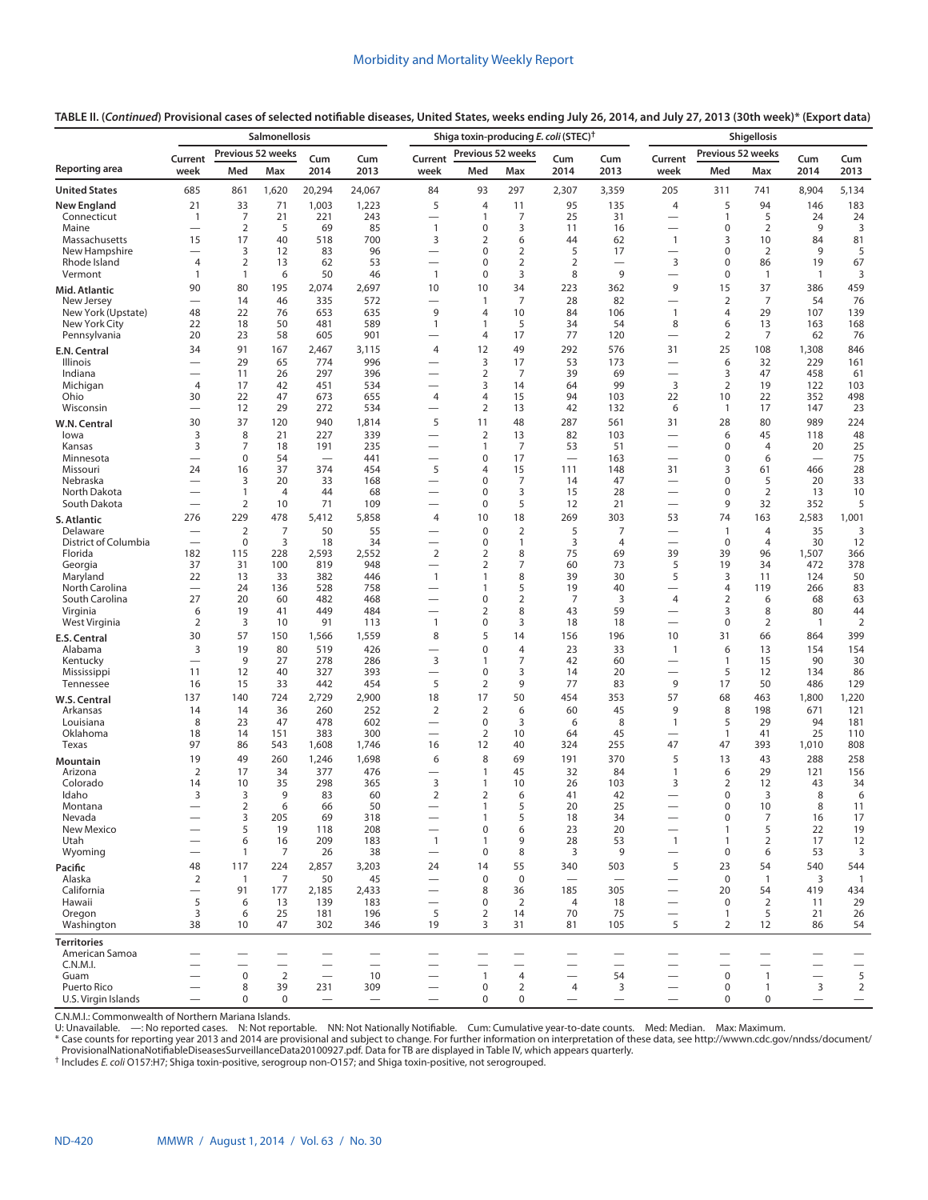| TABLE II. ( <i>Continued</i> ) Provisional cases of selected notifiable diseases, United States, weeks ending July 26, 2014, and July 27, 2013 (30th week)* (Export data) |  |  |
|---------------------------------------------------------------------------------------------------------------------------------------------------------------------------|--|--|
|---------------------------------------------------------------------------------------------------------------------------------------------------------------------------|--|--|

|                                      | Salmonellosis<br>Previous 52 weeks |                     |                          |                                 |                                  | Shiga toxin-producing E. coli (STEC) <sup>†</sup> |                               |                                  |                                  |                                 |                                                      | <b>Shigellosis</b>          |                              |                                                   |                          |
|--------------------------------------|------------------------------------|---------------------|--------------------------|---------------------------------|----------------------------------|---------------------------------------------------|-------------------------------|----------------------------------|----------------------------------|---------------------------------|------------------------------------------------------|-----------------------------|------------------------------|---------------------------------------------------|--------------------------|
|                                      | Current                            |                     |                          | Cum                             | Cum                              | Current                                           | Previous 52 weeks             |                                  | Cum                              | Cum                             | Current                                              | Previous 52 weeks           |                              | Cum                                               | Cum                      |
| Reporting area                       | week                               | Med                 | Max                      | 2014                            | 2013                             | week                                              | Med                           | Max                              | 2014                             | 2013                            | week                                                 | Med                         | Max                          | 2014                                              | 2013                     |
| <b>United States</b>                 | 685                                | 861                 | 1,620                    | 20,294                          | 24,067                           | 84                                                | 93                            | 297                              | 2,307                            | 3,359                           | 205                                                  | 311                         | 741                          | 8,904                                             | 5,134                    |
| <b>New England</b>                   | 21                                 | 33                  | 71                       | 1,003                           | 1,223                            | 5                                                 | 4                             | 11                               | 95                               | 135                             | 4                                                    | 5                           | 94                           | 146                                               | 183                      |
| Connecticut<br>Maine                 | 1<br>$\overline{\phantom{0}}$      | 7<br>$\overline{2}$ | 21<br>5                  | 221<br>69                       | 243<br>85                        | $\mathbf{1}$                                      | $\mathbf{1}$<br>0             | 7<br>3                           | 25<br>11                         | 31<br>16                        | $\overline{\phantom{0}}$                             | $\mathbf{1}$<br>0           | 5<br>2                       | 24<br>9                                           | 24<br>3                  |
| Massachusetts                        | 15                                 | 17                  | 40                       | 518                             | 700                              | 3                                                 | 2                             | 6                                | 44                               | 62                              | $\mathbf{1}$                                         | 3                           | 10                           | 84                                                | 81                       |
| New Hampshire                        |                                    | 3<br>$\overline{2}$ | 12                       | 83                              | 96<br>53                         |                                                   | 0<br>0                        | 2<br>$\overline{2}$              | 5<br>$\overline{2}$              | 17                              |                                                      | 0<br>$\mathbf 0$            | 2<br>86                      | 9<br>19                                           | 5                        |
| Rhode Island<br>Vermont              | 4<br>1                             | $\mathbf{1}$        | 13<br>6                  | 62<br>50                        | 46                               | $\overline{\phantom{0}}$<br>$\overline{1}$        | 0                             | 3                                | 8                                | 9                               | 3<br>$\overline{\phantom{0}}$                        | 0                           | $\mathbf{1}$                 | $\overline{1}$                                    | 67<br>3                  |
| Mid. Atlantic                        | 90                                 | 80                  | 195                      | 2,074                           | 2,697                            | 10                                                | 10                            | 34                               | 223                              | 362                             | 9                                                    | 15                          | 37                           | 386                                               | 459                      |
| New Jersey                           |                                    | 14                  | 46                       | 335                             | 572                              |                                                   | 1                             | 7                                | 28                               | 82                              | $\overline{\phantom{0}}$                             | $\overline{2}$              | 7                            | 54                                                | 76                       |
| New York (Upstate)<br>New York City  | 48<br>22                           | 22<br>18            | 76<br>50                 | 653<br>481                      | 635<br>589                       | 9<br>$\mathbf{1}$                                 | 4<br>1                        | 10<br>5                          | 84<br>34                         | 106<br>54                       | $\mathbf{1}$<br>8                                    | $\overline{4}$<br>6         | 29<br>13                     | 107<br>163                                        | 139<br>168               |
| Pennsylvania                         | 20                                 | 23                  | 58                       | 605                             | 901                              |                                                   | 4                             | 17                               | 77                               | 120                             | $\overline{\phantom{0}}$                             | $\overline{2}$              | 7                            | 62                                                | 76                       |
| E.N. Central                         | 34                                 | 91                  | 167                      | 2,467                           | 3,115                            | $\overline{4}$                                    | 12                            | 49                               | 292                              | 576                             | 31                                                   | 25                          | 108                          | 1,308                                             | 846                      |
| Illinois<br>Indiana                  |                                    | 29<br>11            | 65<br>26                 | 774<br>297                      | 996<br>396                       |                                                   | 3<br>$\overline{2}$           | 17<br>7                          | 53<br>39                         | 173<br>69                       | -                                                    | 6<br>3                      | 32<br>47                     | 229<br>458                                        | 161<br>61                |
| Michigan                             | $\overline{4}$                     | 17                  | 42                       | 451                             | 534                              |                                                   | 3                             | 14                               | 64                               | 99                              | $\overline{3}$                                       | $\overline{2}$              | 19                           | 122                                               | 103                      |
| Ohio                                 | 30                                 | 22                  | 47                       | 673                             | 655                              | 4                                                 | 4                             | 15                               | 94                               | 103                             | 22                                                   | 10                          | 22                           | 352                                               | 498                      |
| Wisconsin                            |                                    | 12                  | 29                       | 272                             | 534                              | $\overline{\phantom{0}}$                          | 2                             | 13                               | 42                               | 132                             | 6                                                    | $\overline{1}$              | 17                           | 147                                               | 23                       |
| W.N. Central<br>lowa                 | 30<br>3                            | 37<br>8             | 120<br>21                | 940<br>227                      | 1,814<br>339                     | 5                                                 | 11<br>$\overline{2}$          | 48<br>13                         | 287<br>82                        | 561<br>103                      | 31                                                   | 28<br>6                     | 80<br>45                     | 989<br>118                                        | 224<br>48                |
| Kansas                               | 3                                  | 7                   | 18                       | 191                             | 235                              |                                                   | 1                             | 7                                | 53                               | 51                              |                                                      | 0                           | 4                            | 20                                                | 25                       |
| Minnesota                            | $\overline{\phantom{0}}$           | $\mathbf 0$         | 54                       | $\overline{\phantom{0}}$        | 441                              | $\overline{\phantom{0}}$                          | 0                             | 17                               | $\overbrace{\phantom{12322111}}$ | 163                             | $\overline{\phantom{0}}$                             | 0                           | 6                            |                                                   | 75                       |
| Missouri<br>Nebraska                 | 24                                 | 16<br>3             | 37<br>20                 | 374<br>33                       | 454<br>168                       | 5                                                 | 4<br>0                        | 15<br>7                          | 111<br>14                        | 148<br>47                       | 31                                                   | 3<br>$\mathbf 0$            | 61<br>5                      | 466<br>20                                         | 28<br>33                 |
| North Dakota                         |                                    | $\mathbf{1}$        | $\overline{4}$           | 44                              | 68                               | $\overline{\phantom{0}}$                          | 0                             | 3                                | 15                               | 28                              | $\overline{\phantom{0}}$                             | 0                           | 2                            | 13                                                | 10                       |
| South Dakota                         |                                    | 2                   | 10                       | 71                              | 109                              |                                                   | 0                             | 5                                | 12                               | 21                              | $\overline{\phantom{0}}$                             | 9                           | 32                           | 352                                               | 5                        |
| S. Atlantic<br>Delaware              | 276                                | 229<br>2            | 478<br>7                 | 5,412<br>50                     | 5,858<br>55                      | $\overline{4}$                                    | 10<br>$\pmb{0}$               | 18<br>$\overline{2}$             | 269<br>5                         | 303<br>7                        | 53<br>$\overline{\phantom{0}}$                       | 74<br>$\overline{1}$        | 163<br>4                     | 2,583<br>35                                       | 1,001<br>3               |
| District of Columbia                 |                                    | $\mathbf 0$         | 3                        | 18                              | 34                               |                                                   | 0                             | $\mathbf{1}$                     | 3                                | 4                               |                                                      | $\mathbf 0$                 | $\overline{4}$               | 30                                                | 12                       |
| Florida                              | 182                                | 115                 | 228                      | 2,593                           | 2,552                            | $\overline{2}$                                    | $\overline{2}$                | 8                                | 75                               | 69                              | 39                                                   | 39                          | 96                           | 1,507                                             | 366                      |
| Georgia<br>Maryland                  | 37<br>22                           | 31<br>13            | 100<br>33                | 819<br>382                      | 948<br>446                       | $\mathbf{1}$                                      | 2<br>1                        | 7<br>8                           | 60<br>39                         | 73<br>30                        | 5<br>5                                               | 19<br>3                     | 34<br>11                     | 472<br>124                                        | 378<br>50                |
| North Carolina                       |                                    | 24                  | 136                      | 528                             | 758                              | $\overline{\phantom{0}}$                          | $\mathbf{1}$                  | 5                                | 19                               | 40                              | $\overline{\phantom{0}}$                             | 4                           | 119                          | 266                                               | 83                       |
| South Carolina                       | 27                                 | 20                  | 60                       | 482                             | 468                              |                                                   | 0                             | 2                                | 7                                | 3                               | 4                                                    | $\overline{2}$              | 6                            | 68                                                | 63                       |
| Virginia<br>West Virginia            | 6<br>$\overline{2}$                | 19<br>3             | 41<br>10                 | 449<br>91                       | 484<br>113                       | $\overline{\phantom{0}}$<br>$\mathbf{1}$          | $\overline{2}$<br>0           | 8<br>3                           | 43<br>18                         | 59<br>18                        | $\overline{\phantom{0}}$<br>$\overline{\phantom{0}}$ | 3<br>$\mathbf 0$            | 8<br>2                       | 80<br>$\overline{1}$                              | 44<br>$\overline{2}$     |
| E.S. Central                         | 30                                 | 57                  | 150                      | 1,566                           | 1,559                            | 8                                                 | 5                             | 14                               | 156                              | 196                             | 10                                                   | 31                          | 66                           | 864                                               | 399                      |
| Alabama                              | 3                                  | 19                  | 80                       | 519                             | 426                              |                                                   | 0                             | 4                                | 23                               | 33                              | $\mathbf{1}$                                         | 6                           | 13                           | 154                                               | 154                      |
| Kentucky<br>Mississippi              | $\overline{\phantom{0}}$<br>11     | 9<br>12             | 27<br>40                 | 278<br>327                      | 286<br>393                       | 3                                                 | 1<br>0                        | 7<br>3                           | 42<br>14                         | 60<br>20                        | $\overline{\phantom{0}}$                             | $\mathbf{1}$<br>5           | 15<br>12                     | 90<br>134                                         | 30<br>86                 |
| Tennessee                            | 16                                 | 15                  | 33                       | 442                             | 454                              | 5                                                 | $\overline{2}$                | 9                                | 77                               | 83                              | 9                                                    | 17                          | 50                           | 486                                               | 129                      |
| W.S. Central                         | 137                                | 140                 | 724                      | 2,729                           | 2,900                            | 18                                                | 17                            | 50                               | 454                              | 353                             | 57                                                   | 68                          | 463                          | 1,800                                             | 1,220                    |
| Arkansas                             | 14                                 | 14                  | 36                       | 260                             | 252                              | $\overline{2}$                                    | $\overline{2}$                | 6                                | 60                               | 45                              | 9                                                    | 8                           | 198                          | 671                                               | 121                      |
| Louisiana<br>Oklahoma                | 8<br>18                            | 23<br>14            | 47<br>151                | 478<br>383                      | 602<br>300                       | $\overline{\phantom{0}}$                          | $\mathbf 0$<br>$\overline{2}$ | 3<br>10                          | 6<br>64                          | 8<br>45                         | $\mathbf{1}$                                         | 5<br>$\mathbf{1}$           | 29<br>41                     | 94<br>25                                          | 181<br>110               |
| Texas                                | 97                                 | 86                  | 543                      | 1,608                           | 1,746                            | 16                                                | 12                            | 40                               | 324                              | 255                             | 47                                                   | 47                          | 393                          | 1,010                                             | 808                      |
| Mountain                             | 19                                 | 49                  | 260                      | 1,246                           | 1,698                            | 6                                                 | 8                             | 69                               | 191                              | 370                             | 5                                                    | 13                          | 43                           | 288                                               | 258                      |
| Arizona<br>Colorado                  | $\overline{2}$<br>14               | 17<br>10            | 34<br>35                 | 377<br>298                      | 476<br>365                       | 3                                                 | $\mathbf{1}$<br>$\mathbf{1}$  | 45<br>10                         | 32<br>26                         | 84<br>103                       | $\mathbf{1}$<br>3                                    | 6<br>$\overline{2}$         | 29<br>12                     | 121<br>43                                         | 156<br>34                |
| Idaho                                | 3                                  | 3                   | 9                        | 83                              | 60                               | 2                                                 | $\overline{2}$                | 6                                | 41                               | 42                              |                                                      | $\mathbf 0$                 | 3                            | 8                                                 | 6                        |
| Montana                              |                                    | 2                   | 6                        | 66                              | 50                               |                                                   | 1                             | 5                                | 20                               | 25                              |                                                      | 0                           | 10                           | 8                                                 | 11                       |
| Nevada<br>New Mexico                 |                                    | 3<br>5              | 205<br>19                | 69<br>118                       | 318<br>208                       | $\overline{\phantom{0}}$                          | 1<br>0                        | 5<br>6                           | 18<br>23                         | 34<br>20                        |                                                      | $\mathbf 0$<br>$\mathbf{1}$ | 7<br>5                       | 16<br>22                                          | 17<br>19                 |
| Utah                                 |                                    | 6                   | 16                       | 209                             | 183                              | $\overline{1}$                                    | $\mathbf{1}$                  | 9                                | 28                               | 53                              | $\mathbf{1}$                                         | $\mathbf{1}$                | 2                            | 17                                                | 12                       |
| Wyoming                              |                                    | $\mathbf{1}$        | 7                        | 26                              | 38                               |                                                   | 0                             | 8                                | 3                                | 9                               |                                                      | $\mathbf 0$                 | 6                            | 53                                                | 3                        |
| Pacific                              | 48<br>$\overline{2}$               | 117<br>$\mathbf{1}$ | 224<br>7                 | 2,857<br>50                     | 3,203<br>45                      | 24                                                | 14<br>$\mathbf 0$             | 55<br>$\mathbf 0$                | 340                              | 503                             | 5                                                    | 23<br>$\mathbf 0$           | 54<br>$\mathbf{1}$           | 540<br>3                                          | 544                      |
| Alaska<br>California                 |                                    | 91                  | 177                      | 2,185                           | 2,433                            |                                                   | 8                             | 36                               | 185                              | 305                             |                                                      | 20                          | 54                           | 419                                               | $\overline{1}$<br>434    |
| Hawaii                               | 5                                  | 6                   | 13                       | 139                             | 183                              |                                                   | 0                             | 2                                | $\overline{4}$                   | 18                              |                                                      | $\mathbf 0$                 | 2                            | 11                                                | 29                       |
| Oregon<br>Washington                 | 3<br>38                            | 6<br>10             | 25<br>47                 | 181<br>302                      | 196<br>346                       | 5<br>19                                           | 2<br>3                        | 14<br>31                         | 70<br>81                         | 75<br>105                       | $\qquad \qquad$<br>5                                 | $\mathbf{1}$<br>2           | 5<br>12                      | 21<br>86                                          | 26<br>54                 |
|                                      |                                    |                     |                          |                                 |                                  |                                                   |                               |                                  |                                  |                                 |                                                      |                             |                              |                                                   |                          |
| <b>Territories</b><br>American Samoa |                                    |                     |                          |                                 |                                  |                                                   |                               |                                  |                                  |                                 |                                                      |                             |                              |                                                   |                          |
| C.N.M.I.                             |                                    |                     | $\overline{\phantom{0}}$ | $\overline{\phantom{0}}$        | $\overbrace{\phantom{12322111}}$ | $\overline{\phantom{0}}$                          |                               |                                  | $\overline{\phantom{0}}$         | $\overline{\phantom{0}}$        | $\overline{\phantom{0}}$                             | $\overline{\phantom{0}}$    | $\overline{\phantom{0}}$     | $\overline{\phantom{0}}$                          | $\overline{\phantom{0}}$ |
| Guam<br>Puerto Rico                  |                                    | $\mathbf 0$<br>8    | $\mathbf 2$<br>39        | $\overline{\phantom{0}}$<br>231 | 10<br>309                        | $\overbrace{\phantom{1232211}}$                   | $\overline{1}$<br>0           | $\overline{4}$<br>$\overline{2}$ | $\overline{\phantom{0}}$<br>4    | 54<br>3                         | $\overline{\phantom{0}}$<br>$\overline{\phantom{0}}$ | $\mathsf 0$<br>$\mathbf 0$  | $\mathbf{1}$<br>$\mathbf{1}$ | $\overbrace{\phantom{123221111}}$<br>$\mathbf{3}$ | 5<br>$\overline{2}$      |
| U.S. Virgin Islands                  | $\equiv$                           | $\mathbf 0$         | $\mathbf 0$              | $\overline{\phantom{0}}$        | $\qquad \qquad -$                | $\overline{\phantom{0}}$                          | 0                             | 0                                | $\overline{\phantom{m}}$         | $\overbrace{\phantom{1232211}}$ | $\overline{\phantom{0}}$                             | $\mathbf 0$                 | $\mathbf 0$                  | $\overline{\phantom{0}}$                          | $\overline{\phantom{0}}$ |

C.N.M.I.: Commonwealth of Northern Mariana Islands.<br>U: Unavailable. —: No reported cases. N: Not reportable. NN: Not Nationally Notifiable. Cum: Cumulative year-to-date counts. Med: Median. Max: Maximum.<br>\* Case counts for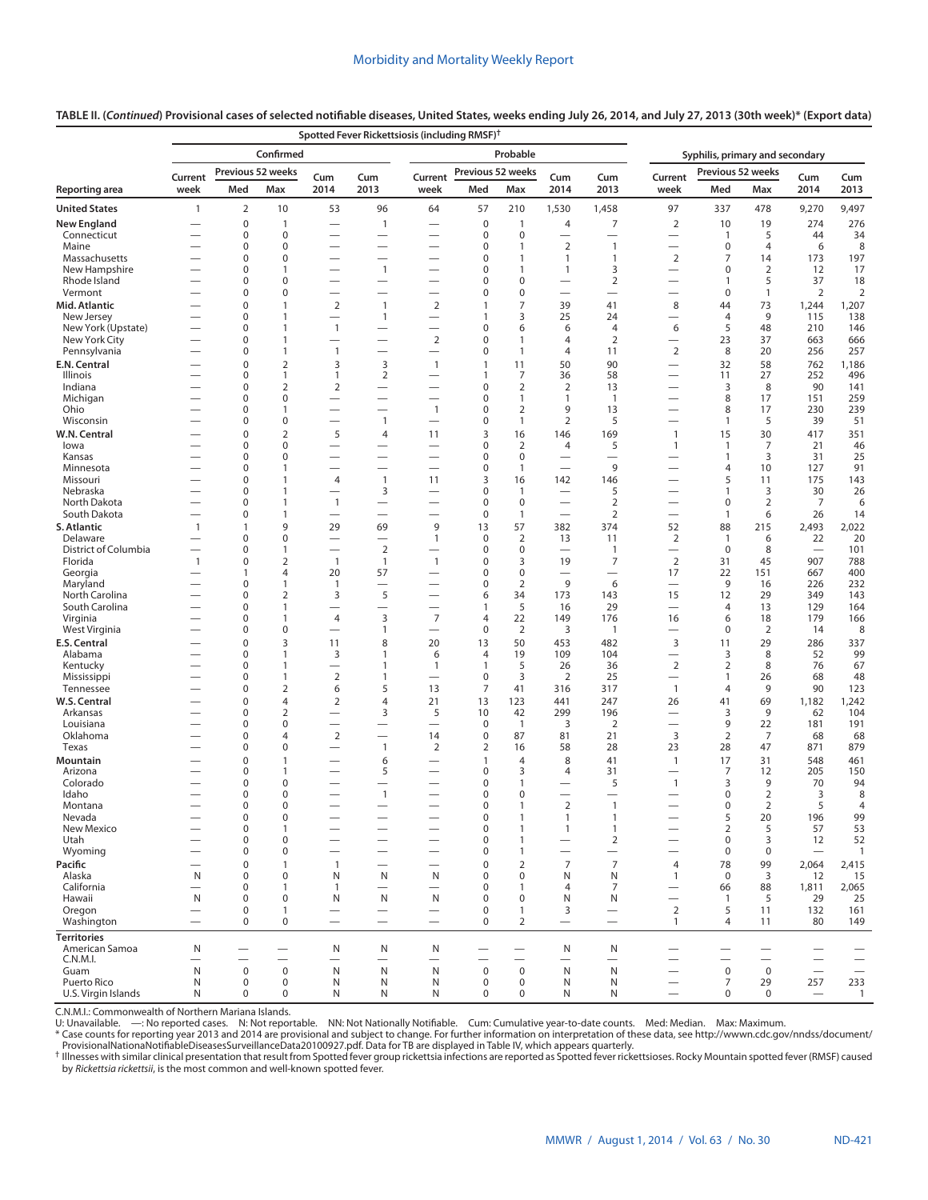|                               |                                          | Spotted Fever Rickettsiosis (including RMSF) |                                |                                                      |                                                      |                                            |                            |                                |                                  |                                            |                                            |                               |                          |                                 |                                  |  |
|-------------------------------|------------------------------------------|----------------------------------------------|--------------------------------|------------------------------------------------------|------------------------------------------------------|--------------------------------------------|----------------------------|--------------------------------|----------------------------------|--------------------------------------------|--------------------------------------------|-------------------------------|--------------------------|---------------------------------|----------------------------------|--|
|                               |                                          |                                              | Confirmed                      |                                                      |                                                      |                                            |                            | Probable                       |                                  |                                            | Syphilis, primary and secondary            |                               |                          |                                 |                                  |  |
| Reporting area                | Current                                  |                                              | Previous 52 weeks              |                                                      | Cum                                                  | Current                                    | Previous 52 weeks          |                                | Cum                              | Cum                                        | Current                                    | Previous 52 weeks             |                          | Cum                             | Cum                              |  |
|                               | week                                     | Med                                          | Max                            | Cum<br>2014                                          | 2013                                                 | week                                       | Med                        | Max                            | 2014                             | 2013                                       | week                                       | Med                           | Max                      | 2014                            | 2013                             |  |
| <b>United States</b>          | $\mathbf{1}$                             | $\mathbf 2$                                  | 10                             | 53                                                   | 96                                                   | 64                                         | 57                         | 210                            | 1,530                            | 1,458                                      | 97                                         | 337                           | 478                      | 9,270                           | 9,497                            |  |
| New England                   |                                          | $\mathbf 0$                                  | 1                              | -                                                    | 1                                                    | $\overline{\phantom{0}}$                   | $\mathbf 0$                | $\overline{1}$                 | $\overline{4}$                   | $\overline{7}$                             | $\overline{2}$                             | 10                            | 19                       | 274                             | 276                              |  |
| Connecticut<br>Maine          |                                          | 0<br>$\mathbf 0$                             | $\pmb{0}$<br>0                 | $\overline{\phantom{0}}$<br>$\overline{\phantom{0}}$ |                                                      | -                                          | $\mathbf 0$<br>0           | $\mathbf 0$<br>$\mathbf{1}$    | $\overline{2}$                   | $\overline{\phantom{0}}$<br>$\mathbf{1}$   | —<br>$\overline{\phantom{0}}$              | $\mathbf{1}$<br>$\mathbf 0$   | 5<br>$\overline{4}$      | 44<br>6                         | 34<br>8                          |  |
| Massachusetts                 |                                          | $\mathbf 0$                                  | 0                              | -                                                    | $\overline{\phantom{0}}$                             | -                                          | 0                          | $\mathbf{1}$                   | $\mathbf{1}$                     | $\mathbf{1}$                               | $\overline{2}$                             | 7                             | 14                       | 173                             | 197                              |  |
| New Hampshire                 |                                          | 0                                            | 1                              | —                                                    | $\mathbf{1}$                                         | -                                          | 0                          | $\overline{1}$                 | $\mathbf{1}$                     | 3                                          | $\overline{\phantom{0}}$                   | $\mathbf 0$                   | $\overline{2}$           | 12                              | 17                               |  |
| Rhode Island                  |                                          | 0                                            | 0<br>0                         | $\overline{\phantom{0}}$                             | $\overline{\phantom{0}}$                             | $\overline{\phantom{0}}$                   | 0<br>0                     | $\mathbf 0$<br>$\mathbf 0$     |                                  | $\overline{2}$<br>$\overline{\phantom{0}}$ |                                            | $\mathbf{1}$<br>$\mathbf 0$   | 5                        | 37<br>2                         | 18                               |  |
| Vermont<br>Mid. Atlantic      |                                          | 0<br>$\mathbf 0$                             | 1                              | $\overline{\phantom{0}}$<br>$\overline{2}$           | $\mathbf{1}$                                         | $\overline{2}$                             | 1                          | $\overline{7}$                 | 39                               | 41                                         | -<br>8                                     | 44                            | $\mathbf{1}$<br>73       | 1,244                           | $\overline{2}$<br>1,207          |  |
| New Jersey                    |                                          | 0                                            | $\mathbf{1}$                   | $\overline{\phantom{0}}$                             | 1                                                    |                                            | 1                          | 3                              | 25                               | 24                                         | -                                          | $\overline{4}$                | 9                        | 115                             | 138                              |  |
| New York (Upstate)            |                                          | 0                                            | $\mathbf{1}$                   | $\mathbf{1}$                                         | $\overline{\phantom{0}}$                             |                                            | 0                          | 6                              | 6                                | $\overline{4}$                             | 6                                          | 5                             | 48                       | 210                             | 146                              |  |
| New York City<br>Pennsylvania |                                          | $\mathbf 0$<br>0                             | $\mathbf{1}$<br>$\mathbf{1}$   | $\overline{\phantom{0}}$<br>$\mathbf{1}$             | $\overline{\phantom{0}}$<br>$\overline{\phantom{0}}$ | $\overline{2}$                             | 0<br>0                     | $\mathbf{1}$<br>$\mathbf{1}$   | $\overline{4}$<br>$\overline{4}$ | $\overline{2}$<br>11                       | $\overline{\phantom{0}}$<br>$\overline{2}$ | 23<br>8                       | 37<br>20                 | 663<br>256                      | 666<br>257                       |  |
| E.N. Central                  |                                          | $\mathbf 0$                                  | $\overline{2}$                 | 3                                                    | 3                                                    | $\mathbf{1}$                               | $\mathbf{1}$               | 11                             | 50                               | 90                                         | $\overline{\phantom{0}}$                   | 32                            | 58                       | 762                             | 1,186                            |  |
| Illinois                      |                                          | 0                                            | 1                              | $\mathbf{1}$                                         | $\overline{2}$                                       | $\overline{\phantom{0}}$                   | 1                          | 7                              | 36                               | 58                                         | -                                          | 11                            | 27                       | 252                             | 496                              |  |
| Indiana                       |                                          | 0                                            | $\overline{2}$                 | $\overline{2}$                                       |                                                      | $\overline{\phantom{0}}$                   | 0                          | $\overline{2}$                 | 2                                | 13                                         |                                            | 3                             | 8                        | 90                              | 141                              |  |
| Michigan<br>Ohio              | $\overline{\phantom{0}}$                 | 0<br>0                                       | 0<br>$\mathbf{1}$              | $\overline{\phantom{0}}$<br>$\overline{\phantom{0}}$ |                                                      | $\overline{\phantom{0}}$<br>$\overline{1}$ | 0<br>0                     | $\mathbf{1}$<br>$\overline{2}$ | 1<br>9                           | $\mathbf{1}$<br>13                         |                                            | 8<br>8                        | 17<br>17                 | 151<br>230                      | 259<br>239                       |  |
| Wisconsin                     |                                          | $\mathbf 0$                                  | 0                              | $\overline{\phantom{0}}$                             | 1                                                    |                                            | $\mathbf 0$                | $\mathbf{1}$                   | $\overline{2}$                   | 5                                          |                                            | $\mathbf{1}$                  | 5                        | 39                              | 51                               |  |
| W.N. Central                  |                                          | 0                                            | $\overline{2}$                 | 5                                                    | $\overline{4}$                                       | 11                                         | 3                          | 16                             | 146                              | 169                                        | $\mathbf{1}$                               | 15                            | 30                       | 417                             | 351                              |  |
| lowa                          |                                          | $\mathbf 0$                                  | 0                              | -                                                    |                                                      | $\overline{\phantom{0}}$                   | 0                          | 2                              | 4                                | 5                                          | $\mathbf{1}$                               | $\mathbf{1}$                  | 7                        | 21                              | 46                               |  |
| Kansas<br>Minnesota           |                                          | $\Omega$<br>0                                | $\Omega$<br>$\mathbf{1}$       | $\overline{\phantom{0}}$<br>$\overline{\phantom{0}}$ | $\overline{\phantom{0}}$                             | -<br>$\overline{\phantom{0}}$              | $\Omega$<br>0              | $\mathbf 0$<br>$\mathbf{1}$    |                                  | $\overline{\phantom{0}}$<br>9              |                                            | $\mathbf{1}$<br>4             | 3<br>10                  | 31<br>127                       | 25<br>91                         |  |
| Missouri                      |                                          | 0                                            | $\mathbf{1}$                   | $\overline{4}$                                       | 1                                                    | 11                                         | 3                          | 16                             | 142                              | 146                                        |                                            | 5                             | 11                       | 175                             | 143                              |  |
| Nebraska                      |                                          | 0                                            | 1                              | $\overline{\phantom{0}}$                             | 3                                                    |                                            | 0                          | $\mathbf{1}$                   |                                  | 5                                          | $\overline{\phantom{0}}$                   | $\mathbf{1}$                  | 3                        | 30                              | 26                               |  |
| North Dakota<br>South Dakota  |                                          | 0                                            | $\mathbf{1}$<br>$\mathbf{1}$   | $\mathbf{1}$                                         | $\overline{\phantom{0}}$                             |                                            | 0                          | $\bf 0$                        |                                  | $\overline{2}$                             | $\overline{\phantom{0}}$                   | $\mathbf 0$                   | 2                        | 7                               | 6                                |  |
| S. Atlantic                   | $\overline{\phantom{0}}$<br>$\mathbf{1}$ | 0<br>1                                       | 9                              | $\overline{\phantom{0}}$<br>29                       | 69                                                   | 9                                          | 0<br>13                    | $\mathbf{1}$<br>57             | $\overline{\phantom{0}}$<br>382  | $\overline{2}$<br>374                      | $\overline{\phantom{0}}$<br>52             | $\mathbf{1}$<br>88            | 6<br>215                 | 26<br>2,493                     | 14<br>2,022                      |  |
| Delaware                      |                                          | $\Omega$                                     | 0                              | $\overline{\phantom{0}}$                             | $\overline{\phantom{0}}$                             | $\mathbf{1}$                               | 0                          | $\overline{2}$                 | 13                               | 11                                         | $\overline{2}$                             | 1                             | 6                        | 22                              | 20                               |  |
| District of Columbia          |                                          | 0                                            | $\mathbf{1}$                   | $\overline{\phantom{0}}$                             | $\overline{2}$                                       | $\overline{\phantom{0}}$                   | 0                          | $\bf 0$                        |                                  | $\mathbf{1}$                               | $\overline{\phantom{0}}$                   | $\mathbf 0$                   | 8                        | $\overline{\phantom{0}}$        | 101                              |  |
| Florida                       | $\mathbf{1}$                             | $\Omega$<br>1                                | $\overline{2}$<br>4            | $\mathbf{1}$<br>20                                   | $\mathbf{1}$<br>57                                   | $\mathbf{1}$<br>$\overline{\phantom{0}}$   | $\Omega$<br>0              | 3<br>$\mathbf 0$               | 19                               | $\overline{7}$<br>$\overline{\phantom{0}}$ | $\mathbf 2$                                | 31<br>22                      | 45<br>151                | 907<br>667                      | 788<br>400                       |  |
| Georgia<br>Maryland           |                                          | $\Omega$                                     | 1                              | $\mathbf{1}$                                         |                                                      | $\overline{\phantom{0}}$                   | $\Omega$                   | $\overline{2}$                 | 9                                | 6                                          | 17<br>$\overline{\phantom{0}}$             | 9                             | 16                       | 226                             | 232                              |  |
| North Carolina                |                                          | 0                                            | 2                              | 3                                                    | 5                                                    |                                            | 6                          | 34                             | 173                              | 143                                        | 15                                         | 12                            | 29                       | 349                             | 143                              |  |
| South Carolina                |                                          | 0                                            | $\mathbf{1}$                   | $\overline{\phantom{0}}$                             | $\overline{\phantom{0}}$                             | $\overline{\phantom{0}}$                   | 1                          | 5                              | 16                               | 29                                         | $\overline{\phantom{0}}$                   | 4                             | 13                       | 129                             | 164                              |  |
| Virginia<br>West Virginia     |                                          | 0<br>0                                       | $\mathbf{1}$<br>$\pmb{0}$      | 4                                                    | 3<br>$\mathbf{1}$                                    | 7                                          | 4<br>0                     | 22<br>$\overline{2}$           | 149<br>3                         | 176<br>$\mathbf{1}$                        | 16<br>$\overline{\phantom{0}}$             | 6<br>0                        | 18<br>$\overline{2}$     | 179<br>14                       | 166<br>8                         |  |
| E.S. Central                  |                                          | 0                                            | 3                              | 11                                                   | 8                                                    | 20                                         | 13                         | 50                             | 453                              | 482                                        | 3                                          | 11                            | 29                       | 286                             | 337                              |  |
| Alabama                       |                                          | $\Omega$                                     | 1                              | 3                                                    | 1                                                    | 6                                          | 4                          | 19                             | 109                              | 104                                        |                                            | 3                             | 8                        | 52                              | 99                               |  |
| Kentucky                      |                                          | $\Omega$                                     | 1                              | $\overline{\phantom{0}}$                             | 1                                                    | $\mathbf{1}$                               | 1                          | 5                              | 26                               | 36                                         | $\mathbf 2$                                | 2                             | 8                        | 76                              | 67                               |  |
| Mississippi<br>Tennessee      |                                          | 0<br>O                                       | $\mathbf{1}$<br>$\overline{2}$ | $\mathbf 2$<br>6                                     | 1<br>5                                               | 13                                         | 0<br>7                     | 3<br>41                        | 2<br>316                         | 25<br>317                                  | $\overline{\phantom{0}}$<br>1              | 1<br>4                        | 26<br>9                  | 68<br>90                        | 48<br>123                        |  |
| W.S. Central                  |                                          | $\Omega$                                     | $\overline{4}$                 | $\overline{2}$                                       | 4                                                    | 21                                         | 13                         | 123                            | 441                              | 247                                        | 26                                         | 41                            | 69                       | 1,182                           | 1,242                            |  |
| Arkansas                      |                                          | 0                                            | $\overline{2}$                 | $\overline{\phantom{0}}$                             | 3                                                    | 5                                          | 10                         | 42                             | 299                              | 196                                        | $\overline{\phantom{0}}$                   | 3                             | 9                        | 62                              | 104                              |  |
| Louisiana<br>Oklahoma         |                                          | $\mathbf 0$<br>0                             | 0<br>4                         | $\overline{\phantom{0}}$<br>$\mathbf 2$              | -<br>$\overline{\phantom{0}}$                        | $\overline{\phantom{0}}$<br>14             | $\mathbf 0$<br>$\mathbf 0$ | $\mathbf{1}$<br>87             | 3<br>81                          | $\overline{2}$<br>21                       | —<br>3                                     | 9<br>$\overline{2}$           | 22<br>7                  | 181                             | 191                              |  |
| Texas                         | -                                        | 0                                            | 0                              | $\overline{\phantom{0}}$                             | $\mathbf{1}$                                         | $\overline{2}$                             | 2                          | 16                             | 58                               | 28                                         | 23                                         | 28                            | 47                       | 68<br>871                       | 68<br>879                        |  |
| Mountain                      |                                          | $\mathbf 0$                                  | 1                              | -                                                    | 6                                                    | -                                          | $\mathbf{1}$               | $\overline{4}$                 | 8                                | 41                                         | 1                                          | 17                            | 31                       | 548                             | 461                              |  |
| Arizona                       |                                          | $\mathbf 0$                                  | 1                              | -                                                    | 5                                                    |                                            | 0                          | 3                              | $\overline{4}$                   | 31                                         |                                            | $\overline{7}$                | 12                       | 205                             | 150                              |  |
| Colorado<br>Idaho             |                                          | 0<br>0                                       | 0<br>0                         | $\overline{\phantom{0}}$<br>-                        | $\overline{\phantom{0}}$<br>1                        |                                            | 0<br>0                     | $\mathbf{1}$<br>$\mathbf 0$    |                                  | 5<br>-                                     | 1                                          | 3<br>$\mathbf 0$              | 9<br>2                   | 70<br>3                         | 94<br>8                          |  |
| Montana                       |                                          | 0                                            | 0                              |                                                      |                                                      |                                            | 0                          | $\mathbf{1}$                   | $\overline{2}$                   | $\mathbf{1}$                               |                                            | $\mathbf 0$                   | 2                        | 5                               | 4                                |  |
| Nevada                        |                                          | 0                                            | 0                              |                                                      |                                                      |                                            | 0                          | 1                              |                                  | 1                                          |                                            | 5                             | 20                       | 196                             | 99                               |  |
| New Mexico                    |                                          | 0                                            | 1                              |                                                      | $\qquad \qquad -$                                    | $\qquad \qquad -$                          | 0                          | 1                              | $\mathbf{1}$                     | 1                                          |                                            | $\overline{2}$<br>$\mathbf 0$ | 5                        | 57                              | 53                               |  |
| Utah<br>Wyoming               |                                          | 0<br>0                                       | $\pmb{0}$<br>$\mathbf 0$       | $\overline{\phantom{0}}$<br>$\overline{\phantom{0}}$ | $\qquad \qquad$<br>$\overline{\phantom{0}}$          |                                            | 0<br>0                     | $\mathbf{1}$<br>$\overline{1}$ |                                  | $\overline{2}$<br>$\overline{\phantom{0}}$ | -<br>$\overline{\phantom{0}}$              | $\mathbf 0$                   | 3<br>0                   | 12<br>$\overline{\phantom{0}}$  | 52<br>$\overline{1}$             |  |
| Pacific                       | -                                        | $\mathbf 0$                                  | $\mathbf{1}$                   | $\mathbf{1}$                                         | $\qquad \qquad$                                      |                                            | $\mathbf 0$                | $\overline{2}$                 | $\overline{7}$                   | $\overline{7}$                             | $\overline{4}$                             | 78                            | 99                       | 2,064                           | 2,415                            |  |
| Alaska                        | N                                        | 0                                            | $\mathbf 0$                    | N                                                    | N                                                    | N                                          | 0                          | $\mathbf 0$                    | N                                | N                                          | $\overline{1}$                             | $\mathbf 0$                   | 3                        | 12                              | 15                               |  |
| California                    |                                          | 0<br>$\mathbf 0$                             | $\mathbf{1}$                   | $\mathbf{1}$                                         | $\overline{\phantom{0}}$                             |                                            | 0<br>0                     | $\mathbf{1}$                   | 4                                | 7                                          |                                            | 66                            | 88                       | 1,811                           | 2,065                            |  |
| Hawaii<br>Oregon              | N                                        | $\mathbf 0$                                  | $\pmb{0}$<br>1                 | N                                                    | N                                                    | N                                          | 0                          | $\mathbf 0$<br>$\mathbf{1}$    | N<br>3                           | N<br>$\overline{\phantom{0}}$              | -<br>2                                     | 1<br>5                        | 5<br>11                  | 29<br>132                       | 25<br>161                        |  |
| Washington                    |                                          | $\mathbf 0$                                  | $\mathbf 0$                    | $\overline{\phantom{0}}$                             | $\overline{\phantom{0}}$                             | $\overline{\phantom{0}}$                   | 0                          | 2                              |                                  | $\overline{\phantom{0}}$                   | $\mathbf{1}$                               | $\overline{4}$                | 11                       | 80                              | 149                              |  |
| <b>Territories</b>            |                                          |                                              |                                |                                                      |                                                      |                                            |                            |                                |                                  |                                            |                                            |                               |                          |                                 |                                  |  |
| American Samoa                | N                                        | $\overline{\phantom{0}}$                     |                                | N<br>$\overline{\phantom{0}}$                        | N                                                    | N<br>$\overline{\phantom{0}}$              | $\overline{\phantom{0}}$   | $\overline{\phantom{0}}$       | N                                | N                                          |                                            |                               | $\overline{\phantom{0}}$ | —                               |                                  |  |
| C.N.M.I.<br>Guam              | N                                        | $\bf 0$                                      | $\pmb{0}$                      | ${\sf N}$                                            | N                                                    | $\mathsf{N}$                               | $\pmb{0}$                  | $\pmb{0}$                      | $\mathsf{N}$                     | N                                          | -                                          | $\pmb{0}$                     | $\mathbf 0$              | $\overline{\phantom{0}}$        | $\overbrace{\phantom{12322111}}$ |  |
| Puerto Rico                   | N                                        | 0                                            | 0                              | N                                                    | N                                                    | N                                          | 0                          | $\mathbf 0$                    | N                                | Ν                                          |                                            | 7                             | 29                       | 257                             | 233                              |  |
| U.S. Virgin Islands           | N                                        | 0                                            | $\pmb{0}$                      | N                                                    | N                                                    | N                                          | 0                          | $\mathbf 0$                    | N                                | N                                          |                                            | 0                             | $\mathbf 0$              | $\overbrace{\phantom{1232211}}$ | $\mathbf{1}$                     |  |

#### **TABLE II. (***Continued***) Provisional cases of selected notifiable diseases, United States, weeks ending July 26, 2014, and July 27, 2013 (30th week)\* ([Export data\)](https://data.cdc.gov/NNDSS/NNDSS-Table-II-Spotted-Fever-Rickettsiosis-to-Syph/fqve-8wzt) Spotted Fever Rickettsiosis (including RMSF)†**

C.N.M.I.: Commonwealth of Northern Mariana Islands.

U: Unavailable. —: No reported cases. N: Not reportable. NN: Not Nationally Notifiable. Cum: Cumulative year-to-date counts. Med: Median. Max: Maximum.<br>\* Case counts for reporting year 2013 and 2014 are provisional and sub

by *Rickettsia rickettsii*, is the most common and well-known spotted fever.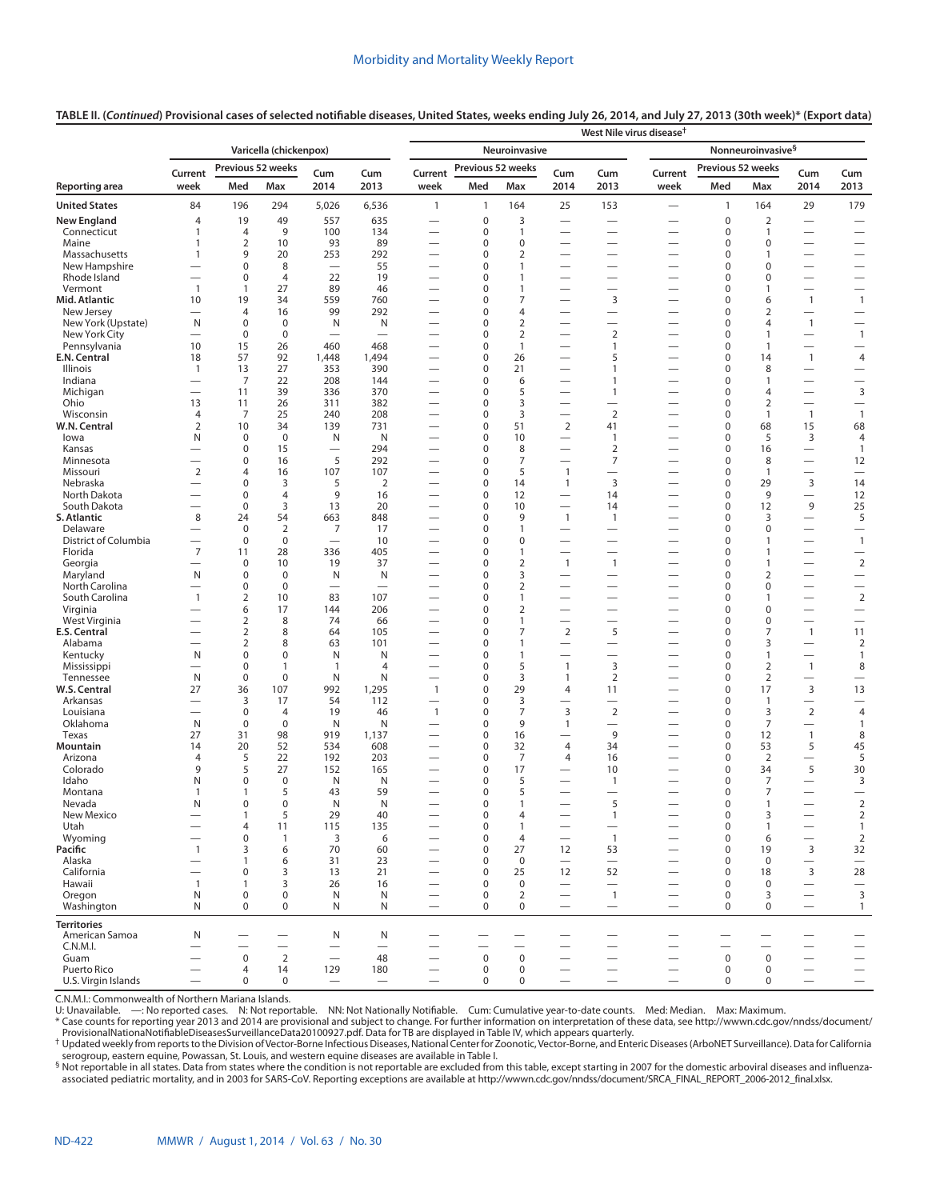# **TABLE II. (***Continued***) Provisional cases of selected notifiable diseases, United States, weeks ending July 26, 2014, and July 27, 2013 (30th week)\* ([Export data\)](https://data.cdc.gov/NNDSS/NNDSS-Table-II-Varicella-to-West-Nile-virus-diseas/ig4m-ub43)**

|                                      |                                          |                            |                          |                                        |                                  | West Nile virus disease <sup>†</sup>                 |                   |                                |                                                      |                                                      |                                                              |                                 |                                  |                                                      |                                                              |  |
|--------------------------------------|------------------------------------------|----------------------------|--------------------------|----------------------------------------|----------------------------------|------------------------------------------------------|-------------------|--------------------------------|------------------------------------------------------|------------------------------------------------------|--------------------------------------------------------------|---------------------------------|----------------------------------|------------------------------------------------------|--------------------------------------------------------------|--|
|                                      |                                          |                            | Varicella (chickenpox)   |                                        |                                  | Neuroinvasive                                        |                   |                                |                                                      |                                                      | Nonneuroinvasive <sup>§</sup>                                |                                 |                                  |                                                      |                                                              |  |
|                                      | Current                                  |                            | Previous 52 weeks        | Cum                                    | Cum                              | Current                                              | Previous 52 weeks |                                | Cum                                                  | Cum                                                  | Current                                                      |                                 | Previous 52 weeks                | Cum                                                  | Cum                                                          |  |
| Reporting area                       | week                                     | Med                        | Max                      | 2014                                   | 2013                             | week                                                 | Med               | Max                            | 2014                                                 | 2013                                                 | week                                                         | Med                             | Max                              | 2014                                                 | 2013                                                         |  |
| <b>United States</b>                 | 84                                       | 196                        | 294                      | 5,026                                  | 6,536                            | $\mathbf{1}$                                         | $\mathbf{1}$      | 164                            | 25                                                   | 153                                                  | $\overline{\phantom{0}}$                                     | $\mathbf{1}$                    | 164                              | 29                                                   | 179                                                          |  |
| <b>New England</b>                   | 4                                        | 19                         | 49                       | 557                                    | 635                              | $\overline{\phantom{0}}$                             | $\pmb{0}$         | 3                              | $\overline{\phantom{0}}$                             |                                                      | $\overline{\phantom{0}}$                                     | $\mathbf 0$                     | $\overline{2}$                   | $\overline{\phantom{0}}$                             |                                                              |  |
| Connecticut<br>Maine                 | 1<br>1                                   | 4<br>$\overline{2}$        | 9<br>10                  | 100<br>93                              | 134<br>89                        | —<br>—                                               | $\mathbf 0$<br>0  | 1<br>$\mathbf 0$               | $\overline{\phantom{0}}$<br>$\overline{\phantom{0}}$ | $\overline{\phantom{0}}$<br>$\overline{\phantom{0}}$ | -                                                            | $\mathbf 0$<br>$\mathbf 0$      | 1<br>$\mathbf 0$                 | $\overline{\phantom{0}}$<br>$\overline{\phantom{0}}$ | $\overbrace{\phantom{12322111}}$<br>$\overline{\phantom{0}}$ |  |
| Massachusetts                        | 1                                        | 9                          | 20                       | 253                                    | 292                              |                                                      | 0                 | $\overline{2}$                 |                                                      | $\overline{\phantom{0}}$                             |                                                              | $\mathbf 0$                     | $\mathbf{1}$                     | $\overline{\phantom{0}}$                             |                                                              |  |
| New Hampshire                        |                                          | 0                          | 8                        | $\overline{\phantom{0}}$               | 55                               | $\overline{\phantom{0}}$                             | 0                 | 1                              | $\overline{\phantom{0}}$                             |                                                      | —                                                            | 0                               | $\mathbf 0$                      |                                                      | $\qquad \qquad$                                              |  |
| Rhode Island<br>Vermont              | $\mathbf{1}$                             | 0<br>1                     | $\overline{4}$<br>27     | 22<br>89                               | 19<br>46                         | $\overline{\phantom{0}}$                             | 0<br>0            | $\mathbf{1}$<br>1              |                                                      | $\overline{\phantom{0}}$<br>$\overline{\phantom{0}}$ | —<br>$\overline{\phantom{0}}$                                | $\mathbf 0$<br>0                | $\Omega$<br>1                    | $\overbrace{\phantom{12322111}}$                     |                                                              |  |
| Mid. Atlantic                        | 10                                       | 19                         | 34                       | 559                                    | 760                              | —                                                    | 0                 | 7                              | $\overline{\phantom{0}}$                             | 3                                                    | -                                                            | $\mathbf 0$                     | 6                                | $\mathbf{1}$                                         | $\mathbf{1}$                                                 |  |
| New Jersey                           |                                          | 4                          | 16                       | 99                                     | 292                              | $\overline{\phantom{0}}$                             | 0                 | 4                              | $\overline{\phantom{0}}$                             |                                                      | —                                                            | 0                               | 2                                | $\overbrace{\phantom{123221111}}$                    | $\overbrace{\phantom{12322111}}$                             |  |
| New York (Upstate)                   | N                                        | $\mathbf 0$                | $\mathbf 0$              | N                                      | N                                | $\overline{\phantom{0}}$                             | 0                 | $\overline{2}$                 |                                                      | $\overline{\phantom{0}}$                             | $\overline{\phantom{0}}$                                     | $\mathbf 0$                     | $\overline{4}$                   | $\mathbf{1}$                                         | $\overline{\phantom{0}}$                                     |  |
| New York City<br>Pennsylvania        | 10                                       | 0<br>15                    | $\pmb{0}$<br>26          | 460                                    | $\overline{\phantom{0}}$<br>468  | $\overline{\phantom{0}}$<br>$\overline{\phantom{0}}$ | 0<br>0            | $\overline{2}$<br>$\mathbf{1}$ | $\overline{\phantom{0}}$                             | $\overline{2}$<br>$\mathbf{1}$                       | $\overline{\phantom{0}}$<br>$\overline{\phantom{0}}$         | 0<br>$\mathbf 0$                | 1<br>$\mathbf{1}$                | $\overline{\phantom{0}}$<br>$\overline{\phantom{0}}$ | $\mathbf{1}$<br>$\overline{\phantom{0}}$                     |  |
| E.N. Central                         | 18                                       | 57                         | 92                       | 1,448                                  | 1,494                            |                                                      | 0                 | 26                             | $\overline{\phantom{0}}$                             | 5                                                    |                                                              | $\pmb{0}$                       | 14                               | $\mathbf{1}$                                         | $\overline{4}$                                               |  |
| Illinois                             | $\mathbf{1}$                             | 13                         | 27                       | 353                                    | 390                              |                                                      | 0                 | 21                             |                                                      | 1                                                    |                                                              | $\mathbf 0$                     | 8                                | $\overline{\phantom{0}}$                             |                                                              |  |
| Indiana                              |                                          | $\overline{7}$             | 22                       | 208                                    | 144                              |                                                      | $\pmb{0}$         | 6                              |                                                      | 1                                                    |                                                              | $\mathbf 0$                     | 1                                |                                                      | $\overline{\phantom{0}}$                                     |  |
| Michigan<br>Ohio                     | $\overline{\phantom{0}}$<br>13           | 11<br>11                   | 39<br>26                 | 336<br>311                             | 370<br>382                       | $\overline{\phantom{0}}$<br>-                        | 0<br>0            | 5<br>3                         | $\overline{\phantom{0}}$                             | $\mathbf{1}$                                         | -                                                            | $\mathbf 0$<br>$\mathbf 0$      | $\overline{4}$<br>$\overline{2}$ | $\overbrace{\phantom{123221111}}$                    | $\mathsf 3$                                                  |  |
| Wisconsin                            | $\overline{4}$                           | 7                          | 25                       | 240                                    | 208                              | $\overline{\phantom{0}}$                             | 0                 | 3                              | $\overline{\phantom{0}}$                             | $\overline{2}$                                       |                                                              | $\mathbf 0$                     | $\mathbf{1}$                     | $\overline{1}$                                       | $\mathbf{1}$                                                 |  |
| W.N. Central                         | $\overline{2}$                           | 10                         | 34                       | 139                                    | 731                              |                                                      | $\pmb{0}$         | 51                             | 2                                                    | 41                                                   |                                                              | $\mathbf 0$                     | 68                               | 15                                                   | 68                                                           |  |
| lowa                                 | N                                        | $\mathbf 0$                | $\mathbf 0$              | N                                      | N                                | —                                                    | 0                 | 10                             |                                                      | $\mathbf{1}$                                         | -                                                            | $\mathbf 0$                     | 5                                | 3                                                    | 4                                                            |  |
| Kansas<br>Minnesota                  | $\overline{\phantom{0}}$                 | $\mathbf 0$<br>0           | 15<br>16                 | $\overbrace{\phantom{123221111}}$<br>5 | 294<br>292                       | $\overline{\phantom{0}}$<br>$\overline{\phantom{0}}$ | 0<br>0            | 8<br>7                         | $\overline{\phantom{0}}$<br>$\overline{\phantom{0}}$ | $\overline{2}$<br>7                                  | $\overline{\phantom{0}}$<br>-                                | $\mathbf 0$<br>$\mathbf 0$      | 16<br>8                          | $\overline{\phantom{0}}$                             | $\overline{1}$<br>12                                         |  |
| Missouri                             | $\mathbf 2$                              | 4                          | 16                       | 107                                    | 107                              | —                                                    | $\mathbf 0$       | 5                              | $\mathbf{1}$                                         |                                                      | -                                                            | $\mathbf 0$                     | $\mathbf{1}$                     | $\overline{\phantom{0}}$                             | $\overbrace{\phantom{123221111}}$                            |  |
| Nebraska                             | $\overline{\phantom{0}}$                 | 0                          | 3                        | 5                                      | $\overline{2}$                   | $\overline{\phantom{0}}$                             | 0                 | 14                             | 1                                                    | 3                                                    | $\overline{\phantom{0}}$                                     | $\mathbf 0$                     | 29                               | $\mathbf{3}$                                         | 14                                                           |  |
| North Dakota                         |                                          | $\mathbf 0$                | $\overline{4}$           | 9                                      | 16                               | $\overline{\phantom{0}}$                             | 0                 | 12                             |                                                      | 14                                                   |                                                              | $\mathbf 0$                     | 9                                | $\overbrace{\phantom{123221111}}$                    | 12                                                           |  |
| South Dakota<br>S. Atlantic          | $\overline{\phantom{0}}$<br>8            | $\mathbf 0$<br>24          | 3<br>54                  | 13<br>663                              | 20<br>848                        | $\overline{\phantom{0}}$<br>—                        | 0<br>0            | 10<br>9                        | $\overline{\phantom{0}}$<br>$\mathbf{1}$             | 14<br>$\mathbf{1}$                                   | -<br>-                                                       | $\mathbf 0$<br>$\mathbf 0$      | 12<br>3                          | 9<br>$\overline{\phantom{0}}$                        | 25<br>5                                                      |  |
| Delaware                             |                                          | 0                          | $\overline{2}$           | 7                                      | 17                               | —                                                    | 0                 | 1                              | $\overline{\phantom{0}}$                             | $\overline{\phantom{0}}$                             | —                                                            | $\mathbf 0$                     | 0                                | $\overbrace{\phantom{123221111}}$                    |                                                              |  |
| District of Columbia                 | $\overline{\phantom{0}}$                 | $\mathbf 0$                | $\mathbf 0$              | $\overbrace{\phantom{12322111}}$       | 10                               |                                                      | 0                 | 0                              | $\overline{\phantom{0}}$                             | $\equiv$                                             |                                                              | $\mathbf 0$                     | $\mathbf{1}$                     | $\equiv$                                             | $\mathbf{1}$                                                 |  |
| Florida                              | $\overline{7}$                           | 11                         | 28                       | 336                                    | 405                              | $\overline{\phantom{0}}$                             | 0                 | 1                              |                                                      | $\overline{\phantom{0}}$                             | -                                                            | $\mathbf 0$                     | 1                                | $\equiv$                                             | $\overline{\phantom{0}}$                                     |  |
| Georgia<br>Maryland                  | $\overline{\phantom{0}}$<br>N            | $\mathbf 0$<br>$\pmb{0}$   | 10<br>0                  | 19<br>N                                | 37<br>N                          | -<br>$\overline{\phantom{0}}$                        | 0<br>0            | $\mathbf 2$<br>3               | $\mathbf{1}$                                         | $\mathbf{1}$<br>$\overline{\phantom{0}}$             | -<br>$\overline{\phantom{0}}$                                | $\mathbf 0$<br>0                | $\mathbf{1}$<br>2                | $\overline{\phantom{0}}$<br>$\equiv$                 | $\overline{2}$<br>$\overline{\phantom{0}}$                   |  |
| North Carolina                       | $\overline{\phantom{0}}$                 | $\mathbf 0$                | $\mathbf 0$              | $\overline{\phantom{0}}$               | $\overbrace{\phantom{12322111}}$ |                                                      | 0                 | $\overline{2}$                 | $\overline{\phantom{0}}$                             | $\overline{\phantom{0}}$                             | -                                                            | $\mathbf 0$                     | $\Omega$                         | $\equiv$                                             |                                                              |  |
| South Carolina                       | $\mathbf{1}$                             | $\overline{2}$             | 10                       | 83                                     | 107                              |                                                      | 0                 | $\mathbf{1}$                   |                                                      | $\overline{\phantom{0}}$                             | --                                                           | 0                               | 1                                | $\overline{\phantom{0}}$                             | $\overline{2}$                                               |  |
| Virginia                             |                                          | 6                          | 17                       | 144                                    | 206                              | $\overline{\phantom{0}}$                             | 0                 | $\overline{2}$                 |                                                      | $\overline{\phantom{0}}$                             | $\overline{\phantom{0}}$                                     | $\mathbf 0$                     | 0                                | $\overline{\phantom{0}}$                             |                                                              |  |
| West Virginia<br>E.S. Central        |                                          | 2<br>2                     | 8<br>8                   | 74<br>64                               | 66<br>105                        | $\overline{\phantom{0}}$<br>—                        | 0<br>0            | 1<br>7                         | $\overline{\phantom{0}}$<br>$\overline{2}$           | 5                                                    | —<br>—                                                       | 0<br>$\mathbf 0$                | 0<br>7                           | $\overline{1}$                                       | $\overline{\phantom{m}}$<br>11                               |  |
| Alabama                              |                                          | 2                          | 8                        | 63                                     | 101                              | $\overline{\phantom{0}}$                             | 0                 | $\mathbf{1}$                   | $\overline{\phantom{0}}$                             | $\overline{\phantom{0}}$                             | $\overline{\phantom{0}}$                                     | $\mathbf 0$                     | 3                                | $\overline{\phantom{0}}$                             | $\overline{2}$                                               |  |
| Kentucky                             | N                                        | 0                          | $\mathbf 0$              | N                                      | N                                | —                                                    | 0                 | $\mathbf{1}$                   |                                                      |                                                      | -                                                            | $\mathbf 0$                     | 1                                | $\overline{\phantom{0}}$                             | $\mathbf{1}$                                                 |  |
| Mississippi                          | N                                        | 0<br>$\boldsymbol{0}$      | 1<br>$\mathbf 0$         | $\mathbf{1}$<br>N                      | $\overline{4}$<br>N              | $\overline{\phantom{0}}$                             | 0                 | 5<br>3                         | $\mathbf{1}$<br>$\mathbf{1}$                         | 3<br>$\overline{2}$                                  | —<br>$\overline{\phantom{0}}$                                | 0<br>$\mathbf 0$                | $\overline{2}$<br>$\overline{2}$ | $\mathbf{1}$<br>$\overline{\phantom{0}}$             | 8                                                            |  |
| Tennessee<br>W.S. Central            | 27                                       | 36                         | 107                      | 992                                    | 1,295                            | $\mathbf{1}$                                         | 0<br>0            | 29                             | $\overline{4}$                                       | 11                                                   |                                                              | $\mathbf 0$                     | 17                               | 3                                                    | 13                                                           |  |
| Arkansas                             |                                          | 3                          | 17                       | 54                                     | 112                              | $\overline{\phantom{0}}$                             | 0                 | 3                              |                                                      | $\overline{\phantom{0}}$                             |                                                              | $\mathbf 0$                     | $\mathbf{1}$                     | $\overline{\phantom{0}}$                             | $\overline{\phantom{0}}$                                     |  |
| Louisiana                            |                                          | $\pmb{0}$                  | $\overline{4}$           | 19                                     | 46                               | $\overline{1}$                                       | 0                 | 7                              | 3                                                    | $\overline{2}$                                       | $\overline{\phantom{0}}$                                     | $\mathbf 0$                     | 3                                | $\overline{2}$                                       | $\overline{4}$                                               |  |
| Oklahoma<br>Texas                    | N<br>27                                  | $\mathbf 0$<br>31          | $\mathbf 0$<br>98        | N<br>919                               | N<br>1,137                       | $\overline{\phantom{0}}$                             | 0<br>$\pmb{0}$    | 9<br>16                        | $\mathbf{1}$<br>$\overline{\phantom{0}}$             | 9                                                    |                                                              | $\mathbf 0$<br>$\mathbf 0$      | 7<br>12                          | $\overline{\phantom{0}}$<br>$\mathbf{1}$             | $\mathbf{1}$<br>8                                            |  |
| Mountain                             | 14                                       | 20                         | 52                       | 534                                    | 608                              | $\overline{\phantom{0}}$                             | $\pmb{0}$         | 32                             | $\overline{4}$                                       | 34                                                   | -                                                            | $\mathbf 0$                     | 53                               | 5                                                    | 45                                                           |  |
| Arizona                              | $\overline{4}$                           | 5                          | 22                       | 192                                    | 203                              |                                                      | 0                 | 7                              | 4                                                    | 16                                                   |                                                              | $\mathbf 0$                     | 2                                |                                                      | 5                                                            |  |
| Colorado                             | 9                                        | 5                          | 27                       | 152                                    | 165                              |                                                      | 0                 | 17                             | $\overline{\phantom{0}}$                             | 10                                                   |                                                              | $\pmb{0}$                       | 34                               | 5                                                    | 30                                                           |  |
| Idaho<br>Montana                     | N<br>1                                   | 0<br>1                     | $\mathbf 0$<br>5         | N<br>43                                | N<br>59                          |                                                      | 0<br>0            | 5<br>5                         | $\qquad \qquad -$                                    | $\mathbf{1}$<br>$\overline{\phantom{0}}$             | $\overline{\phantom{0}}$                                     | $\mathbf 0$<br>$\mathbf 0$      | $\overline{7}$<br>$\overline{7}$ | $\overline{\phantom{0}}$                             | 3<br>$\overline{\phantom{0}}$                                |  |
| Nevada                               | N                                        | 0                          | $\Omega$                 | N                                      | N                                |                                                      | 0                 |                                |                                                      | 5                                                    |                                                              | $\Omega$                        |                                  |                                                      | $\mathbf 2$                                                  |  |
| New Mexico                           |                                          | $\mathbf{1}$               | 5                        | 29                                     | 40                               |                                                      | $\mathbf 0$       | 4                              |                                                      | $\mathbf{1}$                                         |                                                              | $\mathbf 0$                     | 3                                |                                                      | $\sqrt{2}$                                                   |  |
| Utah                                 | $\overline{\phantom{0}}$                 | $\overline{4}$             | 11                       | 115                                    | 135                              | —                                                    | $\pmb{0}$         | $\mathbf{1}$                   |                                                      |                                                      | $\overline{\phantom{0}}$                                     | $\mathsf 0$                     | $\mathbf{1}$                     | $\overline{\phantom{0}}$                             | $\mathbf{1}$                                                 |  |
| Wyoming<br>Pacific                   | $\overline{\phantom{0}}$<br>$\mathbf{1}$ | 0<br>3                     | $\mathbf{1}$<br>6        | 3<br>70                                | 6<br>60                          |                                                      | 0<br>0            | 4<br>27                        | $\overline{\phantom{0}}$<br>12                       | $\mathbf{1}$<br>53                                   | $\overline{\phantom{0}}$                                     | $\boldsymbol{0}$<br>$\mathbf 0$ | 6<br>19                          | $\overline{\phantom{0}}$<br>$\overline{3}$           | $\overline{2}$<br>32                                         |  |
| Alaska                               |                                          | $\mathbf{1}$               | 6                        | 31                                     | 23                               | $\overline{\phantom{0}}$                             | 0                 | $\mathbf 0$                    | $\overbrace{\phantom{12322111}}$                     | $\overline{\phantom{0}}$                             |                                                              | $\mathbf 0$                     | $\mathbf 0$                      | $\overbrace{\phantom{123221111}}$                    | $\overline{\phantom{0}}$                                     |  |
| California                           | $\overline{\phantom{0}}$                 | $\mathbf 0$                | 3                        | 13                                     | 21                               | —                                                    | 0                 | 25                             | 12                                                   | 52                                                   | —                                                            | $\mathbf 0$                     | 18                               | 3                                                    | 28                                                           |  |
| Hawaii                               | $\mathbf{1}$                             | 1                          | 3                        | 26                                     | 16                               | $\overline{\phantom{0}}$                             | 0                 | $\mathbf 0$                    | $\overline{\phantom{0}}$                             | $\overline{\phantom{0}}$                             | $\overline{\phantom{0}}$                                     | $\pmb{0}$                       | $\mathbf 0$                      | $\overline{\phantom{0}}$                             | $\overline{\phantom{0}}$                                     |  |
| Oregon<br>Washington                 | N<br>N                                   | $\mathbf 0$<br>$\mathbf 0$ | $\mathbf 0$<br>$\pmb{0}$ | N<br>N                                 | N<br>N                           | $\overline{\phantom{0}}$<br>$\overline{\phantom{0}}$ | 0<br>$\mathbf 0$  | $\overline{2}$<br>$\mathbf 0$  | $\overline{\phantom{0}}$                             | $\mathbf{1}$<br>$\overline{\phantom{0}}$             | $\overline{\phantom{0}}$<br>$\overbrace{\phantom{12322111}}$ | $\mathbf 0$<br>$\mathbf 0$      | 3<br>0                           | $\equiv$                                             | $\overline{3}$<br>$\mathbf{1}$                               |  |
|                                      |                                          |                            |                          |                                        |                                  |                                                      |                   |                                |                                                      |                                                      |                                                              |                                 |                                  |                                                      |                                                              |  |
| <b>Territories</b><br>American Samoa | N                                        |                            |                          | N                                      | N                                |                                                      |                   |                                |                                                      |                                                      |                                                              |                                 |                                  |                                                      |                                                              |  |
| C.N.M.I.                             | $\overline{\phantom{0}}$                 |                            | $\overline{\phantom{0}}$ | $\overline{\phantom{0}}$               | $\overline{\phantom{0}}$         |                                                      |                   |                                |                                                      | $\overline{\phantom{0}}$                             | $\overline{\phantom{0}}$                                     | $\overline{\phantom{0}}$        |                                  | $\overline{\phantom{0}}$                             | $\qquad \qquad$                                              |  |
| Guam                                 | $\overline{\phantom{0}}$                 | $\pmb{0}$                  | $\overline{2}$           | $\overline{\phantom{0}}$               | 48                               |                                                      | $\mathbf 0$       | $\mathbf 0$                    | $\overline{\phantom{0}}$                             |                                                      |                                                              | $\mathsf 0$                     | $\mathbf 0$                      | $\overline{\phantom{0}}$                             |                                                              |  |
| Puerto Rico                          |                                          | 4                          | 14                       | 129                                    | 180                              |                                                      | 0                 | 0                              | $\qquad \qquad$                                      |                                                      |                                                              | $\mathsf 0$                     | 0                                | $\overbrace{\phantom{123221111}}$                    | $\qquad \qquad -$                                            |  |
| U.S. Virgin Islands                  | $\overline{\phantom{0}}$                 | 0                          | $\mathbf 0$              | $\overline{\phantom{m}}$               | $\overline{\phantom{m}}$         | $\overbrace{\phantom{13333}}$                        | $\mathbf 0$       | 0                              | $\qquad \qquad -$                                    | $\overline{\phantom{0}}$                             | $\qquad \qquad -$                                            | 0                               | 0                                |                                                      | $\overline{\phantom{m}}$                                     |  |

C.N.M.I.: Commonwealth of Northern Mariana Islands.

U: Unavailable. —: No reported cases. N: Not reportable. NN: Not Nationally Notifiable. Cum: Cumulative year-to-date counts. Med: Median. Max: Maximum.<br>\* Case counts for reporting year 2013 and 2014 are provisional and sub

serogroup, eastern equine, Powassan, St. Louis, and western equine diseases are available in Table I.

§ Not reportable in all states. Data from states where the condition is not reportable are excluded from this table, except starting in 2007 for the domestic arboviral diseases and influenzaassociated pediatric mortality, and in 2003 for SARS-CoV. Reporting exceptions are available at [http://wwwn.cdc.gov/nndss/document/SRCA\\_FINAL\\_REPORT\\_2006-2012\\_final.xlsx](http://wwwn.cdc.gov/nndss/document/SRCA_FINAL_REPORT_2006-2012_final.xlsx).